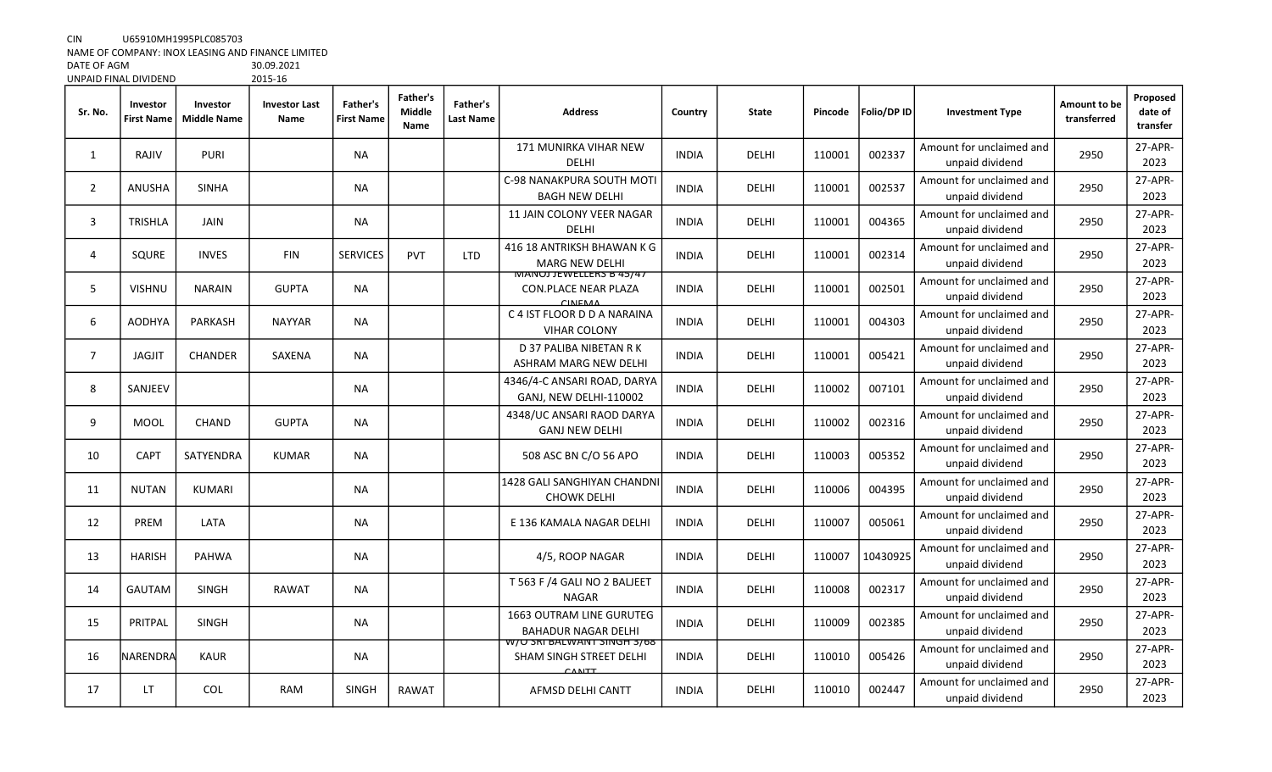CIN U65910MH1995PLC085703

NAME OF COMPANY: INOX LEASING AND FINANCE LIMITED

| DATE OF AGM           | 30.09.2021 |
|-----------------------|------------|
| UNPAID FINAL DIVIDEND | 2015-16    |

| Sr. No.        | Investor<br><b>First Name</b> | Investor<br><b>Middle Name</b> | <b>Investor Last</b><br>Name | Father's<br><b>First Name</b> | Father's<br><b>Middle</b><br>Name | Father's<br>Last Name | <b>Address</b>                                                             | Country      | <b>State</b> | Pincode | Folio/DP ID | <b>Investment Type</b>                      | Amount to be<br>transferred | Proposed<br>date of<br>transfer |
|----------------|-------------------------------|--------------------------------|------------------------------|-------------------------------|-----------------------------------|-----------------------|----------------------------------------------------------------------------|--------------|--------------|---------|-------------|---------------------------------------------|-----------------------------|---------------------------------|
| 1              | RAJIV                         | <b>PURI</b>                    |                              | <b>NA</b>                     |                                   |                       | 171 MUNIRKA VIHAR NEW<br><b>DELHI</b>                                      | <b>INDIA</b> | DELHI        | 110001  | 002337      | Amount for unclaimed and<br>unpaid dividend | 2950                        | 27-APR-<br>2023                 |
| $\overline{2}$ | <b>ANUSHA</b>                 | <b>SINHA</b>                   |                              | <b>NA</b>                     |                                   |                       | C-98 NANAKPURA SOUTH MOTI<br><b>BAGH NEW DELHI</b>                         | <b>INDIA</b> | <b>DELHI</b> | 110001  | 002537      | Amount for unclaimed and<br>unpaid dividend | 2950                        | 27-APR-<br>2023                 |
| 3              | TRISHLA                       | JAIN                           |                              | <b>NA</b>                     |                                   |                       | <b>11 JAIN COLONY VEER NAGAR</b><br>DELHI                                  | <b>INDIA</b> | DELHI        | 110001  | 004365      | Amount for unclaimed and<br>unpaid dividend | 2950                        | 27-APR-<br>2023                 |
| 4              | SQURE                         | <b>INVES</b>                   | <b>FIN</b>                   | <b>SERVICES</b>               | <b>PVT</b>                        | <b>LTD</b>            | 416 18 ANTRIKSH BHAWAN K G<br><b>MARG NEW DELHI</b>                        | <b>INDIA</b> | DELHI        | 110001  | 002314      | Amount for unclaimed and<br>unpaid dividend | 2950                        | 27-APR-<br>2023                 |
| 5.             | <b>VISHNU</b>                 | <b>NARAIN</b>                  | <b>GUPTA</b>                 | <b>NA</b>                     |                                   |                       | <b>IVIAINUJ JEWELLEKS B 45/47</b><br><b>CON.PLACE NEAR PLAZA</b>           | <b>INDIA</b> | DELHI        | 110001  | 002501      | Amount for unclaimed and<br>unpaid dividend | 2950                        | 27-APR-<br>2023                 |
| 6              | AODHYA                        | PARKASH                        | <b>NAYYAR</b>                | <b>NA</b>                     |                                   |                       | C 4 IST FLOOR D D A NARAINA<br><b>VIHAR COLONY</b>                         | <b>INDIA</b> | DELHI        | 110001  | 004303      | Amount for unclaimed and<br>unpaid dividend | 2950                        | 27-APR-<br>2023                 |
| $\overline{7}$ | <b>JAGJIT</b>                 | <b>CHANDER</b>                 | SAXENA                       | <b>NA</b>                     |                                   |                       | D 37 PALIBA NIBETAN R K<br>ASHRAM MARG NEW DELHI                           | <b>INDIA</b> | DELHI        | 110001  | 005421      | Amount for unclaimed and<br>unpaid dividend | 2950                        | 27-APR-<br>2023                 |
| 8              | SANJEEV                       |                                |                              | NA                            |                                   |                       | 4346/4-C ANSARI ROAD, DARYA<br>GANJ. NEW DELHI-110002                      | <b>INDIA</b> | DELHI        | 110002  | 007101      | Amount for unclaimed and<br>unpaid dividend | 2950                        | 27-APR-<br>2023                 |
| 9              | <b>MOOL</b>                   | <b>CHAND</b>                   | <b>GUPTA</b>                 | NA                            |                                   |                       | 4348/UC ANSARI RAOD DARYA<br><b>GANJ NEW DELHI</b>                         | <b>INDIA</b> | DELHI        | 110002  | 002316      | Amount for unclaimed and<br>unpaid dividend | 2950                        | 27-APR-<br>2023                 |
| 10             | <b>CAPT</b>                   | SATYENDRA                      | <b>KUMAR</b>                 | <b>NA</b>                     |                                   |                       | 508 ASC BN C/O 56 APO                                                      | <b>INDIA</b> | DELHI        | 110003  | 005352      | Amount for unclaimed and<br>unpaid dividend | 2950                        | 27-APR-<br>2023                 |
| 11             | <b>NUTAN</b>                  | <b>KUMARI</b>                  |                              | <b>NA</b>                     |                                   |                       | <b>1428 GALI SANGHIYAN CHANDNI</b><br><b>CHOWK DELHI</b>                   | <b>INDIA</b> | DELHI        | 110006  | 004395      | Amount for unclaimed and<br>unpaid dividend | 2950                        | 27-APR-<br>2023                 |
| 12             | PREM                          | LATA                           |                              | <b>NA</b>                     |                                   |                       | E 136 KAMALA NAGAR DELHI                                                   | <b>INDIA</b> | DELHI        | 110007  | 005061      | Amount for unclaimed and<br>unpaid dividend | 2950                        | 27-APR-<br>2023                 |
| 13             | <b>HARISH</b>                 | PAHWA                          |                              | NA                            |                                   |                       | 4/5, ROOP NAGAR                                                            | <b>INDIA</b> | DELHI        | 110007  | 10430925    | Amount for unclaimed and<br>unpaid dividend | 2950                        | 27-APR-<br>2023                 |
| 14             | <b>GAUTAM</b>                 | <b>SINGH</b>                   | RAWAT                        | <b>NA</b>                     |                                   |                       | T 563 F /4 GALI NO 2 BALJEET<br><b>NAGAR</b>                               | <b>INDIA</b> | <b>DELHI</b> | 110008  | 002317      | Amount for unclaimed and<br>unpaid dividend | 2950                        | 27-APR-<br>2023                 |
| 15             | PRITPAL                       | <b>SINGH</b>                   |                              | <b>NA</b>                     |                                   |                       | <b>1663 OUTRAM LINE GURUTEG</b><br><b>BAHADUR NAGAR DELHI</b>              | <b>INDIA</b> | DELHI        | 110009  | 002385      | Amount for unclaimed and<br>unpaid dividend | 2950                        | 27-APR-<br>2023                 |
| 16             | NARENDRA                      | <b>KAUR</b>                    |                              | <b>NA</b>                     |                                   |                       | 108 סטן דער דער דער דער איז די דער די<br>SHAM SINGH STREET DELHI<br>CANITT | <b>INDIA</b> | DELHI        | 110010  | 005426      | Amount for unclaimed and<br>unpaid dividend | 2950                        | 27-APR-<br>2023                 |
| 17             | LT.                           | <b>COL</b>                     | <b>RAM</b>                   | <b>SINGH</b>                  | RAWAT                             |                       | AFMSD DELHI CANTT                                                          | <b>INDIA</b> | DELHI        | 110010  | 002447      | Amount for unclaimed and<br>unpaid dividend | 2950                        | 27-APR-<br>2023                 |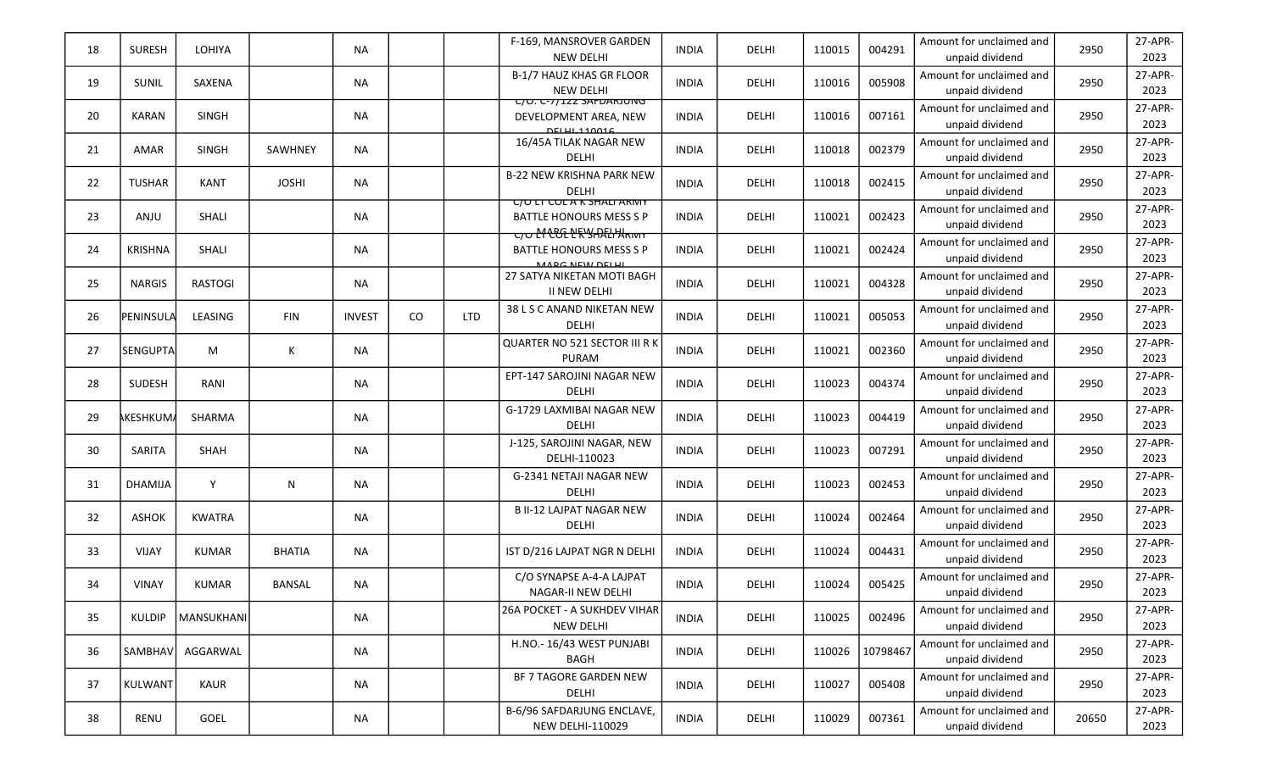| 18 | <b>SURESH</b>    | LOHIYA         |               | <b>NA</b>     |          |            | F-169, MANSROVER GARDEN<br><b>NEW DELHI</b>                                                                    | <b>INDIA</b> | DELHI        | 110015 | 004291   | Amount for unclaimed and<br>unpaid dividend | 2950  | 27-APR-<br>2023 |
|----|------------------|----------------|---------------|---------------|----------|------------|----------------------------------------------------------------------------------------------------------------|--------------|--------------|--------|----------|---------------------------------------------|-------|-----------------|
| 19 | SUNIL            | SAXENA         |               | <b>NA</b>     |          |            | B-1/7 HAUZ KHAS GR FLOOR<br><b>NEW DELHI</b>                                                                   | <b>INDIA</b> | DELHI        | 110016 | 005908   | Amount for unclaimed and<br>unpaid dividend | 2950  | 27-APR-<br>2023 |
| 20 | <b>KARAN</b>     | <b>SINGH</b>   |               | <b>NA</b>     |          |            | UU. U-77122 SAFDARJUNG<br>DEVELOPMENT AREA, NEW<br>DELLI 110016                                                | <b>INDIA</b> | DELHI        | 110016 | 007161   | Amount for unclaimed and<br>unpaid dividend | 2950  | 27-APR-<br>2023 |
| 21 | <b>AMAR</b>      | <b>SINGH</b>   | SAWHNEY       | <b>NA</b>     |          |            | 16/45A TILAK NAGAR NEW<br><b>DELHI</b>                                                                         | <b>INDIA</b> | DELHI        | 110018 | 002379   | Amount for unclaimed and<br>unpaid dividend | 2950  | 27-APR-<br>2023 |
| 22 | <b>TUSHAR</b>    | <b>KANT</b>    | <b>JOSHI</b>  | <b>NA</b>     |          |            | <b>B-22 NEW KRISHNA PARK NEW</b><br><b>DELHI</b>                                                               | <b>INDIA</b> | DELHI        | 110018 | 002415   | Amount for unclaimed and<br>unpaid dividend | 2950  | 27-APR-<br>2023 |
| 23 | ANJU             | SHALI          |               | <b>NA</b>     |          |            | <b>UULI LULAK SHALI ARIVIT</b><br><b>BATTLE HONOURS MESS S P</b><br>᠊ <del>ᡄ᠍ᡉ᠌᠌ᡌ᠊ᢗᢗ᠍ᡗᡅ᠊ᡌ᠊ᠷᡃᡪ᠓ᢄ</del> ᡰᡰᢂᠷ᠌ᠬ᠋ᠬ | <b>INDIA</b> | DELHI        | 110021 | 002423   | Amount for unclaimed and<br>unpaid dividend | 2950  | 27-APR-<br>2023 |
| 24 | <b>KRISHNA</b>   | <b>SHALI</b>   |               | <b>NA</b>     |          |            | <b>BATTLE HONOURS MESS S P</b><br>MADC NEW DELLI                                                               | <b>INDIA</b> | DELHI        | 110021 | 002424   | Amount for unclaimed and<br>unpaid dividend | 2950  | 27-APR-<br>2023 |
| 25 | <b>NARGIS</b>    | <b>RASTOGI</b> |               | <b>NA</b>     |          |            | 27 SATYA NIKETAN MOTI BAGH<br><b>II NEW DELHI</b>                                                              | <b>INDIA</b> | DELHI        | 110021 | 004328   | Amount for unclaimed and<br>unpaid dividend | 2950  | 27-APR-<br>2023 |
| 26 | PENINSULA        | LEASING        | <b>FIN</b>    | <b>INVEST</b> | $\rm CO$ | <b>LTD</b> | 38 L S C ANAND NIKETAN NEW<br><b>DELHI</b>                                                                     | <b>INDIA</b> | DELHI        | 110021 | 005053   | Amount for unclaimed and<br>unpaid dividend | 2950  | 27-APR-<br>2023 |
| 27 | <b>SENGUPTA</b>  | M              | К             | NA            |          |            | QUARTER NO 521 SECTOR III R K<br><b>PURAM</b>                                                                  | <b>INDIA</b> | DELHI        | 110021 | 002360   | Amount for unclaimed and<br>unpaid dividend | 2950  | 27-APR-<br>2023 |
| 28 | SUDESH           | RANI           |               | <b>NA</b>     |          |            | EPT-147 SAROJINI NAGAR NEW<br><b>DELHI</b>                                                                     | <b>INDIA</b> | DELHI        | 110023 | 004374   | Amount for unclaimed and<br>unpaid dividend | 2950  | 27-APR-<br>2023 |
| 29 | <b>AKESHKUMA</b> | SHARMA         |               | <b>NA</b>     |          |            | G-1729 LAXMIBAI NAGAR NEW<br>DELHI                                                                             | <b>INDIA</b> | DELHI        | 110023 | 004419   | Amount for unclaimed and<br>unpaid dividend | 2950  | 27-APR-<br>2023 |
| 30 | SARITA           | SHAH           |               | <b>NA</b>     |          |            | J-125, SAROJINI NAGAR, NEW<br>DELHI-110023                                                                     | <b>INDIA</b> | DELHI        | 110023 | 007291   | Amount for unclaimed and<br>unpaid dividend | 2950  | 27-APR-<br>2023 |
| 31 | <b>DHAMIJA</b>   | Y              | N             | <b>NA</b>     |          |            | G-2341 NETAJI NAGAR NEW<br><b>DELHI</b>                                                                        | <b>INDIA</b> | DELHI        | 110023 | 002453   | Amount for unclaimed and<br>unpaid dividend | 2950  | 27-APR-<br>2023 |
| 32 | <b>ASHOK</b>     | <b>KWATRA</b>  |               | <b>NA</b>     |          |            | <b>B II-12 LAJPAT NAGAR NEW</b><br>DELHI                                                                       | <b>INDIA</b> | DELHI        | 110024 | 002464   | Amount for unclaimed and<br>unpaid dividend | 2950  | 27-APR-<br>2023 |
| 33 | VIJAY            | <b>KUMAR</b>   | <b>BHATIA</b> | <b>NA</b>     |          |            | IST D/216 LAJPAT NGR N DELHI                                                                                   | <b>INDIA</b> | <b>DELHI</b> | 110024 | 004431   | Amount for unclaimed and<br>unpaid dividend | 2950  | 27-APR-<br>2023 |
| 34 | <b>VINAY</b>     | <b>KUMAR</b>   | <b>BANSAL</b> | <b>NA</b>     |          |            | C/O SYNAPSE A-4-A LAJPAT<br>NAGAR-II NEW DELHI                                                                 | <b>INDIA</b> | DELHI        | 110024 | 005425   | Amount for unclaimed and<br>unpaid dividend | 2950  | 27-APR-<br>2023 |
| 35 | KULDIP           | MANSUKHANI     |               | <b>NA</b>     |          |            | 26A POCKET - A SUKHDEV VIHAR<br><b>NEW DELHI</b>                                                               | <b>INDIA</b> | DELHI        | 110025 | 002496   | Amount for unclaimed and<br>unpaid dividend | 2950  | 27-APR-<br>2023 |
| 36 | <b>SAMBHAV</b>   | AGGARWAL       |               | <b>NA</b>     |          |            | H.NO.- 16/43 WEST PUNJABI<br><b>BAGH</b>                                                                       | <b>INDIA</b> | DELHI        | 110026 | 10798467 | Amount for unclaimed and<br>unpaid dividend | 2950  | 27-APR-<br>2023 |
| 37 | <b>KULWANT</b>   | KAUR           |               | <b>NA</b>     |          |            | BF 7 TAGORE GARDEN NEW<br>DELHI                                                                                | <b>INDIA</b> | DELHI        | 110027 | 005408   | Amount for unclaimed and<br>unpaid dividend | 2950  | 27-APR-<br>2023 |
| 38 | RENU             | GOEL           |               | NA            |          |            | B-6/96 SAFDARJUNG ENCLAVE,<br><b>NEW DELHI-110029</b>                                                          | <b>INDIA</b> | DELHI        | 110029 | 007361   | Amount for unclaimed and<br>unpaid dividend | 20650 | 27-APR-<br>2023 |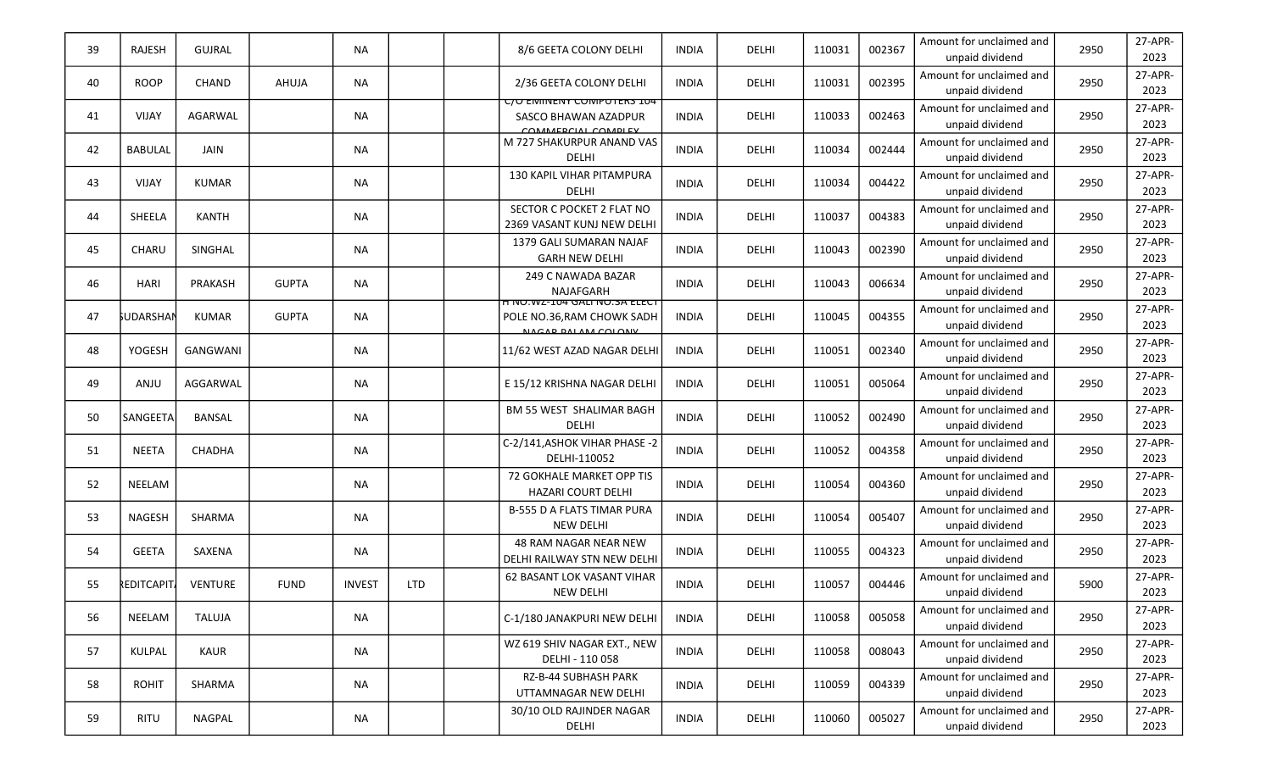| 39 | <b>RAJESH</b>     | GUJRAL          |              | <b>NA</b>     |            | 8/6 GEETA COLONY DELHI                                                            | <b>INDIA</b> | DELHI        | 110031 | 002367 | Amount for unclaimed and<br>unpaid dividend | 2950 | 27-APR-<br>2023 |
|----|-------------------|-----------------|--------------|---------------|------------|-----------------------------------------------------------------------------------|--------------|--------------|--------|--------|---------------------------------------------|------|-----------------|
| 40 | <b>ROOP</b>       | <b>CHAND</b>    | AHUJA        | <b>NA</b>     |            | 2/36 GEETA COLONY DELHI                                                           | <b>INDIA</b> | DELHI        | 110031 | 002395 | Amount for unclaimed and<br>unpaid dividend | 2950 | 27-APR-<br>2023 |
| 41 | <b>VIJAY</b>      | <b>AGARWAL</b>  |              | <b>NA</b>     |            | <u>C/O EMINENY COMPUTERS IU4</u><br>SASCO BHAWAN AZADPUR<br>COMMEDCIAL COMPLEY    | <b>INDIA</b> | DELHI        | 110033 | 002463 | Amount for unclaimed and<br>unpaid dividend | 2950 | 27-APR-<br>2023 |
| 42 | <b>BABULAL</b>    | JAIN            |              | <b>NA</b>     |            | M 727 SHAKURPUR ANAND VAS<br>DELHI                                                | <b>INDIA</b> | <b>DELHI</b> | 110034 | 002444 | Amount for unclaimed and<br>unpaid dividend | 2950 | 27-APR-<br>2023 |
| 43 | VIJAY             | KUMAR           |              | <b>NA</b>     |            | 130 KAPIL VIHAR PITAMPURA<br><b>DELHI</b>                                         | <b>INDIA</b> | DELHI        | 110034 | 004422 | Amount for unclaimed and<br>unpaid dividend | 2950 | 27-APR-<br>2023 |
| 44 | SHEELA            | <b>KANTH</b>    |              | NA            |            | SECTOR C POCKET 2 FLAT NO<br>2369 VASANT KUNJ NEW DELHI                           | <b>INDIA</b> | DELHI        | 110037 | 004383 | Amount for unclaimed and<br>unpaid dividend | 2950 | 27-APR-<br>2023 |
| 45 | <b>CHARU</b>      | SINGHAL         |              | <b>NA</b>     |            | 1379 GALI SUMARAN NAJAF<br><b>GARH NEW DELHI</b>                                  | <b>INDIA</b> | <b>DELHI</b> | 110043 | 002390 | Amount for unclaimed and<br>unpaid dividend | 2950 | 27-APR-<br>2023 |
| 46 | <b>HARI</b>       | PRAKASH         | <b>GUPTA</b> | <b>NA</b>     |            | 249 C NAWADA BAZAR<br>NAJAFGARH                                                   | <b>INDIA</b> | DELHI        | 110043 | 006634 | Amount for unclaimed and<br>unpaid dividend | 2950 | 27-APR-<br>2023 |
| 47 | <b>SUDARSHAN</b>  | KUMAR           | <b>GUPTA</b> | NA            |            | H NU.WZ-IU4 GALI NU.3A ELECT<br>POLE NO.36, RAM CHOWK SADH<br>NACAR RALAM COLONIV | <b>INDIA</b> | DELHI        | 110045 | 004355 | Amount for unclaimed and<br>unpaid dividend | 2950 | 27-APR-<br>2023 |
| 48 | YOGESH            | <b>GANGWANI</b> |              | <b>NA</b>     |            | 11/62 WEST AZAD NAGAR DELHI                                                       | <b>INDIA</b> | DELHI        | 110051 | 002340 | Amount for unclaimed and<br>unpaid dividend | 2950 | 27-APR-<br>2023 |
| 49 | ANJU              | AGGARWAL        |              | <b>NA</b>     |            | E 15/12 KRISHNA NAGAR DELHI                                                       | <b>INDIA</b> | DELHI        | 110051 | 005064 | Amount for unclaimed and<br>unpaid dividend | 2950 | 27-APR-<br>2023 |
| 50 | SANGEETA          | BANSAL          |              | <b>NA</b>     |            | BM 55 WEST SHALIMAR BAGH<br><b>DELHI</b>                                          | <b>INDIA</b> | DELHI        | 110052 | 002490 | Amount for unclaimed and<br>unpaid dividend | 2950 | 27-APR-<br>2023 |
| 51 | <b>NEETA</b>      | <b>CHADHA</b>   |              | <b>NA</b>     |            | C-2/141, ASHOK VIHAR PHASE -2<br>DELHI-110052                                     | <b>INDIA</b> | DELHI        | 110052 | 004358 | Amount for unclaimed and<br>unpaid dividend | 2950 | 27-APR-<br>2023 |
| 52 | NEELAM            |                 |              | <b>NA</b>     |            | 72 GOKHALE MARKET OPP TIS<br><b>HAZARI COURT DELHI</b>                            | <b>INDIA</b> | <b>DELHI</b> | 110054 | 004360 | Amount for unclaimed and<br>unpaid dividend | 2950 | 27-APR-<br>2023 |
| 53 | <b>NAGESH</b>     | SHARMA          |              | <b>NA</b>     |            | <b>B-555 D A FLATS TIMAR PURA</b><br><b>NEW DELHI</b>                             | <b>INDIA</b> | DELHI        | 110054 | 005407 | Amount for unclaimed and<br>unpaid dividend | 2950 | 27-APR-<br>2023 |
| 54 | <b>GEETA</b>      | SAXENA          |              | <b>NA</b>     |            | <b>48 RAM NAGAR NEAR NEW</b><br>DELHI RAILWAY STN NEW DELHI                       | <b>INDIA</b> | DELHI        | 110055 | 004323 | Amount for unclaimed and<br>unpaid dividend | 2950 | 27-APR-<br>2023 |
| 55 | <b>REDITCAPIT</b> | <b>VENTURE</b>  | <b>FUND</b>  | <b>INVEST</b> | <b>LTD</b> | 62 BASANT LOK VASANT VIHAR<br><b>NEW DELHI</b>                                    | <b>INDIA</b> | DELHI        | 110057 | 004446 | Amount for unclaimed and<br>unpaid dividend | 5900 | 27-APR-<br>2023 |
| 56 | NEELAM            | <b>TALUJA</b>   |              | <b>NA</b>     |            | C-1/180 JANAKPURI NEW DELHI                                                       | <b>INDIA</b> | DELHI        | 110058 | 005058 | Amount for unclaimed and<br>unpaid dividend | 2950 | 27-APR-<br>2023 |
| 57 | KULPAL            | KAUR            |              | <b>NA</b>     |            | WZ 619 SHIV NAGAR EXT., NEW<br>DELHI - 110 058                                    | <b>INDIA</b> | DELHI        | 110058 | 008043 | Amount for unclaimed and<br>unpaid dividend | 2950 | 27-APR-<br>2023 |
| 58 | <b>ROHIT</b>      | SHARMA          |              | <b>NA</b>     |            | RZ-B-44 SUBHASH PARK<br>UTTAMNAGAR NEW DELHI                                      | <b>INDIA</b> | DELHI        | 110059 | 004339 | Amount for unclaimed and<br>unpaid dividend | 2950 | 27-APR-<br>2023 |
| 59 | RITU              | NAGPAL          |              | <b>NA</b>     |            | 30/10 OLD RAJINDER NAGAR<br>DELHI                                                 | <b>INDIA</b> | DELHI        | 110060 | 005027 | Amount for unclaimed and<br>unpaid dividend | 2950 | 27-APR-<br>2023 |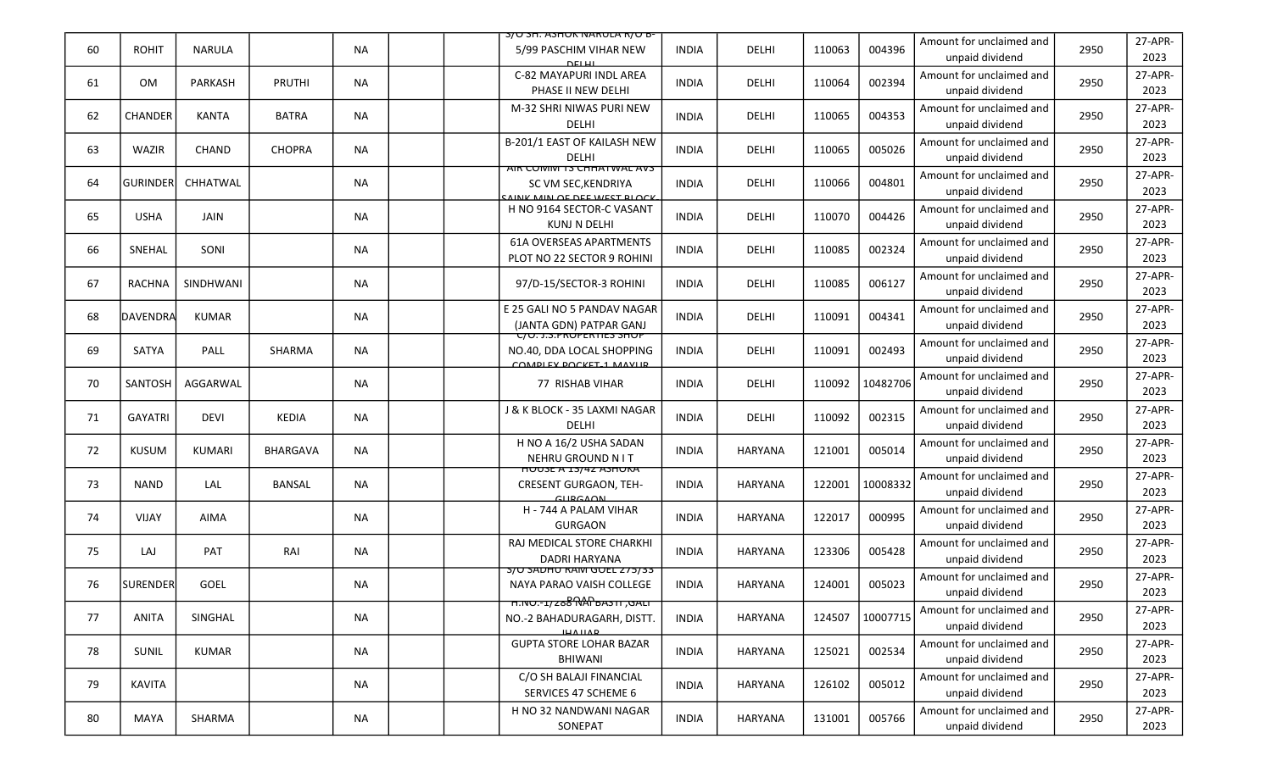|    |                  |                |               |           | <b>S/U SH. ASHUK IVAKULA K/U B-</b>                                                                 |              |                |        |          |                                             |      |                 |
|----|------------------|----------------|---------------|-----------|-----------------------------------------------------------------------------------------------------|--------------|----------------|--------|----------|---------------------------------------------|------|-----------------|
| 60 | <b>ROHIT</b>     | <b>NARULA</b>  |               | <b>NA</b> | 5/99 PASCHIM VIHAR NEW                                                                              | <b>INDIA</b> | DELHI          | 110063 | 004396   | Amount for unclaimed and<br>unpaid dividend | 2950 | 27-APR-<br>2023 |
| 61 | 0M               | <b>PARKASH</b> | <b>PRUTHI</b> | <b>NA</b> | C-82 MAYAPURI INDL AREA<br>PHASE II NEW DELHI                                                       | <b>INDIA</b> | DELHI          | 110064 | 002394   | Amount for unclaimed and<br>unpaid dividend | 2950 | 27-APR-<br>2023 |
| 62 | CHANDER          | <b>KANTA</b>   | <b>BATRA</b>  | <b>NA</b> | M-32 SHRI NIWAS PURI NEW<br>DELHI                                                                   | <b>INDIA</b> | DELHI          | 110065 | 004353   | Amount for unclaimed and<br>unpaid dividend | 2950 | 27-APR-<br>2023 |
| 63 | WAZIR            | CHAND          | <b>CHOPRA</b> | <b>NA</b> | B-201/1 EAST OF KAILASH NEW<br>DELHI                                                                | <b>INDIA</b> | DELHI          | 110065 | 005026   | Amount for unclaimed and<br>unpaid dividend | 2950 | 27-APR-<br>2023 |
| 64 | <b>GURINDERI</b> | CHHATWAL       |               | <b>NA</b> | AIR COMM 15 CHHATWAL AVS<br>SC VM SEC, KENDRIYA<br>AINK MIN OF DEE WEST RLOCK                       | <b>INDIA</b> | DELHI          | 110066 | 004801   | Amount for unclaimed and<br>unpaid dividend | 2950 | 27-APR-<br>2023 |
| 65 | <b>USHA</b>      | <b>JAIN</b>    |               | ΝA        | H NO 9164 SECTOR-C VASANT<br>KUNJ N DELHI                                                           | <b>INDIA</b> | DELHI          | 110070 | 004426   | Amount for unclaimed and<br>unpaid dividend | 2950 | 27-APR-<br>2023 |
| 66 | SNEHAL           | SONI           |               | <b>NA</b> | <b>61A OVERSEAS APARTMENTS</b><br>PLOT NO 22 SECTOR 9 ROHINI                                        | <b>INDIA</b> | DELHI          | 110085 | 002324   | Amount for unclaimed and<br>unpaid dividend | 2950 | 27-APR-<br>2023 |
| 67 | RACHNA           | SINDHWANI      |               | <b>NA</b> | 97/D-15/SECTOR-3 ROHINI                                                                             | <b>INDIA</b> | DELHI          | 110085 | 006127   | Amount for unclaimed and<br>unpaid dividend | 2950 | 27-APR-<br>2023 |
| 68 | DAVENDRA         | KUMAR          |               | <b>NA</b> | E 25 GALI NO 5 PANDAV NAGAR<br>(JANTA GDN) PATPAR GANJ                                              | <b>INDIA</b> | DELHI          | 110091 | 004341   | Amount for unclaimed and<br>unpaid dividend | 2950 | 27-APR-<br>2023 |
| 69 | SATYA            | PALL           | SHARMA        | <b>NA</b> | UU.J.S.PROPERTIES SHOP<br>NO.40, DDA LOCAL SHOPPING<br>COMBLEV BOCKET 1 MANUE                       | <b>INDIA</b> | DELHI          | 110091 | 002493   | Amount for unclaimed and<br>unpaid dividend | 2950 | 27-APR-<br>2023 |
| 70 | SANTOSH          | AGGARWAL       |               | NA.       | 77 RISHAB VIHAR                                                                                     | <b>INDIA</b> | DELHI          | 110092 | 10482706 | Amount for unclaimed and<br>unpaid dividend | 2950 | 27-APR-<br>2023 |
| 71 | <b>GAYATRI</b>   | <b>DEVI</b>    | KEDIA         | <b>NA</b> | J & K BLOCK - 35 LAXMI NAGAR<br>DELHI                                                               | <b>INDIA</b> | DELHI          | 110092 | 002315   | Amount for unclaimed and<br>unpaid dividend | 2950 | 27-APR-<br>2023 |
| 72 | <b>KUSUM</b>     | KUMARI         | BHARGAVA      | <b>NA</b> | H NO A 16/2 USHA SADAN<br>NEHRU GROUND N I T                                                        | <b>INDIA</b> | <b>HARYANA</b> | 121001 | 005014   | Amount for unclaimed and<br>unpaid dividend | 2950 | 27-APR-<br>2023 |
| 73 | <b>NAND</b>      | LAL            | BANSAL        | <b>NA</b> | <u>HUUSE A 13/42 ASHUKA </u><br><b>CRESENT GURGAON, TEH-</b><br><b>CLIDCAON</b>                     | <b>INDIA</b> | <b>HARYANA</b> | 122001 | 10008332 | Amount for unclaimed and<br>unpaid dividend | 2950 | 27-APR-<br>2023 |
| 74 | VIJAY            | <b>AIMA</b>    |               | ΝA        | H - 744 A PALAM VIHAR<br><b>GURGAON</b>                                                             | <b>INDIA</b> | <b>HARYANA</b> | 122017 | 000995   | Amount for unclaimed and<br>unpaid dividend | 2950 | 27-APR-<br>2023 |
| 75 | LAJ              | PAT            | RAI           | <b>NA</b> | RAJ MEDICAL STORE CHARKHI<br>DADRI HARYANA                                                          | <b>INDIA</b> | HARYANA        | 123306 | 005428   | Amount for unclaimed and<br>unpaid dividend | 2950 | 27-APR-<br>2023 |
| 76 | <b>SURENDER</b>  | GOEL           |               | NA        | <b>S/U SADHU RAIVI GUEL 275/33</b><br>NAYA PARAO VAISH COLLEGE                                      | <b>INDIA</b> | HARYANA        | 124001 | 005023   | Amount for unclaimed and<br>unpaid dividend | 2950 | 27-APR-<br>2023 |
| 77 | ANITA            | SINGHAL        |               | <b>NA</b> | <del>וואט, וו פאפ RAP אפ</del> <i>דו-</i> סמ. <del>ח</del><br>NO.-2 BAHADURAGARH, DISTT.<br>IHAIIAD | <b>INDIA</b> | HARYANA        | 124507 | 10007715 | Amount for unclaimed and<br>unpaid dividend | 2950 | 27-APR-<br>2023 |
| 78 | SUNIL            | KUMAR          |               | <b>NA</b> | <b>GUPTA STORE LOHAR BAZAR</b><br>BHIWANI                                                           | <b>INDIA</b> | HARYANA        | 125021 | 002534   | Amount for unclaimed and<br>unpaid dividend | 2950 | 27-APR-<br>2023 |
| 79 | KAVITA           |                |               | <b>NA</b> | C/O SH BALAJI FINANCIAL<br>SERVICES 47 SCHEME 6                                                     | <b>INDIA</b> | HARYANA        | 126102 | 005012   | Amount for unclaimed and<br>unpaid dividend | 2950 | 27-APR-<br>2023 |
| 80 | MAYA             | SHARMA         |               | NA        | H NO 32 NANDWANI NAGAR<br>SONEPAT                                                                   | <b>INDIA</b> | HARYANA        | 131001 | 005766   | Amount for unclaimed and<br>unpaid dividend | 2950 | 27-APR-<br>2023 |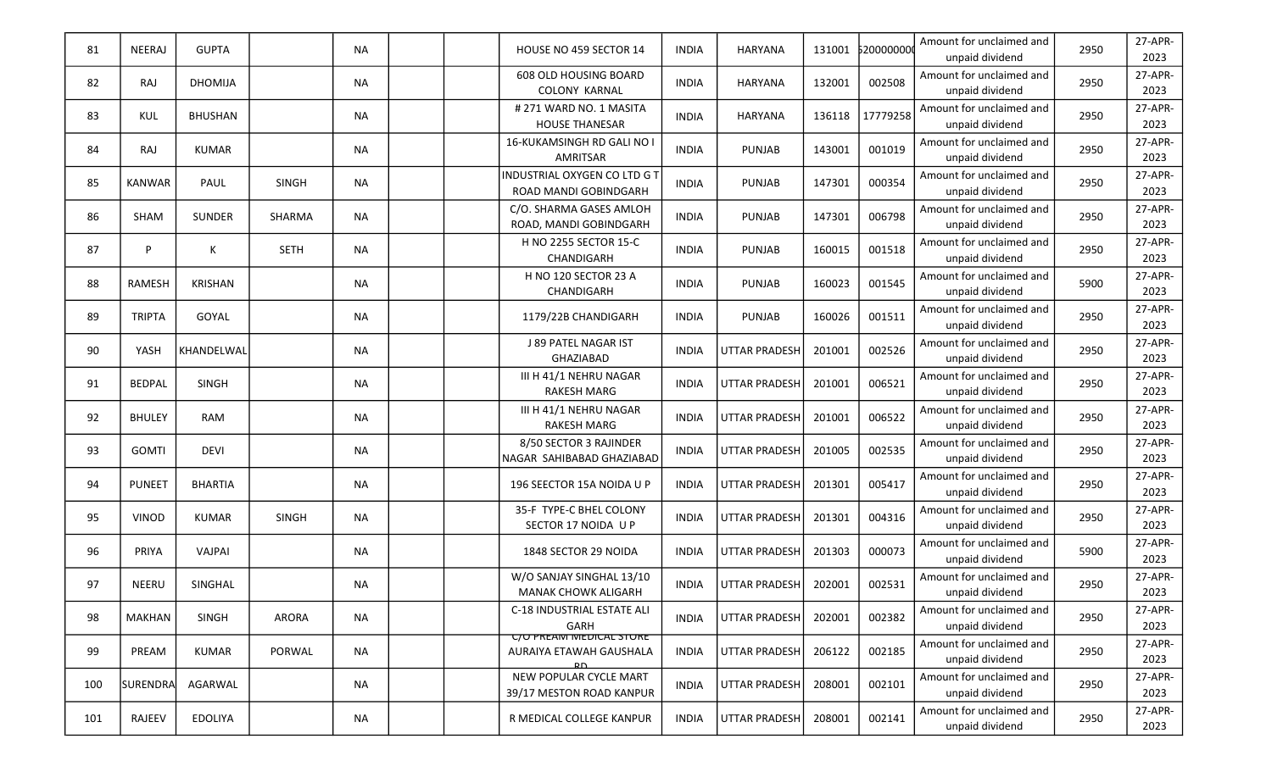| 81  | NEERAJ        | <b>GUPTA</b>   |              | <b>NA</b> |  | HOUSE NO 459 SECTOR 14                                                                     | <b>INDIA</b> | <b>HARYANA</b>       | 131001 | 520000000 | Amount for unclaimed and<br>unpaid dividend | 2950 | 27-APR-<br>2023 |
|-----|---------------|----------------|--------------|-----------|--|--------------------------------------------------------------------------------------------|--------------|----------------------|--------|-----------|---------------------------------------------|------|-----------------|
| 82  | RAJ           | <b>DHOMIJA</b> |              | <b>NA</b> |  | 608 OLD HOUSING BOARD<br><b>COLONY KARNAL</b>                                              | <b>INDIA</b> | HARYANA              | 132001 | 002508    | Amount for unclaimed and<br>unpaid dividend | 2950 | 27-APR-<br>2023 |
| 83  | <b>KUL</b>    | <b>BHUSHAN</b> |              | <b>NA</b> |  | # 271 WARD NO. 1 MASITA<br><b>HOUSE THANESAR</b>                                           | <b>INDIA</b> | HARYANA              | 136118 | 17779258  | Amount for unclaimed and<br>unpaid dividend | 2950 | 27-APR-<br>2023 |
| 84  | RAJ           | KUMAR          |              | <b>NA</b> |  | 16-KUKAMSINGH RD GALI NO I<br>AMRITSAR                                                     | <b>INDIA</b> | <b>PUNJAB</b>        | 143001 | 001019    | Amount for unclaimed and<br>unpaid dividend | 2950 | 27-APR-<br>2023 |
| 85  | <b>KANWAR</b> | PAUL           | <b>SINGH</b> | <b>NA</b> |  | INDUSTRIAL OXYGEN CO LTD G T<br>ROAD MANDI GOBINDGARH                                      | <b>INDIA</b> | <b>PUNJAB</b>        | 147301 | 000354    | Amount for unclaimed and<br>unpaid dividend | 2950 | 27-APR-<br>2023 |
| 86  | SHAM          | SUNDER         | SHARMA       | NA        |  | C/O. SHARMA GASES AMLOH<br>ROAD, MANDI GOBINDGARH                                          | <b>INDIA</b> | PUNJAB               | 147301 | 006798    | Amount for unclaimed and<br>unpaid dividend | 2950 | 27-APR-<br>2023 |
| 87  | P             | К              | <b>SETH</b>  | <b>NA</b> |  | H NO 2255 SECTOR 15-C<br>CHANDIGARH                                                        | <b>INDIA</b> | <b>PUNJAB</b>        | 160015 | 001518    | Amount for unclaimed and<br>unpaid dividend | 2950 | 27-APR-<br>2023 |
| 88  | RAMESH        | <b>KRISHAN</b> |              | <b>NA</b> |  | H NO 120 SECTOR 23 A<br>CHANDIGARH                                                         | <b>INDIA</b> | <b>PUNJAB</b>        | 160023 | 001545    | Amount for unclaimed and<br>unpaid dividend | 5900 | 27-APR-<br>2023 |
| 89  | <b>TRIPTA</b> | GOYAL          |              | <b>NA</b> |  | 1179/22B CHANDIGARH                                                                        | <b>INDIA</b> | <b>PUNJAB</b>        | 160026 | 001511    | Amount for unclaimed and<br>unpaid dividend | 2950 | 27-APR-<br>2023 |
| 90  | YASH          | KHANDELWAL     |              | <b>NA</b> |  | J 89 PATEL NAGAR IST<br>GHAZIABAD                                                          | <b>INDIA</b> | <b>UTTAR PRADESH</b> | 201001 | 002526    | Amount for unclaimed and<br>unpaid dividend | 2950 | 27-APR-<br>2023 |
| 91  | <b>BEDPAL</b> | SINGH          |              | NA        |  | III H 41/1 NEHRU NAGAR<br><b>RAKESH MARG</b>                                               | <b>INDIA</b> | <b>UTTAR PRADESH</b> | 201001 | 006521    | Amount for unclaimed and<br>unpaid dividend | 2950 | 27-APR-<br>2023 |
| 92  | <b>BHULEY</b> | <b>RAM</b>     |              | <b>NA</b> |  | III H 41/1 NEHRU NAGAR<br><b>RAKESH MARG</b>                                               | <b>INDIA</b> | <b>UTTAR PRADESH</b> | 201001 | 006522    | Amount for unclaimed and<br>unpaid dividend | 2950 | 27-APR-<br>2023 |
| 93  | <b>GOMTI</b>  | DEVI           |              | NA        |  | 8/50 SECTOR 3 RAJINDER<br>NAGAR SAHIBABAD GHAZIABAD                                        | <b>INDIA</b> | <b>UTTAR PRADESH</b> | 201005 | 002535    | Amount for unclaimed and<br>unpaid dividend | 2950 | 27-APR-<br>2023 |
| 94  | <b>PUNEET</b> | <b>BHARTIA</b> |              | <b>NA</b> |  | 196 SEECTOR 15A NOIDA U P                                                                  | <b>INDIA</b> | <b>UTTAR PRADESH</b> | 201301 | 005417    | Amount for unclaimed and<br>unpaid dividend | 2950 | 27-APR-<br>2023 |
| 95  | VINOD         | KUMAR          | <b>SINGH</b> | <b>NA</b> |  | 35-F TYPE-C BHEL COLONY<br>SECTOR 17 NOIDA U P                                             | <b>INDIA</b> | <b>UTTAR PRADESH</b> | 201301 | 004316    | Amount for unclaimed and<br>unpaid dividend | 2950 | 27-APR-<br>2023 |
| 96  | PRIYA         | VAJPAI         |              | <b>NA</b> |  | 1848 SECTOR 29 NOIDA                                                                       | <b>INDIA</b> | <b>UTTAR PRADESH</b> | 201303 | 000073    | Amount for unclaimed and<br>unpaid dividend | 5900 | 27-APR-<br>2023 |
| 97  | NEERU         | SINGHAL        |              | <b>NA</b> |  | W/O SANJAY SINGHAL 13/10<br><b>MANAK CHOWK ALIGARH</b>                                     | <b>INDIA</b> | UTTAR PRADESH        | 202001 | 002531    | Amount for unclaimed and<br>unpaid dividend | 2950 | 27-APR-<br>2023 |
| 98  | <b>MAKHAN</b> | SINGH          | ARORA        | NA        |  | C-18 INDUSTRIAL ESTATE ALI<br>GARH                                                         | INDIA        | <b>UTTAR PRADESH</b> | 202001 | 002382    | Amount for unclaimed and<br>unpaid dividend | 2950 | 27-APR-<br>2023 |
| 99  | PREAM         | KUMAR          | PORWAL       | NA        |  | <b>C/U PREAIVI IVIEDICAL STURE</b><br>AURAIYA ETAWAH GAUSHALA<br>$\mathsf{p}_{\mathsf{D}}$ | <b>INDIA</b> | UTTAR PRADESH        | 206122 | 002185    | Amount for unclaimed and<br>unpaid dividend | 2950 | 27-APR-<br>2023 |
| 100 | SURENDRA      | AGARWAL        |              | <b>NA</b> |  | NEW POPULAR CYCLE MART<br>39/17 MESTON ROAD KANPUR                                         | <b>INDIA</b> | <b>UTTAR PRADESH</b> | 208001 | 002101    | Amount for unclaimed and<br>unpaid dividend | 2950 | 27-APR-<br>2023 |
| 101 | RAJEEV        | <b>EDOLIYA</b> |              | NA        |  | R MEDICAL COLLEGE KANPUR                                                                   | <b>INDIA</b> | <b>UTTAR PRADESH</b> | 208001 | 002141    | Amount for unclaimed and<br>unpaid dividend | 2950 | 27-APR-<br>2023 |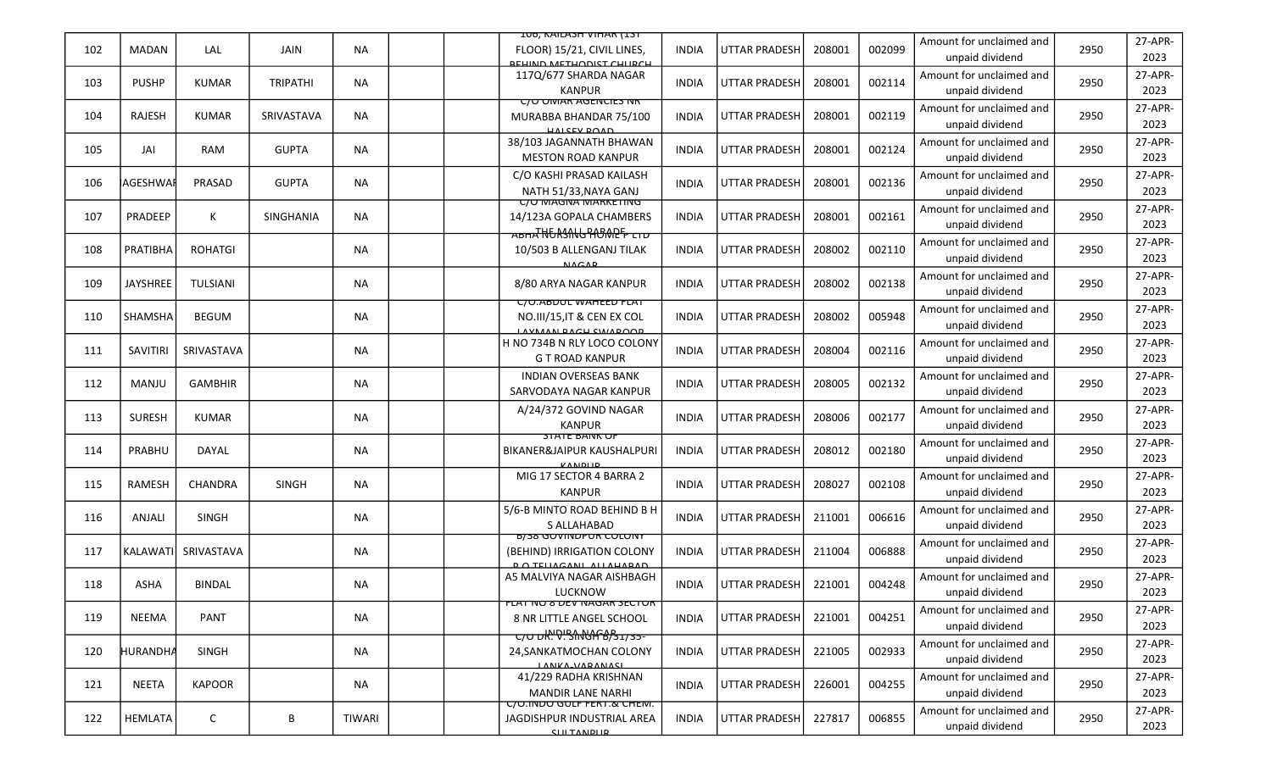|     |                 |                 |                  |               | <b>IUG, KAILASH VIHAK (IST</b>                                                                                     |              |                      |        |        |                                             |      |                 |
|-----|-----------------|-----------------|------------------|---------------|--------------------------------------------------------------------------------------------------------------------|--------------|----------------------|--------|--------|---------------------------------------------|------|-----------------|
| 102 | <b>MADAN</b>    | LAL             | JAIN             | <b>NA</b>     | FLOOR) 15/21, CIVIL LINES,<br><b>REHIND METHODICT CHILDCH</b>                                                      | <b>INDIA</b> | <b>UTTAR PRADESH</b> | 208001 | 002099 | Amount for unclaimed and<br>unpaid dividend | 2950 | 27-APR-<br>2023 |
| 103 | <b>PUSHP</b>    | <b>KUMAR</b>    | <b>TRIPATHI</b>  | <b>NA</b>     | 117Q/677 SHARDA NAGAR<br><b>KANPUR</b>                                                                             | <b>INDIA</b> | <b>UTTAR PRADESH</b> | 208001 | 002114 | Amount for unclaimed and<br>unpaid dividend | 2950 | 27-APR-<br>2023 |
| 104 | RAJESH          | <b>KUMAR</b>    | SRIVASTAVA       | <b>NA</b>     | <b>C/O OIVIAR AGENCIES NR</b><br>MURABBA BHANDAR 75/100<br><b>UALCEV DOAD</b>                                      | <b>INDIA</b> | <b>UTTAR PRADESH</b> | 208001 | 002119 | Amount for unclaimed and<br>unpaid dividend | 2950 | 27-APR-<br>2023 |
| 105 | JAI             | RAM             | <b>GUPTA</b>     | NA.           | 38/103 JAGANNATH BHAWAN<br><b>MESTON ROAD KANPUR</b>                                                               | <b>INDIA</b> | <b>UTTAR PRADESH</b> | 208001 | 002124 | Amount for unclaimed and<br>unpaid dividend | 2950 | 27-APR-<br>2023 |
| 106 | AGESHWAI        | PRASAD          | <b>GUPTA</b>     | <b>NA</b>     | C/O KASHI PRASAD KAILASH<br>NATH 51/33, NAYA GANJ                                                                  | <b>INDIA</b> | <b>UTTAR PRADESH</b> | 208001 | 002136 | Amount for unclaimed and<br>unpaid dividend | 2950 | 27-APR-<br>2023 |
| 107 | PRADEEP         | К               | <b>SINGHANIA</b> | <b>NA</b>     | <u>UU MAGNA MARKETING</u><br>14/123A GOPALA CHAMBERS<br><del>ABHA NURSANG PASAREP LTD</del>                        | INDIA        | <b>UTTAR PRADESH</b> | 208001 | 002161 | Amount for unclaimed and<br>unpaid dividend | 2950 | 27-APR-<br>2023 |
| 108 | PRATIBHA        | <b>ROHATGI</b>  |                  | <b>NA</b>     | 10/503 B ALLENGANJ TILAK<br><b>NACAD</b>                                                                           | <b>INDIA</b> | <b>UTTAR PRADESH</b> | 208002 | 002110 | Amount for unclaimed and<br>unpaid dividend | 2950 | 27-APR-<br>2023 |
| 109 | <b>JAYSHREE</b> | <b>TULSIANI</b> |                  | NA            | 8/80 ARYA NAGAR KANPUR                                                                                             | INDIA        | <b>UTTAR PRADESH</b> | 208002 | 002138 | Amount for unclaimed and<br>unpaid dividend | 2950 | 27-APR-<br>2023 |
| 110 | <b>SHAMSHA</b>  | <b>BEGUM</b>    |                  | NA.           | <b>C/O.ABDUL WAREED FLAT</b><br>NO.III/15, IT & CEN EX COL<br><b>AVMAN RACH SWAROOD</b>                            | INDIA        | <b>UTTAR PRADESH</b> | 208002 | 005948 | Amount for unclaimed and<br>unpaid dividend | 2950 | 27-APR-<br>2023 |
| 111 | SAVITIRI        | SRIVASTAVA      |                  | NA            | H NO 734B N RLY LOCO COLONY<br><b>GT ROAD KANPUR</b>                                                               | <b>INDIA</b> | <b>UTTAR PRADESH</b> | 208004 | 002116 | Amount for unclaimed and<br>unpaid dividend | 2950 | 27-APR-<br>2023 |
| 112 | <b>MANJU</b>    | <b>GAMBHIR</b>  |                  | NA            | <b>INDIAN OVERSEAS BANK</b><br>SARVODAYA NAGAR KANPUR                                                              | <b>INDIA</b> | <b>UTTAR PRADESH</b> | 208005 | 002132 | Amount for unclaimed and<br>unpaid dividend | 2950 | 27-APR-<br>2023 |
| 113 | <b>SURESH</b>   | <b>KUMAR</b>    |                  | NA.           | A/24/372 GOVIND NAGAR<br><b>KANPUR</b>                                                                             | <b>INDIA</b> | <b>UTTAR PRADESH</b> | 208006 | 002177 | Amount for unclaimed and<br>unpaid dividend | 2950 | 27-APR-<br>2023 |
| 114 | PRABHU          | <b>DAYAL</b>    |                  | NA            | <b>STATE BAINK OF</b><br>BIKANER&JAIPUR KAUSHALPURI<br>KANDLID                                                     | <b>INDIA</b> | <b>UTTAR PRADESH</b> | 208012 | 002180 | Amount for unclaimed and<br>unpaid dividend | 2950 | 27-APR-<br>2023 |
| 115 | RAMESH          | CHANDRA         | <b>SINGH</b>     | <b>NA</b>     | MIG 17 SECTOR 4 BARRA 2<br><b>KANPUR</b>                                                                           | <b>INDIA</b> | <b>UTTAR PRADESH</b> | 208027 | 002108 | Amount for unclaimed and<br>unpaid dividend | 2950 | 27-APR-<br>2023 |
| 116 | ANJALI          | <b>SINGH</b>    |                  | NA            | 5/6-B MINTO ROAD BEHIND B H<br>S ALLAHABAD                                                                         | <b>INDIA</b> | <b>UTTAR PRADESH</b> | 211001 | 006616 | Amount for unclaimed and<br>unpaid dividend | 2950 | 27-APR-<br>2023 |
| 117 | <b>KALAWATI</b> | SRIVASTAVA      |                  | NA.           | <b>B/38 GUVINDPUR CULUNT</b><br>(BEHIND) IRRIGATION COLONY<br><b>DO TELIACANIL ALLAHARAD</b>                       | <b>INDIA</b> | UTTAR PRADESH        | 211004 | 006888 | Amount for unclaimed and<br>unpaid dividend | 2950 | 27-APR-<br>2023 |
| 118 | ASHA            | <b>BINDAL</b>   |                  | ΝA            | A5 MALVIYA NAGAR AISHBAGH<br>LUCKNOW                                                                               | <b>INDIA</b> | UTTAR PRADESH        | 221001 | 004248 | Amount for unclaimed and<br>unpaid dividend | 2950 | 27-APR-<br>2023 |
| 119 | <b>NEEMA</b>    | <b>PANT</b>     |                  | NA            | <b>FLAT NU 8 DEV NAGAR SECTUR</b><br>8 NR LITTLE ANGEL SCHOOL<br><del>ᠸ</del> ᠵᠦ᠊ᡉ <del>ᠰ᠋ᡃ᠙ᡰ᠋ᡃᡃᢃᠬᠭᢗᡰᡗ᠇᠖᠀ᢌ</del> ᠴ | <b>INDIA</b> | <b>UTTAR PRADESH</b> | 221001 | 004251 | Amount for unclaimed and<br>unpaid dividend | 2950 | 27-APR-<br>2023 |
| 120 | HURANDHA        | SINGH           |                  | NA            | 24, SANKATMOCHAN COLONY<br>LANKA VARANACI                                                                          | <b>INDIA</b> | UTTAR PRADESH        | 221005 | 002933 | Amount for unclaimed and<br>unpaid dividend | 2950 | 27-APR-<br>2023 |
| 121 | <b>NEETA</b>    | <b>KAPOOR</b>   |                  | NA            | 41/229 RADHA KRISHNAN<br><b>MANDIR LANE NARHI</b>                                                                  | <b>INDIA</b> | <b>UTTAR PRADESH</b> | 226001 | 004255 | Amount for unclaimed and<br>unpaid dividend | 2950 | 27-APR-<br>2023 |
| 122 | <b>HEMLATA</b>  | C               | B                | <b>TIWARI</b> | <u>C/O.INDO GULF FERT.&amp; CHEM.</u><br>JAGDISHPUR INDUSTRIAL AREA<br><b>CILITANDIID</b>                          | <b>INDIA</b> | UTTAR PRADESH        | 227817 | 006855 | Amount for unclaimed and<br>unpaid dividend | 2950 | 27-APR-<br>2023 |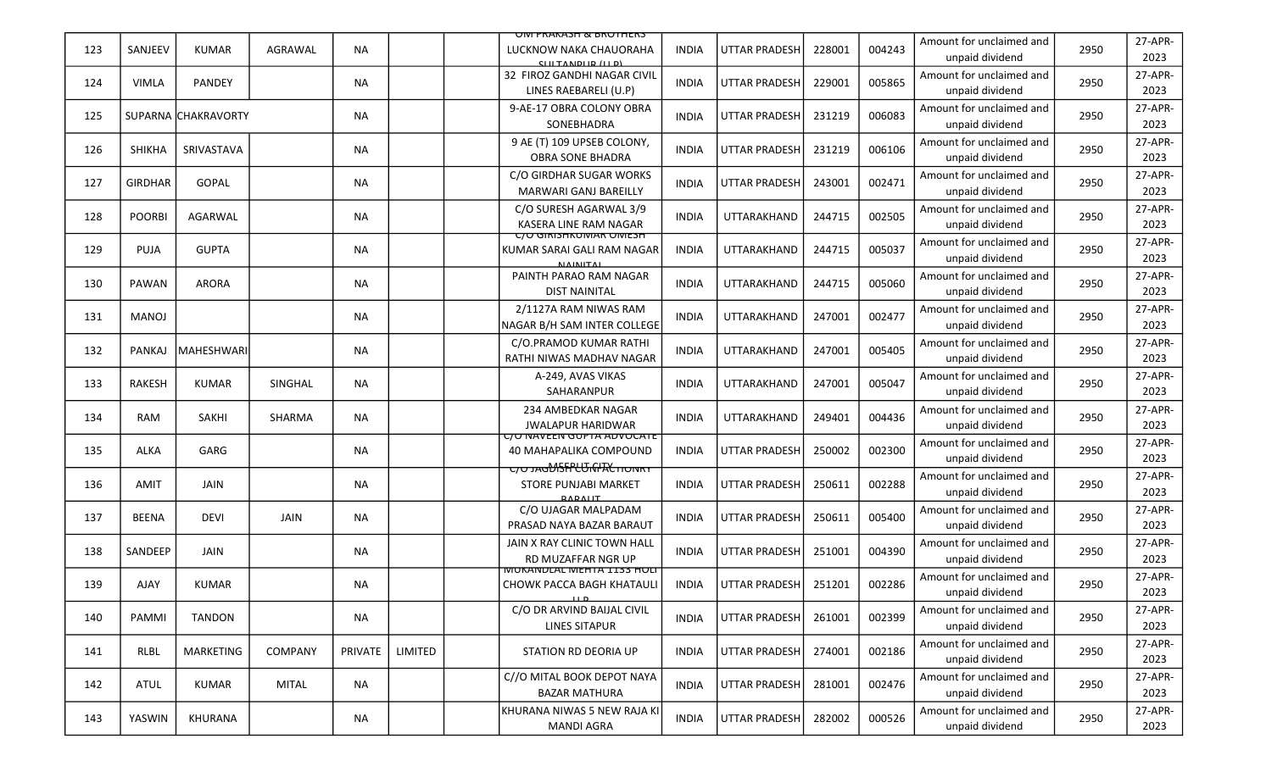|     |                |                     |             |           |         | UNI PRAKASH & BRUTHERS                                                                        |              |                      |        |        |                                             |      |                 |
|-----|----------------|---------------------|-------------|-----------|---------|-----------------------------------------------------------------------------------------------|--------------|----------------------|--------|--------|---------------------------------------------|------|-----------------|
| 123 | SANJEEV        | <b>KUMAR</b>        | AGRAWAL     | <b>NA</b> |         | LUCKNOW NAKA CHAUORAHA<br>C[II TANDII D / II D]                                               | <b>INDIA</b> | <b>UTTAR PRADESH</b> | 228001 | 004243 | Amount for unclaimed and<br>unpaid dividend | 2950 | 27-APR-<br>2023 |
| 124 | <b>VIMLA</b>   | <b>PANDEY</b>       |             | NA.       |         | 32 FIROZ GANDHI NAGAR CIVIL<br>LINES RAEBARELI (U.P)                                          | <b>INDIA</b> | <b>UTTAR PRADESH</b> | 229001 | 005865 | Amount for unclaimed and<br>unpaid dividend | 2950 | 27-APR-<br>2023 |
| 125 |                | SUPARNA CHAKRAVORTY |             | NA        |         | 9-AE-17 OBRA COLONY OBRA<br>SONEBHADRA                                                        | <b>INDIA</b> | <b>UTTAR PRADESH</b> | 231219 | 006083 | Amount for unclaimed and<br>unpaid dividend | 2950 | 27-APR-<br>2023 |
| 126 | <b>SHIKHA</b>  | SRIVASTAVA          |             | NA        |         | 9 AE (T) 109 UPSEB COLONY,<br><b>OBRA SONE BHADRA</b>                                         | <b>INDIA</b> | <b>UTTAR PRADESH</b> | 231219 | 006106 | Amount for unclaimed and<br>unpaid dividend | 2950 | 27-APR-<br>2023 |
| 127 | <b>GIRDHAR</b> | <b>GOPAL</b>        |             | NA.       |         | C/O GIRDHAR SUGAR WORKS<br>MARWARI GANJ BAREILLY                                              | <b>INDIA</b> | <b>UTTAR PRADESH</b> | 243001 | 002471 | Amount for unclaimed and<br>unpaid dividend | 2950 | 27-APR-<br>2023 |
| 128 | <b>POORBI</b>  | AGARWAL             |             | NA.       |         | C/O SURESH AGARWAL 3/9<br><b>KASERA LINE RAM NAGAR</b>                                        | INDIA        | UTTARAKHAND          | 244715 | 002505 | Amount for unclaimed and<br>unpaid dividend | 2950 | 27-APR-<br>2023 |
| 129 | <b>PUJA</b>    | <b>GUPTA</b>        |             | NA        |         | <u>C/O GIRISHKUMAR OMESH</u><br>KUMAR SARAI GALI RAM NAGAR<br><b>NIAINITAL</b>                | <b>INDIA</b> | UTTARAKHAND          | 244715 | 005037 | Amount for unclaimed and<br>unpaid dividend | 2950 | 27-APR-<br>2023 |
| 130 | <b>PAWAN</b>   | <b>ARORA</b>        |             | NA        |         | PAINTH PARAO RAM NAGAR<br><b>DIST NAINITAL</b>                                                | <b>INDIA</b> | UTTARAKHAND          | 244715 | 005060 | Amount for unclaimed and<br>unpaid dividend | 2950 | 27-APR-<br>2023 |
| 131 | <b>MANOJ</b>   |                     |             | NA.       |         | 2/1127A RAM NIWAS RAM<br>NAGAR B/H SAM INTER COLLEGE                                          | INDIA        | UTTARAKHAND          | 247001 | 002477 | Amount for unclaimed and<br>unpaid dividend | 2950 | 27-APR-<br>2023 |
| 132 | <b>PANKAJ</b>  | <b>MAHESHWARI</b>   |             | NA        |         | C/O.PRAMOD KUMAR RATHI<br>RATHI NIWAS MADHAV NAGAR                                            | <b>INDIA</b> | UTTARAKHAND          | 247001 | 005405 | Amount for unclaimed and<br>unpaid dividend | 2950 | 27-APR-<br>2023 |
| 133 | <b>RAKESH</b>  | <b>KUMAR</b>        | SINGHAL     | NA        |         | A-249, AVAS VIKAS<br>SAHARANPUR                                                               | <b>INDIA</b> | UTTARAKHAND          | 247001 | 005047 | Amount for unclaimed and<br>unpaid dividend | 2950 | 27-APR-<br>2023 |
| 134 | <b>RAM</b>     | SAKHI               | SHARMA      | <b>NA</b> |         | 234 AMBEDKAR NAGAR<br><b>JWALAPUR HARIDWAR</b>                                                | <b>INDIA</b> | <b>UTTARAKHAND</b>   | 249401 | 004436 | Amount for unclaimed and<br>unpaid dividend | 2950 | 27-APR-<br>2023 |
| 135 | ALKA           | GARG                |             | NA        |         | <u>C/O NAVEEN GUPTA ADVOCATE</u><br>40 MAHAPALIKA COMPOUND<br><b>C/OJAGDISFPLUTGFALTIONRY</b> | <b>INDIA</b> | <b>UTTAR PRADESH</b> | 250002 | 002300 | Amount for unclaimed and<br>unpaid dividend | 2950 | 27-APR-<br>2023 |
| 136 | <b>AMIT</b>    | JAIN                |             | NA.       |         | <b>STORE PUNJABI MARKET</b><br><b>DADALIT</b>                                                 | <b>INDIA</b> | UTTAR PRADESH        | 250611 | 002288 | Amount for unclaimed and<br>unpaid dividend | 2950 | 27-APR-<br>2023 |
| 137 | <b>BEENA</b>   | <b>DEVI</b>         | <b>JAIN</b> | NA        |         | C/O UJAGAR MALPADAM<br>PRASAD NAYA BAZAR BARAUT                                               | INDIA        | <b>UTTAR PRADESH</b> | 250611 | 005400 | Amount for unclaimed and<br>unpaid dividend | 2950 | 27-APR-<br>2023 |
| 138 | SANDEEP        | JAIN                |             | NA        |         | JAIN X RAY CLINIC TOWN HALL<br><b>RD MUZAFFAR NGR UP</b>                                      | <b>INDIA</b> | UTTAR PRADESH        | 251001 | 004390 | Amount for unclaimed and<br>unpaid dividend | 2950 | 27-APR-<br>2023 |
| 139 | AJAY           | <b>KUMAR</b>        |             | ΝA        |         | <u>MUKANDLAL MEHTA 1133 HULI</u><br><b>CHOWK PACCA BAGH KHATAULI</b>                          | <b>INDIA</b> | <b>UTTAR PRADESH</b> | 251201 | 002286 | Amount for unclaimed and<br>unpaid dividend | 2950 | 27-APR-<br>2023 |
| 140 | PAMMI          | <b>TANDON</b>       |             | <b>NA</b> |         | C/O DR ARVIND BAIJAL CIVIL<br><b>LINES SITAPUR</b>                                            | INDIA        | UTTAR PRADESH        | 261001 | 002399 | Amount for unclaimed and<br>unpaid dividend | 2950 | 27-APR-<br>2023 |
| 141 | RLBL           | MARKETING           | COMPANY     | PRIVATE   | LIMITED | STATION RD DEORIA UP                                                                          | <b>INDIA</b> | UTTAR PRADESH        | 274001 | 002186 | Amount for unclaimed and<br>unpaid dividend | 2950 | 27-APR-<br>2023 |
| 142 | ATUL           | KUMAR               | MITAL       | NA        |         | C//O MITAL BOOK DEPOT NAYA<br><b>BAZAR MATHURA</b>                                            | <b>INDIA</b> | <b>UTTAR PRADESH</b> | 281001 | 002476 | Amount for unclaimed and<br>unpaid dividend | 2950 | 27-APR-<br>2023 |
| 143 | YASWIN         | KHURANA             |             | NA        |         | KHURANA NIWAS 5 NEW RAJA KI<br><b>MANDI AGRA</b>                                              | <b>INDIA</b> | UTTAR PRADESH        | 282002 | 000526 | Amount for unclaimed and<br>unpaid dividend | 2950 | 27-APR-<br>2023 |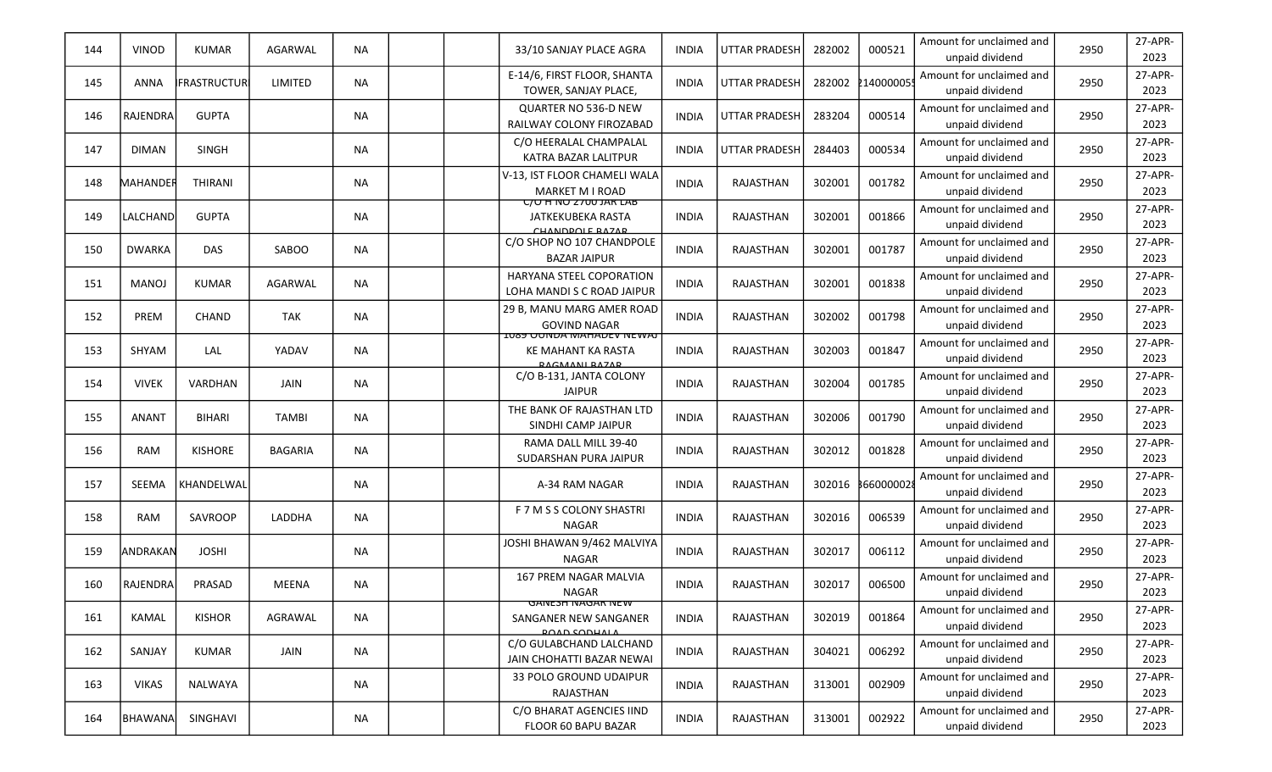| 144 | VINOD            | <b>KUMAR</b>        | AGARWAL        | <b>NA</b> |  | 33/10 SANJAY PLACE AGRA                                                              | <b>INDIA</b> | <b>UTTAR PRADESH</b> | 282002 | 000521    | Amount for unclaimed and<br>unpaid dividend | 2950 | 27-APR-<br>2023 |
|-----|------------------|---------------------|----------------|-----------|--|--------------------------------------------------------------------------------------|--------------|----------------------|--------|-----------|---------------------------------------------|------|-----------------|
| 145 | <b>ANNA</b>      | <b>IFRASTRUCTUR</b> | LIMITED        | <b>NA</b> |  | E-14/6, FIRST FLOOR, SHANTA<br>TOWER, SANJAY PLACE,                                  | <b>INDIA</b> | <b>UTTAR PRADESH</b> | 282002 | 214000005 | Amount for unclaimed and<br>unpaid dividend | 2950 | 27-APR-<br>2023 |
| 146 | RAJENDRA         | <b>GUPTA</b>        |                | <b>NA</b> |  | QUARTER NO 536-D NEW<br>RAILWAY COLONY FIROZABAD                                     | <b>INDIA</b> | <b>UTTAR PRADESH</b> | 283204 | 000514    | Amount for unclaimed and<br>unpaid dividend | 2950 | 27-APR-<br>2023 |
| 147 | <b>DIMAN</b>     | <b>SINGH</b>        |                | <b>NA</b> |  | C/O HEERALAL CHAMPALAL<br>KATRA BAZAR LALITPUR                                       | <b>INDIA</b> | <b>UTTAR PRADESH</b> | 284403 | 000534    | Amount for unclaimed and<br>unpaid dividend | 2950 | 27-APR-<br>2023 |
| 148 | MAHANDER         | THIRANI             |                | <b>NA</b> |  | V-13, IST FLOOR CHAMELI WALA<br><b>MARKET M I ROAD</b>                               | <b>INDIA</b> | RAJASTHAN            | 302001 | 001782    | Amount for unclaimed and<br>unpaid dividend | 2950 | 27-APR-<br>2023 |
| 149 | LALCHAND         | <b>GUPTA</b>        |                | ΝA        |  | <u>C/U FINU Z700 JAR LAB</u><br>JATKEKUBEKA RASTA<br>CHANDDOLE RAZAR                 | <b>INDIA</b> | RAJASTHAN            | 302001 | 001866    | Amount for unclaimed and<br>unpaid dividend | 2950 | 27-APR-<br>2023 |
| 150 | <b>DWARKA</b>    | DAS                 | SABOO          | <b>NA</b> |  | C/O SHOP NO 107 CHANDPOLE<br><b>BAZAR JAIPUR</b>                                     | <b>INDIA</b> | RAJASTHAN            | 302001 | 001787    | Amount for unclaimed and<br>unpaid dividend | 2950 | 27-APR-<br>2023 |
| 151 | <b>MANOJ</b>     | <b>KUMAR</b>        | AGARWAL        | <b>NA</b> |  | HARYANA STEEL COPORATION<br>LOHA MANDI S C ROAD JAIPUR                               | <b>INDIA</b> | RAJASTHAN            | 302001 | 001838    | Amount for unclaimed and<br>unpaid dividend | 2950 | 27-APR-<br>2023 |
| 152 | PREM             | <b>CHAND</b>        | <b>TAK</b>     | <b>NA</b> |  | 29 B, MANU MARG AMER ROAD<br><b>GOVIND NAGAR</b>                                     | <b>INDIA</b> | RAJASTHAN            | 302002 | 001798    | Amount for unclaimed and<br>unpaid dividend | 2950 | 27-APR-<br>2023 |
| 153 | SHYAM            | LAL                 | YADAV          | <b>NA</b> |  | <u>IU89 UUNDA MAHADEV NEWAJ</u><br><b>KE MAHANT KA RASTA</b><br><b>DACMANI DAZAD</b> | <b>INDIA</b> | RAJASTHAN            | 302003 | 001847    | Amount for unclaimed and<br>unpaid dividend | 2950 | 27-APR-<br>2023 |
| 154 | <b>VIVEK</b>     | VARDHAN             | JAIN           | <b>NA</b> |  | C/O B-131, JANTA COLONY<br><b>JAIPUR</b>                                             | <b>INDIA</b> | RAJASTHAN            | 302004 | 001785    | Amount for unclaimed and<br>unpaid dividend | 2950 | 27-APR-<br>2023 |
| 155 | <b>ANANT</b>     | <b>BIHARI</b>       | <b>TAMBI</b>   | <b>NA</b> |  | THE BANK OF RAJASTHAN LTD<br>SINDHI CAMP JAIPUR                                      | <b>INDIA</b> | RAJASTHAN            | 302006 | 001790    | Amount for unclaimed and<br>unpaid dividend | 2950 | 27-APR-<br>2023 |
| 156 | RAM              | <b>KISHORE</b>      | <b>BAGARIA</b> | <b>NA</b> |  | RAMA DALL MILL 39-40<br>SUDARSHAN PURA JAIPUR                                        | <b>INDIA</b> | RAJASTHAN            | 302012 | 001828    | Amount for unclaimed and<br>unpaid dividend | 2950 | 27-APR-<br>2023 |
| 157 | SEEMA            | KHANDELWAL          |                | ΝA        |  | A-34 RAM NAGAR                                                                       | <b>INDIA</b> | RAJASTHAN            |        |           | Amount for unclaimed and<br>unpaid dividend | 2950 | 27-APR-<br>2023 |
| 158 | RAM              | SAVROOP             | LADDHA         | <b>NA</b> |  | F 7 M S S COLONY SHASTRI<br><b>NAGAR</b>                                             | <b>INDIA</b> | RAJASTHAN            | 302016 | 006539    | Amount for unclaimed and<br>unpaid dividend | 2950 | 27-APR-<br>2023 |
| 159 | <b>JANDRAKAN</b> | <b>JOSHI</b>        |                | <b>NA</b> |  | JOSHI BHAWAN 9/462 MALVIYA<br><b>NAGAR</b>                                           | <b>INDIA</b> | RAJASTHAN            | 302017 | 006112    | Amount for unclaimed and<br>unpaid dividend | 2950 | 27-APR-<br>2023 |
| 160 | RAJENDRA         | PRASAD              | <b>MEENA</b>   | <b>NA</b> |  | 167 PREM NAGAR MALVIA<br>NAGAR                                                       | <b>INDIA</b> | RAJASTHAN            | 302017 | 006500    | Amount for unclaimed and<br>unpaid dividend | 2950 | 27-APR-<br>2023 |
| 161 | KAMAL            | <b>KISHOR</b>       | AGRAWAL        | <b>NA</b> |  | <u>GANESH NAGAR NEW</u><br>SANGANER NEW SANGANER<br><b>POAD SODHALA</b>              | <b>INDIA</b> | RAJASTHAN            | 302019 | 001864    | Amount for unclaimed and<br>unpaid dividend | 2950 | 27-APR-<br>2023 |
| 162 | SANJAY           | KUMAR               | JAIN           | <b>NA</b> |  | C/O GULABCHAND LALCHAND<br>JAIN CHOHATTI BAZAR NEWAI                                 | <b>INDIA</b> | RAJASTHAN            | 304021 | 006292    | Amount for unclaimed and<br>unpaid dividend | 2950 | 27-APR-<br>2023 |
| 163 | <b>VIKAS</b>     | NALWAYA             |                | <b>NA</b> |  | 33 POLO GROUND UDAIPUR<br>RAJASTHAN                                                  | <b>INDIA</b> | RAJASTHAN            | 313001 | 002909    | Amount for unclaimed and<br>unpaid dividend | 2950 | 27-APR-<br>2023 |
| 164 | BHAWANA          | SINGHAVI            |                | NA        |  | C/O BHARAT AGENCIES IIND<br>FLOOR 60 BAPU BAZAR                                      | <b>INDIA</b> | RAJASTHAN            | 313001 | 002922    | Amount for unclaimed and<br>unpaid dividend | 2950 | 27-APR-<br>2023 |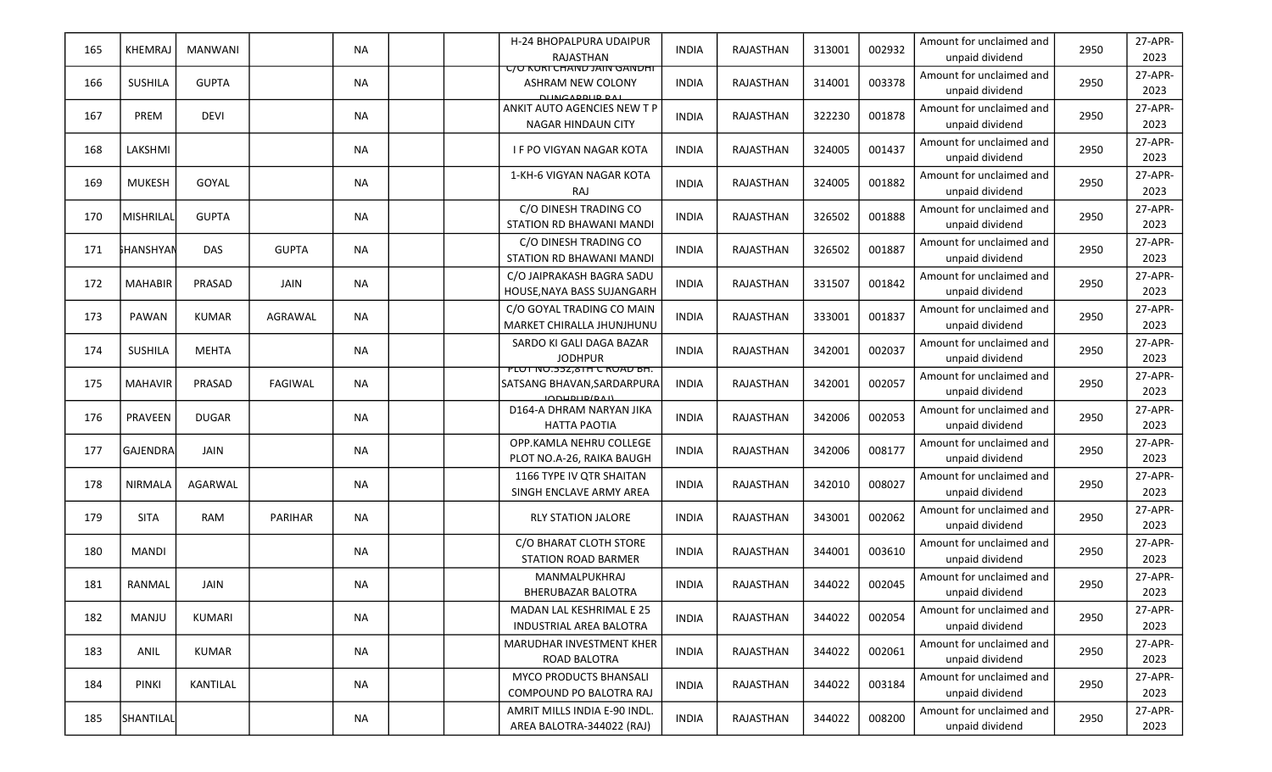| 165 | <b>KHEMRAJ</b>   | MANWANI      |                | <b>NA</b> |  | H-24 BHOPALPURA UDAIPUR<br>RAJASTHAN                                     | <b>INDIA</b> | RAJASTHAN | 313001 | 002932 | Amount for unclaimed and<br>unpaid dividend | 2950 | 27-APR-<br>2023 |
|-----|------------------|--------------|----------------|-----------|--|--------------------------------------------------------------------------|--------------|-----------|--------|--------|---------------------------------------------|------|-----------------|
| 166 | <b>SUSHILA</b>   | <b>GUPTA</b> |                | NA        |  | <b>C/O KURI CHAND JAIN GANDHI</b><br>ASHRAM NEW COLONY<br>DUNICARDUR RAL | <b>INDIA</b> | RAJASTHAN | 314001 | 003378 | Amount for unclaimed and<br>unpaid dividend | 2950 | 27-APR-<br>2023 |
| 167 | PREM             | <b>DEVI</b>  |                | <b>NA</b> |  | ANKIT AUTO AGENCIES NEW T P<br>NAGAR HINDAUN CITY                        | <b>INDIA</b> | RAJASTHAN | 322230 | 001878 | Amount for unclaimed and<br>unpaid dividend | 2950 | 27-APR-<br>2023 |
| 168 | LAKSHMI          |              |                | <b>NA</b> |  | <b>IF PO VIGYAN NAGAR KOTA</b>                                           | <b>INDIA</b> | RAJASTHAN | 324005 | 001437 | Amount for unclaimed and<br>unpaid dividend | 2950 | 27-APR-<br>2023 |
| 169 | MUKESH           | GOYAL        |                | <b>NA</b> |  | 1-KH-6 VIGYAN NAGAR KOTA<br><b>RAJ</b>                                   | <b>INDIA</b> | RAJASTHAN | 324005 | 001882 | Amount for unclaimed and<br>unpaid dividend | 2950 | 27-APR-<br>2023 |
| 170 | MISHRILAL        | <b>GUPTA</b> |                | <b>NA</b> |  | C/O DINESH TRADING CO<br>STATION RD BHAWANI MANDI                        | <b>INDIA</b> | RAJASTHAN | 326502 | 001888 | Amount for unclaimed and<br>unpaid dividend | 2950 | 27-APR-<br>2023 |
| 171 | <b>SHANSHYAN</b> | DAS          | <b>GUPTA</b>   | <b>NA</b> |  | C/O DINESH TRADING CO<br>STATION RD BHAWANI MANDI                        | <b>INDIA</b> | RAJASTHAN | 326502 | 001887 | Amount for unclaimed and<br>unpaid dividend | 2950 | 27-APR-<br>2023 |
| 172 | <b>MAHABIR</b>   | PRASAD       | JAIN           | <b>NA</b> |  | C/O JAIPRAKASH BAGRA SADU<br>HOUSE, NAYA BASS SUJANGARH                  | <b>INDIA</b> | RAJASTHAN | 331507 | 001842 | Amount for unclaimed and<br>unpaid dividend | 2950 | 27-APR-<br>2023 |
| 173 | PAWAN            | <b>KUMAR</b> | AGRAWAL        | <b>NA</b> |  | C/O GOYAL TRADING CO MAIN<br>MARKET CHIRALLA JHUNJHUNU                   | <b>INDIA</b> | RAJASTHAN | 333001 | 001837 | Amount for unclaimed and<br>unpaid dividend | 2950 | 27-APR-<br>2023 |
| 174 | <b>SUSHILA</b>   | <b>MEHTA</b> |                | <b>NA</b> |  | SARDO KI GALI DAGA BAZAR<br><b>JODHPUR</b>                               | <b>INDIA</b> | RAJASTHAN | 342001 | 002037 | Amount for unclaimed and<br>unpaid dividend | 2950 | 27-APR-<br>2023 |
| 175 | <b>MAHAVIR</b>   | PRASAD       | FAGIWAL        | <b>NA</b> |  | <b>PLUT NU.552,8TH C RUAD BH.</b><br>SATSANG BHAVAN, SARDARPURA<br>M     | <b>INDIA</b> | RAJASTHAN | 342001 | 002057 | Amount for unclaimed and<br>unpaid dividend | 2950 | 27-APR-<br>2023 |
| 176 | PRAVEEN          | <b>DUGAR</b> |                | <b>NA</b> |  | D164-A DHRAM NARYAN JIKA<br>HATTA PAOTIA                                 | <b>INDIA</b> | RAJASTHAN | 342006 | 002053 | Amount for unclaimed and<br>unpaid dividend | 2950 | 27-APR-<br>2023 |
| 177 | <b>GAJENDRA</b>  | JAIN         |                | <b>NA</b> |  | OPP.KAMLA NEHRU COLLEGE<br>PLOT NO.A-26, RAIKA BAUGH                     | <b>INDIA</b> | RAJASTHAN | 342006 | 008177 | Amount for unclaimed and<br>unpaid dividend | 2950 | 27-APR-<br>2023 |
| 178 | <b>NIRMALA</b>   | AGARWAL      |                | NA        |  | 1166 TYPE IV QTR SHAITAN<br>SINGH ENCLAVE ARMY AREA                      | <b>INDIA</b> | RAJASTHAN | 342010 | 008027 | Amount for unclaimed and<br>unpaid dividend | 2950 | 27-APR-<br>2023 |
| 179 | <b>SITA</b>      | RAM          | <b>PARIHAR</b> | <b>NA</b> |  | <b>RLY STATION JALORE</b>                                                | <b>INDIA</b> | RAJASTHAN | 343001 | 002062 | Amount for unclaimed and<br>unpaid dividend | 2950 | 27-APR-<br>2023 |
| 180 | <b>MANDI</b>     |              |                | NA        |  | C/O BHARAT CLOTH STORE<br><b>STATION ROAD BARMER</b>                     | INDIA        | RAJASTHAN | 344001 | 003610 | Amount for unclaimed and<br>unpaid dividend | 2950 | 27-APR-<br>2023 |
| 181 | RANMAL           | <b>JAIN</b>  |                | <b>NA</b> |  | MANMALPUKHRAJ<br><b>BHERUBAZAR BALOTRA</b>                               | <b>INDIA</b> | RAJASTHAN | 344022 | 002045 | Amount for unclaimed and<br>unpaid dividend | 2950 | 27-APR-<br>2023 |
| 182 | MANJU            | KUMARI       |                | <b>NA</b> |  | MADAN LAL KESHRIMAL E 25<br><b>INDUSTRIAL AREA BALOTRA</b>               | <b>INDIA</b> | RAJASTHAN | 344022 | 002054 | Amount for unclaimed and<br>unpaid dividend | 2950 | 27-APR-<br>2023 |
| 183 | ANIL             | KUMAR        |                | <b>NA</b> |  | <b>MARUDHAR INVESTMENT KHER</b><br>ROAD BALOTRA                          | <b>INDIA</b> | RAJASTHAN | 344022 | 002061 | Amount for unclaimed and<br>unpaid dividend | 2950 | 27-APR-<br>2023 |
| 184 | PINKI            | KANTILAL     |                | NA        |  | <b>MYCO PRODUCTS BHANSALI</b><br>COMPOUND PO BALOTRA RAJ                 | <b>INDIA</b> | RAJASTHAN | 344022 | 003184 | Amount for unclaimed and<br>unpaid dividend | 2950 | 27-APR-<br>2023 |
| 185 | SHANTILAL        |              |                | NA        |  | AMRIT MILLS INDIA E-90 INDL.<br>AREA BALOTRA-344022 (RAJ)                | <b>INDIA</b> | RAJASTHAN | 344022 | 008200 | Amount for unclaimed and<br>unpaid dividend | 2950 | 27-APR-<br>2023 |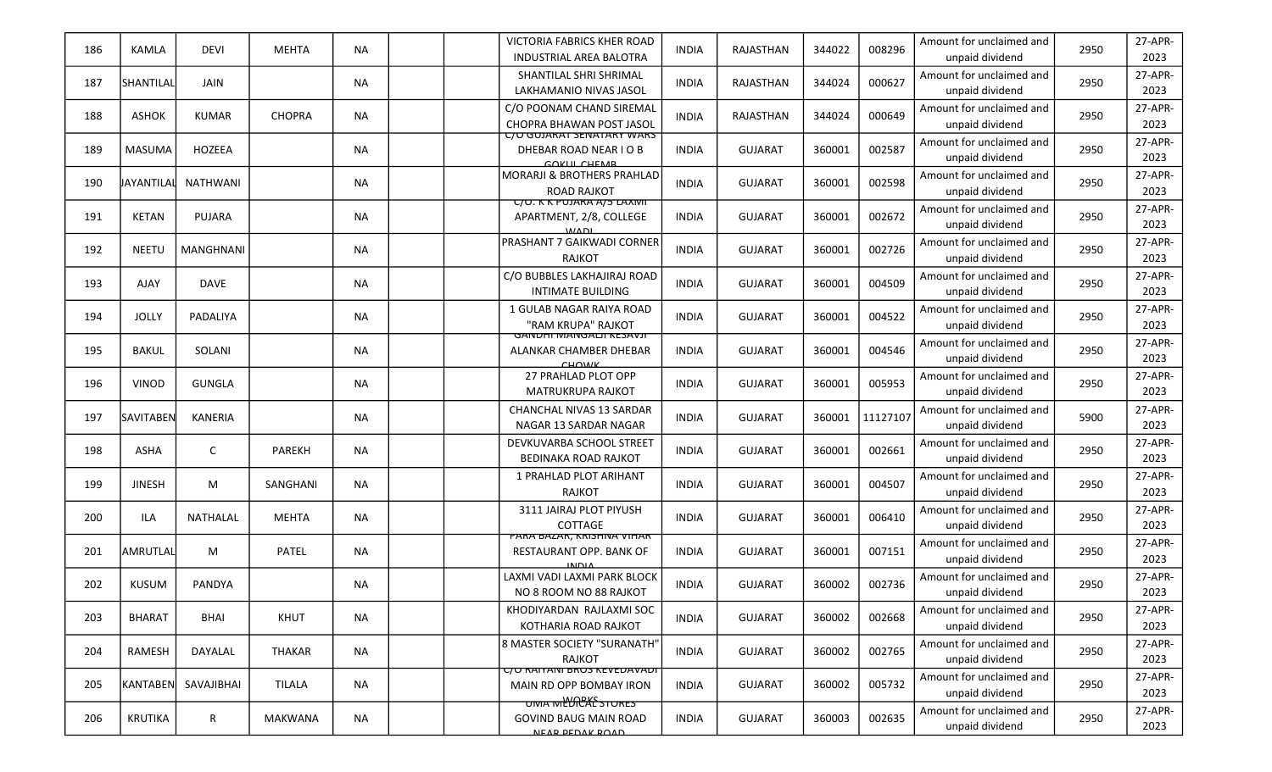| 186 | KAMLA             | <b>DEVI</b>      | <b>MEHTA</b>   | <b>NA</b> | VICTORIA FABRICS KHER ROAD<br><b>INDUSTRIAL AREA BALOTRA</b>                            | <b>INDIA</b> | RAJASTHAN      | 344022 | 008296   | Amount for unclaimed and<br>unpaid dividend | 2950 | 27-APR-<br>2023 |
|-----|-------------------|------------------|----------------|-----------|-----------------------------------------------------------------------------------------|--------------|----------------|--------|----------|---------------------------------------------|------|-----------------|
| 187 | SHANTILAL         | JAIN             |                | <b>NA</b> | SHANTILAL SHRI SHRIMAL<br>LAKHAMANIO NIVAS JASOL                                        | <b>INDIA</b> | RAJASTHAN      | 344024 | 000627   | Amount for unclaimed and<br>unpaid dividend | 2950 | 27-APR-<br>2023 |
| 188 | <b>ASHOK</b>      | <b>KUMAR</b>     | CHOPRA         | <b>NA</b> | C/O POONAM CHAND SIREMAL<br>CHOPRA BHAWAN POST JASOL                                    | <b>INDIA</b> | RAJASTHAN      | 344024 | 000649   | Amount for unclaimed and<br>unpaid dividend | 2950 | 27-APR-<br>2023 |
| 189 | <b>MASUMA</b>     | HOZEEA           |                | <b>NA</b> | <u>UU GUJAKAT SEIVATAKY WAKS</u><br>DHEBAR ROAD NEAR I O B<br>COVILI CHEMP              | <b>INDIA</b> | <b>GUJARAT</b> | 360001 | 002587   | Amount for unclaimed and<br>unpaid dividend | 2950 | 27-APR-<br>2023 |
| 190 | <b>JAYANTILAL</b> | <b>NATHWANI</b>  |                | <b>NA</b> | MORARJI & BROTHERS PRAHLAD<br><b>ROAD RAJKOT</b>                                        | <b>INDIA</b> | <b>GUJARAT</b> | 360001 | 002598   | Amount for unclaimed and<br>unpaid dividend | 2950 | 27-APR-<br>2023 |
| 191 | <b>KETAN</b>      | PUJARA           |                | <b>NA</b> | <b>UU. K K PUJARA A/5 LAXIVIT</b><br>APARTMENT, 2/8, COLLEGE<br>MADL                    | <b>INDIA</b> | <b>GUJARAT</b> | 360001 | 002672   | Amount for unclaimed and<br>unpaid dividend | 2950 | 27-APR-<br>2023 |
| 192 | <b>NEETU</b>      | <b>MANGHNANI</b> |                | <b>NA</b> | PRASHANT 7 GAIKWADI CORNER<br>RAJKOT                                                    | <b>INDIA</b> | <b>GUJARAT</b> | 360001 | 002726   | Amount for unclaimed and<br>unpaid dividend | 2950 | 27-APR-<br>2023 |
| 193 | AJAY              | <b>DAVE</b>      |                | <b>NA</b> | C/O BUBBLES LAKHAJIRAJ ROAD<br><b>INTIMATE BUILDING</b>                                 | <b>INDIA</b> | <b>GUJARAT</b> | 360001 | 004509   | Amount for unclaimed and<br>unpaid dividend | 2950 | 27-APR-<br>2023 |
| 194 | JOLLY             | PADALIYA         |                | <b>NA</b> | 1 GULAB NAGAR RAIYA ROAD<br>"RAM KRUPA" RAJKOT                                          | <b>INDIA</b> | <b>GUJARAT</b> | 360001 | 004522   | Amount for unclaimed and<br>unpaid dividend | 2950 | 27-APR-<br>2023 |
| 195 | <b>BAKUL</b>      | SOLANI           |                | <b>NA</b> | <b>GANDHI MANGALJI KESAVJI</b><br>ALANKAR CHAMBER DHEBAR<br>$C$ <b>H</b> $O$ <i>MIV</i> | <b>INDIA</b> | <b>GUJARAT</b> | 360001 | 004546   | Amount for unclaimed and<br>unpaid dividend | 2950 | 27-APR-<br>2023 |
| 196 | <b>VINOD</b>      | <b>GUNGLA</b>    |                | <b>NA</b> | 27 PRAHLAD PLOT OPP<br><b>MATRUKRUPA RAJKOT</b>                                         | <b>INDIA</b> | <b>GUJARAT</b> | 360001 | 005953   | Amount for unclaimed and<br>unpaid dividend | 2950 | 27-APR-<br>2023 |
| 197 | SAVITABEN         | <b>KANERIA</b>   |                | <b>NA</b> | CHANCHAL NIVAS 13 SARDAR<br>NAGAR 13 SARDAR NAGAR                                       | <b>INDIA</b> | <b>GUJARAT</b> | 360001 | 11127107 | Amount for unclaimed and<br>unpaid dividend | 5900 | 27-APR-<br>2023 |
| 198 | <b>ASHA</b>       | $\mathsf{C}$     | PAREKH         | <b>NA</b> | DEVKUVARBA SCHOOL STREET<br><b>BEDINAKA ROAD RAJKOT</b>                                 | <b>INDIA</b> | <b>GUJARAT</b> | 360001 | 002661   | Amount for unclaimed and<br>unpaid dividend | 2950 | 27-APR-<br>2023 |
| 199 | <b>JINESH</b>     | М                | SANGHANI       | <b>NA</b> | 1 PRAHLAD PLOT ARIHANT<br><b>RAJKOT</b>                                                 | <b>INDIA</b> | <b>GUJARAT</b> | 360001 | 004507   | Amount for unclaimed and<br>unpaid dividend | 2950 | 27-APR-<br>2023 |
| 200 | <b>ILA</b>        | NATHALAL         | <b>MEHTA</b>   | <b>NA</b> | 3111 JAIRAJ PLOT PIYUSH<br><b>COTTAGE</b>                                               | <b>INDIA</b> | <b>GUJARAT</b> | 360001 | 006410   | Amount for unclaimed and<br>unpaid dividend | 2950 | 27-APR-<br>2023 |
| 201 | AMRUTLAL          | M                | PATEL          | <b>NA</b> | PARA BAZAR, KRISHIYA VIHAR<br>RESTAURANT OPP. BANK OF<br>سصيب                           | <b>INDIA</b> | <b>GUJARAT</b> | 360001 | 007151   | Amount for unclaimed and<br>unpaid dividend | 2950 | 27-APR-<br>2023 |
| 202 | <b>KUSUM</b>      | PANDYA           |                | <b>NA</b> | LAXMI VADI LAXMI PARK BLOCK<br>NO 8 ROOM NO 88 RAJKOT                                   | <b>INDIA</b> | <b>GUJARAT</b> | 360002 | 002736   | Amount for unclaimed and<br>unpaid dividend | 2950 | 27-APR-<br>2023 |
| 203 | <b>BHARAT</b>     | BHAI             | KHUT           | NA        | KHODIYARDAN RAJLAXMI SOC<br>KOTHARIA ROAD RAJKOT                                        | <b>INDIA</b> | <b>GUJARAT</b> | 360002 | 002668   | Amount for unclaimed and<br>unpaid dividend | 2950 | 27-APR-<br>2023 |
| 204 | RAMESH            | DAYALAL          | THAKAR         | <b>NA</b> | 8 MASTER SOCIETY "SURANATH"<br>RAJKOT                                                   | <b>INDIA</b> | <b>GUJARAT</b> | 360002 | 002765   | Amount for unclaimed and<br>unpaid dividend | 2950 | 27-APR-<br>2023 |
| 205 | <b>KANTABEN</b>   | SAVAJIBHAI       | TILALA         | <b>NA</b> | <u>C/O RAITANI BROS KEVEDAVADI</u><br>MAIN RD OPP BOMBAY IRON                           | <b>INDIA</b> | <b>GUJARAT</b> | 360002 | 005732   | Amount for unclaimed and<br>unpaid dividend | 2950 | 27-APR-<br>2023 |
| 206 | KRUTIKA           | $\mathsf{R}$     | <b>MAKWANA</b> | NA        | <b>OMA MEURES</b> STORES<br><b>GOVIND BAUG MAIN ROAD</b><br>NEAD DEDAV DOAD             | <b>INDIA</b> | <b>GUJARAT</b> | 360003 | 002635   | Amount for unclaimed and<br>unpaid dividend | 2950 | 27-APR-<br>2023 |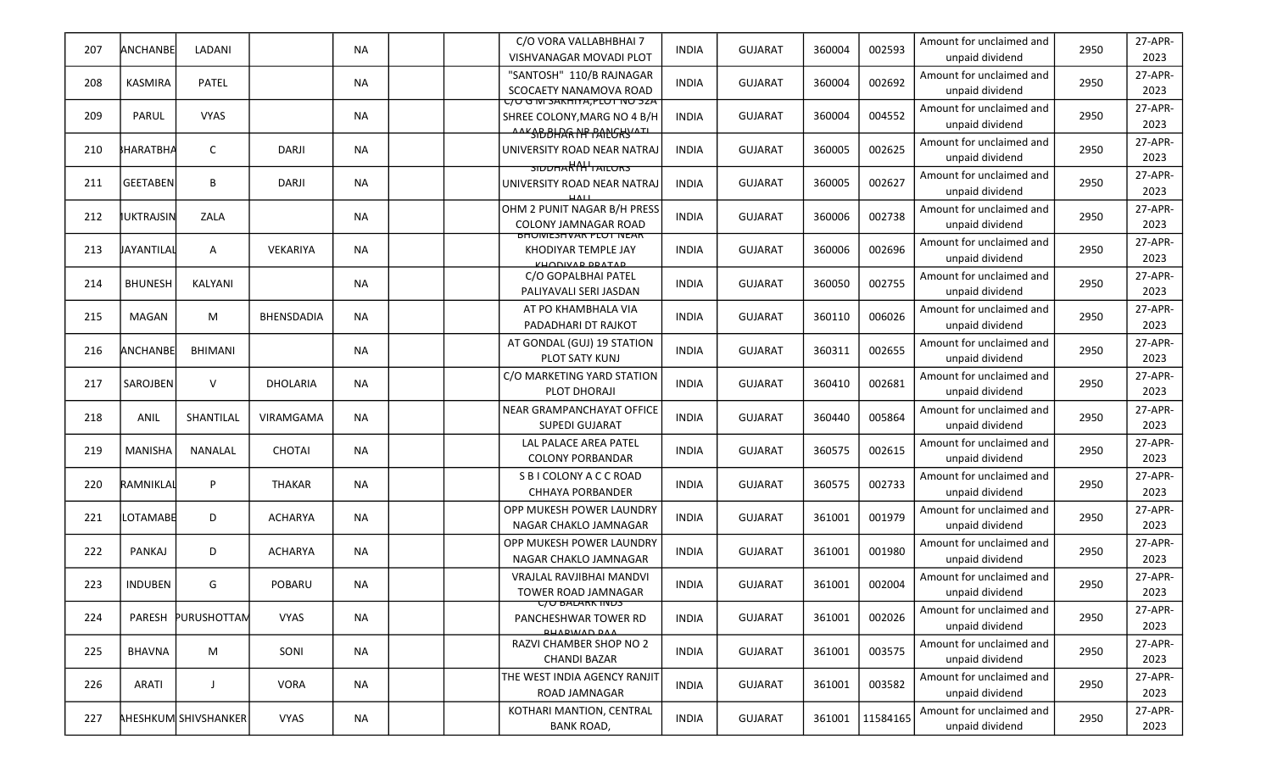| 207 | ANCHANBE          | LADANI                      |                | <b>NA</b> |  | C/O VORA VALLABHBHAI 7<br><b>VISHVANAGAR MOVADI PLOT</b>                                              | <b>INDIA</b> | <b>GUJARAT</b> | 360004 | 002593   | Amount for unclaimed and<br>unpaid dividend | 2950 | 27-APR-<br>2023 |
|-----|-------------------|-----------------------------|----------------|-----------|--|-------------------------------------------------------------------------------------------------------|--------------|----------------|--------|----------|---------------------------------------------|------|-----------------|
| 208 | <b>KASMIRA</b>    | PATEL                       |                | ΝA        |  | "SANTOSH" 110/B RAJNAGAR<br>SCOCAETY NANAMOVA ROAD                                                    | <b>INDIA</b> | <b>GUJARAT</b> | 360004 | 002692   | Amount for unclaimed and<br>unpaid dividend | 2950 | 27-APR-<br>2023 |
| 209 | PARUL             | <b>VYAS</b>                 |                | <b>NA</b> |  | <u> C/U G M SAKHIYA,PLUT NU 5ZA </u><br>SHREE COLONY, MARG NO 4 B/H<br><u> "SIBBHAR NP PANGKY "TI</u> | <b>INDIA</b> | <b>GUJARAT</b> | 360004 | 004552   | Amount for unclaimed and<br>unpaid dividend | 2950 | 27-APR-<br>2023 |
| 210 | <b>SHARATBHA</b>  | C                           | <b>DARJI</b>   | <b>NA</b> |  | UNIVERSITY ROAD NEAR NATRAJ<br>SIDDHARAH HAILORS                                                      | INDIA        | <b>GUJARAT</b> | 360005 | 002625   | Amount for unclaimed and<br>unpaid dividend | 2950 | 27-APR-<br>2023 |
| 211 | <b>GEETABEN</b>   | B                           | <b>DARJI</b>   | ΝA        |  | UNIVERSITY ROAD NEAR NATRAJ                                                                           | <b>INDIA</b> | <b>GUJARAT</b> | 360005 | 002627   | Amount for unclaimed and<br>unpaid dividend | 2950 | 27-APR-<br>2023 |
| 212 | IUKTRAJSIN        | ZALA                        |                | <b>NA</b> |  | OHM 2 PUNIT NAGAR B/H PRESS<br><b>COLONY JAMNAGAR ROAD</b>                                            | <b>INDIA</b> | <b>GUJARAT</b> | 360006 | 002738   | Amount for unclaimed and<br>unpaid dividend | 2950 | 27-APR-<br>2023 |
| 213 | <b>JAYANTILAL</b> | $\mathsf{A}$                | VEKARIYA       | <b>NA</b> |  | BHUIVIESHVAR PLUT IVEAR<br>KHODIYAR TEMPLE JAY<br>VUODIVAD DRATAD                                     | <b>INDIA</b> | <b>GUJARAT</b> | 360006 | 002696   | Amount for unclaimed and<br>unpaid dividend | 2950 | 27-APR-<br>2023 |
| 214 | <b>BHUNESH</b>    | KALYANI                     |                | <b>NA</b> |  | C/O GOPALBHAI PATEL<br>PALIYAVALI SERI JASDAN                                                         | <b>INDIA</b> | <b>GUJARAT</b> | 360050 | 002755   | Amount for unclaimed and<br>unpaid dividend | 2950 | 27-APR-<br>2023 |
| 215 | MAGAN             | М                           | BHENSDADIA     | <b>NA</b> |  | AT PO KHAMBHALA VIA<br>PADADHARI DT RAJKOT                                                            | <b>INDIA</b> | <b>GUJARAT</b> | 360110 | 006026   | Amount for unclaimed and<br>unpaid dividend | 2950 | 27-APR-<br>2023 |
| 216 | <b>ANCHANBEL</b>  | <b>BHIMANI</b>              |                | ΝA        |  | AT GONDAL (GUJ) 19 STATION<br>PLOT SATY KUNJ                                                          | <b>INDIA</b> | <b>GUJARAT</b> | 360311 | 002655   | Amount for unclaimed and<br>unpaid dividend | 2950 | 27-APR-<br>2023 |
| 217 | SAROJBEN          | $\vee$                      | DHOLARIA       | <b>NA</b> |  | C/O MARKETING YARD STATION<br>PLOT DHORAJI                                                            | <b>INDIA</b> | <b>GUJARAT</b> | 360410 | 002681   | Amount for unclaimed and<br>unpaid dividend | 2950 | 27-APR-<br>2023 |
| 218 | ANIL              | SHANTILAL                   | VIRAMGAMA      | <b>NA</b> |  | NEAR GRAMPANCHAYAT OFFICE<br><b>SUPEDI GUJARAT</b>                                                    | <b>INDIA</b> | <b>GUJARAT</b> | 360440 | 005864   | Amount for unclaimed and<br>unpaid dividend | 2950 | 27-APR-<br>2023 |
| 219 | <b>MANISHA</b>    | NANALAL                     | <b>CHOTAI</b>  | <b>NA</b> |  | LAL PALACE AREA PATEL<br><b>COLONY PORBANDAR</b>                                                      | <b>INDIA</b> | <b>GUJARAT</b> | 360575 | 002615   | Amount for unclaimed and<br>unpaid dividend | 2950 | 27-APR-<br>2023 |
| 220 | RAMNIKLAL         | P                           | <b>THAKAR</b>  | ΝA        |  | S B I COLONY A C C ROAD<br><b>CHHAYA PORBANDER</b>                                                    | <b>INDIA</b> | <b>GUJARAT</b> | 360575 | 002733   | Amount for unclaimed and<br>unpaid dividend | 2950 | 27-APR-<br>2023 |
| 221 | LOTAMABE          | D                           | ACHARYA        | <b>NA</b> |  | OPP MUKESH POWER LAUNDRY<br>NAGAR CHAKLO JAMNAGAR                                                     | <b>INDIA</b> | <b>GUJARAT</b> | 361001 | 001979   | Amount for unclaimed and<br>unpaid dividend | 2950 | 27-APR-<br>2023 |
| 222 | <b>PANKAJ</b>     | D                           | <b>ACHARYA</b> | <b>NA</b> |  | OPP MUKESH POWER LAUNDRY<br>NAGAR CHAKLO JAMNAGAR                                                     | <b>INDIA</b> | <b>GUJARAT</b> | 361001 | 001980   | Amount for unclaimed and<br>unpaid dividend | 2950 | 27-APR-<br>2023 |
| 223 | <b>INDUBEN</b>    | G                           | POBARU         | <b>NA</b> |  | VRAJLAL RAVJIBHAI MANDVI<br>TOWER ROAD JAMNAGAR                                                       | INDIA        | <b>GUJARAT</b> | 361001 | 002004   | Amount for unclaimed and<br>unpaid dividend | 2950 | 27-APR-<br>2023 |
| 224 | PARESH            | PURUSHOTTAM                 | <b>VYAS</b>    | <b>NA</b> |  | <b>C/U BALARK INDS</b><br>PANCHESHWAR TOWER RD<br><b><i>RUADWAND DAA</i></b>                          | <b>INDIA</b> | <b>GUJARAT</b> | 361001 | 002026   | Amount for unclaimed and<br>unpaid dividend | 2950 | 27-APR-<br>2023 |
| 225 | <b>BHAVNA</b>     | M                           | SONI           | NA        |  | RAZVI CHAMBER SHOP NO 2<br><b>CHANDI BAZAR</b>                                                        | <b>INDIA</b> | <b>GUJARAT</b> | 361001 | 003575   | Amount for unclaimed and<br>unpaid dividend | 2950 | 27-APR-<br>2023 |
| 226 | ARATI             | J                           | VORA           | NA        |  | THE WEST INDIA AGENCY RANJIT<br>ROAD JAMNAGAR                                                         | <b>INDIA</b> | <b>GUJARAT</b> | 361001 | 003582   | Amount for unclaimed and<br>unpaid dividend | 2950 | 27-APR-<br>2023 |
| 227 |                   | <b>AHESHKUM SHIVSHANKER</b> | VYAS           | NA        |  | KOTHARI MANTION, CENTRAL<br><b>BANK ROAD,</b>                                                         | <b>INDIA</b> | <b>GUJARAT</b> | 361001 | 11584165 | Amount for unclaimed and<br>unpaid dividend | 2950 | 27-APR-<br>2023 |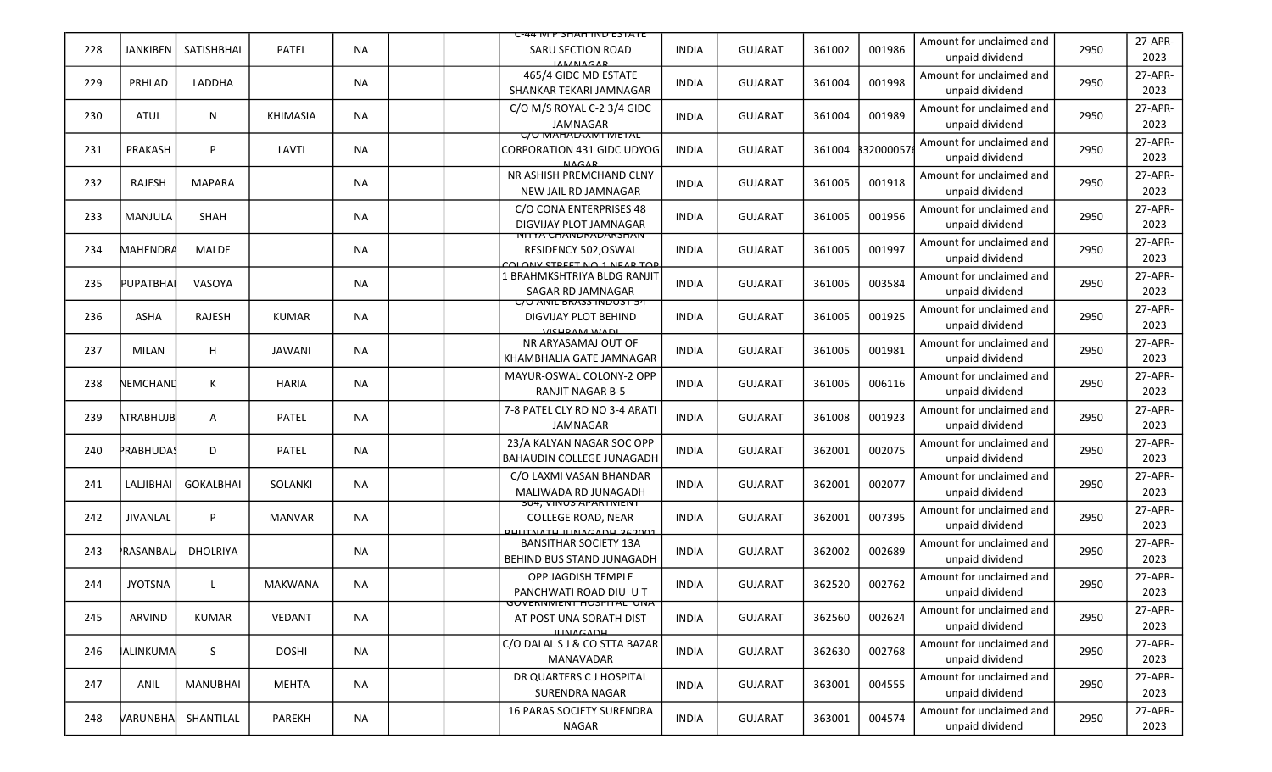|     |                  |                 |                 |           | <del>C-44 IVI P SHAH IIVD ESTATE</del>                                                    |              |                |        |          |                                             |      |                 |
|-----|------------------|-----------------|-----------------|-----------|-------------------------------------------------------------------------------------------|--------------|----------------|--------|----------|---------------------------------------------|------|-----------------|
| 228 | <b>JANKIBEN</b>  | SATISHBHAI      | PATEL           | <b>NA</b> | SARU SECTION ROAD<br><b>IAMANACAD</b>                                                     | <b>INDIA</b> | <b>GUJARAT</b> | 361002 | 001986   | Amount for unclaimed and<br>unpaid dividend | 2950 | 27-APR-<br>2023 |
| 229 | PRHLAD           | LADDHA          |                 | <b>NA</b> | 465/4 GIDC MD ESTATE<br>SHANKAR TEKARI JAMNAGAR                                           | <b>INDIA</b> | <b>GUJARAT</b> | 361004 | 001998   | Amount for unclaimed and<br>unpaid dividend | 2950 | 27-APR-<br>2023 |
| 230 | <b>ATUL</b>      | N               | <b>KHIMASIA</b> | <b>NA</b> | C/O M/S ROYAL C-2 3/4 GIDC<br>JAMNAGAR                                                    | <b>INDIA</b> | <b>GUJARAT</b> | 361004 | 001989   | Amount for unclaimed and<br>unpaid dividend | 2950 | 27-APR-<br>2023 |
| 231 | PRAKASH          | P               | LAVTI           | <b>NA</b> | <u>UU MAHALAXIVII METAL</u><br>CORPORATION 431 GIDC UDYOG<br><b>NACAP</b>                 | <b>INDIA</b> | <b>GUJARAT</b> | 361004 | 32000057 | Amount for unclaimed and<br>unpaid dividend | 2950 | 27-APR-<br>2023 |
| 232 | RAJESH           | <b>MAPARA</b>   |                 | <b>NA</b> | NR ASHISH PREMCHAND CLNY<br>NEW JAIL RD JAMNAGAR                                          | <b>INDIA</b> | <b>GUJARAT</b> | 361005 | 001918   | Amount for unclaimed and<br>unpaid dividend | 2950 | 27-APR-<br>2023 |
| 233 | MANJULA          | <b>SHAH</b>     |                 | ΝA        | C/O CONA ENTERPRISES 48<br>DIGVIJAY PLOT JAMNAGAR                                         | INDIA        | <b>GUJARAT</b> | 361005 | 001956   | Amount for unclaimed and<br>unpaid dividend | 2950 | 27-APR-<br>2023 |
| 234 | <b>MAHENDRA</b>  | <b>MALDE</b>    |                 | <b>NA</b> | <u>NITYA CHANDRADARSHAN</u><br>RESIDENCY 502, OSWAL<br><u>OLONIV STREET NO 1 NEAR TOR</u> | <b>INDIA</b> | <b>GUJARAT</b> | 361005 | 001997   | Amount for unclaimed and<br>unpaid dividend | 2950 | 27-APR-<br>2023 |
| 235 | <b>PUPATBHAI</b> | VASOYA          |                 | <b>NA</b> | L BRAHMKSHTRIYA BLDG RANJIT<br>SAGAR RD JAMNAGAR                                          | <b>INDIA</b> | <b>GUJARAT</b> | 361005 | 003584   | Amount for unclaimed and<br>unpaid dividend | 2950 | 27-APR-<br>2023 |
| 236 | <b>ASHA</b>      | RAJESH          | <b>KUMAR</b>    | <b>NA</b> | <del>י</del> כ וכטעווו ככאא <del>ם H</del> אכ<br>DIGVIJAY PLOT BEHIND<br>VICHDAM WADI     | <b>INDIA</b> | <b>GUJARAT</b> | 361005 | 001925   | Amount for unclaimed and<br>unpaid dividend | 2950 | 27-APR-<br>2023 |
| 237 | <b>MILAN</b>     | H               | JAWANI          | <b>NA</b> | NR ARYASAMAJ OUT OF<br>KHAMBHALIA GATE JAMNAGAR                                           | <b>INDIA</b> | <b>GUJARAT</b> | 361005 | 001981   | Amount for unclaimed and<br>unpaid dividend | 2950 | 27-APR-<br>2023 |
| 238 | NEMCHAND         | К               | <b>HARIA</b>    | <b>NA</b> | MAYUR-OSWAL COLONY-2 OPP<br><b>RANJIT NAGAR B-5</b>                                       | <b>INDIA</b> | <b>GUJARAT</b> | 361005 | 006116   | Amount for unclaimed and<br>unpaid dividend | 2950 | 27-APR-<br>2023 |
| 239 | ATRABHUJB        | A               | PATEL           | <b>NA</b> | 7-8 PATEL CLY RD NO 3-4 ARATI<br>JAMNAGAR                                                 | <b>INDIA</b> | <b>GUJARAT</b> | 361008 | 001923   | Amount for unclaimed and<br>unpaid dividend | 2950 | 27-APR-<br>2023 |
| 240 | PRABHUDAS        | D               | PATEL           | <b>NA</b> | 23/A KALYAN NAGAR SOC OPP<br>BAHAUDIN COLLEGE JUNAGADH                                    | <b>INDIA</b> | <b>GUJARAT</b> | 362001 | 002075   | Amount for unclaimed and<br>unpaid dividend | 2950 | 27-APR-<br>2023 |
| 241 | LALJIBHAI        | GOKALBHAI       | SOLANKI         | <b>NA</b> | C/O LAXMI VASAN BHANDAR<br>MALIWADA RD JUNAGADH                                           | <b>INDIA</b> | <b>GUJARAT</b> | 362001 | 002077   | Amount for unclaimed and<br>unpaid dividend | 2950 | 27-APR-<br>2023 |
| 242 | <b>JIVANLAL</b>  | P               | <b>MANVAR</b>   | <b>NA</b> | 304, VINUS APARTIVIENT<br><b>COLLEGE ROAD, NEAR</b><br><b>BHUTNATH IUNACADH 262001</b>    | <b>INDIA</b> | <b>GUJARAT</b> | 362001 | 007395   | Amount for unclaimed and<br>unpaid dividend | 2950 | 27-APR-<br>2023 |
| 243 | RASANBAL         | <b>DHOLRIYA</b> |                 | <b>NA</b> | <b>BANSITHAR SOCIETY 13A</b><br><b>BEHIND BUS STAND JUNAGADH</b>                          | <b>INDIA</b> | <b>GUJARAT</b> | 362002 | 002689   | Amount for unclaimed and<br>unpaid dividend | 2950 | 27-APR-<br>2023 |
| 244 | <b>JYOTSNA</b>   |                 | <b>MAKWANA</b>  | <b>NA</b> | OPP JAGDISH TEMPLE<br>PANCHWATI ROAD DIU UT                                               | <b>INDIA</b> | <b>GUJARAT</b> | 362520 | 002762   | Amount for unclaimed and<br>unpaid dividend | 2950 | 27-APR-<br>2023 |
| 245 | ARVIND           | KUMAR           | VEDANT          | <b>NA</b> | GUVERNIVIENT HUSPITAL UNA<br>AT POST UNA SORATH DIST<br><b>ILINACADU</b>                  | <b>INDIA</b> | <b>GUJARAT</b> | 362560 | 002624   | Amount for unclaimed and<br>unpaid dividend | 2950 | 27-APR-<br>2023 |
| 246 | <b>ALINKUMA</b>  | S               | <b>DOSHI</b>    | <b>NA</b> | C/O DALAL S J & CO STTA BAZAR<br>MANAVADAR                                                | <b>INDIA</b> | <b>GUJARAT</b> | 362630 | 002768   | Amount for unclaimed and<br>unpaid dividend | 2950 | 27-APR-<br>2023 |
| 247 | ANIL             | <b>MANUBHAI</b> | MEHTA           | <b>NA</b> | DR QUARTERS C J HOSPITAL<br><b>SURENDRA NAGAR</b>                                         | <b>INDIA</b> | <b>GUJARAT</b> | 363001 | 004555   | Amount for unclaimed and<br>unpaid dividend | 2950 | 27-APR-<br>2023 |
| 248 | <b>VARUNBHA</b>  | SHANTILAL       | PAREKH          | NA        | <b>16 PARAS SOCIETY SURENDRA</b><br>NAGAR                                                 | INDIA        | <b>GUJARAT</b> | 363001 | 004574   | Amount for unclaimed and<br>unpaid dividend | 2950 | 27-APR-<br>2023 |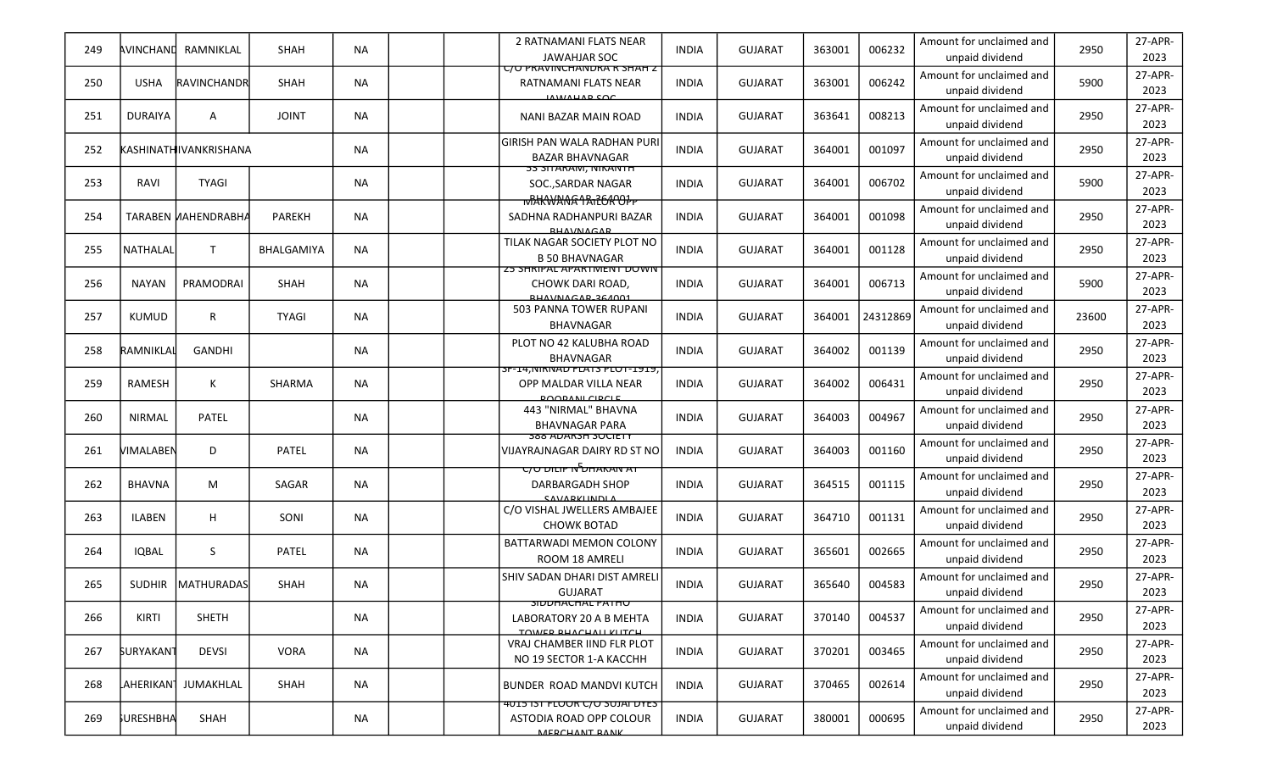| 249 | AVINCHAND              | RAMNIKLAL                    | <b>SHAH</b>  | <b>NA</b> | 2 RATNAMANI FLATS NEAR<br>JAWAHJAR SOC                                             | <b>INDIA</b> | <b>GUJARAT</b> | 363001 | 006232   | Amount for unclaimed and<br>unpaid dividend | 2950  | 27-APR-<br>2023 |
|-----|------------------------|------------------------------|--------------|-----------|------------------------------------------------------------------------------------|--------------|----------------|--------|----------|---------------------------------------------|-------|-----------------|
| 250 | <b>USHA</b>            | RAVINCHANDR                  | <b>SHAH</b>  | <b>NA</b> | <u>C/U PRAVINCHANDRA R SHAH Z</u><br>RATNAMANI FLATS NEAR<br>IAWAHAR SOC           | <b>INDIA</b> | <b>GUJARAT</b> | 363001 | 006242   | Amount for unclaimed and<br>unpaid dividend | 5900  | 27-APR-<br>2023 |
| 251 | <b>DURAIYA</b>         | $\mathsf{A}$                 | <b>JOINT</b> | <b>NA</b> | NANI BAZAR MAIN ROAD                                                               | <b>INDIA</b> | <b>GUJARAT</b> | 363641 | 008213   | Amount for unclaimed and<br>unpaid dividend | 2950  | 27-APR-<br>2023 |
| 252 |                        | <b>KASHINATHIVANKRISHANA</b> |              | <b>NA</b> | <b>GIRISH PAN WALA RADHAN PURI</b><br><b>BAZAR BHAVNAGAR</b>                       | <b>INDIA</b> | <b>GUJARAT</b> | 364001 | 001097   | Amount for unclaimed and<br>unpaid dividend | 2950  | 27-APR-<br>2023 |
| 253 | RAVI                   | <b>TYAGI</b>                 |              | <b>NA</b> | <b>53 SITARAIVI, IVIKAIVTH</b><br>SOCSARDAR NAGAR<br>wRHWANG1An26AOPP              | <b>INDIA</b> | <b>GUJARAT</b> | 364001 | 006702   | Amount for unclaimed and<br>unpaid dividend | 5900  | 27-APR-<br>2023 |
| 254 |                        | <b>TARABEN MAHENDRABHA</b>   | PAREKH       | <b>NA</b> | SADHNA RADHANPURI BAZAR<br><b>DUAVAIACAD</b>                                       | <b>INDIA</b> | <b>GUJARAT</b> | 364001 | 001098   | Amount for unclaimed and<br>unpaid dividend | 2950  | 27-APR-<br>2023 |
| 255 | <b>NATHALAL</b>        | T                            | BHALGAMIYA   | <b>NA</b> | TILAK NAGAR SOCIETY PLOT NO<br><b>B 50 BHAVNAGAR</b>                               | <b>INDIA</b> | <b>GUJARAT</b> | 364001 | 001128   | Amount for unclaimed and<br>unpaid dividend | 2950  | 27-APR-<br>2023 |
| 256 | <b>NAYAN</b>           | PRAMODRAI                    | SHAH         | <b>NA</b> | <b>Z3 SHRIPAL APARTIVIENT DUWIN</b><br>CHOWK DARI ROAD,<br><b>BHAVNACAB 264001</b> | <b>INDIA</b> | <b>GUJARAT</b> | 364001 | 006713   | Amount for unclaimed and<br>unpaid dividend | 5900  | 27-APR-<br>2023 |
| 257 | <b>KUMUD</b>           | $\mathsf{R}$                 | <b>TYAGI</b> | <b>NA</b> | 503 PANNA TOWER RUPANI<br>BHAVNAGAR                                                | <b>INDIA</b> | <b>GUJARAT</b> | 364001 | 24312869 | Amount for unclaimed and<br>unpaid dividend | 23600 | 27-APR-<br>2023 |
| 258 | RAMNIKLAL              | GANDHI                       |              | <b>NA</b> | PLOT NO 42 KALUBHA ROAD<br><b>BHAVNAGAR</b>                                        | <b>INDIA</b> | <b>GUJARAT</b> | 364002 | 001139   | Amount for unclaimed and<br>unpaid dividend | 2950  | 27-APR-<br>2023 |
| 259 | RAMESH                 | К                            | SHARMA       | <b>NA</b> | SF-14, NIKNAD FLATS PLOT-1919,<br>OPP MALDAR VILLA NEAR<br><b>POOPANI CIPCLE</b>   | <b>INDIA</b> | <b>GUJARAT</b> | 364002 | 006431   | Amount for unclaimed and<br>unpaid dividend | 2950  | 27-APR-<br>2023 |
| 260 | NIRMAL                 | PATEL                        |              | <b>NA</b> | 443 "NIRMAL" BHAVNA<br><b>BHAVNAGAR PARA</b>                                       | <b>INDIA</b> | <b>GUJARAT</b> | 364003 | 004967   | Amount for unclaimed and<br>unpaid dividend | 2950  | 27-APR-<br>2023 |
| 261 | VIMALABEN              | D                            | PATEL        | <b>NA</b> | <b>388 ADARSH SUCIETY</b><br>VIJAYRAJNAGAR DAIRY RD ST NO                          | <b>INDIA</b> | <b>GUJARAT</b> | 364003 | 001160   | Amount for unclaimed and<br>unpaid dividend | 2950  | 27-APR-<br>2023 |
| 262 | <b>BHAVNA</b>          | M                            | SAGAR        | <b>NA</b> | <del>רא מאממל מדיום ט</del> לס<br><b>DARBARGADH SHOP</b><br>CAVADVILNDLA           | <b>INDIA</b> | <b>GUJARAT</b> | 364515 | 001115   | Amount for unclaimed and<br>unpaid dividend | 2950  | 27-APR-<br>2023 |
| 263 | <b>ILABEN</b>          | H                            | SONI         | <b>NA</b> | C/O VISHAL JWELLERS AMBAJEE<br><b>CHOWK BOTAD</b>                                  | <b>INDIA</b> | <b>GUJARAT</b> | 364710 | 001131   | Amount for unclaimed and<br>unpaid dividend | 2950  | 27-APR-<br>2023 |
| 264 | <b>IQBAL</b>           | S                            | PATEL        | <b>NA</b> | BATTARWADI MEMON COLONY<br>ROOM 18 AMRELI                                          | <b>INDIA</b> | <b>GUJARAT</b> | 365601 | 002665   | Amount for unclaimed and<br>unpaid dividend | 2950  | 27-APR-<br>2023 |
| 265 | <b>SUDHIR</b>          | <b>MATHURADAS</b>            | SHAH         | <b>NA</b> | SHIV SADAN DHARI DIST AMRELI<br><b>GUJARAT</b>                                     | <b>INDIA</b> | <b>GUJARAT</b> | 365640 | 004583   | Amount for unclaimed and<br>unpaid dividend | 2950  | 27-APR-<br>2023 |
| 266 | KIRTI                  | <b>SHETH</b>                 |              | <b>NA</b> | <b>SIDUHACHAL PATHU</b><br>LABORATORY 20 A B MEHTA<br>TOWED BUACHALL KLITCH        | <b>INDIA</b> | <b>GUJARAT</b> | 370140 | 004537   | Amount for unclaimed and<br>unpaid dividend | 2950  | 27-APR-<br>2023 |
| 267 | <b>SURYAKANT</b>       | <b>DEVSI</b>                 | <b>VORA</b>  | NA        | VRAJ CHAMBER IIND FLR PLOT<br>NO 19 SECTOR 1-A KACCHH                              | <b>INDIA</b> | <b>GUJARAT</b> | 370201 | 003465   | Amount for unclaimed and<br>unpaid dividend | 2950  | 27-APR-<br>2023 |
| 268 | LAHERIKAN <sup>1</sup> | JUMAKHLAL                    | SHAH         | NA        | BUNDER ROAD MANDVI KUTCH                                                           | <b>INDIA</b> | <b>GUJARAT</b> | 370465 | 002614   | Amount for unclaimed and<br>unpaid dividend | 2950  | 27-APR-<br>2023 |
| 269 | <b>SURESHBHA</b>       | SHAH                         |              | <b>NA</b> | ASTODIA ROAD OPP COLOUR<br>MEDCUANT DANIK                                          | <b>INDIA</b> | <b>GUJARAT</b> | 380001 | 000695   | Amount for unclaimed and<br>unpaid dividend | 2950  | 27-APR-<br>2023 |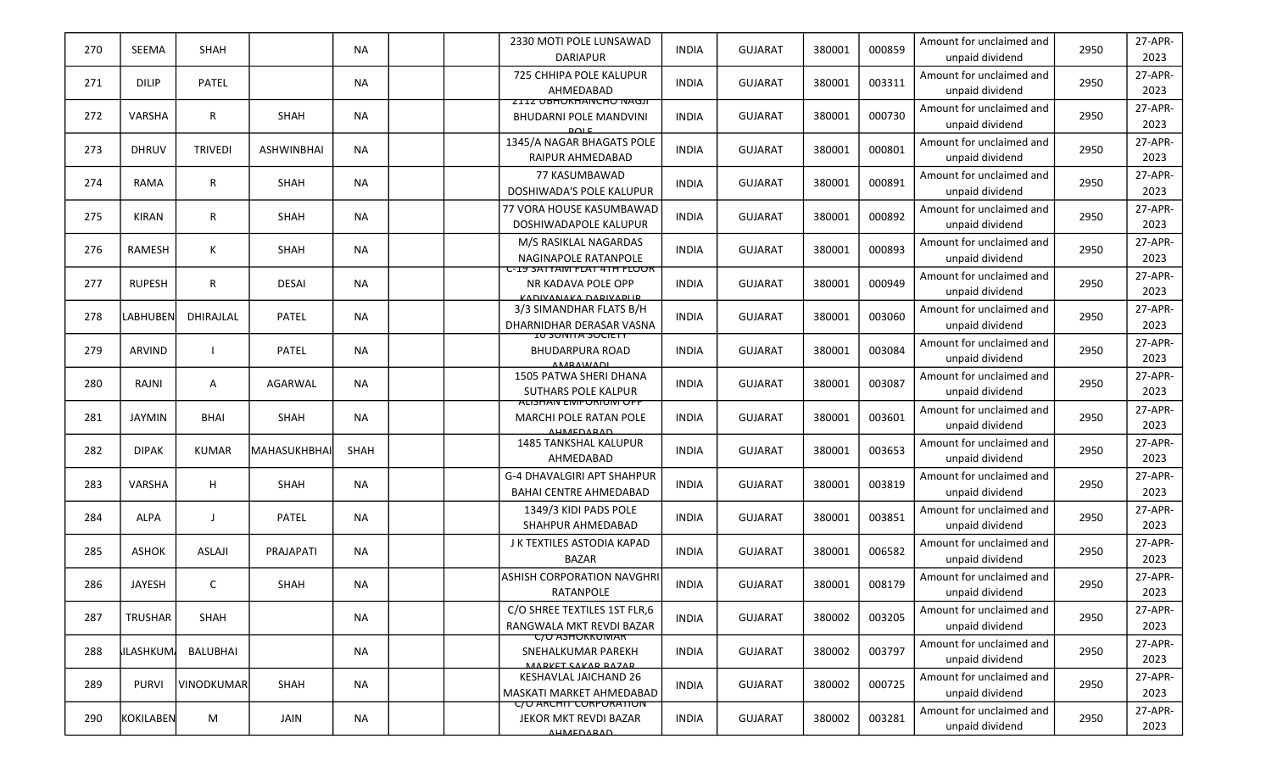| 270 | SEEMA            | SHAH              |                   | NA        | 2330 MOTI POLE LUNSAWAD<br><b>DARIAPUR</b>                                       | <b>INDIA</b> | <b>GUJARAT</b> | 380001 | 000859 | Amount for unclaimed and<br>unpaid dividend | 2950 | 27-APR-<br>2023 |
|-----|------------------|-------------------|-------------------|-----------|----------------------------------------------------------------------------------|--------------|----------------|--------|--------|---------------------------------------------|------|-----------------|
| 271 | <b>DILIP</b>     | <b>PATEL</b>      |                   | NA        | 725 CHHIPA POLE KALUPUR<br>AHMEDABAD                                             | <b>INDIA</b> | <b>GUJARAT</b> | 380001 | 003311 | Amount for unclaimed and<br>unpaid dividend | 2950 | 27-APR-<br>2023 |
| 272 | <b>VARSHA</b>    | $\mathsf{R}$      | SHAH              | <b>NA</b> | <b>ZIIZ UBHUKHANCHU NAGJI</b><br><b>BHUDARNI POLE MANDVINI</b><br>$D$ $Q$ $E$    | <b>INDIA</b> | <b>GUJARAT</b> | 380001 | 000730 | Amount for unclaimed and<br>unpaid dividend | 2950 | 27-APR-<br>2023 |
| 273 | <b>DHRUV</b>     | <b>TRIVEDI</b>    | <b>ASHWINBHAI</b> | <b>NA</b> | 1345/A NAGAR BHAGATS POLE<br><b>RAIPUR AHMEDABAD</b>                             | <b>INDIA</b> | <b>GUJARAT</b> | 380001 | 000801 | Amount for unclaimed and<br>unpaid dividend | 2950 | 27-APR-<br>2023 |
| 274 | RAMA             | $\mathsf{R}$      | SHAH              | <b>NA</b> | 77 KASUMBAWAD<br>DOSHIWADA'S POLE KALUPUR                                        | <b>INDIA</b> | <b>GUJARAT</b> | 380001 | 000891 | Amount for unclaimed and<br>unpaid dividend | 2950 | 27-APR-<br>2023 |
| 275 | <b>KIRAN</b>     | R                 | SHAH              | <b>NA</b> | 77 VORA HOUSE KASUMBAWAD<br>DOSHIWADAPOLE KALUPUR                                | <b>INDIA</b> | <b>GUJARAT</b> | 380001 | 000892 | Amount for unclaimed and<br>unpaid dividend | 2950 | 27-APR-<br>2023 |
| 276 | RAMESH           | К                 | SHAH              | <b>NA</b> | M/S RASIKLAL NAGARDAS<br>NAGINAPOLE RATANPOLE                                    | <b>INDIA</b> | <b>GUJARAT</b> | 380001 | 000893 | Amount for unclaimed and<br>unpaid dividend | 2950 | 27-APR-<br>2023 |
| 277 | <b>RUPESH</b>    | $\mathsf{R}$      | <b>DESAI</b>      | <b>NA</b> | <u>U-IY SATYAM FLAT 4TH FLUUK</u><br>NR KADAVA POLE OPP<br>KADIVANAKA DADIVADLID | <b>INDIA</b> | <b>GUJARAT</b> | 380001 | 000949 | Amount for unclaimed and<br>unpaid dividend | 2950 | 27-APR-<br>2023 |
| 278 | <b>LABHUBEN</b>  | DHIRAJLAL         | PATEL             | <b>NA</b> | 3/3 SIMANDHAR FLATS B/H<br>DHARNIDHAR DERASAR VASNA                              | <b>INDIA</b> | <b>GUJARAT</b> | 380001 | 003060 | Amount for unclaimed and<br>unpaid dividend | 2950 | 27-APR-<br>2023 |
| 279 | <b>ARVIND</b>    | $\mathbf{I}$      | PATEL             | NA.       | <u>IU SUNITA SUCIETY</u><br><b>BHUDARPURA ROAD</b><br><b>ANADAMAAN</b>           | <b>INDIA</b> | <b>GUJARAT</b> | 380001 | 003084 | Amount for unclaimed and<br>unpaid dividend | 2950 | 27-APR-<br>2023 |
| 280 | RAJNI            | A                 | AGARWAL           | <b>NA</b> | 1505 PATWA SHERI DHANA<br><b>SUTHARS POLE KALPUR</b>                             | <b>INDIA</b> | <b>GUJARAT</b> | 380001 | 003087 | Amount for unclaimed and<br>unpaid dividend | 2950 | 27-APR-<br>2023 |
| 281 | <b>JAYMIN</b>    | <b>BHAI</b>       | SHAH              | NA        | <u>ALISHAIN EIVIPURIUIVI UPP</u><br>MARCHI POLE RATAN POLE<br><b>AUMEDARAD</b>   | <b>INDIA</b> | <b>GUJARAT</b> | 380001 | 003601 | Amount for unclaimed and<br>unpaid dividend | 2950 | 27-APR-<br>2023 |
| 282 | <b>DIPAK</b>     | <b>KUMAR</b>      | MAHASUKHBHAI      | SHAH      | <b>1485 TANKSHAL KALUPUR</b><br>AHMEDABAD                                        | <b>INDIA</b> | <b>GUJARAT</b> | 380001 | 003653 | Amount for unclaimed and<br>unpaid dividend | 2950 | 27-APR-<br>2023 |
| 283 | <b>VARSHA</b>    | H                 | SHAH              | <b>NA</b> | G-4 DHAVALGIRI APT SHAHPUR<br><b>BAHAI CENTRE AHMEDABAD</b>                      | <b>INDIA</b> | <b>GUJARAT</b> | 380001 | 003819 | Amount for unclaimed and<br>unpaid dividend | 2950 | 27-APR-<br>2023 |
| 284 | ALPA             | -1                | PATEL             | <b>NA</b> | 1349/3 KIDI PADS POLE<br>SHAHPUR AHMEDABAD                                       | <b>INDIA</b> | <b>GUJARAT</b> | 380001 | 003851 | Amount for unclaimed and<br>unpaid dividend | 2950 | 27-APR-<br>2023 |
| 285 | <b>ASHOK</b>     | <b>ASLAJI</b>     | <b>PRAJAPATI</b>  | <b>NA</b> | J K TEXTILES ASTODIA KAPAD<br><b>BAZAR</b>                                       | <b>INDIA</b> | <b>GUJARAT</b> | 380001 | 006582 | Amount for unclaimed and<br>unpaid dividend | 2950 | 27-APR-<br>2023 |
| 286 | JAYESH           | C                 | SHAH              | <b>NA</b> | <b>ASHISH CORPORATION NAVGHRI</b><br>RATANPOLE                                   | <b>INDIA</b> | <b>GUJARAT</b> | 380001 | 008179 | Amount for unclaimed and<br>unpaid dividend | 2950 | 27-APR-<br>2023 |
| 287 | <b>TRUSHAR</b>   | SHAH              |                   | <b>NA</b> | C/O SHREE TEXTILES 1ST FLR,6<br>RANGWALA MKT REVDI BAZAR                         | <b>INDIA</b> | <b>GUJARAT</b> | 380002 | 003205 | Amount for unclaimed and<br>unpaid dividend | 2950 | 27-APR-<br>2023 |
| 288 | <b>IILASHKUM</b> | BALUBHAI          |                   | NA        | <u>C/O ASHOKKUMAR</u><br>SNEHALKUMAR PAREKH<br>MADVET CAVAD DAZAD                | <b>INDIA</b> | <b>GUJARAT</b> | 380002 | 003797 | Amount for unclaimed and<br>unpaid dividend | 2950 | 27-APR-<br>2023 |
| 289 | <b>PURVI</b>     | <b>VINODKUMAR</b> | SHAH              | <b>NA</b> | KESHAVLAL JAICHAND 26<br>MASKATI MARKET AHMEDABAD                                | <b>INDIA</b> | <b>GUJARAT</b> | 380002 | 000725 | Amount for unclaimed and<br>unpaid dividend | 2950 | 27-APR-<br>2023 |
| 290 | KOKILABEN        | M                 | JAIN              | <b>NA</b> | <u> C/O ARCHIT CORPORATION</u><br>JEKOR MKT REVDI BAZAR<br><u>AUMEDADAD</u>      | <b>INDIA</b> | <b>GUJARAT</b> | 380002 | 003281 | Amount for unclaimed and<br>unpaid dividend | 2950 | 27-APR-<br>2023 |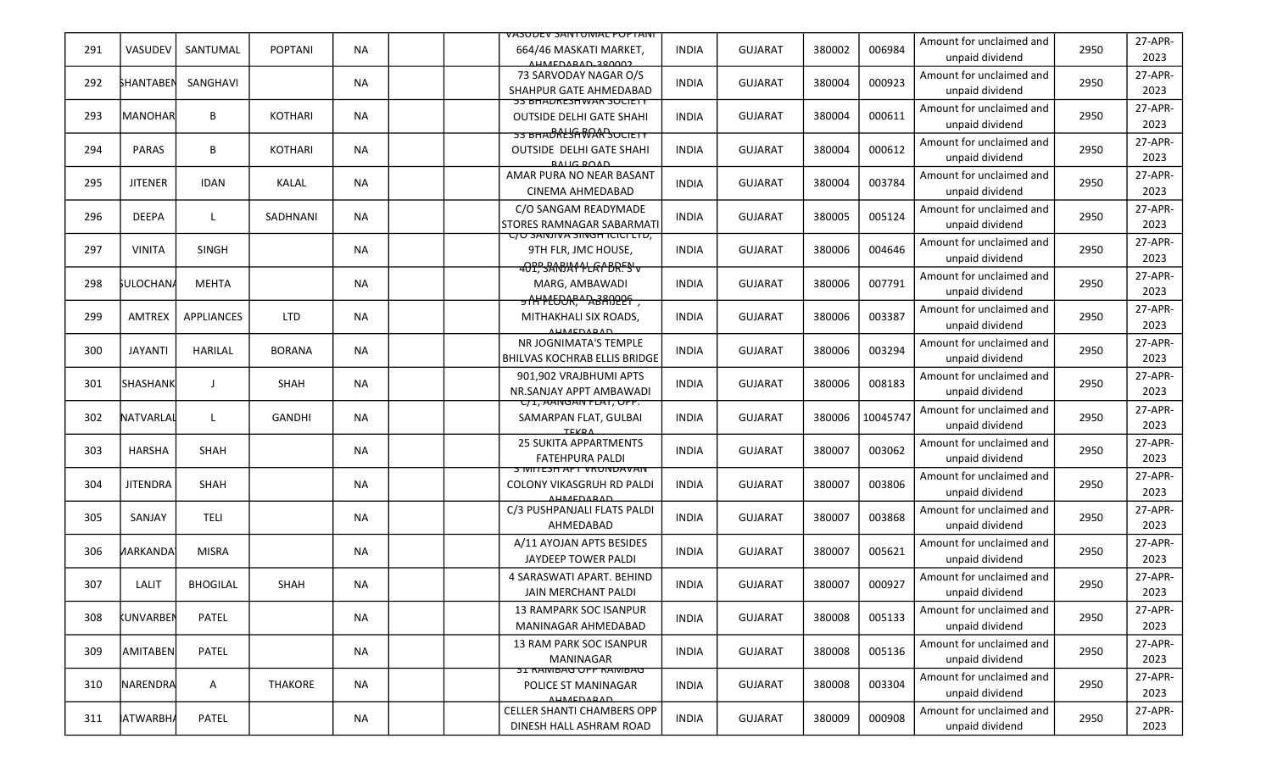|     |                  |                   |                |           | <u>VASUDEV SAINTUIVIAL PUPTAINI</u>                                                         |              |                |        |          |                                             |      |                 |
|-----|------------------|-------------------|----------------|-----------|---------------------------------------------------------------------------------------------|--------------|----------------|--------|----------|---------------------------------------------|------|-----------------|
| 291 | VASUDEV          | SANTUMAL          | <b>POPTANI</b> | <b>NA</b> | 664/46 MASKATI MARKET,<br>AHMEDARAD 280002                                                  | <b>INDIA</b> | <b>GUJARAT</b> | 380002 | 006984   | Amount for unclaimed and<br>unpaid dividend | 2950 | 27-APR-<br>2023 |
| 292 | <b>SHANTABEN</b> | SANGHAVI          |                | <b>NA</b> | 73 SARVODAY NAGAR O/S<br>SHAHPUR GATE AHMEDABAD                                             | <b>INDIA</b> | <b>GUJARAT</b> | 380004 | 000923   | Amount for unclaimed and<br>unpaid dividend | 2950 | 27-APR-<br>2023 |
| 293 | <b>MANOHAR</b>   | B                 | <b>KOTHARI</b> | <b>NA</b> | <b>53 BHADRESHWAR SUCIETY</b><br><b>OUTSIDE DELHI GATE SHAHI</b>                            | INDIA        | <b>GUJARAT</b> | 380004 | 000611   | Amount for unclaimed and<br>unpaid dividend | 2950 | 27-APR-<br>2023 |
| 294 | <b>PARAS</b>     | B                 | <b>KOTHARI</b> | NА        | <del>53 BHADRLSAMARSOCIETY</del><br><b>OUTSIDE DELHI GATE SHAHI</b><br><b>BALIC BOAD</b>    | <b>INDIA</b> | <b>GUJARAT</b> | 380004 | 000612   | Amount for unclaimed and<br>unpaid dividend | 2950 | 27-APR-<br>2023 |
| 295 | <b>JITENER</b>   | <b>IDAN</b>       | KALAL          | NA        | AMAR PURA NO NEAR BASANT<br>CINEMA AHMEDABAD                                                | <b>INDIA</b> | <b>GUJARAT</b> | 380004 | 003784   | Amount for unclaimed and<br>unpaid dividend | 2950 | 27-APR-<br>2023 |
| 296 | <b>DEEPA</b>     | L                 | SADHNANI       | ΝA        | C/O SANGAM READYMADE<br>STORES RAMNAGAR SABARMATI                                           | INDIA        | <b>GUJARAT</b> | 380005 | 005124   | Amount for unclaimed and<br>unpaid dividend | 2950 | 27-APR-<br>2023 |
| 297 | <b>VINITA</b>    | <b>SINGH</b>      |                | <b>NA</b> | <u>UU SANJIVA SINGH IUULLID,</u><br>9TH FLR, JMC HOUSE,<br><del>40P, SANJA11LA1BRFS'v</del> | <b>INDIA</b> | <b>GUJARAT</b> | 380006 | 004646   | Amount for unclaimed and<br>unpaid dividend | 2950 | 27-APR-<br>2023 |
| 298 | <b>SULOCHANA</b> | <b>MEHTA</b>      |                | <b>NA</b> | MARG, AMBAWADI<br><del>y NY PLEDOR, A BANDERY</del>                                         | INDIA        | <b>GUJARAT</b> | 380006 | 007791   | Amount for unclaimed and<br>unpaid dividend | 2950 | 27-APR-<br>2023 |
| 299 | <b>AMTREX</b>    | <b>APPLIANCES</b> | <b>LTD</b>     | <b>NA</b> | MITHAKHALI SIX ROADS,<br><b>AUMEDARAD</b>                                                   | <b>INDIA</b> | <b>GUJARAT</b> | 380006 | 003387   | Amount for unclaimed and<br>unpaid dividend | 2950 | 27-APR-<br>2023 |
| 300 | <b>JAYANTI</b>   | <b>HARILAL</b>    | <b>BORANA</b>  | <b>NA</b> | NR JOGNIMATA'S TEMPLE<br><b>BHILVAS KOCHRAB ELLIS BRIDGE</b>                                | INDIA        | <b>GUJARAT</b> | 380006 | 003294   | Amount for unclaimed and<br>unpaid dividend | 2950 | 27-APR-<br>2023 |
| 301 | <b>SHASHANK</b>  | J                 | <b>SHAH</b>    | ΝA        | 901,902 VRAJBHUMI APTS<br>NR.SANJAY APPT AMBAWADI                                           | INDIA        | <b>GUJARAT</b> | 380006 | 008183   | Amount for unclaimed and<br>unpaid dividend | 2950 | 27-APR-<br>2023 |
| 302 | NATVARLAL        | L                 | GANDHI         | <b>NA</b> | <u>U/I, AANGAN FLAT, UPP.</u><br>SAMARPAN FLAT, GULBAI<br><b>TEVDA</b>                      | INDIA        | <b>GUJARAT</b> | 380006 | 10045747 | Amount for unclaimed and<br>unpaid dividend | 2950 | 27-APR-<br>2023 |
| 303 | HARSHA           | <b>SHAH</b>       |                | ΝA        | <b>25 SUKITA APPARTMENTS</b><br><b>FATEHPURA PALDI</b>                                      | INDIA        | <b>GUJARAT</b> | 380007 | 003062   | Amount for unclaimed and<br>unpaid dividend | 2950 | 27-APR-<br>2023 |
| 304 | <b>JITENDRA</b>  | <b>SHAH</b>       |                | <b>NA</b> | <u>3 IVIITESH APT VRUNDAVAN</u><br>COLONY VIKASGRUH RD PALDI<br>AUMEDARAD                   | <b>INDIA</b> | <b>GUJARAT</b> | 380007 | 003806   | Amount for unclaimed and<br>unpaid dividend | 2950 | 27-APR-<br>2023 |
| 305 | SANJAY           | <b>TELI</b>       |                | ΝA        | C/3 PUSHPANJALI FLATS PALDI<br>AHMEDABAD                                                    | INDIA        | <b>GUJARAT</b> | 380007 | 003868   | Amount for unclaimed and<br>unpaid dividend | 2950 | 27-APR-<br>2023 |
| 306 | <b>ИARKANDA</b>  | <b>MISRA</b>      |                | ΝA        | A/11 AYOJAN APTS BESIDES<br>JAYDEEP TOWER PALDI                                             | INDIA        | <b>GUJARAT</b> | 380007 | 005621   | Amount for unclaimed and<br>unpaid dividend | 2950 | 27-APR-<br>2023 |
| 307 | LALIT            | <b>BHOGILAL</b>   | SHAH           | NA        | 4 SARASWATI APART. BEHIND<br>JAIN MERCHANT PALDI                                            | <b>INDIA</b> | <b>GUJARAT</b> | 380007 | 000927   | Amount for unclaimed and<br>unpaid dividend | 2950 | 27-APR-<br>2023 |
| 308 | <b>KUNVARBEN</b> | PATEL             |                | <b>NA</b> | <b>13 RAMPARK SOC ISANPUR</b><br>MANINAGAR AHMEDABAD                                        | <b>INDIA</b> | <b>GUJARAT</b> | 380008 | 005133   | Amount for unclaimed and<br>unpaid dividend | 2950 | 27-APR-<br>2023 |
| 309 | <b>AMITABEN</b>  | PATEL             |                | <b>NA</b> | 13 RAM PARK SOC ISANPUR<br>MANINAGAR                                                        | <b>INDIA</b> | <b>GUJARAT</b> | 380008 | 005136   | Amount for unclaimed and<br>unpaid dividend | 2950 | 27-APR-<br>2023 |
| 310 | NARENDRA         | A                 | THAKORE        | <b>NA</b> | <b>31 KAIVIBAG OPP KAIVIBAG</b><br>POLICE ST MANINAGAR<br><b>AUMEDARAD</b>                  | <b>INDIA</b> | <b>GUJARAT</b> | 380008 | 003304   | Amount for unclaimed and<br>unpaid dividend | 2950 | 27-APR-<br>2023 |
| 311 | <b>ATWARBHA</b>  | PATEL             |                | NA        | CELLER SHANTI CHAMBERS OPP<br>DINESH HALL ASHRAM ROAD                                       | INDIA        | <b>GUJARAT</b> | 380009 | 000908   | Amount for unclaimed and<br>unpaid dividend | 2950 | 27-APR-<br>2023 |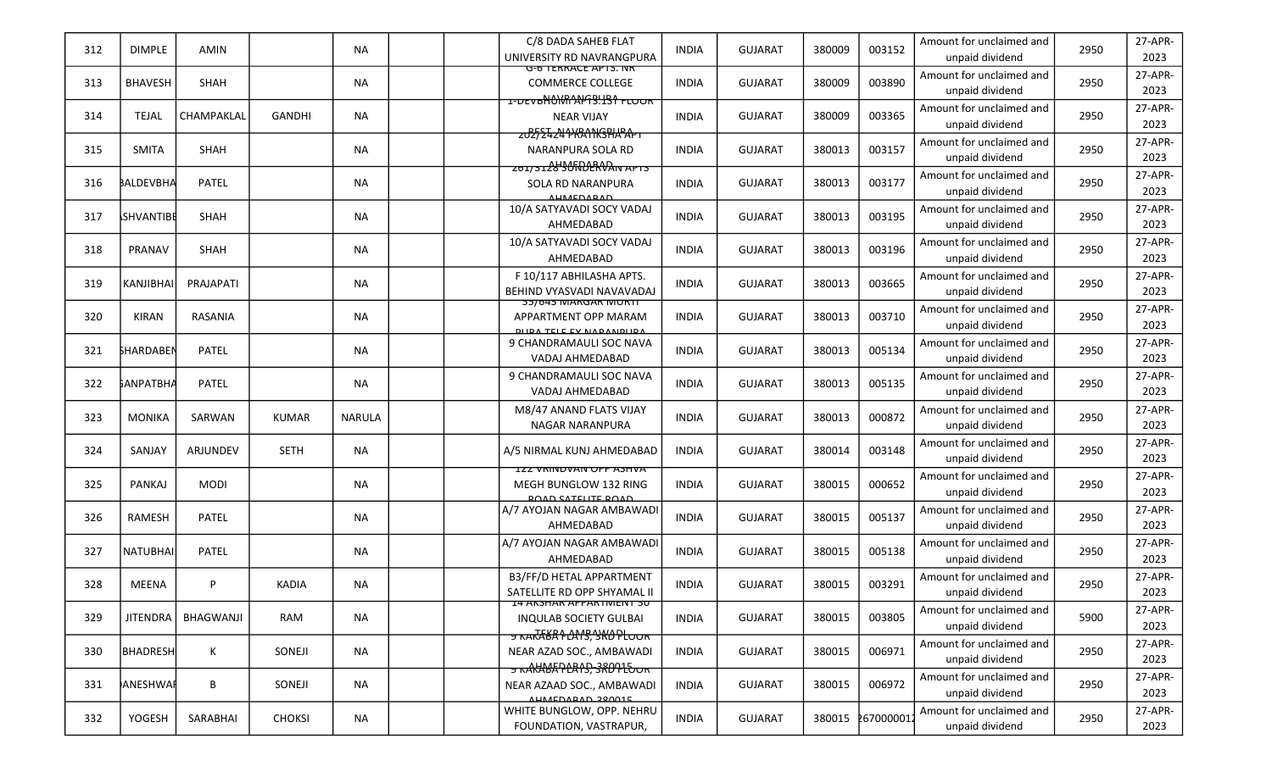| 312 | <b>DIMPLE</b>    | AMIN             |               | <b>NA</b>     | C/8 DADA SAHEB FLAT<br>UNIVERSITY RD NAVRANGPURA                                                   | <b>INDIA</b> | <b>GUJARAT</b> | 380009 | 003152     | Amount for unclaimed and<br>unpaid dividend | 2950 | 27-APR-<br>2023 |
|-----|------------------|------------------|---------------|---------------|----------------------------------------------------------------------------------------------------|--------------|----------------|--------|------------|---------------------------------------------|------|-----------------|
| 313 | <b>BHAVESH</b>   | SHAH             |               | <b>NA</b>     | <del>ס-ס TERRACE APTS. ו<i>ו</i>א</del><br><b>COMMERCE COLLEGE</b>                                 | <b>INDIA</b> | <b>GUJARAT</b> | 380009 | 003890     | Amount for unclaimed and<br>unpaid dividend | 2950 | 27-APR-<br>2023 |
| 314 | <b>TEJAL</b>     | CHAMPAKLAL       | <b>GANDHI</b> | <b>NA</b>     | <b>NEAR VIJAY</b>                                                                                  | <b>INDIA</b> | <b>GUJARAT</b> | 380009 | 003365     | Amount for unclaimed and<br>unpaid dividend | 2950 | 27-APR-<br>2023 |
| 315 | <b>SMITA</b>     | SHAH             |               | <b>NA</b>     | ᠽᠤᢓᢓᠼᡓᡈᠲᢂᠷᡐᡗᡰᠺᢒᠲᡰᠷᠲᠷ<br>NARANPURA SOLA RD                                                          | <b>INDIA</b> | <b>GUJARAT</b> | 380013 | 003157     | Amount for unclaimed and<br>unpaid dividend | 2950 | 27-APR-<br>2023 |
| 316 | BALDEVBHA        | <b>PATEL</b>     |               | <b>NA</b>     | $201/312890$ MDERVAIN APTS<br>SOLA RD NARANPURA<br><b>AUMEDARAD</b>                                | <b>INDIA</b> | <b>GUJARAT</b> | 380013 | 003177     | Amount for unclaimed and<br>unpaid dividend | 2950 | 27-APR-<br>2023 |
| 317 | <b>SHVANTIBE</b> | SHAH             |               | <b>NA</b>     | 10/A SATYAVADI SOCY VADAJ<br>AHMEDABAD                                                             | <b>INDIA</b> | <b>GUJARAT</b> | 380013 | 003195     | Amount for unclaimed and<br>unpaid dividend | 2950 | 27-APR-<br>2023 |
| 318 | PRANAV           | <b>SHAH</b>      |               | ΝA            | 10/A SATYAVADI SOCY VADAJ<br>AHMEDABAD                                                             | <b>INDIA</b> | <b>GUJARAT</b> | 380013 | 003196     | Amount for unclaimed and<br>unpaid dividend | 2950 | 27-APR-<br>2023 |
| 319 | <b>KANJIBHAI</b> | PRAJAPATI        |               | <b>NA</b>     | F 10/117 ABHILASHA APTS.<br>BEHIND VYASVADI NAVAVADAJ                                              | <b>INDIA</b> | <b>GUJARAT</b> | 380013 | 003665     | Amount for unclaimed and<br>unpaid dividend | 2950 | 27-APR-<br>2023 |
| 320 | <b>KIRAN</b>     | RASANIA          |               | <b>NA</b>     | <b>55/643 MARGAR MURTT</b><br>APPARTMENT OPP MARAM<br>DUDA TELE EV NADANDUDA                       | <b>INDIA</b> | <b>GUJARAT</b> | 380013 | 003710     | Amount for unclaimed and<br>unpaid dividend | 2950 | 27-APR-<br>2023 |
| 321 | <b>SHARDABEN</b> | PATEL            |               | ΝA            | 9 CHANDRAMAULI SOC NAVA<br>VADAJ AHMEDABAD                                                         | <b>INDIA</b> | <b>GUJARAT</b> | 380013 | 005134     | Amount for unclaimed and<br>unpaid dividend | 2950 | 27-APR-<br>2023 |
| 322 | ҍА№АТВНА         | PATEL            |               | ΝA            | 9 CHANDRAMAULI SOC NAVA<br>VADAJ AHMEDABAD                                                         | <b>INDIA</b> | <b>GUJARAT</b> | 380013 | 005135     | Amount for unclaimed and<br>unpaid dividend | 2950 | 27-APR-<br>2023 |
| 323 | <b>MONIKA</b>    | SARWAN           | <b>KUMAR</b>  | <b>NARULA</b> | M8/47 ANAND FLATS VIJAY<br><b>NAGAR NARANPURA</b>                                                  | <b>INDIA</b> | <b>GUJARAT</b> | 380013 | 000872     | Amount for unclaimed and<br>unpaid dividend | 2950 | 27-APR-<br>2023 |
| 324 | SANJAY           | ARJUNDEV         | <b>SETH</b>   | <b>NA</b>     | A/5 NIRMAL KUNJ AHMEDABAD                                                                          | <b>INDIA</b> | <b>GUJARAT</b> | 380014 | 003148     | Amount for unclaimed and<br>unpaid dividend | 2950 | 27-APR-<br>2023 |
| 325 | PANKAJ           | <b>MODI</b>      |               | ΝA            | <b>IZZ VRINDVAN OPP ASHVA</b><br>MEGH BUNGLOW 132 RING<br><b>DOAD CATELITE DOAD</b>                | <b>INDIA</b> | <b>GUJARAT</b> | 380015 | 000652     | Amount for unclaimed and<br>unpaid dividend | 2950 | 27-APR-<br>2023 |
| 326 | RAMESH           | PATEL            |               | <b>NA</b>     | A/7 AYOJAN NAGAR AMBAWADI<br>AHMEDABAD                                                             | <b>INDIA</b> | <b>GUJARAT</b> | 380015 | 005137     | Amount for unclaimed and<br>unpaid dividend | 2950 | 27-APR-<br>2023 |
| 327 | <b>NATUBHAI</b>  | PATEL            |               | <b>NA</b>     | A/7 AYOJAN NAGAR AMBAWADI<br>AHMEDABAD                                                             | <b>INDIA</b> | <b>GUJARAT</b> | 380015 | 005138     | Amount for unclaimed and<br>unpaid dividend | 2950 | 27-APR-<br>2023 |
| 328 | MEENA            | P                | <b>KADIA</b>  | <b>NA</b>     | B3/FF/D HETAL APPARTMENT<br>SATELLITE RD OPP SHYAMAL II                                            | <b>INDIA</b> | <b>GUJARAT</b> | 380015 | 003291     | Amount for unclaimed and<br>unpaid dividend | 2950 | 27-APR-<br>2023 |
| 329 | <b>JITENDRA</b>  | <b>BHAGWANJI</b> | RAM           | NA            | <b>I4 AKSHAR APPARTIVIENT 30</b><br><b>INQULAB SOCIETY GULBAI</b><br><del>ᢖ᠊᠋ĸ᠋ᠴᡕᠮᡘᡌᠷ᠘᠕ᢢᢃᠷ᠘ᡩ</del> | <b>INDIA</b> | <b>GUJARAT</b> | 380015 | 003805     | Amount for unclaimed and<br>unpaid dividend | 5900 | 27-APR-<br>2023 |
| 330 | <b>BHADRESH</b>  | K                | SONEJI        | NA            | NEAR AZAD SOC., AMBAWADI                                                                           | <b>INDIA</b> | <b>GUJARAT</b> | 380015 | 006971     | Amount for unclaimed and<br>unpaid dividend | 2950 | 27-APR-<br>2023 |
| 331 | <b>ANESHWAR</b>  | B                | SONEJI        | <b>NA</b>     | <del>y kAKKBAPLRIS, 380915ok</del><br>NEAR AZAAD SOC., AMBAWADI<br>ALIMEDARAD 200015               | <b>INDIA</b> | <b>GUJARAT</b> | 380015 | 006972     | Amount for unclaimed and<br>unpaid dividend | 2950 | 27-APR-<br>2023 |
| 332 | YOGESH           | SARABHAI         | <b>CHOKSI</b> | NA            | WHITE BUNGLOW, OPP. NEHRU<br>FOUNDATION, VASTRAPUR,                                                | <b>INDIA</b> | <b>GUJARAT</b> | 380015 | 2670000012 | Amount for unclaimed and<br>unpaid dividend | 2950 | 27-APR-<br>2023 |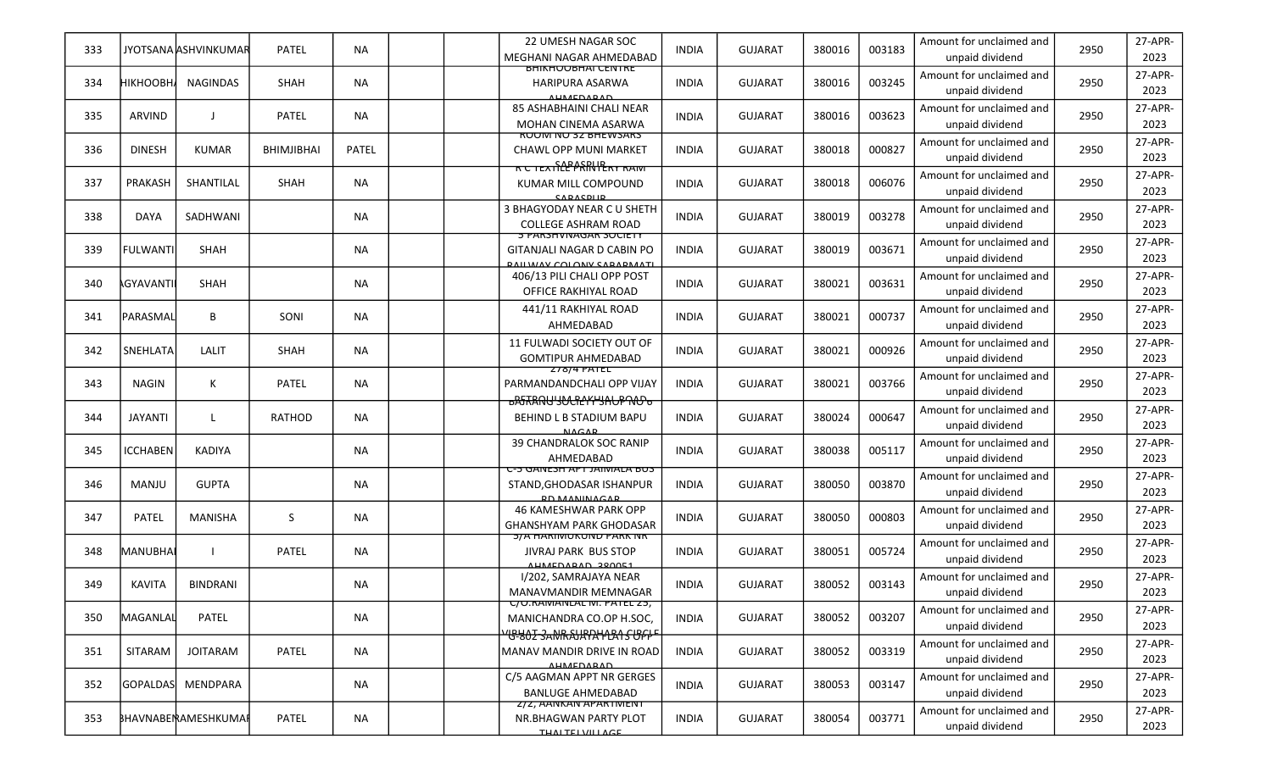| 333 |                    | JYOTSANA JASHVINKUMAR | <b>PATEL</b> | NA.          | 22 UMESH NAGAR SOC<br>MEGHANI NAGAR AHMEDABAD                                                    | <b>INDIA</b> | <b>GUJARAT</b> | 380016 | 003183 | Amount for unclaimed and<br>unpaid dividend | 2950 | 27-APR-<br>2023 |
|-----|--------------------|-----------------------|--------------|--------------|--------------------------------------------------------------------------------------------------|--------------|----------------|--------|--------|---------------------------------------------|------|-----------------|
| 334 | <b>НІКНООВН</b>    | <b>NAGINDAS</b>       | SHAH         | <b>NA</b>    | BHIKHUUBHAI CENTRE<br><b>HARIPURA ASARWA</b><br><b>ALIMEDARAD</b>                                | <b>INDIA</b> | <b>GUJARAT</b> | 380016 | 003245 | Amount for unclaimed and<br>unpaid dividend | 2950 | 27-APR-<br>2023 |
| 335 | <b>ARVIND</b>      | $\perp$               | <b>PATEL</b> | <b>NA</b>    | <b>85 ASHABHAINI CHALI NEAR</b><br><b>MOHAN CINEMA ASARWA</b>                                    | <b>INDIA</b> | <b>GUJARAT</b> | 380016 | 003623 | Amount for unclaimed and<br>unpaid dividend | 2950 | 27-APR-<br>2023 |
| 336 | <b>DINESH</b>      | <b>KUMAR</b>          | BHIMJIBHAI   | <b>PATEL</b> | <b>RUUINTINU 32 BHEWSARS</b><br><b>CHAWL OPP MUNI MARKET</b>                                     | <b>INDIA</b> | <b>GUJARAT</b> | 380018 | 000827 | Amount for unclaimed and<br>unpaid dividend | 2950 | 27-APR-<br>2023 |
| 337 | PRAKASH            | SHANTILAL             | SHAH         | <b>NA</b>    | KUMAR MILL COMPOUND<br>CADACDUD                                                                  | <b>INDIA</b> | <b>GUJARAT</b> | 380018 | 006076 | Amount for unclaimed and<br>unpaid dividend | 2950 | 27-APR-<br>2023 |
| 338 | <b>DAYA</b>        | SADHWANI              |              | NA           | 3 BHAGYODAY NEAR CU SHETH<br><b>COLLEGE ASHRAM ROAD</b>                                          | <b>INDIA</b> | <b>GUJARAT</b> | 380019 | 003278 | Amount for unclaimed and<br>unpaid dividend | 2950 | 27-APR-<br>2023 |
| 339 | <b>FULWANTI</b>    | <b>SHAH</b>           |              | NA.          | <u> 5 PARSHVINAGAR SUCIETY</u><br>GITANJALI NAGAR D CABIN PO<br><b>DAILWAY COLONY CADADMATI</b>  | <b>INDIA</b> | <b>GUJARAT</b> | 380019 | 003671 | Amount for unclaimed and<br>unpaid dividend | 2950 | 27-APR-<br>2023 |
| 340 | <b>AGYAVANTI</b> I | SHAH                  |              | NA           | 406/13 PILI CHALI OPP POST<br>OFFICE RAKHIYAL ROAD                                               | <b>INDIA</b> | <b>GUJARAT</b> | 380021 | 003631 | Amount for unclaimed and<br>unpaid dividend | 2950 | 27-APR-<br>2023 |
| 341 | PARASMAL           | B                     | SONI         | <b>NA</b>    | 441/11 RAKHIYAL ROAD<br>AHMEDABAD                                                                | <b>INDIA</b> | <b>GUJARAT</b> | 380021 | 000737 | Amount for unclaimed and<br>unpaid dividend | 2950 | 27-APR-<br>2023 |
| 342 | <b>SNEHLATA</b>    | LALIT                 | <b>SHAH</b>  | NA.          | 11 FULWADI SOCIETY OUT OF<br><b>GOMTIPUR AHMEDABAD</b>                                           | <b>INDIA</b> | <b>GUJARAT</b> | 380021 | 000926 | Amount for unclaimed and<br>unpaid dividend | 2950 | 27-APR-<br>2023 |
| 343 | <b>NAGIN</b>       | К                     | PATEL        | NA           | 278/4 PATEL<br>PARMANDANDCHALI OPP VIJAY<br><del>ჾჇჼᡏႿႽႶႱႷႸႭႼჇჄჄႸႻႱႼႥႭႦ</del>                    | <b>INDIA</b> | <b>GUJARAT</b> | 380021 | 003766 | Amount for unclaimed and<br>unpaid dividend | 2950 | 27-APR-<br>2023 |
| 344 | <b>JAYANTI</b>     | $\mathsf{L}$          | RATHOD       | <b>NA</b>    | BEHIND L B STADIUM BAPU<br><b>NACAP</b>                                                          | <b>INDIA</b> | <b>GUJARAT</b> | 380024 | 000647 | Amount for unclaimed and<br>unpaid dividend | 2950 | 27-APR-<br>2023 |
| 345 | <b>ICCHABEN</b>    | <b>KADIYA</b>         |              | <b>NA</b>    | 39 CHANDRALOK SOC RANIP<br>AHMEDABAD                                                             | <b>INDIA</b> | <b>GUJARAT</b> | 380038 | 005117 | Amount for unclaimed and<br>unpaid dividend | 2950 | 27-APR-<br>2023 |
| 346 | MANJU              | <b>GUPTA</b>          |              | NA           | U-5 GANESH APT JAIMALA BUS<br>STAND, GHODASAR ISHANPUR<br><b>DO MANUMACAD</b>                    | <b>INDIA</b> | <b>GUJARAT</b> | 380050 | 003870 | Amount for unclaimed and<br>unpaid dividend | 2950 | 27-APR-<br>2023 |
| 347 | PATEL              | MANISHA               | S            | NA           | 46 KAMESHWAR PARK OPP<br><b>GHANSHYAM PARK GHODASAR</b>                                          | <b>INDIA</b> | <b>GUJARAT</b> | 380050 | 000803 | Amount for unclaimed and<br>unpaid dividend | 2950 | 27-APR-<br>2023 |
| 348 | MANUBHAI           |                       | <b>PATEL</b> | <b>NA</b>    | <b>DIA HARINUKUNU PARK INK</b><br><b>JIVRAJ PARK BUS STOP</b><br>AHMEDARAD 280051                | <b>INDIA</b> | <b>GUJARAT</b> | 380051 | 005724 | Amount for unclaimed and<br>unpaid dividend | 2950 | 27-APR-<br>2023 |
| 349 | <b>KAVITA</b>      | <b>BINDRANI</b>       |              | ΝA           | I/202, SAMRAJAYA NEAR<br>MANAVMANDIR MEMNAGAR                                                    | <b>INDIA</b> | <b>GUJARAT</b> | 380052 | 003143 | Amount for unclaimed and<br>unpaid dividend | 2950 | 27-APR-<br>2023 |
| 350 | <b>MAGANLAL</b>    | PATEL                 |              | <b>NA</b>    | C/U.RAIVIANLAL IVI. PATEL 25,<br>MANICHANDRA CO.OP H.SOC,<br><del>YGYOZ SANRAJRRIYLA SUFFF</del> | <b>INDIA</b> | <b>GUJARAT</b> | 380052 | 003207 | Amount for unclaimed and<br>unpaid dividend | 2950 | 27-APR-<br>2023 |
| 351 | SITARAM            | <b>JOITARAM</b>       | PATEL        | <b>NA</b>    | <b>MANAV MANDIR DRIVE IN ROAD</b><br><b>AUMEDARAD</b>                                            | <b>INDIA</b> | <b>GUJARAT</b> | 380052 | 003319 | Amount for unclaimed and<br>unpaid dividend | 2950 | 27-APR-<br>2023 |
| 352 | <b>GOPALDAS</b>    | MENDPARA              |              | NA           | C/5 AAGMAN APPT NR GERGES<br><b>BANLUGE AHMEDABAD</b>                                            | <b>INDIA</b> | <b>GUJARAT</b> | 380053 | 003147 | Amount for unclaimed and<br>unpaid dividend | 2950 | 27-APR-<br>2023 |
| 353 |                    | BHAVNABENAMESHKUMAP   | PATEL        | <b>NA</b>    | Z/Z, AANKAN APARTIVIENT<br>NR.BHAGWAN PARTY PLOT<br><b>TUAITEIVIII ACE</b>                       | <b>INDIA</b> | <b>GUJARAT</b> | 380054 | 003771 | Amount for unclaimed and<br>unpaid dividend | 2950 | 27-APR-<br>2023 |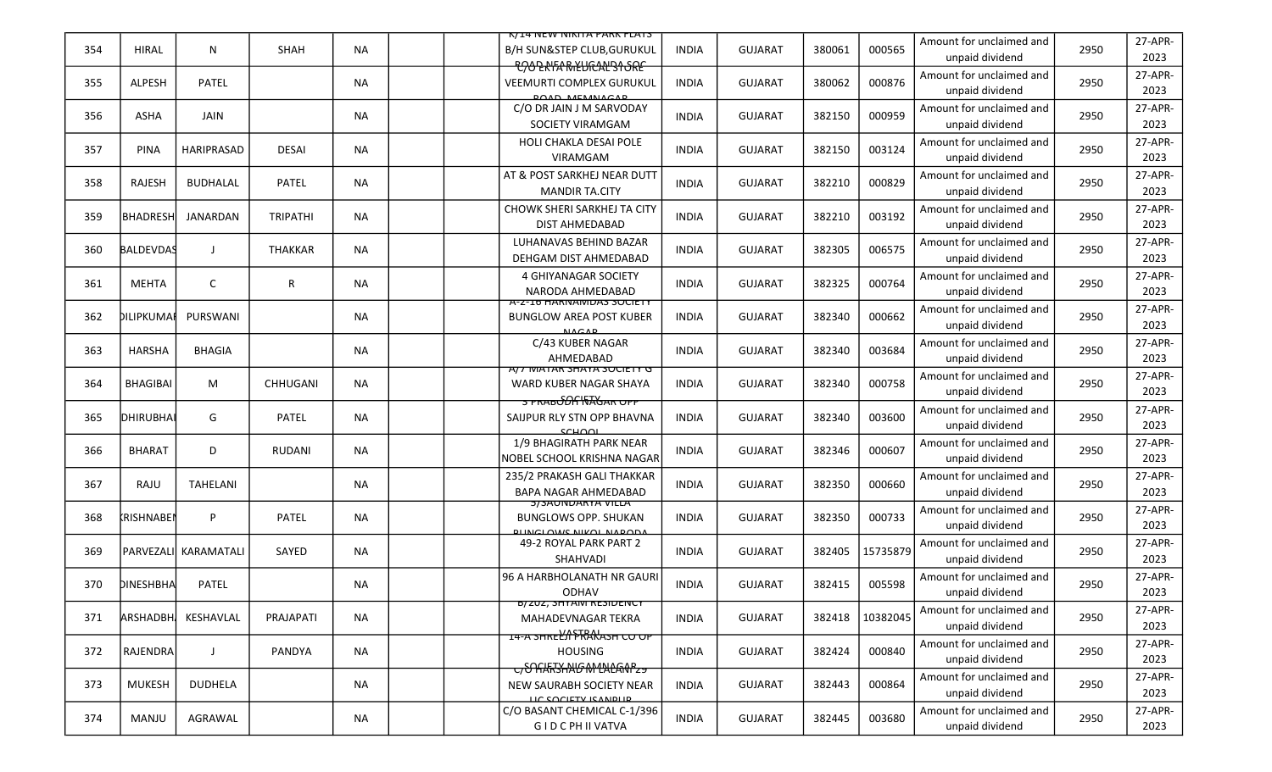|     |                   |                        |                 |           | K/14 NEW NIKITA PARK FLATS                                                                |              |                |        |          |                                             |      |                 |
|-----|-------------------|------------------------|-----------------|-----------|-------------------------------------------------------------------------------------------|--------------|----------------|--------|----------|---------------------------------------------|------|-----------------|
| 354 | <b>HIRAL</b>      | N                      | SHAH            | <b>NA</b> | <b>B/H SUN&amp;STEP CLUB, GURUKUL</b><br><b>POOP AIFA RIKLIGALISI SRE</b>                 | <b>INDIA</b> | <b>GUJARAT</b> | 380061 | 000565   | Amount for unclaimed and<br>unpaid dividend | 2950 | 27-APR-<br>2023 |
| 355 | <b>ALPESH</b>     | <b>PATEL</b>           |                 | <b>NA</b> | <b>VEEMURTI COMPLEX GURUKUL</b><br><b>POAD MEMALACAP</b>                                  | <b>INDIA</b> | <b>GUJARAT</b> | 380062 | 000876   | Amount for unclaimed and<br>unpaid dividend | 2950 | 27-APR-<br>2023 |
| 356 | ASHA              | JAIN                   |                 | <b>NA</b> | C/O DR JAIN J M SARVODAY<br>SOCIETY VIRAMGAM                                              | INDIA        | <b>GUJARAT</b> | 382150 | 000959   | Amount for unclaimed and<br>unpaid dividend | 2950 | 27-APR-<br>2023 |
| 357 | <b>PINA</b>       | HARIPRASAD             | <b>DESAI</b>    | <b>NA</b> | HOLI CHAKLA DESAI POLE<br><b>VIRAMGAM</b>                                                 | <b>INDIA</b> | <b>GUJARAT</b> | 382150 | 003124   | Amount for unclaimed and<br>unpaid dividend | 2950 | 27-APR-<br>2023 |
| 358 | <b>RAJESH</b>     | <b>BUDHALAL</b>        | <b>PATEL</b>    | ΝA        | AT & POST SARKHEJ NEAR DUTT<br><b>MANDIR TA.CITY</b>                                      | <b>INDIA</b> | <b>GUJARAT</b> | 382210 | 000829   | Amount for unclaimed and<br>unpaid dividend | 2950 | 27-APR-<br>2023 |
| 359 | <b>BHADRESH</b>   | JANARDAN               | <b>TRIPATHI</b> | <b>NA</b> | CHOWK SHERI SARKHEJ TA CITY<br><b>DIST AHMEDABAD</b>                                      | INDIA        | <b>GUJARAT</b> | 382210 | 003192   | Amount for unclaimed and<br>unpaid dividend | 2950 | 27-APR-<br>2023 |
| 360 | <b>BALDEVDAS</b>  | $\mathbf{I}$           | <b>THAKKAR</b>  | <b>NA</b> | LUHANAVAS BEHIND BAZAR<br>DEHGAM DIST AHMEDABAD                                           | <b>INDIA</b> | <b>GUJARAT</b> | 382305 | 006575   | Amount for unclaimed and<br>unpaid dividend | 2950 | 27-APR-<br>2023 |
| 361 | <b>MEHTA</b>      | C                      | R               | <b>NA</b> | 4 GHIYANAGAR SOCIETY<br>NARODA AHMEDABAD                                                  | <b>INDIA</b> | <b>GUJARAT</b> | 382325 | 000764   | Amount for unclaimed and<br>unpaid dividend | 2950 | 27-APR-<br>2023 |
| 362 | DILIPKUMAI        | PURSWANI               |                 | ΝA        | A-Z-ID HARINAIVIDAS SUCIETY<br><b>BUNGLOW AREA POST KUBER</b><br><b>NACAP</b>             | INDIA        | <b>GUJARAT</b> | 382340 | 000662   | Amount for unclaimed and<br>unpaid dividend | 2950 | 27-APR-<br>2023 |
| 363 | <b>HARSHA</b>     | <b>BHAGIA</b>          |                 | ΝA        | C/43 KUBER NAGAR<br>AHMEDABAD                                                             | <b>INDIA</b> | <b>GUJARAT</b> | 382340 | 003684   | Amount for unclaimed and<br>unpaid dividend | 2950 | 27-APR-<br>2023 |
| 364 | BHAGIBAI          | M                      | CHHUGANI        | <b>NA</b> | AT MATAR SHATA SUCIETY G<br>WARD KUBER NAGAR SHAYA                                        | INDIA        | <b>GUJARAT</b> | 382340 | 000758   | Amount for unclaimed and<br>unpaid dividend | 2950 | 27-APR-<br>2023 |
| 365 | DHIRUBHAI         | G                      | PATEL           | <b>NA</b> | <u>ਤ PRAB<del>OON \\</del>AGAR OPP</u><br>SAIJPUR RLY STN OPP BHAVNA<br>SCHOOL            | <b>INDIA</b> | <b>GUJARAT</b> | 382340 | 003600   | Amount for unclaimed and<br>unpaid dividend | 2950 | 27-APR-<br>2023 |
| 366 | <b>BHARAT</b>     | D                      | <b>RUDANI</b>   | <b>NA</b> | 1/9 BHAGIRATH PARK NEAR<br>NOBEL SCHOOL KRISHNA NAGAR                                     | <b>INDIA</b> | <b>GUJARAT</b> | 382346 | 000607   | Amount for unclaimed and<br>unpaid dividend | 2950 | 27-APR-<br>2023 |
| 367 | RAJU              | <b>TAHELANI</b>        |                 | NА        | 235/2 PRAKASH GALI THAKKAR<br><b>BAPA NAGAR AHMEDABAD</b>                                 | <b>INDIA</b> | <b>GUJARAT</b> | 382350 | 000660   | Amount for unclaimed and<br>unpaid dividend | 2950 | 27-APR-<br>2023 |
| 368 | <b>KRISHNABEN</b> | P                      | PATEL           | ΝA        | <b>SISAUNUARTA VILLA</b><br><b>BUNGLOWS OPP. SHUKAN</b><br><b>BLINICLOWS NIKOL NAPODA</b> | INDIA        | <b>GUJARAT</b> | 382350 | 000733   | Amount for unclaimed and<br>unpaid dividend | 2950 | 27-APR-<br>2023 |
| 369 |                   | Iparvezalil karamatalı | SAYED           | <b>NA</b> | 49-2 ROYAL PARK PART 2<br>SHAHVADI                                                        | <b>INDIA</b> | <b>GUJARAT</b> | 382405 | 15735879 | Amount for unclaimed and<br>unpaid dividend | 2950 | 27-APR-<br>2023 |
| 370 | DINESHBHA         | PATEL                  |                 | NA        | 96 A HARBHOLANATH NR GAURI<br><b>ODHAV</b>                                                | <b>INDIA</b> | <b>GUJARAT</b> | 382415 | 005598   | Amount for unclaimed and<br>unpaid dividend | 2950 | 27-APR-<br>2023 |
| 371 | <b>ARSHADBH</b>   | KESHAVLAL              | PRAJAPATI       | <b>NA</b> | <b>B/ZUZ, SHYAIVI RESIDENCY</b><br>MAHADEVNAGAR TEKRA                                     | <b>INDIA</b> | <b>GUJARAT</b> | 382418 | 10382045 | Amount for unclaimed and<br>unpaid dividend | 2950 | 27-APR-<br>2023 |
| 372 | RAJENDRA          | J                      | PANDYA          | <b>NA</b> | <del>14-A SHREL'A FRANASH CO OP</del><br><b>HOUSING</b>                                   | <b>INDIA</b> | <b>GUJARAT</b> | 382424 | 000840   | Amount for unclaimed and<br>unpaid dividend | 2950 | 27-APR-<br>2023 |
| 373 | MUKESH            | DUDHELA                |                 | NA        | C/ <del>OAKKSANG M1NLANPz9</del><br>NEW SAURABH SOCIETY NEAR<br>LIC COCIETY ICANDLID      | <b>INDIA</b> | <b>GUJARAT</b> | 382443 | 000864   | Amount for unclaimed and<br>unpaid dividend | 2950 | 27-APR-<br>2023 |
| 374 | MANJU             | AGRAWAL                |                 | NA        | C/O BASANT CHEMICAL C-1/396<br>G I D C PH II VATVA                                        | <b>INDIA</b> | <b>GUJARAT</b> | 382445 | 003680   | Amount for unclaimed and<br>unpaid dividend | 2950 | 27-APR-<br>2023 |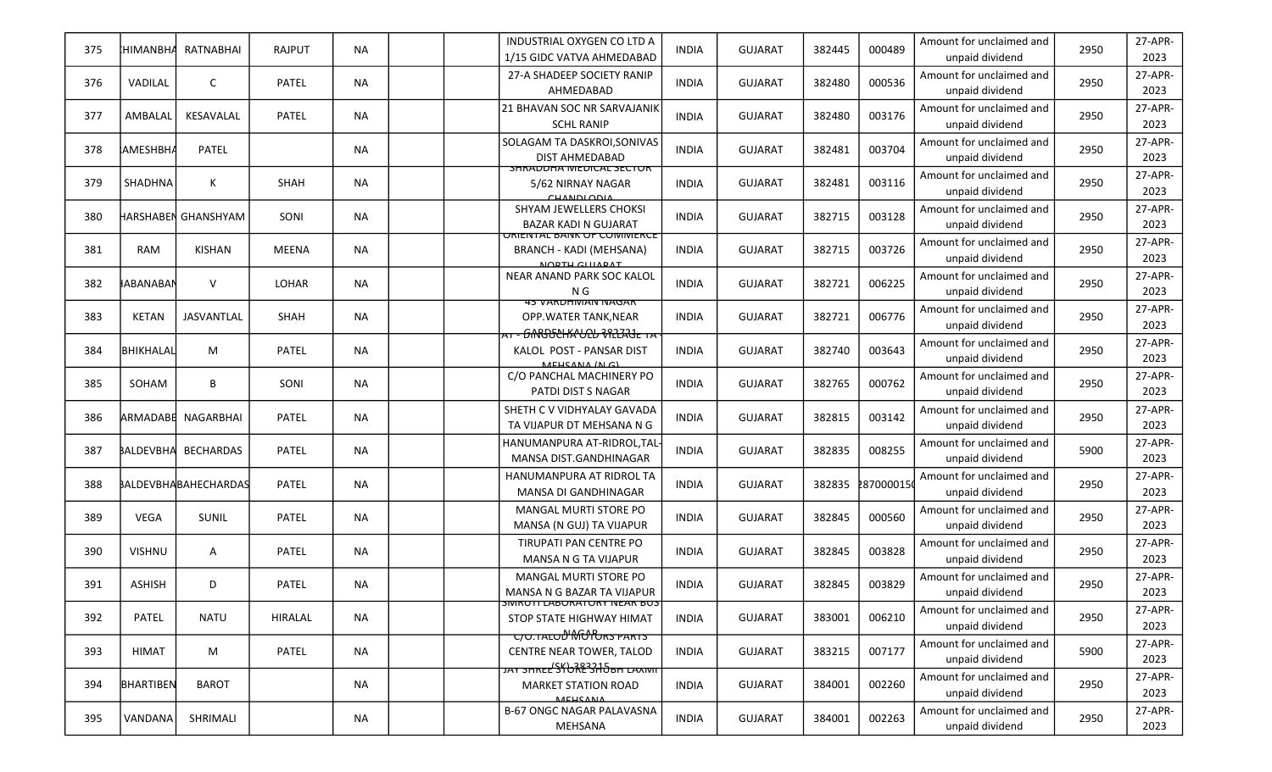| 375 | <b>HIMANBHA</b>   | <b>RATNABHAI</b>            | <b>RAJPUT</b> | <b>NA</b> | INDUSTRIAL OXYGEN CO LTD A<br>1/15 GIDC VATVA AHMEDABAD                                          | <b>INDIA</b> | <b>GUJARAT</b> | 382445 | 000489     | Amount for unclaimed and<br>unpaid dividend | 2950 | 27-APR-<br>2023 |
|-----|-------------------|-----------------------------|---------------|-----------|--------------------------------------------------------------------------------------------------|--------------|----------------|--------|------------|---------------------------------------------|------|-----------------|
| 376 | VADILAL           | $\mathsf{C}$                | PATEL         | <b>NA</b> | 27-A SHADEEP SOCIETY RANIP<br>AHMEDABAD                                                          | <b>INDIA</b> | <b>GUJARAT</b> | 382480 | 000536     | Amount for unclaimed and<br>unpaid dividend | 2950 | 27-APR-<br>2023 |
| 377 | AMBALAL           | KESAVALAL                   | PATEL         | <b>NA</b> | <b>21 BHAVAN SOC NR SARVAJANIK</b><br><b>SCHL RANIP</b>                                          | <b>INDIA</b> | <b>GUJARAT</b> | 382480 | 003176     | Amount for unclaimed and<br>unpaid dividend | 2950 | 27-APR-<br>2023 |
| 378 | <b> </b> АМЕЅНВНА | PATEL                       |               | <b>NA</b> | SOLAGAM TA DASKROI, SONIVAS<br>DIST AHMEDABAD                                                    | <b>INDIA</b> | <b>GUJARAT</b> | 382481 | 003704     | Amount for unclaimed and<br>unpaid dividend | 2950 | 27-APR-<br>2023 |
| 379 | <b>SHADHNA</b>    | К                           | SHAH          | <b>NA</b> | <b>SHRADDHA IVIEDICAL SECTOR</b><br>5/62 NIRNAY NAGAR<br>CHANDLODIA                              | <b>INDIA</b> | <b>GUJARAT</b> | 382481 | 003116     | Amount for unclaimed and<br>unpaid dividend | 2950 | 27-APR-<br>2023 |
| 380 |                   | HARSHABEN GHANSHYAM         | SONI          | <b>NA</b> | SHYAM JEWELLERS CHOKSI<br><b>BAZAR KADI N GUJARAT</b>                                            | <b>INDIA</b> | <b>GUJARAT</b> | 382715 | 003128     | Amount for unclaimed and<br>unpaid dividend | 2950 | 27-APR-<br>2023 |
| 381 | <b>RAM</b>        | <b>KISHAN</b>               | <b>MEENA</b>  | <b>NA</b> | <u>URIENTAL BANK UF CUMIVIERCE</u><br><b>BRANCH - KADI (MEHSANA)</b><br>MODTH CHIADAT            | <b>INDIA</b> | <b>GUJARAT</b> | 382715 | 003726     | Amount for unclaimed and<br>unpaid dividend | 2950 | 27-APR-<br>2023 |
| 382 | ∦ABANABAN         | $\vee$                      | LOHAR         | <b>NA</b> | NEAR ANAND PARK SOC KALOL<br>N G                                                                 | <b>INDIA</b> | <b>GUJARAT</b> | 382721 | 006225     | Amount for unclaimed and<br>unpaid dividend | 2950 | 27-APR-<br>2023 |
| 383 | <b>KETAN</b>      | JASVANTLAL                  | SHAH          | <b>NA</b> | <b>43 VARDHIVIAIV IVAGAR</b><br>OPP. WATER TANK, NEAR<br><del>· GNRJULHA'ULU VILIA'JE TA</del>   | <b>INDIA</b> | <b>GUJARAT</b> | 382721 | 006776     | Amount for unclaimed and<br>unpaid dividend | 2950 | 27-APR-<br>2023 |
| 384 | <b>BHIKHALAL</b>  | M                           | PATEL         | <b>NA</b> | KALOL POST - PANSAR DIST<br>MEHEANA (N.C)                                                        | <b>INDIA</b> | <b>GUJARAT</b> | 382740 | 003643     | Amount for unclaimed and<br>unpaid dividend | 2950 | 27-APR-<br>2023 |
| 385 | SOHAM             | B                           | SONI          | <b>NA</b> | C/O PANCHAL MACHINERY PO<br>PATDI DIST S NAGAR                                                   | <b>INDIA</b> | <b>GUJARAT</b> | 382765 | 000762     | Amount for unclaimed and<br>unpaid dividend | 2950 | 27-APR-<br>2023 |
| 386 |                   | ARMADABE NAGARBHAI          | PATEL         | <b>NA</b> | SHETH C V VIDHYALAY GAVADA<br>TA VIJAPUR DT MEHSANA N G                                          | <b>INDIA</b> | <b>GUJARAT</b> | 382815 | 003142     | Amount for unclaimed and<br>unpaid dividend | 2950 | 27-APR-<br>2023 |
| 387 |                   | BALDEVBHA BECHARDAS         | PATEL         | <b>NA</b> | HANUMANPURA AT-RIDROL, TAL<br>MANSA DIST.GANDHINAGAR                                             | <b>INDIA</b> | <b>GUJARAT</b> | 382835 | 008255     | Amount for unclaimed and<br>unpaid dividend | 5900 | 27-APR-<br>2023 |
| 388 |                   | <b>BALDEVBHABAHECHARDAS</b> | PATEL         | <b>NA</b> | HANUMANPURA AT RIDROL TA<br><b>MANSA DI GANDHINAGAR</b>                                          | <b>INDIA</b> | <b>GUJARAT</b> | 382835 | 2870000150 | Amount for unclaimed and<br>unpaid dividend | 2950 | 27-APR-<br>2023 |
| 389 | VEGA              | SUNIL                       | PATEL         | <b>NA</b> | MANGAL MURTI STORE PO<br>MANSA (N GUJ) TA VIJAPUR                                                | <b>INDIA</b> | <b>GUJARAT</b> | 382845 | 000560     | Amount for unclaimed and<br>unpaid dividend | 2950 | 27-APR-<br>2023 |
| 390 | <b>VISHNU</b>     | A                           | PATEL         | <b>NA</b> | TIRUPATI PAN CENTRE PO<br>MANSA N G TA VIJAPUR                                                   | <b>INDIA</b> | <b>GUJARAT</b> | 382845 | 003828     | Amount for unclaimed and<br>unpaid dividend | 2950 | 27-APR-<br>2023 |
| 391 | <b>ASHISH</b>     | D                           | PATEL         | <b>NA</b> | <b>MANGAL MURTI STORE PO</b><br>MANSA N G BAZAR TA VIJAPUR                                       | <b>INDIA</b> | <b>GUJARAT</b> | 382845 | 003829     | Amount for unclaimed and<br>unpaid dividend | 2950 | 27-APR-<br>2023 |
| 392 | <b>PATEL</b>      | <b>NATU</b>                 | HIRALAL       | <b>NA</b> | <b>SIVIRUTT LABURATURY IVEAR BUS</b><br>STOP STATE HIGHWAY HIMAT<br><u>C/O.TALOD MODES PARTS</u> | <b>INDIA</b> | <b>GUJARAT</b> | 383001 | 006210     | Amount for unclaimed and<br>unpaid dividend | 2950 | 27-APR-<br>2023 |
| 393 | <b>HIMAT</b>      | M                           | PATEL         | <b>NA</b> | CENTRE NEAR TOWER, TALOD<br>JAY SHREE SI URE SHOBH LAXIVIT                                       | <b>INDIA</b> | <b>GUJARAT</b> | 383215 | 007177     | Amount for unclaimed and<br>unpaid dividend | 5900 | 27-APR-<br>2023 |
| 394 | BHARTIBEN         | <b>BAROT</b>                |               | <b>NA</b> | <b>MARKET STATION ROAD</b><br><b>MEHCANA</b>                                                     | <b>INDIA</b> | <b>GUJARAT</b> | 384001 | 002260     | Amount for unclaimed and<br>unpaid dividend | 2950 | 27-APR-<br>2023 |
| 395 | VANDANA           | SHRIMALI                    |               | NA        | <b>B-67 ONGC NAGAR PALAVASNA</b><br>MEHSANA                                                      | INDIA        | <b>GUJARAT</b> | 384001 | 002263     | Amount for unclaimed and<br>unpaid dividend | 2950 | 27-APR-<br>2023 |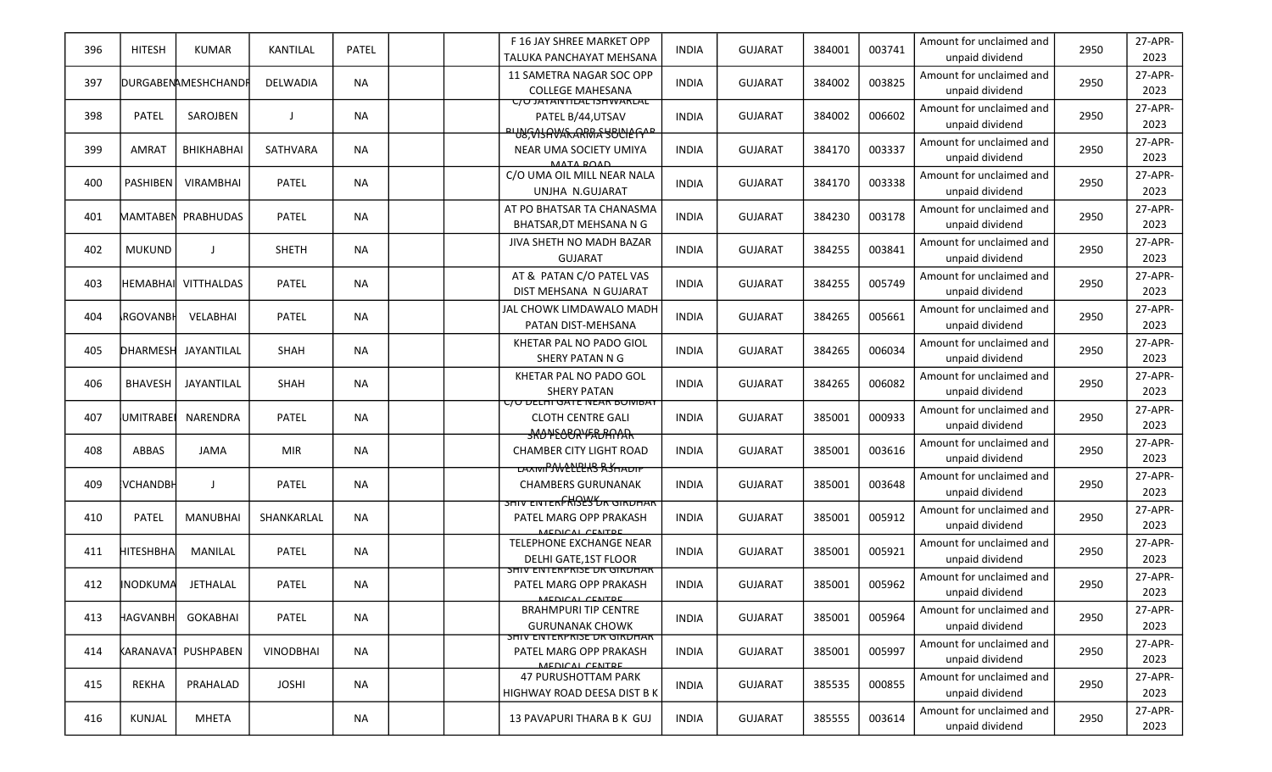| 396 | <b>HITESH</b>     | <b>KUMAR</b>              | <b>KANTILAL</b>  | <b>PATEL</b> |  | F 16 JAY SHREE MARKET OPP<br>TALUKA PANCHAYAT MEHSANA                                           | <b>INDIA</b> | <b>GUJARAT</b> | 384001 | 003741 | Amount for unclaimed and<br>unpaid dividend | 2950 | 27-APR-<br>2023 |
|-----|-------------------|---------------------------|------------------|--------------|--|-------------------------------------------------------------------------------------------------|--------------|----------------|--------|--------|---------------------------------------------|------|-----------------|
| 397 |                   | <b>DURGABENAMESHCHAND</b> | DELWADIA         | <b>NA</b>    |  | 11 SAMETRA NAGAR SOC OPP<br><b>COLLEGE MAHESANA</b>                                             | <b>INDIA</b> | <b>GUJARAT</b> | 384002 | 003825 | Amount for unclaimed and<br>unpaid dividend | 2950 | 27-APR-<br>2023 |
| 398 | PATEL             | SAROJBEN                  |                  | <b>NA</b>    |  | <b>C/U JAYANTILAL ISHWARLAL</b><br>PATEL B/44, UTSAV<br><u>IUSFASAVAFARMA SUULEFYIP</u>         | <b>INDIA</b> | <b>GUJARAT</b> | 384002 | 006602 | Amount for unclaimed and<br>unpaid dividend | 2950 | 27-APR-<br>2023 |
| 399 | <b>AMRAT</b>      | <b>BHIKHABHAI</b>         | SATHVARA         | <b>NA</b>    |  | NEAR UMA SOCIETY UMIYA<br>MATA DOAD                                                             | <b>INDIA</b> | <b>GUJARAT</b> | 384170 | 003337 | Amount for unclaimed and<br>unpaid dividend | 2950 | 27-APR-<br>2023 |
| 400 | <b>PASHIBEN</b>   | <b>VIRAMBHAI</b>          | PATEL            | <b>NA</b>    |  | C/O UMA OIL MILL NEAR NALA<br>UNJHA N.GUJARAT                                                   | <b>INDIA</b> | <b>GUJARAT</b> | 384170 | 003338 | Amount for unclaimed and<br>unpaid dividend | 2950 | 27-APR-<br>2023 |
| 401 |                   | MAMTABEN PRABHUDAS        | PATEL            | <b>NA</b>    |  | AT PO BHATSAR TA CHANASMA<br>BHATSAR, DT MEHSANA N G                                            | <b>INDIA</b> | <b>GUJARAT</b> | 384230 | 003178 | Amount for unclaimed and<br>unpaid dividend | 2950 | 27-APR-<br>2023 |
| 402 | <b>MUKUND</b>     | $\mathbf{I}$              | <b>SHETH</b>     | <b>NA</b>    |  | <b>JIVA SHETH NO MADH BAZAR</b><br><b>GUJARAT</b>                                               | <b>INDIA</b> | <b>GUJARAT</b> | 384255 | 003841 | Amount for unclaimed and<br>unpaid dividend | 2950 | 27-APR-<br>2023 |
| 403 | Інемавнаіі        | VITTHALDAS                | PATEL            | <b>NA</b>    |  | AT & PATAN C/O PATEL VAS<br>DIST MEHSANA N GUJARAT                                              | <b>INDIA</b> | <b>GUJARAT</b> | 384255 | 005749 | Amount for unclaimed and<br>unpaid dividend | 2950 | 27-APR-<br>2023 |
| 404 | <b>I</b> RGOVANBH | VELABHAI                  | PATEL            | <b>NA</b>    |  | JAL CHOWK LIMDAWALO MADH<br>PATAN DIST-MEHSANA                                                  | <b>INDIA</b> | <b>GUJARAT</b> | 384265 | 005661 | Amount for unclaimed and<br>unpaid dividend | 2950 | 27-APR-<br>2023 |
| 405 | <b>DHARMESH</b>   | JAYANTILAL                | <b>SHAH</b>      | NA.          |  | KHETAR PAL NO PADO GIOL<br>SHERY PATAN N G                                                      | <b>INDIA</b> | <b>GUJARAT</b> | 384265 | 006034 | Amount for unclaimed and<br>unpaid dividend | 2950 | 27-APR-<br>2023 |
| 406 | <b>BHAVESH</b>    | JAYANTILAL                | SHAH             | NA           |  | KHETAR PAL NO PADO GOL<br><b>SHERY PATAN</b>                                                    | <b>INDIA</b> | <b>GUJARAT</b> | 384265 | 006082 | Amount for unclaimed and<br>unpaid dividend | 2950 | 27-APR-<br>2023 |
| 407 | <b>UMITRABE</b>   | NARENDRA                  | PATEL            | <b>NA</b>    |  | <u>C/O DELMI GATE NEAK BOIVIBAY</u><br><b>CLOTH CENTRE GALI</b><br><del>JKO NEOCRYFRURNAR</del> | <b>INDIA</b> | <b>GUJARAT</b> | 385001 | 000933 | Amount for unclaimed and<br>unpaid dividend | 2950 | 27-APR-<br>2023 |
| 408 | ABBAS             | <b>JAMA</b>               | <b>MIR</b>       | <b>NA</b>    |  | <b>CHAMBER CITY LIGHT ROAD</b><br><b>LAXIVIPAVELLEKS ASHADIT</b>                                | <b>INDIA</b> | <b>GUJARAT</b> | 385001 | 003616 | Amount for unclaimed and<br>unpaid dividend | 2950 | 27-APR-<br>2023 |
| 409 | <b>VCHANDBH</b>   | $\perp$                   | PATEL            | <b>NA</b>    |  | <b>CHAMBERS GURUNANAK</b><br><b>SHIV EINTERFRISHS OR GIRDHAR</b>                                | <b>INDIA</b> | <b>GUJARAT</b> | 385001 | 003648 | Amount for unclaimed and<br>unpaid dividend | 2950 | 27-APR-<br>2023 |
| 410 | PATEL             | <b>MANUBHAI</b>           | SHANKARLAL       | <b>NA</b>    |  | PATEL MARG OPP PRAKASH<br>MEDICAL CENTRE                                                        | <b>INDIA</b> | <b>GUJARAT</b> | 385001 | 005912 | Amount for unclaimed and<br>unpaid dividend | 2950 | 27-APR-<br>2023 |
| 411 | HITESHBHA         | MANILAL                   | PATEL            | <b>NA</b>    |  | <b>TELEPHONE EXCHANGE NEAR</b><br><b>DELHI GATE, 1ST FLOOR</b>                                  | <b>INDIA</b> | <b>GUJARAT</b> | 385001 | 005921 | Amount for unclaimed and<br>unpaid dividend | 2950 | 27-APR-<br>2023 |
| 412 | <b>INODKUMA</b>   | JETHALAL                  | PATEL            | <b>NA</b>    |  | <b>SHIV ENTERPRISE DR GIRDHAR</b><br>PATEL MARG OPP PRAKASH<br>MEDICAL CENTRE                   | <b>INDIA</b> | <b>GUJARAT</b> | 385001 | 005962 | Amount for unclaimed and<br>unpaid dividend | 2950 | 27-APR-<br>2023 |
| 413 | <b>HAGVANBH</b>   | <b>GOKABHAI</b>           | PATEL            | <b>NA</b>    |  | <b>BRAHMPURI TIP CENTRE</b><br><b>GURUNANAK CHOWK</b>                                           | <b>INDIA</b> | <b>GUJARAT</b> | 385001 | 005964 | Amount for unclaimed and<br>unpaid dividend | 2950 | 27-APR-<br>2023 |
| 414 |                   | KARANAVA1 PUSHPABEN       | <b>VINODBHAI</b> | <b>NA</b>    |  | <b>SHIV EINTERPRISE DR GIRDHAR</b><br>PATEL MARG OPP PRAKASH<br>MEDICAL CENTRE                  | <b>INDIA</b> | <b>GUJARAT</b> | 385001 | 005997 | Amount for unclaimed and<br>unpaid dividend | 2950 | 27-APR-<br>2023 |
| 415 | REKHA             | PRAHALAD                  | <b>JOSHI</b>     | <b>NA</b>    |  | <b>47 PURUSHOTTAM PARK</b><br>HIGHWAY ROAD DEESA DIST B K                                       | <b>INDIA</b> | <b>GUJARAT</b> | 385535 | 000855 | Amount for unclaimed and<br>unpaid dividend | 2950 | 27-APR-<br>2023 |
| 416 | KUNJAL            | <b>MHETA</b>              |                  | NA           |  | 13 PAVAPURI THARA B K GUJ                                                                       | <b>INDIA</b> | <b>GUJARAT</b> | 385555 | 003614 | Amount for unclaimed and<br>unpaid dividend | 2950 | 27-APR-<br>2023 |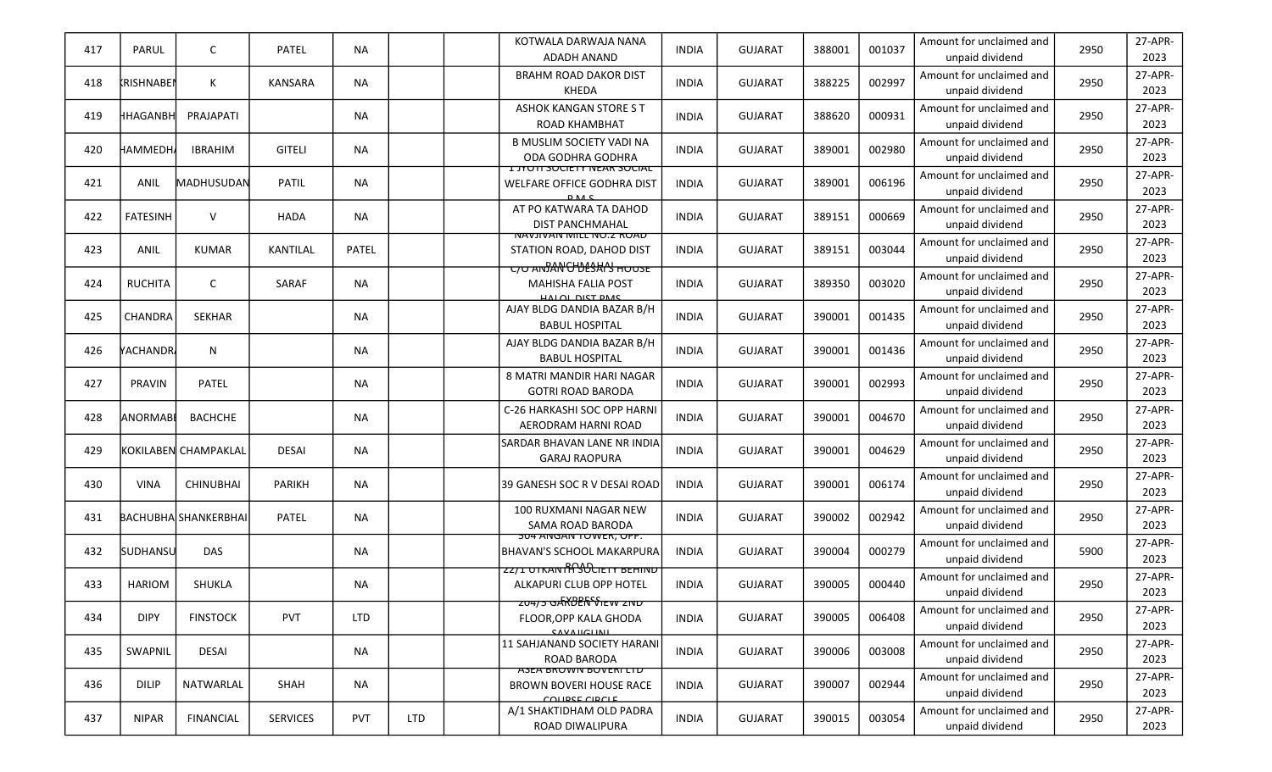| 417 | PARUL             | C                           | <b>PATEL</b>    | <b>NA</b>  |            | KOTWALA DARWAJA NANA<br><b>ADADH ANAND</b>                                                        | <b>INDIA</b> | <b>GUJARAT</b> | 388001 | 001037 | Amount for unclaimed and<br>unpaid dividend | 2950 | 27-APR-<br>2023 |
|-----|-------------------|-----------------------------|-----------------|------------|------------|---------------------------------------------------------------------------------------------------|--------------|----------------|--------|--------|---------------------------------------------|------|-----------------|
| 418 | <b>KRISHNABEN</b> | К                           | <b>KANSARA</b>  | <b>NA</b>  |            | <b>BRAHM ROAD DAKOR DIST</b><br><b>KHEDA</b>                                                      | <b>INDIA</b> | <b>GUJARAT</b> | 388225 | 002997 | Amount for unclaimed and<br>unpaid dividend | 2950 | 27-APR-<br>2023 |
| 419 | HHAGANBH          | PRAJAPATI                   |                 | <b>NA</b>  |            | <b>ASHOK KANGAN STORE S T</b><br><b>ROAD KHAMBHAT</b>                                             | <b>INDIA</b> | <b>GUJARAT</b> | 388620 | 000931 | Amount for unclaimed and<br>unpaid dividend | 2950 | 27-APR-<br>2023 |
| 420 | НАММЕDНА          | <b>IBRAHIM</b>              | <b>GITELI</b>   | <b>NA</b>  |            | <b>B MUSLIM SOCIETY VADI NA</b><br>ODA GODHRA GODHRA                                              | <b>INDIA</b> | <b>GUJARAT</b> | 389001 | 002980 | Amount for unclaimed and<br>unpaid dividend | 2950 | 27-APR-<br>2023 |
| 421 | ANIL              | MADHUSUDAN                  | PATIL           | <b>NA</b>  |            | <b>LUYOTI SUCIETY NEAR SUCIAL</b><br>WELFARE OFFICE GODHRA DIST<br><b>DAC</b>                     | <b>INDIA</b> | <b>GUJARAT</b> | 389001 | 006196 | Amount for unclaimed and<br>unpaid dividend | 2950 | 27-APR-<br>2023 |
| 422 | <b>FATESINH</b>   | $\vee$                      | <b>HADA</b>     | <b>NA</b>  |            | AT PO KATWARA TA DAHOD<br><b>DIST PANCHMAHAL</b>                                                  | <b>INDIA</b> | <b>GUJARAT</b> | 389151 | 000669 | Amount for unclaimed and<br>unpaid dividend | 2950 | 27-APR-<br>2023 |
| 423 | ANIL              | <b>KUMAR</b>                | KANTILAL        | PATEL      |            | <b>NAVJIVAN MILL NU.Z RUAD</b><br>STATION ROAD, DAHOD DIST<br><del>C/O ANDAN CHOLSHIN HOUSE</del> | <b>INDIA</b> | <b>GUJARAT</b> | 389151 | 003044 | Amount for unclaimed and<br>unpaid dividend | 2950 | 27-APR-<br>2023 |
| 424 | <b>RUCHITA</b>    | C                           | SARAF           | <b>NA</b>  |            | <b>MAHISHA FALIA POST</b><br>HALOL DIST DMS                                                       | <b>INDIA</b> | <b>GUJARAT</b> | 389350 | 003020 | Amount for unclaimed and<br>unpaid dividend | 2950 | 27-APR-<br>2023 |
| 425 | CHANDRA           | SEKHAR                      |                 | <b>NA</b>  |            | AJAY BLDG DANDIA BAZAR B/H<br><b>BABUL HOSPITAL</b>                                               | <b>INDIA</b> | <b>GUJARAT</b> | 390001 | 001435 | Amount for unclaimed and<br>unpaid dividend | 2950 | 27-APR-<br>2023 |
| 426 | <b>YACHANDR</b>   | N                           |                 | ΝA         |            | AJAY BLDG DANDIA BAZAR B/H<br><b>BABUL HOSPITAL</b>                                               | <b>INDIA</b> | <b>GUJARAT</b> | 390001 | 001436 | Amount for unclaimed and<br>unpaid dividend | 2950 | 27-APR-<br>2023 |
| 427 | <b>PRAVIN</b>     | PATEL                       |                 | ΝA         |            | 8 MATRI MANDIR HARI NAGAR<br><b>GOTRI ROAD BARODA</b>                                             | <b>INDIA</b> | <b>GUJARAT</b> | 390001 | 002993 | Amount for unclaimed and<br>unpaid dividend | 2950 | 27-APR-<br>2023 |
| 428 | <b>ANORMABI</b>   | <b>BACHCHE</b>              |                 | <b>NA</b>  |            | C-26 HARKASHI SOC OPP HARNI<br>AERODRAM HARNI ROAD                                                | <b>INDIA</b> | <b>GUJARAT</b> | 390001 | 004670 | Amount for unclaimed and<br>unpaid dividend | 2950 | 27-APR-<br>2023 |
| 429 |                   | KOKILABEN CHAMPAKLAL        | <b>DESAI</b>    | <b>NA</b>  |            | SARDAR BHAVAN LANE NR INDIA<br><b>GARAJ RAOPURA</b>                                               | <b>INDIA</b> | <b>GUJARAT</b> | 390001 | 004629 | Amount for unclaimed and<br>unpaid dividend | 2950 | 27-APR-<br>2023 |
| 430 | <b>VINA</b>       | <b>CHINUBHAI</b>            | <b>PARIKH</b>   | <b>NA</b>  |            | 39 GANESH SOC R V DESAI ROAD                                                                      | <b>INDIA</b> | <b>GUJARAT</b> | 390001 | 006174 | Amount for unclaimed and<br>unpaid dividend | 2950 | 27-APR-<br>2023 |
| 431 |                   | <b>BACHUBHA SHANKERBHAI</b> | PATEL           | <b>NA</b>  |            | 100 RUXMANI NAGAR NEW<br>SAMA ROAD BARODA                                                         | <b>INDIA</b> | <b>GUJARAT</b> | 390002 | 002942 | Amount for unclaimed and<br>unpaid dividend | 2950 | 27-APR-<br>2023 |
| 432 | <b>SUDHANSU</b>   | <b>DAS</b>                  |                 | <b>NA</b>  |            | <b>504 ANGAN TOWER, OPP.</b><br><b>BHAVAN'S SCHOOL MAKARPURA</b>                                  | <b>INDIA</b> | <b>GUJARAT</b> | 390004 | 000279 | Amount for unclaimed and<br>unpaid dividend | 5900 | 27-APR-<br>2023 |
| 433 | <b>HARIOM</b>     | SHUKLA                      |                 | <b>NA</b>  |            | <u>ZZ/I UTKANTRSOCIETY BEHIND</u><br>ALKAPURI CLUB OPP HOTEL                                      | <b>INDIA</b> | <b>GUJARAT</b> | 390005 | 000440 | Amount for unclaimed and<br>unpaid dividend | 2950 | 27-APR-<br>2023 |
| 434 | <b>DIPY</b>       | <b>FINSTOCK</b>             | <b>PVT</b>      | <b>LTD</b> |            | 20475 GARDER VIEW 2ND<br>FLOOR, OPP KALA GHODA<br>CAVAILCLINIL                                    | <b>INDIA</b> | <b>GUJARAT</b> | 390005 | 006408 | Amount for unclaimed and<br>unpaid dividend | 2950 | 27-APR-<br>2023 |
| 435 | SWAPNIL           | <b>DESAI</b>                |                 | <b>NA</b>  |            | 11 SAHJANAND SOCIETY HARANI<br>ROAD BARODA                                                        | <b>INDIA</b> | <b>GUJARAT</b> | 390006 | 003008 | Amount for unclaimed and<br>unpaid dividend | 2950 | 27-APR-<br>2023 |
| 436 | <b>DILIP</b>      | NATWARLAL                   | SHAH            | NA         |            | <b>ASEA BRUWIN BUVERI LI D</b><br><b>BROWN BOVERI HOUSE RACE</b><br>COLIDEE CIDCLE                | <b>INDIA</b> | <b>GUJARAT</b> | 390007 | 002944 | Amount for unclaimed and<br>unpaid dividend | 2950 | 27-APR-<br>2023 |
| 437 | <b>NIPAR</b>      | <b>FINANCIAL</b>            | <b>SERVICES</b> | <b>PVT</b> | <b>LTD</b> | A/1 SHAKTIDHAM OLD PADRA<br>ROAD DIWALIPURA                                                       | <b>INDIA</b> | <b>GUJARAT</b> | 390015 | 003054 | Amount for unclaimed and<br>unpaid dividend | 2950 | 27-APR-<br>2023 |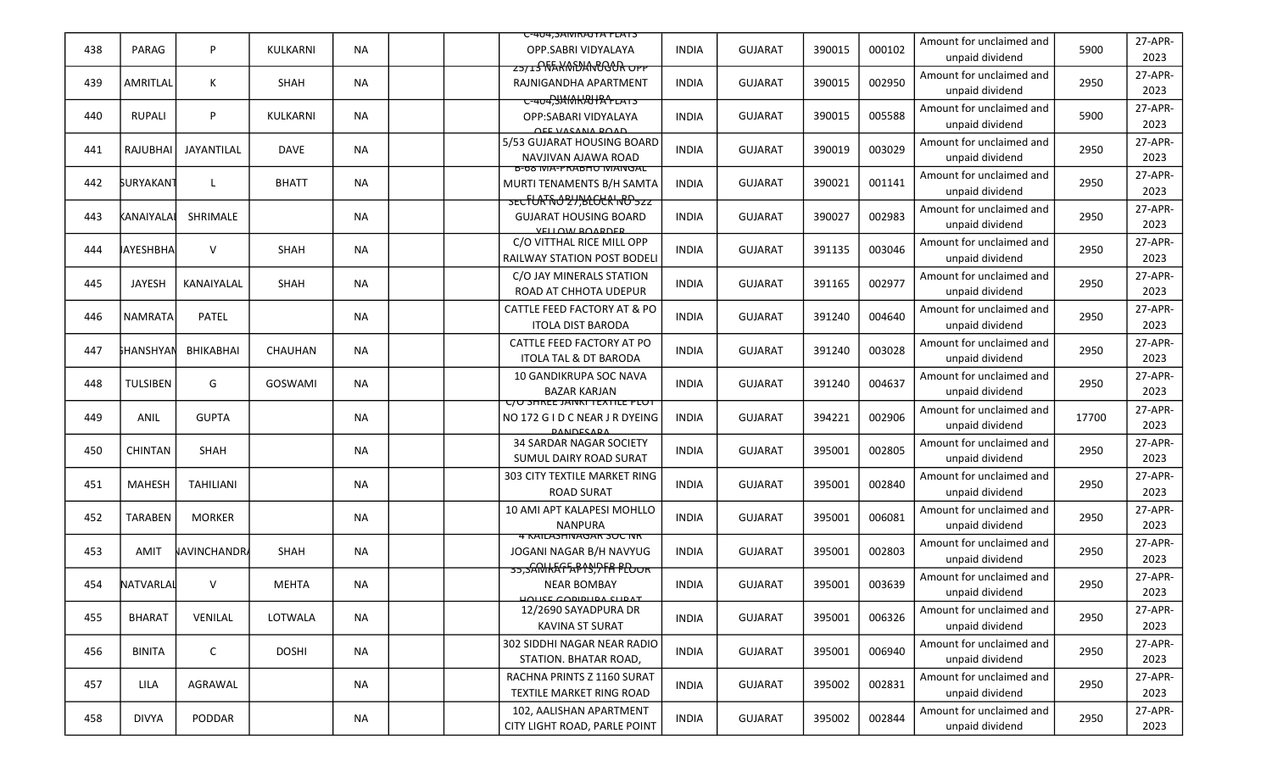|     |                         |                    |              |           | U-404, SAIVIKAJTA FLATS                                                                   |              |                |        |        |                                             |       |                 |
|-----|-------------------------|--------------------|--------------|-----------|-------------------------------------------------------------------------------------------|--------------|----------------|--------|--------|---------------------------------------------|-------|-----------------|
| 438 | PARAG                   | P                  | KULKARNI     | <b>NA</b> | OPP.SABRI VIDYALAYA                                                                       | <b>INDIA</b> | <b>GUJARAT</b> | 390015 | 000102 | Amount for unclaimed and<br>unpaid dividend | 5900  | 27-APR-<br>2023 |
| 439 | AMRITLAL                | К                  | <b>SHAH</b>  | <b>NA</b> | <del>zs/18\\\$XM\DANOGOR OPP</del><br>RAJNIGANDHA APARTMENT                               | <b>INDIA</b> | <b>GUJARAT</b> | 390015 | 002950 | Amount for unclaimed and<br>unpaid dividend | 2950  | 27-APR-<br>2023 |
| 440 | <b>RUPALI</b>           | P                  | KULKARNI     | <b>NA</b> | C-404, SAMKAHA + LATS<br>OPP:SABARI VIDYALAYA                                             | <b>INDIA</b> | <b>GUJARAT</b> | 390015 | 005588 | Amount for unclaimed and<br>unpaid dividend | 5900  | 27-APR-<br>2023 |
| 441 | <b>RAJUBHAI</b>         | JAYANTILAL         | <b>DAVE</b>  | <b>NA</b> | <b>OEE VACANA DOAD</b><br>5/53 GUJARAT HOUSING BOARD<br>NAVJIVAN AJAWA ROAD               | <b>INDIA</b> | <b>GUJARAT</b> | 390019 | 003029 | Amount for unclaimed and<br>unpaid dividend | 2950  | 27-APR-<br>2023 |
| 442 | <b><i>SURYAKANT</i></b> | L                  | <b>BHATT</b> | <b>NA</b> | <b>B-08 IVIA-PRABHU IVIAINGAL</b><br>MURTI TENAMENTS B/H SAMTA                            | <b>INDIA</b> | <b>GUJARAT</b> | 390021 | 001141 | Amount for unclaimed and<br>unpaid dividend | 2950  | 27-APR-<br>2023 |
| 443 | kanaiyalai              | SHRIMALE           |              | NA        | sECFURT6021,BLCCKHRD5zz<br><b>GUJARAT HOUSING BOARD</b><br>VELLOW BOARDER                 | <b>INDIA</b> | <b>GUJARAT</b> | 390027 | 002983 | Amount for unclaimed and<br>unpaid dividend | 2950  | 27-APR-<br>2023 |
| 444 | <b>JAYESHBHA</b>        | $\vee$             | SHAH         | <b>NA</b> | C/O VITTHAL RICE MILL OPP<br>RAILWAY STATION POST BODELI                                  | <b>INDIA</b> | <b>GUJARAT</b> | 391135 | 003046 | Amount for unclaimed and<br>unpaid dividend | 2950  | 27-APR-<br>2023 |
| 445 | <b>JAYESH</b>           | KANAIYALAL         | SHAH         | <b>NA</b> | C/O JAY MINERALS STATION<br>ROAD AT CHHOTA UDEPUR                                         | <b>INDIA</b> | <b>GUJARAT</b> | 391165 | 002977 | Amount for unclaimed and<br>unpaid dividend | 2950  | 27-APR-<br>2023 |
| 446 | <b>NAMRATA</b>          | PATEL              |              | NA        | CATTLE FEED FACTORY AT & PO<br><b>ITOLA DIST BARODA</b>                                   | <b>INDIA</b> | <b>GUJARAT</b> | 391240 | 004640 | Amount for unclaimed and<br>unpaid dividend | 2950  | 27-APR-<br>2023 |
| 447 | <b>FHANSHYAN</b>        | <b>BHIKABHAI</b>   | CHAUHAN      | <b>NA</b> | CATTLE FEED FACTORY AT PO<br><b>ITOLA TAL &amp; DT BARODA</b>                             | <b>INDIA</b> | <b>GUJARAT</b> | 391240 | 003028 | Amount for unclaimed and<br>unpaid dividend | 2950  | 27-APR-<br>2023 |
| 448 | <b>TULSIBEN</b>         | G                  | GOSWAMI      | <b>NA</b> | 10 GANDIKRUPA SOC NAVA<br><b>BAZAR KARJAN</b>                                             | <b>INDIA</b> | <b>GUJARAT</b> | 391240 | 004637 | Amount for unclaimed and<br>unpaid dividend | 2950  | 27-APR-<br>2023 |
| 449 | <b>ANIL</b>             | <b>GUPTA</b>       |              | <b>NA</b> | <u>UU SHKEE JAINKI TEXTILE PLUT</u><br>NO 172 G I D C NEAR J R DYEING<br><b>DANDECAPA</b> | <b>INDIA</b> | <b>GUJARAT</b> | 394221 | 002906 | Amount for unclaimed and<br>unpaid dividend | 17700 | 27-APR-<br>2023 |
| 450 | CHINTAN                 | SHAH               |              | <b>NA</b> | <b>34 SARDAR NAGAR SOCIETY</b><br>SUMUL DAIRY ROAD SURAT                                  | <b>INDIA</b> | <b>GUJARAT</b> | 395001 | 002805 | Amount for unclaimed and<br>unpaid dividend | 2950  | 27-APR-<br>2023 |
| 451 | <b>MAHESH</b>           | <b>TAHILIANI</b>   |              | NA        | 303 CITY TEXTILE MARKET RING<br><b>ROAD SURAT</b>                                         | <b>INDIA</b> | <b>GUJARAT</b> | 395001 | 002840 | Amount for unclaimed and<br>unpaid dividend | 2950  | 27-APR-<br>2023 |
| 452 | <b>TARABEN</b>          | <b>MORKER</b>      |              | ΝA        | 10 AMI APT KALAPESI MOHLLO<br><b>NANPURA</b>                                              | <b>INDIA</b> | <b>GUJARAT</b> | 395001 | 006081 | Amount for unclaimed and<br>unpaid dividend | 2950  | 27-APR-<br>2023 |
| 453 | <b>AMIT</b>             | <b>NAVINCHANDR</b> | SHAH         | <b>NA</b> | 4 KAILASHINAGAR SUC INK<br>JOGANI NAGAR B/H NAVYUG                                        | <b>INDIA</b> | <b>GUJARAT</b> | 395001 | 002803 | Amount for unclaimed and<br>unpaid dividend | 2950  | 27-APR-<br>2023 |
| 454 | NATVARLAI               | V                  | <b>MEHTA</b> | <b>NA</b> | 35, SANHAFFAPAS, PFA PLOOR<br><b>NEAR BOMBAY</b><br>HUITCE CODIDITDA CITDAT               | <b>INDIA</b> | <b>GUJARAT</b> | 395001 | 003639 | Amount for unclaimed and<br>unpaid dividend | 2950  | 27-APR-<br>2023 |
| 455 | <b>BHARAT</b>           | VENILAL            | LOTWALA      | <b>NA</b> | 12/2690 SAYADPURA DR<br>KAVINA ST SURAT                                                   | <b>INDIA</b> | <b>GUJARAT</b> | 395001 | 006326 | Amount for unclaimed and<br>unpaid dividend | 2950  | 27-APR-<br>2023 |
| 456 | <b>BINITA</b>           | $\mathsf{C}$       | <b>DOSHI</b> | <b>NA</b> | 302 SIDDHI NAGAR NEAR RADIO<br>STATION. BHATAR ROAD,                                      | <b>INDIA</b> | <b>GUJARAT</b> | 395001 | 006940 | Amount for unclaimed and<br>unpaid dividend | 2950  | 27-APR-<br>2023 |
| 457 | LILA                    | AGRAWAL            |              | NA        | RACHNA PRINTS Z 1160 SURAT<br>TEXTILE MARKET RING ROAD                                    | <b>INDIA</b> | <b>GUJARAT</b> | 395002 | 002831 | Amount for unclaimed and<br>unpaid dividend | 2950  | 27-APR-<br>2023 |
| 458 | <b>DIVYA</b>            | PODDAR             |              | NA        | 102, AALISHAN APARTMENT<br>CITY LIGHT ROAD, PARLE POINT                                   | <b>INDIA</b> | <b>GUJARAT</b> | 395002 | 002844 | Amount for unclaimed and<br>unpaid dividend | 2950  | 27-APR-<br>2023 |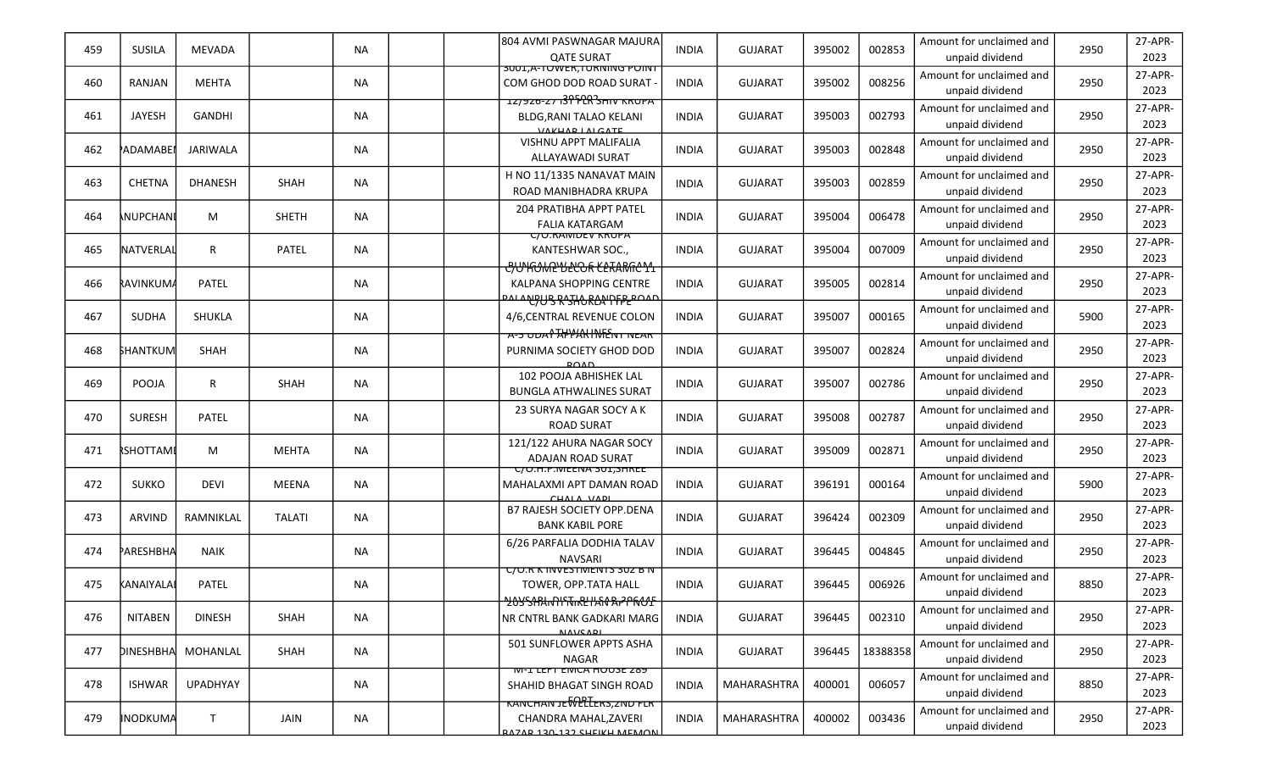| 459 | <b>SUSILA</b>    | <b>MEVADA</b>      |               | <b>NA</b> | 804 AVMI PASWNAGAR MAJURA<br><b>QATE SURAT</b>                                                                      | <b>INDIA</b> | <b>GUJARAT</b> | 395002 | 002853   | Amount for unclaimed and<br>unpaid dividend | 2950 | 27-APR-<br>2023 |
|-----|------------------|--------------------|---------------|-----------|---------------------------------------------------------------------------------------------------------------------|--------------|----------------|--------|----------|---------------------------------------------|------|-----------------|
| 460 | RANJAN           | <b>MEHTA</b>       |               | <b>NA</b> | <u> זיווטיז אטוואט די א, וטגנער דא, ד</u><br>COM GHOD DOD ROAD SURAT -                                              | <b>INDIA</b> | <b>GUJARAT</b> | 395002 | 008256   | Amount for unclaimed and<br>unpaid dividend | 2950 | 27-APR-<br>2023 |
| 461 | JAYESH           | <b>GANDHI</b>      |               | <b>NA</b> | 12/920-27139 FCR SHIV KRUPA<br><b>BLDG.RANI TALAO KELANI</b><br><b>VAVUAD LALCATE</b>                               | <b>INDIA</b> | <b>GUJARAT</b> | 395003 | 002793   | Amount for unclaimed and<br>unpaid dividend | 2950 | 27-APR-<br>2023 |
| 462 | <b>ADAMABE</b>   | <b>JARIWALA</b>    |               | <b>NA</b> | <b>VISHNU APPT MALIFALIA</b><br>ALLAYAWADI SURAT                                                                    | <b>INDIA</b> | <b>GUJARAT</b> | 395003 | 002848   | Amount for unclaimed and<br>unpaid dividend | 2950 | 27-APR-<br>2023 |
| 463 | <b>CHETNA</b>    | <b>DHANESH</b>     | SHAH          | <b>NA</b> | H NO 11/1335 NANAVAT MAIN<br>ROAD MANIBHADRA KRUPA                                                                  | <b>INDIA</b> | <b>GUJARAT</b> | 395003 | 002859   | Amount for unclaimed and<br>unpaid dividend | 2950 | 27-APR-<br>2023 |
| 464 | <b>NUPCHANI</b>  | М                  | <b>SHETH</b>  | <b>NA</b> | 204 PRATIBHA APPT PATEL<br><b>FALIA KATARGAM</b>                                                                    | <b>INDIA</b> | <b>GUJARAT</b> | 395004 | 006478   | Amount for unclaimed and<br>unpaid dividend | 2950 | 27-APR-<br>2023 |
| 465 | NATVERLAL        | $\mathsf{R}$       | PATEL         | <b>NA</b> | <u>C/O.RAMDEV KRUPA</u><br>KANTESHWAR SOC.,                                                                         | <b>INDIA</b> | <b>GUJARAT</b> | 395004 | 007009   | Amount for unclaimed and<br>unpaid dividend | 2950 | 27-APR-<br>2023 |
| 466 | RAVINKUMA        | PATEL              |               | <b>NA</b> | <del>C/UNGONRYLLOOR KLARMICYL</del><br>KALPANA SHOPPING CENTRE<br><del>᠈ᠰ᠂ᠰᡛᢧᢕᢃ᠂ᠺ᠊ᢃᠯᡰᢕᠺ᠘ᢗᠷᡃᡗ᠇ᠮ<sub>ᢪ</sub>ᡄᢁᠰ</del> | <b>INDIA</b> | <b>GUJARAT</b> | 395005 | 002814   | Amount for unclaimed and<br>unpaid dividend | 2950 | 27-APR-<br>2023 |
| 467 | <b>SUDHA</b>     | SHUKLA             |               | <b>NA</b> | 4/6,CENTRAL REVENUE COLON                                                                                           | <b>INDIA</b> | <b>GUJARAT</b> | 395007 | 000165   | Amount for unclaimed and<br>unpaid dividend | 5900 | 27-APR-<br>2023 |
| 468 | <b>SHANTKUM</b>  | <b>SHAH</b>        |               | NA.       | <del>A-5 UDAY APPAN INTENT NEAR</del><br>PURNIMA SOCIETY GHOD DOD<br>POMD                                           | <b>INDIA</b> | <b>GUJARAT</b> | 395007 | 002824   | Amount for unclaimed and<br>unpaid dividend | 2950 | 27-APR-<br>2023 |
| 469 | POOJA            | $\mathsf{R}$       | SHAH          | ΝA        | 102 POOJA ABHISHEK LAL<br><b>BUNGLA ATHWALINES SURAT</b>                                                            | <b>INDIA</b> | <b>GUJARAT</b> | 395007 | 002786   | Amount for unclaimed and<br>unpaid dividend | 2950 | 27-APR-<br>2023 |
| 470 | <b>SURESH</b>    | PATEL              |               | <b>NA</b> | 23 SURYA NAGAR SOCY A K<br><b>ROAD SURAT</b>                                                                        | <b>INDIA</b> | <b>GUJARAT</b> | 395008 | 002787   | Amount for unclaimed and<br>unpaid dividend | 2950 | 27-APR-<br>2023 |
| 471 | <b>RSHOTTAMI</b> | M                  | <b>MEHTA</b>  | <b>NA</b> | 121/122 AHURA NAGAR SOCY<br><b>ADAJAN ROAD SURAT</b>                                                                | <b>INDIA</b> | <b>GUJARAT</b> | 395009 | 002871   | Amount for unclaimed and<br>unpaid dividend | 2950 | 27-APR-<br>2023 |
| 472 | <b>SUKKO</b>     | DEVI               | <b>MEENA</b>  | <b>NA</b> | C/U.H.P.IVIEENA 3UI,SHKEE<br>MAHALAXMI APT DAMAN ROAD<br>CUALA VADI                                                 | <b>INDIA</b> | <b>GUJARAT</b> | 396191 | 000164   | Amount for unclaimed and<br>unpaid dividend | 5900 | 27-APR-<br>2023 |
| 473 | ARVIND           | RAMNIKLAL          | <b>TALATI</b> | <b>NA</b> | B7 RAJESH SOCIETY OPP.DENA<br><b>BANK KABIL PORE</b>                                                                | <b>INDIA</b> | <b>GUJARAT</b> | 396424 | 002309   | Amount for unclaimed and<br>unpaid dividend | 2950 | 27-APR-<br>2023 |
| 474 | ₱АRESHBHA        | <b>NAIK</b>        |               | <b>NA</b> | 6/26 PARFALIA DODHIA TALAV<br><b>NAVSARI</b>                                                                        | <b>INDIA</b> | <b>GUJARAT</b> | 396445 | 004845   | Amount for unclaimed and<br>unpaid dividend | 2950 | 27-APR-<br>2023 |
| 475 | KANAIYALAI       | PATEL              |               | ΝA        | <u>C/U.R K INVESTIVIENTS 302 B N</u><br>TOWER, OPP.TATA HALL                                                        | <b>INDIA</b> | <b>GUJARAT</b> | 396445 | 006926   | Amount for unclaimed and<br>unpaid dividend | 8850 | 27-APR-<br>2023 |
| 476 | <b>NITABEN</b>   | <b>DINESH</b>      | SHAH          | <b>NA</b> | <b>20YSARINHYTIKEHAN RIPPROF</b><br>NR CNTRL BANK GADKARI MARG<br><b>NAVCADI</b>                                    | <b>INDIA</b> | <b>GUJARAT</b> | 396445 | 002310   | Amount for unclaimed and<br>unpaid dividend | 2950 | 27-APR-<br>2023 |
| 477 |                  | DINESHBHA MOHANLAL | SHAH          | <b>NA</b> | 501 SUNFLOWER APPTS ASHA<br><b>NAGAR</b>                                                                            | <b>INDIA</b> | <b>GUJARAT</b> | 396445 | 18388358 | Amount for unclaimed and<br>unpaid dividend | 2950 | 27-APR-<br>2023 |
| 478 | <b>ISHWAR</b>    | <b>UPADHYAY</b>    |               | <b>NA</b> | <b>IVI-I LEFT EIVICA HUUSE Z89</b><br>SHAHID BHAGAT SINGH ROAD                                                      | <b>INDIA</b> | MAHARASHTRA    | 400001 | 006057   | Amount for unclaimed and<br>unpaid dividend | 8850 | 27-APR-<br>2023 |
| 479 | <b>INODKUMA</b>  | T.                 | JAIN          | <b>NA</b> | <b>KANCHAN JE WELLERS, ZNU FLR</b><br>CHANDRA MAHAL, ZAVERI<br><b>ATAD 120 122 CULIVU MEMONI</b>                    | <b>INDIA</b> | MAHARASHTRA    | 400002 | 003436   | Amount for unclaimed and<br>unpaid dividend | 2950 | 27-APR-<br>2023 |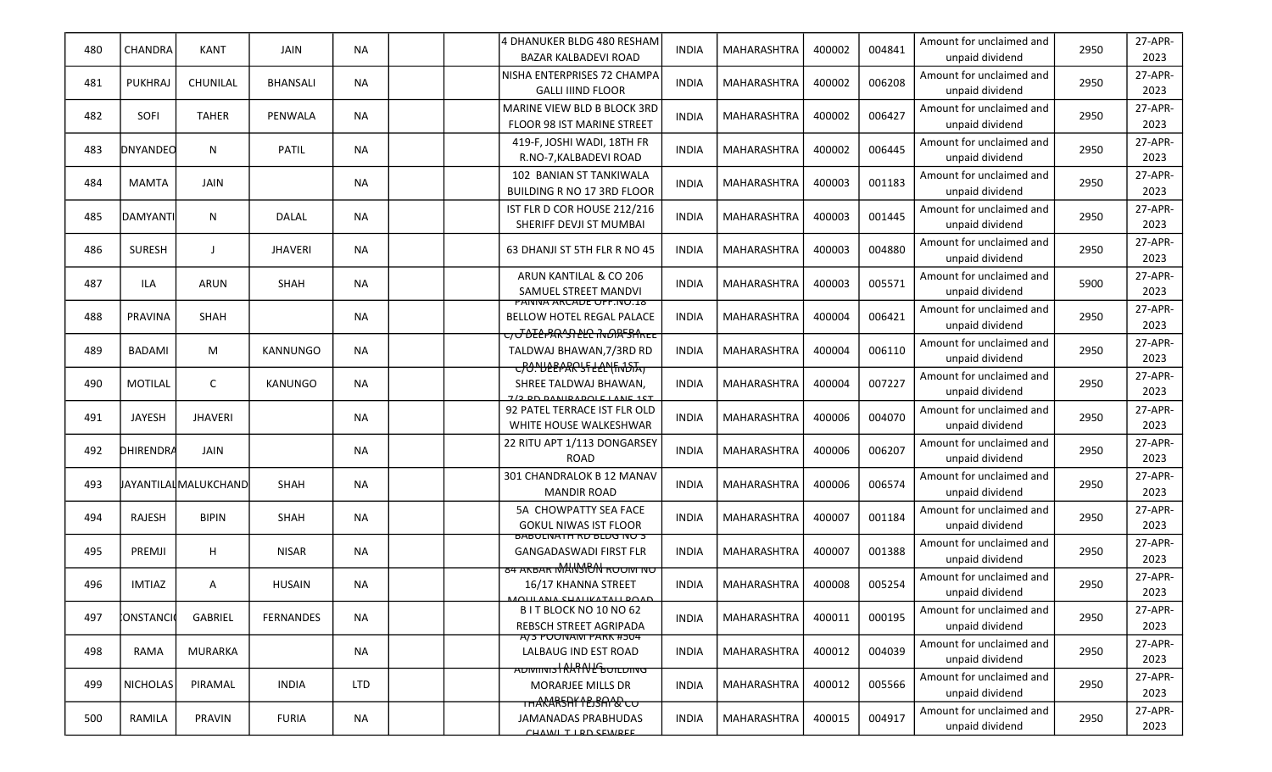| 480 | CHANDRA         | <b>KANT</b>                 | JAIN             | ΝA         | 4 DHANUKER BLDG 480 RESHAM<br><b>BAZAR KALBADEVI ROAD</b>                                                  | INDIA        | <b>MAHARASHTRA</b> | 400002 | 004841 | Amount for unclaimed and<br>unpaid dividend | 2950 | 27-APR-<br>2023 |
|-----|-----------------|-----------------------------|------------------|------------|------------------------------------------------------------------------------------------------------------|--------------|--------------------|--------|--------|---------------------------------------------|------|-----------------|
| 481 | <b>PUKHRAJ</b>  | CHUNILAL                    | <b>BHANSALI</b>  | <b>NA</b>  | NISHA ENTERPRISES 72 CHAMPA<br><b>GALLI IIIND FLOOR</b>                                                    | <b>INDIA</b> | <b>MAHARASHTRA</b> | 400002 | 006208 | Amount for unclaimed and<br>unpaid dividend | 2950 | 27-APR-<br>2023 |
| 482 | SOFI            | <b>TAHER</b>                | PENWALA          | <b>NA</b>  | MARINE VIEW BLD B BLOCK 3RD<br>FLOOR 98 IST MARINE STREET                                                  | <b>INDIA</b> | <b>MAHARASHTRA</b> | 400002 | 006427 | Amount for unclaimed and<br>unpaid dividend | 2950 | 27-APR-<br>2023 |
| 483 | DNYANDEO        | N                           | PATIL            | <b>NA</b>  | 419-F, JOSHI WADI, 18TH FR<br>R.NO-7, KALBADEVI ROAD                                                       | <b>INDIA</b> | <b>MAHARASHTRA</b> | 400002 | 006445 | Amount for unclaimed and<br>unpaid dividend | 2950 | 27-APR-<br>2023 |
| 484 | <b>MAMTA</b>    | <b>JAIN</b>                 |                  | <b>NA</b>  | 102 BANIAN ST TANKIWALA<br><b>BUILDING R NO 17 3RD FLOOR</b>                                               | <b>INDIA</b> | <b>MAHARASHTRA</b> | 400003 | 001183 | Amount for unclaimed and<br>unpaid dividend | 2950 | 27-APR-<br>2023 |
| 485 | <b>DAMYANTI</b> | N                           | DALAL            | <b>NA</b>  | IST FLR D COR HOUSE 212/216<br>SHERIFF DEVJI ST MUMBAI                                                     | <b>INDIA</b> | <b>MAHARASHTRA</b> | 400003 | 001445 | Amount for unclaimed and<br>unpaid dividend | 2950 | 27-APR-<br>2023 |
| 486 | <b>SURESH</b>   | $\mathbf{J}$                | <b>JHAVERI</b>   | <b>NA</b>  | 63 DHANJI ST 5TH FLR R NO 45                                                                               | <b>INDIA</b> | <b>MAHARASHTRA</b> | 400003 | 004880 | Amount for unclaimed and<br>unpaid dividend | 2950 | 27-APR-<br>2023 |
| 487 | ILA             | <b>ARUN</b>                 | SHAH             | <b>NA</b>  | ARUN KANTILAL & CO 206<br>SAMUEL STREET MANDVI                                                             | <b>INDIA</b> | <b>MAHARASHTRA</b> | 400003 | 005571 | Amount for unclaimed and<br>unpaid dividend | 5900 | 27-APR-<br>2023 |
| 488 | PRAVINA         | <b>SHAH</b>                 |                  | <b>NA</b>  | PANNA ARCADE OFF.NO.I8<br>BELLOW HOTEL REGAL PALACE<br><del>C/J DELPAR'ST LLC INDIA<sup>L</sup>SHREE</del> | <b>INDIA</b> | <b>MAHARASHTRA</b> | 400004 | 006421 | Amount for unclaimed and<br>unpaid dividend | 2950 | 27-APR-<br>2023 |
| 489 | <b>BADAMI</b>   | M                           | KANNUNGO         | <b>NA</b>  | TALDWAJ BHAWAN.7/3RD RD<br>COO. HEEPARSFEEL (FINDIA)                                                       | INDIA        | <b>MAHARASHTRA</b> | 400004 | 006110 | Amount for unclaimed and<br>unpaid dividend | 2950 | 27-APR-<br>2023 |
| 490 | <b>MOTILAL</b>  | $\mathsf{C}$                | <b>KANUNGO</b>   | <b>NA</b>  | SHREE TALDWAJ BHAWAN,<br>7/2 DO DANIDADOLE LANE 1CT                                                        | <b>INDIA</b> | <b>MAHARASHTRA</b> | 400004 | 007227 | Amount for unclaimed and<br>unpaid dividend | 2950 | 27-APR-<br>2023 |
| 491 | JAYESH          | <b>JHAVERI</b>              |                  | NA.        | 92 PATEL TERRACE IST FLR OLD<br>WHITE HOUSE WALKESHWAR                                                     | <b>INDIA</b> | <b>MAHARASHTRA</b> | 400006 | 004070 | Amount for unclaimed and<br>unpaid dividend | 2950 | 27-APR-<br>2023 |
| 492 | DHIRENDRA       | JAIN                        |                  | <b>NA</b>  | 22 RITU APT 1/113 DONGARSEY<br><b>ROAD</b>                                                                 | <b>INDIA</b> | <b>MAHARASHTRA</b> | 400006 | 006207 | Amount for unclaimed and<br>unpaid dividend | 2950 | 27-APR-<br>2023 |
| 493 |                 | <b>JAYANTILALMALUKCHAND</b> | SHAH             | <b>NA</b>  | 301 CHANDRALOK B 12 MANAV<br><b>MANDIR ROAD</b>                                                            | <b>INDIA</b> | <b>MAHARASHTRA</b> | 400006 | 006574 | Amount for unclaimed and<br>unpaid dividend | 2950 | 27-APR-<br>2023 |
| 494 | RAJESH          | <b>BIPIN</b>                | SHAH             | <b>NA</b>  | 5A CHOWPATTY SEA FACE<br><b>GOKUL NIWAS IST FLOOR</b>                                                      | <b>INDIA</b> | <b>MAHARASHTRA</b> | 400007 | 001184 | Amount for unclaimed and<br>unpaid dividend | 2950 | 27-APR-<br>2023 |
| 495 | PREMJI          | H                           | <b>NISAR</b>     | ΝA         | BABULINATH KU BLUG INU 3<br><b>GANGADASWADI FIRST FLR</b><br><b>84 AKBAR MAHASHEAN ROOM NO</b>             | <b>INDIA</b> | <b>MAHARASHTRA</b> | 400007 | 001388 | Amount for unclaimed and<br>unpaid dividend | 2950 | 27-APR-<br>2023 |
| 496 | <b>IMTIAZ</b>   | A                           | <b>HUSAIN</b>    | <b>NA</b>  | 16/17 KHANNA STREET<br>MOULANA CUALIVATALLOOAD                                                             | <b>INDIA</b> | MAHARASHTRA        | 400008 | 005254 | Amount for unclaimed and<br>unpaid dividend | 2950 | 27-APR-<br>2023 |
| 497 | CONSTANCIO      | <b>GABRIEL</b>              | <b>FERNANDES</b> | <b>NA</b>  | B I T BLOCK NO 10 NO 62<br>REBSCH STREET AGRIPADA                                                          | <b>INDIA</b> | <b>MAHARASHTRA</b> | 400011 | 000195 | Amount for unclaimed and<br>unpaid dividend | 2950 | 27-APR-<br>2023 |
| 498 | RAMA            | <b>MURARKA</b>              |                  | NA         | <del>A/3 PUUNAIVI PAKK #504</del><br>LALBAUG IND EST ROAD                                                  | INDIA        | <b>MAHARASHTRA</b> | 400012 | 004039 | Amount for unclaimed and<br>unpaid dividend | 2950 | 27-APR-<br>2023 |
| 499 | NICHOLAS        | PIRAMAL                     | <b>INDIA</b>     | <b>LTD</b> | ADMINIS RAT NE BUILDING<br><b>MORARJEE MILLS DR</b><br>THARARSHY LEJSALAR CO                               | <b>INDIA</b> | MAHARASHTRA        | 400012 | 005566 | Amount for unclaimed and<br>unpaid dividend | 2950 | 27-APR-<br>2023 |
| 500 | RAMILA          | PRAVIN                      | <b>FURIA</b>     | NA         | <b>JAMANADAS PRABHUDAS</b><br>CUAWI TIDD CEWDEE                                                            | <b>INDIA</b> | MAHARASHTRA        | 400015 | 004917 | Amount for unclaimed and<br>unpaid dividend | 2950 | 27-APR-<br>2023 |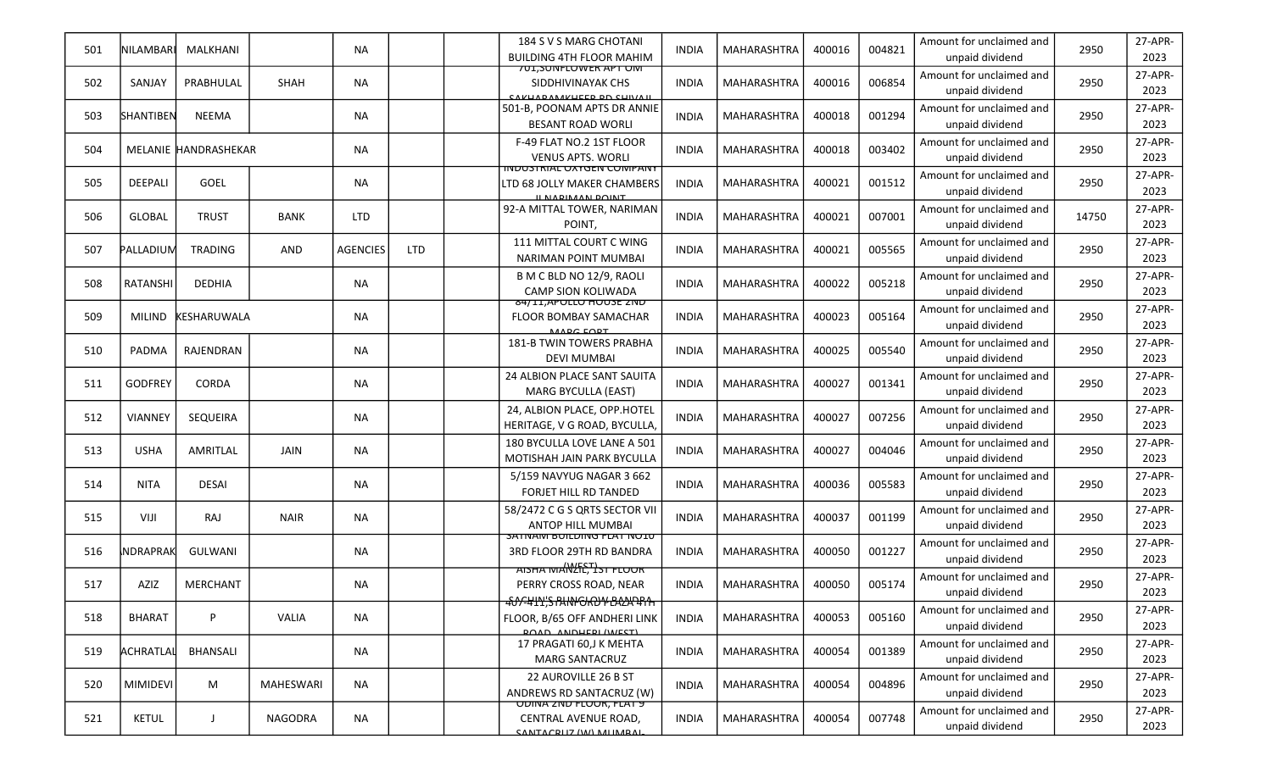| 501 | INILAMBARI       | MALKHANI             |                  | NA.             |            | 184 S V S MARG CHOTANI<br><b>BUILDING 4TH FLOOR MAHIM</b>                                        | <b>INDIA</b> | MAHARASHTRA        | 400016 | 004821 | Amount for unclaimed and<br>unpaid dividend | 2950  | 27-APR-<br>2023 |
|-----|------------------|----------------------|------------------|-----------------|------------|--------------------------------------------------------------------------------------------------|--------------|--------------------|--------|--------|---------------------------------------------|-------|-----------------|
| 502 | SANJAY           | PRABHULAL            | SHAH             | <b>NA</b>       |            | <u>701,SUNFLUWER APT UMT</u><br>SIDDHIVINAYAK CHS<br>CAKHADAMAKHEED DD CHIVAIL                   | <b>INDIA</b> | <b>MAHARASHTRA</b> | 400016 | 006854 | Amount for unclaimed and<br>unpaid dividend | 2950  | 27-APR-<br>2023 |
| 503 | SHANTIBEN        | <b>NEEMA</b>         |                  | <b>NA</b>       |            | 501-B, POONAM APTS DR ANNIE<br><b>BESANT ROAD WORLI</b>                                          | <b>INDIA</b> | MAHARASHTRA        | 400018 | 001294 | Amount for unclaimed and<br>unpaid dividend | 2950  | 27-APR-<br>2023 |
| 504 |                  | MELANIE HANDRASHEKAR |                  | NA.             |            | F-49 FLAT NO.2 1ST FLOOR<br><b>VENUS APTS. WORLI</b>                                             | <b>INDIA</b> | <b>MAHARASHTRA</b> | 400018 | 003402 | Amount for unclaimed and<br>unpaid dividend | 2950  | 27-APR-<br>2023 |
| 505 | <b>DEEPALI</b>   | <b>GOEL</b>          |                  | NA.             |            | <u>IINDUSTRIAL UATGEN CUIVIPANT</u><br>LTD 68 JOLLY MAKER CHAMBERS<br>IL NADIMAN DOINT           | <b>INDIA</b> | <b>MAHARASHTRA</b> | 400021 | 001512 | Amount for unclaimed and<br>unpaid dividend | 2950  | 27-APR-<br>2023 |
| 506 | <b>GLOBAL</b>    | <b>TRUST</b>         | <b>BANK</b>      | <b>LTD</b>      |            | 92-A MITTAL TOWER, NARIMAN<br>POINT,                                                             | <b>INDIA</b> | <b>MAHARASHTRA</b> | 400021 | 007001 | Amount for unclaimed and<br>unpaid dividend | 14750 | 27-APR-<br>2023 |
| 507 | PALLADIUM        | <b>TRADING</b>       | AND              | <b>AGENCIES</b> | <b>LTD</b> | 111 MITTAL COURT C WING<br><b>NARIMAN POINT MUMBAI</b>                                           | <b>INDIA</b> | <b>MAHARASHTRA</b> | 400021 | 005565 | Amount for unclaimed and<br>unpaid dividend | 2950  | 27-APR-<br>2023 |
| 508 | <b>RATANSHI</b>  | <b>DEDHIA</b>        |                  | NA              |            | B M C BLD NO 12/9, RAOLI<br><b>CAMP SION KOLIWADA</b>                                            | <b>INDIA</b> | <b>MAHARASHTRA</b> | 400022 | 005218 | Amount for unclaimed and<br>unpaid dividend | 2950  | 27-APR-<br>2023 |
| 509 | <b>MILIND</b>    | <b>KESHARUWALA</b>   |                  | <b>NA</b>       |            | 84/II, APULLU HUUSE ZNU<br>FLOOR BOMBAY SAMACHAR<br>MADC CODT                                    | <b>INDIA</b> | <b>MAHARASHTRA</b> | 400023 | 005164 | Amount for unclaimed and<br>unpaid dividend | 2950  | 27-APR-<br>2023 |
| 510 | PADMA            | RAJENDRAN            |                  | NA              |            | <b>181-B TWIN TOWERS PRABHA</b><br><b>DEVI MUMBAI</b>                                            | <b>INDIA</b> | <b>MAHARASHTRA</b> | 400025 | 005540 | Amount for unclaimed and<br>unpaid dividend | 2950  | 27-APR-<br>2023 |
| 511 | <b>GODFREY</b>   | CORDA                |                  | NA              |            | 24 ALBION PLACE SANT SAUITA<br><b>MARG BYCULLA (EAST)</b>                                        | <b>INDIA</b> | <b>MAHARASHTRA</b> | 400027 | 001341 | Amount for unclaimed and<br>unpaid dividend | 2950  | 27-APR-<br>2023 |
| 512 | <b>VIANNEY</b>   | <b>SEQUEIRA</b>      |                  | NA              |            | 24, ALBION PLACE, OPP.HOTEL<br>HERITAGE, V G ROAD, BYCULLA,                                      | <b>INDIA</b> | <b>MAHARASHTRA</b> | 400027 | 007256 | Amount for unclaimed and<br>unpaid dividend | 2950  | 27-APR-<br>2023 |
| 513 | <b>USHA</b>      | AMRITLAL             | JAIN             | <b>NA</b>       |            | 180 BYCULLA LOVE LANE A 501<br>MOTISHAH JAIN PARK BYCULLA                                        | <b>INDIA</b> | <b>MAHARASHTRA</b> | 400027 | 004046 | Amount for unclaimed and<br>unpaid dividend | 2950  | 27-APR-<br>2023 |
| 514 | <b>NITA</b>      | <b>DESAI</b>         |                  | NA              |            | 5/159 NAVYUG NAGAR 3 662<br><b>FORJET HILL RD TANDED</b>                                         | <b>INDIA</b> | MAHARASHTRA        | 400036 | 005583 | Amount for unclaimed and<br>unpaid dividend | 2950  | 27-APR-<br>2023 |
| 515 | VIJI             | RAJ                  | <b>NAIR</b>      | <b>NA</b>       |            | 58/2472 C G S QRTS SECTOR VII<br><b>ANTOP HILL MUMBAI</b>                                        | <b>INDIA</b> | MAHARASHTRA        | 400037 | 001199 | Amount for unclaimed and<br>unpaid dividend | 2950  | 27-APR-<br>2023 |
| 516 | <b>INDRAPRAK</b> | <b>GULWANI</b>       |                  | NA              |            | <b>SATIVAIVI BUILDING FLAT NUID</b><br>3RD FLOOR 29TH RD BANDRA<br><b>AISHA MANALES</b> ST FLOOR | <b>INDIA</b> | <b>MAHARASHTRA</b> | 400050 | 001227 | Amount for unclaimed and<br>unpaid dividend | 2950  | 27-APR-<br>2023 |
| 517 | AZIZ             | <b>MERCHANT</b>      |                  | ΝA              |            | PERRY CROSS ROAD, NEAR<br>400-4111, SPANI CROW BALLATA                                           | <b>INDIA</b> | MAHARASHTRA        | 400050 | 005174 | Amount for unclaimed and<br>unpaid dividend | 2950  | 27-APR-<br>2023 |
| 518 | <b>BHARAT</b>    | P                    | VALIA            | <b>NA</b>       |            | FLOOR, B/65 OFF ANDHERI LINK<br><b>POAD ANDHEDI (WEST)</b>                                       | <b>INDIA</b> | <b>MAHARASHTRA</b> | 400053 | 005160 | Amount for unclaimed and<br>unpaid dividend | 2950  | 27-APR-<br>2023 |
| 519 | ACHRATLAL        | <b>BHANSALI</b>      |                  | NA              |            | 17 PRAGATI 60,J K MEHTA<br><b>MARG SANTACRUZ</b>                                                 | <b>INDIA</b> | <b>MAHARASHTRA</b> | 400054 | 001389 | Amount for unclaimed and<br>unpaid dividend | 2950  | 27-APR-<br>2023 |
| 520 | <b>MIMIDEVI</b>  | M                    | <b>MAHESWARI</b> | <b>NA</b>       |            | 22 AUROVILLE 26 B ST<br>ANDREWS RD SANTACRUZ (W)                                                 | <b>INDIA</b> | MAHARASHTRA        | 400054 | 004896 | Amount for unclaimed and<br>unpaid dividend | 2950  | 27-APR-<br>2023 |
| 521 | <b>KETUL</b>     | J                    | NAGODRA          | NA              |            | <b>UDINA ZND FLUUR, FLAT 9</b><br>CENTRAL AVENUE ROAD,<br>CANITACDI 17 (WA) MALIMADAL            | <b>INDIA</b> | MAHARASHTRA        | 400054 | 007748 | Amount for unclaimed and<br>unpaid dividend | 2950  | 27-APR-<br>2023 |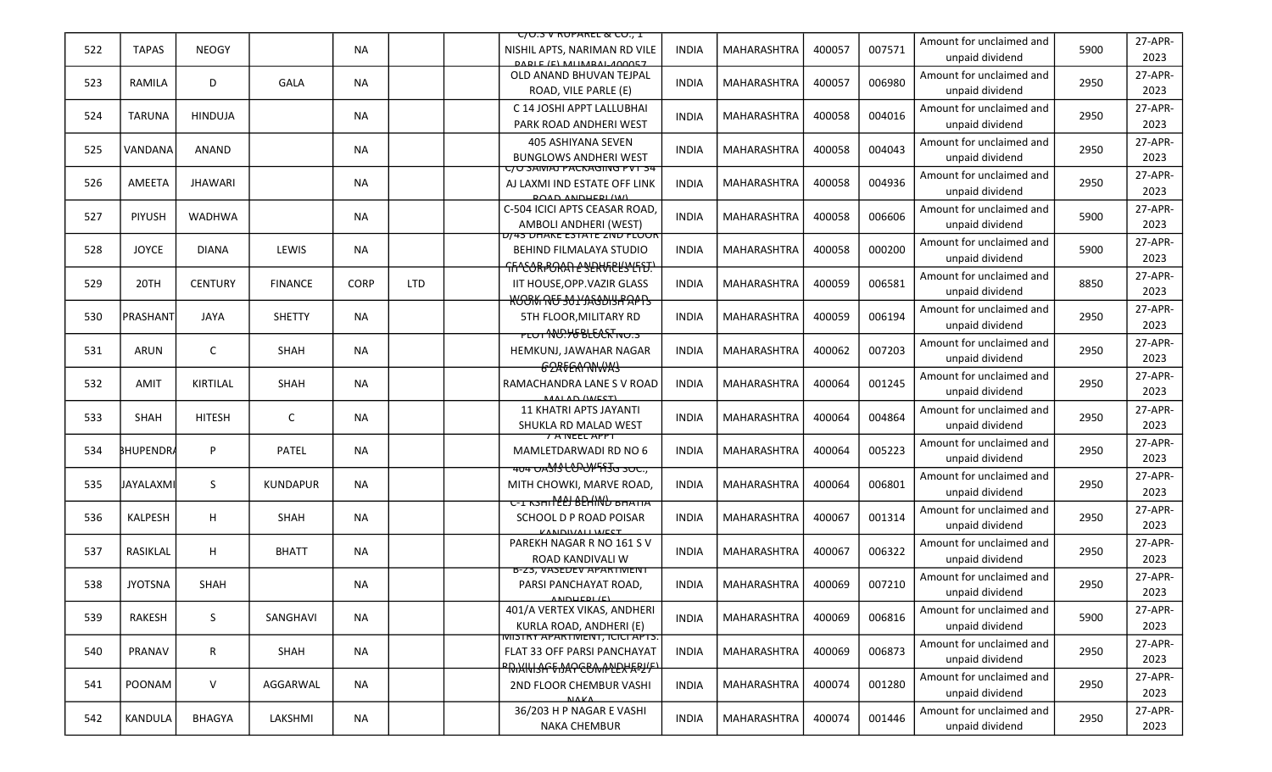|     |                  |                |                 |             |            | <u>C/U.S V RUPAREL &amp; CU., I</u>                                                                  |              |                    |        |        |                                             |      |                 |
|-----|------------------|----------------|-----------------|-------------|------------|------------------------------------------------------------------------------------------------------|--------------|--------------------|--------|--------|---------------------------------------------|------|-----------------|
| 522 | <b>TAPAS</b>     | <b>NEOGY</b>   |                 | <b>NA</b>   |            | NISHIL APTS, NARIMAN RD VILE<br><b>DADIE (E) MIIMBAL 400057</b>                                      | <b>INDIA</b> | <b>MAHARASHTRA</b> | 400057 | 007571 | Amount for unclaimed and<br>unpaid dividend | 5900 | 27-APR-<br>2023 |
| 523 | RAMILA           | D              | GALA            | <b>NA</b>   |            | OLD ANAND BHUVAN TEJPAL<br>ROAD, VILE PARLE (E)                                                      | <b>INDIA</b> | <b>MAHARASHTRA</b> | 400057 | 006980 | Amount for unclaimed and<br>unpaid dividend | 2950 | 27-APR-<br>2023 |
| 524 | <b>TARUNA</b>    | <b>HINDUJA</b> |                 | <b>NA</b>   |            | C 14 JOSHI APPT LALLUBHAI<br>PARK ROAD ANDHERI WEST                                                  | <b>INDIA</b> | <b>MAHARASHTRA</b> | 400058 | 004016 | Amount for unclaimed and<br>unpaid dividend | 2950 | 27-APR-<br>2023 |
| 525 | VANDANA          | ANAND          |                 | <b>NA</b>   |            | 405 ASHIYANA SEVEN<br><b>BUNGLOWS ANDHERI WEST</b>                                                   | <b>INDIA</b> | <b>MAHARASHTRA</b> | 400058 | 004043 | Amount for unclaimed and<br>unpaid dividend | 2950 | 27-APR-<br>2023 |
| 526 | AMEETA           | <b>JHAWARI</b> |                 | <b>NA</b>   |            | C/U SAIVIAJ PACKAGIING PVT 34<br>AJ LAXMI IND ESTATE OFF LINK<br><b>DOAD ANDHEDI (WA)</b>            | <b>INDIA</b> | <b>MAHARASHTRA</b> | 400058 | 004936 | Amount for unclaimed and<br>unpaid dividend | 2950 | 27-APR-<br>2023 |
| 527 | <b>PIYUSH</b>    | <b>WADHWA</b>  |                 | NA.         |            | C-504 ICICI APTS CEASAR ROAD,<br>AMBOLI ANDHERI (WEST)                                               | <b>INDIA</b> | MAHARASHTRA        | 400058 | 006606 | Amount for unclaimed and<br>unpaid dividend | 5900 | 27-APR-<br>2023 |
| 528 | <b>JOYCE</b>     | <b>DIANA</b>   | LEWIS           | <b>NA</b>   |            | D/43 DHAKE ESTATE ZND FLOOR<br><b>BEHIND FILMALAYA STUDIO</b><br>FIFILEORPORATI L'INTERENTENTENTE    | <b>INDIA</b> | MAHARASHTRA        | 400058 | 000200 | Amount for unclaimed and<br>unpaid dividend | 5900 | 27-APR-<br>2023 |
| 529 | 20TH             | <b>CENTURY</b> | <b>FINANCE</b>  | <b>CORP</b> | <b>LTD</b> | <b>IIT HOUSE, OPP. VAZIR GLASS</b><br><b>ROOK RU SULLAGONS PAPPS</b>                                 | <b>INDIA</b> | <b>MAHARASHTRA</b> | 400059 | 006581 | Amount for unclaimed and<br>unpaid dividend | 8850 | 27-APR-<br>2023 |
| 530 | PRASHANT         | JAYA           | <b>SHETTY</b>   | NA.         |            | 5TH FLOOR, MILITARY RD                                                                               | INDIA        | <b>MAHARASHTRA</b> | 400059 | 006194 | Amount for unclaimed and<br>unpaid dividend | 2950 | 27-APR-<br>2023 |
| 531 | ARUN             | $\mathsf{C}$   | SHAH            | <b>NA</b>   |            | <del>᠇ᡶ᠋ᡨ᠊ᠰᡃᢗ᠅᠋ᡰ᠖ᢆ᠍ᡌᡶᢗᢗᠷ</del> ᠯᡑᡉ <del>᠌᠄</del><br>HEMKUNJ, JAWAHAR NAGAR<br><del>G2RTERNNWAS</del> | <b>INDIA</b> | <b>MAHARASHTRA</b> | 400062 | 007203 | Amount for unclaimed and<br>unpaid dividend | 2950 | 27-APR-<br>2023 |
| 532 | <b>AMIT</b>      | KIRTILAL       | SHAH            | <b>NA</b>   |            | RAMACHANDRA LANE S V ROAD<br>MALAD (WEST)                                                            | INDIA        | <b>MAHARASHTRA</b> | 400064 | 001245 | Amount for unclaimed and<br>unpaid dividend | 2950 | 27-APR-<br>2023 |
| 533 | <b>SHAH</b>      | <b>HITESH</b>  | C               | <b>NA</b>   |            | <b>11 KHATRI APTS JAYANTI</b><br>SHUKLA RD MALAD WEST                                                | <b>INDIA</b> | <b>MAHARASHTRA</b> | 400064 | 004864 | Amount for unclaimed and<br>unpaid dividend | 2950 | 27-APR-<br>2023 |
| 534 | <b>BHUPENDRA</b> | P              | PATEL           | <b>NA</b>   |            | <b>7 A NEEL APPT</b><br>MAMLETDARWADI RD NO 6<br><b>404 OASIS LOPOPFA3G SOC.,</b>                    | <b>INDIA</b> | <b>MAHARASHTRA</b> | 400064 | 005223 | Amount for unclaimed and<br>unpaid dividend | 2950 | 27-APR-<br>2023 |
| 535 | JAYALAXMI        | S              | <b>KUNDAPUR</b> | <b>NA</b>   |            | MITH CHOWKI, MARVE ROAD,<br><del>כ-ב גאחו 2011 לEP הכא ב-</del>                                      | <b>INDIA</b> | MAHARASHTRA        | 400064 | 006801 | Amount for unclaimed and<br>unpaid dividend | 2950 | 27-APR-<br>2023 |
| 536 | KALPESH          | H              | SHAH            | ΝA          |            | SCHOOL D P ROAD POISAR<br>KANDIVALI WEST                                                             | <b>INDIA</b> | <b>MAHARASHTRA</b> | 400067 | 001314 | Amount for unclaimed and<br>unpaid dividend | 2950 | 27-APR-<br>2023 |
| 537 | RASIKLAL         | H              | <b>BHATT</b>    | <b>NA</b>   |            | PAREKH NAGAR R NO 161 S V<br>ROAD KANDIVALI W                                                        | <b>INDIA</b> | MAHARASHTRA        | 400067 | 006322 | Amount for unclaimed and<br>unpaid dividend | 2950 | 27-APR-<br>2023 |
| 538 | <b>JYOTSNA</b>   | <b>SHAH</b>    |                 | ΝA          |            | B-23, VASEDEV APARTIVIENT<br>PARSI PANCHAYAT ROAD,<br>ANDUEDI/E                                      | <b>INDIA</b> | MAHARASHTRA        | 400069 | 007210 | Amount for unclaimed and<br>unpaid dividend | 2950 | 27-APR-<br>2023 |
| 539 | RAKESH           | S              | SANGHAVI        | <b>NA</b>   |            | 401/A VERTEX VIKAS, ANDHERI<br>KURLA ROAD, ANDHERI (E)                                               | <b>INDIA</b> | <b>MAHARASHTRA</b> | 400069 | 006816 | Amount for unclaimed and<br>unpaid dividend | 5900 | 27-APR-<br>2023 |
| 540 | PRANAV           | $\mathsf{R}$   | SHAH            | <b>NA</b>   |            | <u>MISTRY APARTIMENT, ICICI APTS.</u><br>FLAT 33 OFF PARSI PANCHAYAT                                 | <b>INDIA</b> | MAHARASHTRA        | 400069 | 006873 | Amount for unclaimed and<br>unpaid dividend | 2950 | 27-APR-<br>2023 |
| 541 | POONAM           | $\vee$         | AGGARWAL        | <b>NA</b>   |            | <del>™₨₭₭₧</del> ₳ <del>₳₠₧₧₧</del> ₱<br><b>2ND FLOOR CHEMBUR VASHI</b><br><b>NAKA</b>               | <b>INDIA</b> | MAHARASHTRA        | 400074 | 001280 | Amount for unclaimed and<br>unpaid dividend | 2950 | 27-APR-<br>2023 |
| 542 | KANDULA          | BHAGYA         | LAKSHMI         | NA          |            | 36/203 H P NAGAR E VASHI<br><b>NAKA CHEMBUR</b>                                                      | <b>INDIA</b> | MAHARASHTRA        | 400074 | 001446 | Amount for unclaimed and<br>unpaid dividend | 2950 | 27-APR-<br>2023 |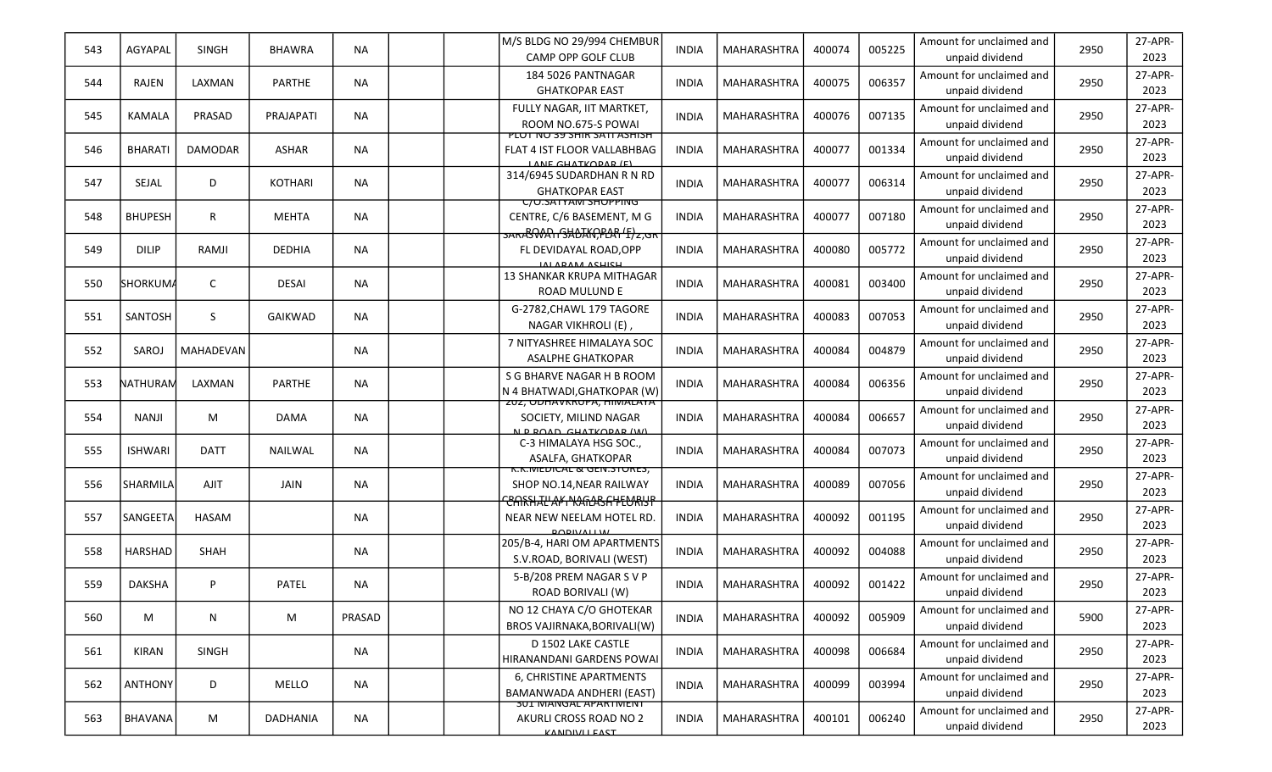| 543 | AGYAPAL         | <b>SINGH</b>   | <b>BHAWRA</b>    | NA        | M/S BLDG NO 29/994 CHEMBUR<br>CAMP OPP GOLF CLUB                                                | <b>INDIA</b> | MAHARASHTRA        | 400074 | 005225 | Amount for unclaimed and<br>unpaid dividend | 2950 | 27-APR-<br>2023 |
|-----|-----------------|----------------|------------------|-----------|-------------------------------------------------------------------------------------------------|--------------|--------------------|--------|--------|---------------------------------------------|------|-----------------|
| 544 | <b>RAJEN</b>    | LAXMAN         | PARTHE           | <b>NA</b> | 184 5026 PANTNAGAR<br><b>GHATKOPAR EAST</b>                                                     | <b>INDIA</b> | <b>MAHARASHTRA</b> | 400075 | 006357 | Amount for unclaimed and<br>unpaid dividend | 2950 | 27-APR-<br>2023 |
| 545 | <b>KAMALA</b>   | PRASAD         | <b>PRAJAPATI</b> | <b>NA</b> | FULLY NAGAR, IIT MARTKET,<br>ROOM NO.675-S POWAL                                                | <b>INDIA</b> | MAHARASHTRA        | 400076 | 007135 | Amount for unclaimed and<br>unpaid dividend | 2950 | 27-APR-<br>2023 |
| 546 | <b>BHARATI</b>  | <b>DAMODAR</b> | <b>ASHAR</b>     | <b>NA</b> | <u>חכוחכא דואכ אוחכ פכ טור דטוץ</u><br>FLAT 4 IST FLOOR VALLABHBAG<br>LANE CHATKODAD (E)        | <b>INDIA</b> | <b>MAHARASHTRA</b> | 400077 | 001334 | Amount for unclaimed and<br>unpaid dividend | 2950 | 27-APR-<br>2023 |
| 547 | SEJAL           | D              | <b>KOTHARI</b>   | NA.       | 314/6945 SUDARDHAN R N RD<br><b>GHATKOPAR EAST</b>                                              | <b>INDIA</b> | <b>MAHARASHTRA</b> | 400077 | 006314 | Amount for unclaimed and<br>unpaid dividend | 2950 | 27-APR-<br>2023 |
| 548 | <b>BHUPESH</b>  | R              | <b>MEHTA</b>     | <b>NA</b> | UU.SATTAM SHUPPING<br>CENTRE, C/6 BASEMENT, M G<br>SARASWAITSHOAKCPLARTE) 2,GR                  | <b>INDIA</b> | <b>MAHARASHTRA</b> | 400077 | 007180 | Amount for unclaimed and<br>unpaid dividend | 2950 | 27-APR-<br>2023 |
| 549 | <b>DILIP</b>    | RAMJI          | <b>DEDHIA</b>    | NA.       | FL DEVIDAYAL ROAD, OPP<br>11111011111211211                                                     | <b>INDIA</b> | <b>MAHARASHTRA</b> | 400080 | 005772 | Amount for unclaimed and<br>unpaid dividend | 2950 | 27-APR-<br>2023 |
| 550 | <b>SHORKUMA</b> | C              | <b>DESAI</b>     | <b>NA</b> | 13 SHANKAR KRUPA MITHAGAR<br>ROAD MULUND E                                                      | <b>INDIA</b> | <b>MAHARASHTRA</b> | 400081 | 003400 | Amount for unclaimed and<br>unpaid dividend | 2950 | 27-APR-<br>2023 |
| 551 | SANTOSH         | S              | GAIKWAD          | <b>NA</b> | G-2782, CHAWL 179 TAGORE<br>NAGAR VIKHROLI (E),                                                 | <b>INDIA</b> | <b>MAHARASHTRA</b> | 400083 | 007053 | Amount for unclaimed and<br>unpaid dividend | 2950 | 27-APR-<br>2023 |
| 552 | SAROJ           | MAHADEVAN      |                  | NA.       | 7 NITYASHREE HIMALAYA SOC<br><b>ASALPHE GHATKOPAR</b>                                           | <b>INDIA</b> | MAHARASHTRA        | 400084 | 004879 | Amount for unclaimed and<br>unpaid dividend | 2950 | 27-APR-<br>2023 |
| 553 | NATHURAN        | LAXMAN         | PARTHE           | NA        | S G BHARVE NAGAR H B ROOM<br>N 4 BHATWADI, GHATKOPAR (W)                                        | <b>INDIA</b> | <b>MAHARASHTRA</b> | 400084 | 006356 | Amount for unclaimed and<br>unpaid dividend | 2950 | 27-APR-<br>2023 |
| 554 | <b>NANJI</b>    | M              | DAMA             | <b>NA</b> | ZUZ, UDHAVKKUPA, HIIVIALATA<br>SOCIETY, MILIND NAGAR<br>N D DOAD CHATKODAD (W)                  | <b>INDIA</b> | <b>MAHARASHTRA</b> | 400084 | 006657 | Amount for unclaimed and<br>unpaid dividend | 2950 | 27-APR-<br>2023 |
| 555 | <b>ISHWARI</b>  | <b>DATT</b>    | <b>NAILWAL</b>   | <b>NA</b> | C-3 HIMALAYA HSG SOC.,<br>ASALFA, GHATKOPAR                                                     | <b>INDIA</b> | <b>MAHARASHTRA</b> | 400084 | 007073 | Amount for unclaimed and<br>unpaid dividend | 2950 | 27-APR-<br>2023 |
| 556 | SHARMILA        | AJIT           | JAIN             | <b>NA</b> | K.K.IVIEDICAL & GEN.STORES,<br>SHOP NO.14, NEAR RAILWAY<br><del>CARSHAL'AK NAGASA YEURISP</del> | <b>INDIA</b> | MAHARASHTRA        | 400089 | 007056 | Amount for unclaimed and<br>unpaid dividend | 2950 | 27-APR-<br>2023 |
| 557 | <b>SANGEETA</b> | <b>HASAM</b>   |                  | <b>NA</b> | NEAR NEW NEELAM HOTEL RD.<br><b>ROBIVALLW</b>                                                   | <b>INDIA</b> | MAHARASHTRA        | 400092 | 001195 | Amount for unclaimed and<br>unpaid dividend | 2950 | 27-APR-<br>2023 |
| 558 | <b>HARSHAD</b>  | SHAH           |                  | NA        | 205/B-4, HARI OM APARTMENTS<br>S.V.ROAD, BORIVALI (WEST)                                        | <b>INDIA</b> | <b>MAHARASHTRA</b> | 400092 | 004088 | Amount for unclaimed and<br>unpaid dividend | 2950 | 27-APR-<br>2023 |
| 559 | <b>DAKSHA</b>   | P              | PATEL            | <b>NA</b> | 5-B/208 PREM NAGAR S V P<br><b>ROAD BORIVALI (W)</b>                                            | <b>INDIA</b> | MAHARASHTRA        | 400092 | 001422 | Amount for unclaimed and<br>unpaid dividend | 2950 | 27-APR-<br>2023 |
| 560 | M               | N              | M                | PRASAD    | NO 12 CHAYA C/O GHOTEKAR<br>BROS VAJIRNAKA, BORIVALI(W)                                         | <b>INDIA</b> | <b>MAHARASHTRA</b> | 400092 | 005909 | Amount for unclaimed and<br>unpaid dividend | 5900 | 27-APR-<br>2023 |
| 561 | <b>KIRAN</b>    | SINGH          |                  | NA        | D 1502 LAKE CASTLE<br>HIRANANDANI GARDENS POWAI                                                 | <b>INDIA</b> | MAHARASHTRA        | 400098 | 006684 | Amount for unclaimed and<br>unpaid dividend | 2950 | 27-APR-<br>2023 |
| 562 | <b>ANTHONY</b>  | D              | <b>MELLO</b>     | <b>NA</b> | 6, CHRISTINE APARTMENTS<br>BAMANWADA ANDHERI (EAST)                                             | <b>INDIA</b> | MAHARASHTRA        | 400099 | 003994 | Amount for unclaimed and<br>unpaid dividend | 2950 | 27-APR-<br>2023 |
| 563 | BHAVANA         | M              | DADHANIA         | <b>NA</b> | <b>301 MANGAL APARTMENT</b><br>AKURLI CROSS ROAD NO 2<br><b>VANDIVALEACT</b>                    | <b>INDIA</b> | MAHARASHTRA        | 400101 | 006240 | Amount for unclaimed and<br>unpaid dividend | 2950 | 27-APR-<br>2023 |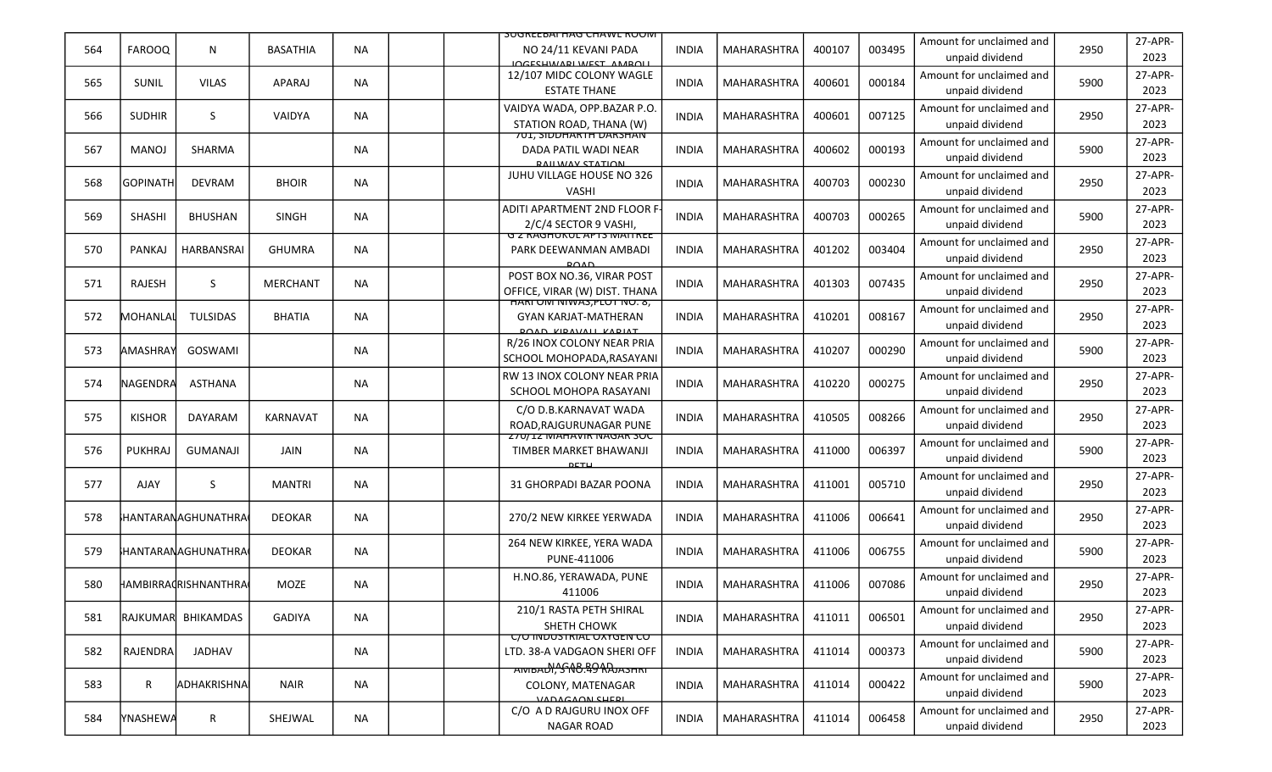|     |                         |                           |                 |           | <b>SUGREEBAI HAG CHAWL RUUM</b>                                                           |              |                    |        |        |                                             |      |                 |
|-----|-------------------------|---------------------------|-----------------|-----------|-------------------------------------------------------------------------------------------|--------------|--------------------|--------|--------|---------------------------------------------|------|-----------------|
| 564 | <b>FAROOQ</b>           | N                         | <b>BASATHIA</b> | <b>NA</b> | NO 24/11 KEVANI PADA<br>INCECHWARLWEST AMBOLL                                             | <b>INDIA</b> | <b>MAHARASHTRA</b> | 400107 | 003495 | Amount for unclaimed and<br>unpaid dividend | 2950 | 27-APR-<br>2023 |
| 565 | <b>SUNIL</b>            | <b>VILAS</b>              | <b>APARAJ</b>   | <b>NA</b> | 12/107 MIDC COLONY WAGLE<br><b>ESTATE THANE</b>                                           | <b>INDIA</b> | MAHARASHTRA        | 400601 | 000184 | Amount for unclaimed and<br>unpaid dividend | 5900 | 27-APR-<br>2023 |
| 566 | <b>SUDHIR</b>           | S                         | VAIDYA          | <b>NA</b> | VAIDYA WADA, OPP.BAZAR P.O.<br>STATION ROAD, THANA (W)                                    | <b>INDIA</b> | <b>MAHARASHTRA</b> | 400601 | 007125 | Amount for unclaimed and<br>unpaid dividend | 2950 | 27-APR-<br>2023 |
| 567 | <b>MANOJ</b>            | SHARMA                    |                 | NA        | <b>701, SIDDHAKTH DAKSHAN</b><br>DADA PATIL WADI NEAR<br><b>DAILWAV STATION</b>           | <b>INDIA</b> | <b>MAHARASHTRA</b> | 400602 | 000193 | Amount for unclaimed and<br>unpaid dividend | 5900 | 27-APR-<br>2023 |
| 568 | lgopinath               | <b>DEVRAM</b>             | <b>BHOIR</b>    | <b>NA</b> | JUHU VILLAGE HOUSE NO 326<br><b>VASHI</b>                                                 | <b>INDIA</b> | <b>MAHARASHTRA</b> | 400703 | 000230 | Amount for unclaimed and<br>unpaid dividend | 2950 | 27-APR-<br>2023 |
| 569 | <b>SHASHI</b>           | <b>BHUSHAN</b>            | <b>SINGH</b>    | NA.       | ADITI APARTMENT 2ND FLOOR F<br>2/C/4 SECTOR 9 VASHI,                                      | <b>INDIA</b> | <b>MAHARASHTRA</b> | 400703 | 000265 | Amount for unclaimed and<br>unpaid dividend | 5900 | 27-APR-<br>2023 |
| 570 | <b>PANKAJ</b>           | HARBANSRAI                | <b>GHUMRA</b>   | <b>NA</b> | <b>G Z RAGHUKUL APTS MATTREE</b><br>PARK DEEWANMAN AMBADI<br>001D                         | <b>INDIA</b> | MAHARASHTRA        | 401202 | 003404 | Amount for unclaimed and<br>unpaid dividend | 2950 | 27-APR-<br>2023 |
| 571 | RAJESH                  | S.                        | <b>MERCHANT</b> | <b>NA</b> | POST BOX NO.36, VIRAR POST<br>OFFICE, VIRAR (W) DIST. THANA                               | <b>INDIA</b> | <b>MAHARASHTRA</b> | 401303 | 007435 | Amount for unclaimed and<br>unpaid dividend | 2950 | 27-APR-<br>2023 |
| 572 | MOHANLAL                | <b>TULSIDAS</b>           | <b>BHATIA</b>   | NA.       | HARI UNI NIWAS, PLUT NU. 8,<br><b>GYAN KARJAT-MATHERAN</b><br><b>DOAD VIDAVALL VADIAT</b> | <b>INDIA</b> | <b>MAHARASHTRA</b> | 410201 | 008167 | Amount for unclaimed and<br>unpaid dividend | 2950 | 27-APR-<br>2023 |
| 573 | AMASHRAY                | GOSWAMI                   |                 | NA        | R/26 INOX COLONY NEAR PRIA<br>SCHOOL MOHOPADA, RASAYANI                                   | <b>INDIA</b> | <b>MAHARASHTRA</b> | 410207 | 000290 | Amount for unclaimed and<br>unpaid dividend | 5900 | 27-APR-<br>2023 |
| 574 | <b>NAGENDRA</b>         | <b>ASTHANA</b>            |                 | NA        | <b>RW 13 INOX COLONY NEAR PRIA</b><br>SCHOOL MOHOPA RASAYANI                              | <b>INDIA</b> | <b>MAHARASHTRA</b> | 410220 | 000275 | Amount for unclaimed and<br>unpaid dividend | 2950 | 27-APR-<br>2023 |
| 575 | <b>KISHOR</b>           | <b>DAYARAM</b>            | <b>KARNAVAT</b> | <b>NA</b> | C/O D.B.KARNAVAT WADA<br>ROAD, RAJGURUNAGAR PUNE                                          | <b>INDIA</b> | <b>MAHARASHTRA</b> | 410505 | 008266 | Amount for unclaimed and<br>unpaid dividend | 2950 | 27-APR-<br>2023 |
| 576 | <b>PUKHRAJ</b>          | <b>GUMANAJI</b>           | <b>JAIN</b>     | <b>NA</b> | <b>Z70/IZ MAHAVIK NAGAK SUC</b><br>TIMBER MARKET BHAWANJI<br>DETU                         | <b>INDIA</b> | MAHARASHTRA        | 411000 | 006397 | Amount for unclaimed and<br>unpaid dividend | 5900 | 27-APR-<br>2023 |
| 577 | AJAY                    | S                         | <b>MANTRI</b>   | <b>NA</b> | 31 GHORPADI BAZAR POONA                                                                   | <b>INDIA</b> | MAHARASHTRA        | 411001 | 005710 | Amount for unclaimed and<br>unpaid dividend | 2950 | 27-APR-<br>2023 |
| 578 |                         | }HANTARANAGHUNATHRA       | <b>DEOKAR</b>   | NA        | 270/2 NEW KIRKEE YERWADA                                                                  | <b>INDIA</b> | <b>MAHARASHTRA</b> | 411006 | 006641 | Amount for unclaimed and<br>unpaid dividend | 2950 | 27-APR-<br>2023 |
| 579 |                         | <b>HANTARANAGHUNATHRA</b> | <b>DEOKAR</b>   | <b>NA</b> | 264 NEW KIRKEE, YERA WADA<br>PUNE-411006                                                  | <b>INDIA</b> | MAHARASHTRA        | 411006 | 006755 | Amount for unclaimed and<br>unpaid dividend | 5900 | 27-APR-<br>2023 |
| 580 |                         | HAMBIRRAḍRISHNANTHRA      | MOZE            | ΝA        | H.NO.86, YERAWADA, PUNE<br>411006                                                         | <b>INDIA</b> | MAHARASHTRA        | 411006 | 007086 | Amount for unclaimed and<br>unpaid dividend | 2950 | 27-APR-<br>2023 |
| 581 | <i><b>IRAJKUMAR</b></i> | BHIKAMDAS                 | GADIYA          | <b>NA</b> | 210/1 RASTA PETH SHIRAL<br>SHETH CHOWK                                                    | <b>INDIA</b> | MAHARASHTRA        | 411011 | 006501 | Amount for unclaimed and<br>unpaid dividend | 2950 | 27-APR-<br>2023 |
| 582 | RAJENDRA                | JADHAV                    |                 | <b>NA</b> | <u>C/O INDUSTRIAL OXYGEN CO</u><br>LTD. 38-A VADGAON SHERI OFF                            | <b>INDIA</b> | MAHARASHTRA        | 411014 | 000373 | Amount for unclaimed and<br>unpaid dividend | 5900 | 27-APR-<br>2023 |
| 583 | R                       | ADHAKRISHNA               | <b>NAIR</b>     | NA        | AMBADI, SNO. 49 RAJASHRI<br>COLONY, MATENAGAR<br>VADAGAON CHEDI                           | <b>INDIA</b> | MAHARASHTRA        | 411014 | 000422 | Amount for unclaimed and<br>unpaid dividend | 5900 | 27-APR-<br>2023 |
| 584 | YNASHEWA                | $\mathsf{R}$              | SHEJWAL         | NA        | C/O A D RAJGURU INOX OFF<br><b>NAGAR ROAD</b>                                             | <b>INDIA</b> | MAHARASHTRA        | 411014 | 006458 | Amount for unclaimed and<br>unpaid dividend | 2950 | 27-APR-<br>2023 |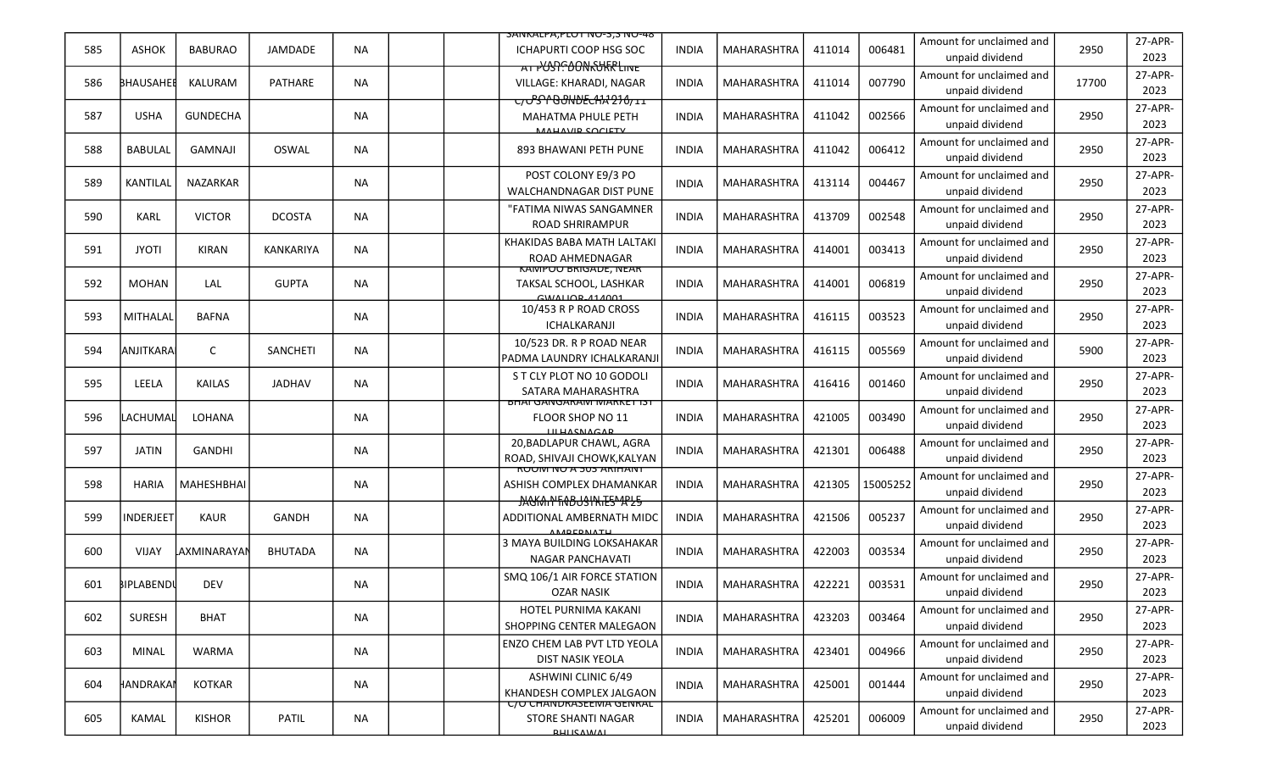|     |                  |                   |                |           | <b>SAINKALPA, PLUT INU-3, SINU-48</b>                                                       |              |                    |        |          |                                             |       |                 |
|-----|------------------|-------------------|----------------|-----------|---------------------------------------------------------------------------------------------|--------------|--------------------|--------|----------|---------------------------------------------|-------|-----------------|
| 585 | <b>ASHOK</b>     | <b>BABURAO</b>    | JAMDADE        | <b>NA</b> | <b>ICHAPURTI COOP HSG SOC</b>                                                               | <b>INDIA</b> | <b>MAHARASHTRA</b> | 411014 | 006481   | Amount for unclaimed and<br>unpaid dividend | 2950  | 27-APR-<br>2023 |
| 586 | <b>BHAUSAHEE</b> | <b>KALURAM</b>    | <b>PATHARE</b> | <b>NA</b> | AT PUSP. DONKURR LINE<br>VILLAGE: KHARADI, NAGAR                                            | INDIA        | MAHARASHTRA        | 411014 | 007790   | Amount for unclaimed and<br>unpaid dividend | 17700 | 27-APR-<br>2023 |
| 587 | <b>USHA</b>      | <b>GUNDECHA</b>   |                | NA        | ᠸ᠍ <del>ᡒ᠐᠑ᡴ᠐ᡛᡄᠰᠯᡘ᠑᠈᠔᠋</del> ᠋<br><b>MAHATMA PHULE PETH</b><br><b>MALIAVID COCIETY</b>      | INDIA        | <b>MAHARASHTRA</b> | 411042 | 002566   | Amount for unclaimed and<br>unpaid dividend | 2950  | 27-APR-<br>2023 |
| 588 | <b>BABULAL</b>   | <b>GAMNAJI</b>    | OSWAL          | <b>NA</b> | 893 BHAWANI PETH PUNE                                                                       | <b>INDIA</b> | <b>MAHARASHTRA</b> | 411042 | 006412   | Amount for unclaimed and<br>unpaid dividend | 2950  | 27-APR-<br>2023 |
| 589 | <b>KANTILAL</b>  | <b>NAZARKAR</b>   |                | NA.       | POST COLONY E9/3 PO<br><b>WALCHANDNAGAR DIST PUNE</b>                                       | INDIA        | <b>MAHARASHTRA</b> | 413114 | 004467   | Amount for unclaimed and<br>unpaid dividend | 2950  | 27-APR-<br>2023 |
| 590 | <b>KARL</b>      | <b>VICTOR</b>     | <b>DCOSTA</b>  | NA.       | "FATIMA NIWAS SANGAMNER<br><b>ROAD SHRIRAMPUR</b>                                           | <b>INDIA</b> | <b>MAHARASHTRA</b> | 413709 | 002548   | Amount for unclaimed and<br>unpaid dividend | 2950  | 27-APR-<br>2023 |
| 591 | <b>JYOTI</b>     | <b>KIRAN</b>      | KANKARIYA      | <b>NA</b> | KHAKIDAS BABA MATH LALTAKI<br>ROAD AHMEDNAGAR                                               | <b>INDIA</b> | MAHARASHTRA        | 414001 | 003413   | Amount for unclaimed and<br>unpaid dividend | 2950  | 27-APR-<br>2023 |
| 592 | <b>MOHAN</b>     | LAL               | <b>GUPTA</b>   | <b>NA</b> | <u>KAIVIPUU BRIGADE, IVEAK</u><br>TAKSAL SCHOOL, LASHKAR<br>$CMLALI$ $ADA1$ $ADA1$          | INDIA        | <b>MAHARASHTRA</b> | 414001 | 006819   | Amount for unclaimed and<br>unpaid dividend | 2950  | 27-APR-<br>2023 |
| 593 | MITHALAL         | <b>BAFNA</b>      |                | NA.       | 10/453 R P ROAD CROSS<br>ICHALKARANJI                                                       | <b>INDIA</b> | <b>MAHARASHTRA</b> | 416115 | 003523   | Amount for unclaimed and<br>unpaid dividend | 2950  | 27-APR-<br>2023 |
| 594 | ANJITKARA        | C                 | SANCHETI       | <b>NA</b> | 10/523 DR. R P ROAD NEAR<br>PADMA LAUNDRY ICHALKARANJI                                      | <b>INDIA</b> | <b>MAHARASHTRA</b> | 416115 | 005569   | Amount for unclaimed and<br>unpaid dividend | 5900  | 27-APR-<br>2023 |
| 595 | LEELA            | <b>KAILAS</b>     | JADHAV         | NA        | S T CLY PLOT NO 10 GODOLI<br>SATARA MAHARASHTRA                                             | <b>INDIA</b> | <b>MAHARASHTRA</b> | 416416 | 001460   | Amount for unclaimed and<br>unpaid dividend | 2950  | 27-APR-<br>2023 |
| 596 | LACHUMAL         | <b>LOHANA</b>     |                | NA        | <b>BHAI GANGARAM MARKET IST</b><br><b>FLOOR SHOP NO 11</b><br><b>ILLUACNACAD</b>            | <b>INDIA</b> | MAHARASHTRA        | 421005 | 003490   | Amount for unclaimed and<br>unpaid dividend | 2950  | 27-APR-<br>2023 |
| 597 | <b>JATIN</b>     | <b>GANDHI</b>     |                | <b>NA</b> | 20, BADLAPUR CHAWL, AGRA<br>ROAD, SHIVAJI CHOWK, KALYAN                                     | <b>INDIA</b> | <b>MAHARASHTRA</b> | 421301 | 006488   | Amount for unclaimed and<br>unpaid dividend | 2950  | 27-APR-<br>2023 |
| 598 | <b>HARIA</b>     | <b>MAHESHBHAI</b> |                | NA.       | <u>RUUM NU A 503 ARIHANT</u><br>ASHISH COMPLEX DHAMANKAR<br><b>JAGKAIN FRABUSINIES APLS</b> | <b>INDIA</b> | MAHARASHTRA        | 421305 | 15005252 | Amount for unclaimed and<br>unpaid dividend | 2950  | 27-APR-<br>2023 |
| 599 | <b>INDERJEET</b> | <b>KAUR</b>       | <b>GANDH</b>   | NA        | ADDITIONAL AMBERNATH MIDC<br><b>ANADEDNATH</b>                                              | <b>INDIA</b> | <b>MAHARASHTRA</b> | 421506 | 005237   | Amount for unclaimed and<br>unpaid dividend | 2950  | 27-APR-<br>2023 |
| 600 | <b>VIJAY</b>     | LAXMINARAYAI      | <b>BHUTADA</b> | <b>NA</b> | 3 MAYA BUILDING LOKSAHAKAR<br><b>NAGAR PANCHAVATI</b>                                       | <b>INDIA</b> | <b>MAHARASHTRA</b> | 422003 | 003534   | Amount for unclaimed and<br>unpaid dividend | 2950  | 27-APR-<br>2023 |
| 601 | BIPLABENDI       | <b>DEV</b>        |                | NA        | SMQ 106/1 AIR FORCE STATION<br><b>OZAR NASIK</b>                                            | <b>INDIA</b> | MAHARASHTRA        | 422221 | 003531   | Amount for unclaimed and<br>unpaid dividend | 2950  | 27-APR-<br>2023 |
| 602 | <b>SURESH</b>    | <b>BHAT</b>       |                | <b>NA</b> | HOTEL PURNIMA KAKANI<br>SHOPPING CENTER MALEGAON                                            | <b>INDIA</b> | <b>MAHARASHTRA</b> | 423203 | 003464   | Amount for unclaimed and<br>unpaid dividend | 2950  | 27-APR-<br>2023 |
| 603 | MINAL            | <b>WARMA</b>      |                | NA        | ENZO CHEM LAB PVT LTD YEOLA<br>DIST NASIK YEOLA                                             | <b>INDIA</b> | MAHARASHTRA        | 423401 | 004966   | Amount for unclaimed and<br>unpaid dividend | 2950  | 27-APR-<br>2023 |
| 604 | HANDRAKAI        | <b>KOTKAR</b>     |                | NA        | ASHWINI CLINIC 6/49<br>KHANDESH COMPLEX JALGAON                                             | <b>INDIA</b> | MAHARASHTRA        | 425001 | 001444   | Amount for unclaimed and<br>unpaid dividend | 2950  | 27-APR-<br>2023 |
| 605 | KAMAL            | <b>KISHOR</b>     | PATIL          | NA        | <b>C/U CHANDRASEEMA GENRAL</b><br><b>STORE SHANTI NAGAR</b><br><b>DUITCAMMI</b>             | <b>INDIA</b> | MAHARASHTRA        | 425201 | 006009   | Amount for unclaimed and<br>unpaid dividend | 2950  | 27-APR-<br>2023 |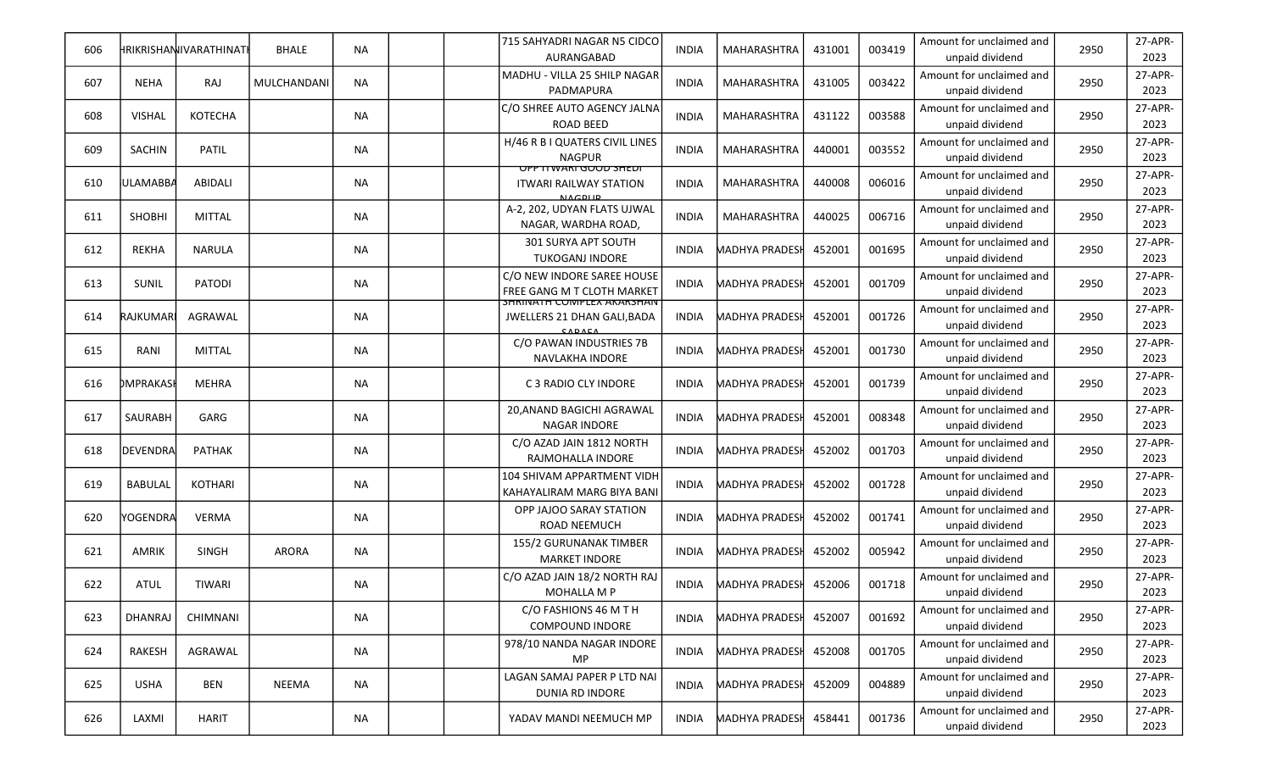| 606 |                 | HRIKRISHANIIVARATHINATI | <b>BHALE</b> | <b>NA</b> |  | 715 SAHYADRI NAGAR N5 CIDCO<br>AURANGABAD                                       | <b>INDIA</b> | MAHARASHTRA           | 431001 | 003419 | Amount for unclaimed and<br>unpaid dividend | 2950 | 27-APR-<br>2023 |
|-----|-----------------|-------------------------|--------------|-----------|--|---------------------------------------------------------------------------------|--------------|-----------------------|--------|--------|---------------------------------------------|------|-----------------|
| 607 | NEHA            | RAJ                     | MULCHANDANI  | <b>NA</b> |  | MADHU - VILLA 25 SHILP NAGAR<br>PADMAPURA                                       | <b>INDIA</b> | <b>MAHARASHTRA</b>    | 431005 | 003422 | Amount for unclaimed and<br>unpaid dividend | 2950 | 27-APR-<br>2023 |
| 608 | <b>VISHAL</b>   | <b>KOTECHA</b>          |              | <b>NA</b> |  | C/O SHREE AUTO AGENCY JALNA<br><b>ROAD BEED</b>                                 | <b>INDIA</b> | MAHARASHTRA           | 431122 | 003588 | Amount for unclaimed and<br>unpaid dividend | 2950 | 27-APR-<br>2023 |
| 609 | SACHIN          | <b>PATIL</b>            |              | <b>NA</b> |  | H/46 R B I QUATERS CIVIL LINES<br><b>NAGPUR</b>                                 | <b>INDIA</b> | <b>MAHARASHTRA</b>    | 440001 | 003552 | Amount for unclaimed and<br>unpaid dividend | 2950 | 27-APR-<br>2023 |
| 610 | <b>ULAMABBA</b> | ABIDALI                 |              | <b>NA</b> |  | <u>UPP II WAKI GUUU SHEDI</u><br><b>ITWARI RAILWAY STATION</b><br><b>NACDUP</b> | <b>INDIA</b> | <b>MAHARASHTRA</b>    | 440008 | 006016 | Amount for unclaimed and<br>unpaid dividend | 2950 | 27-APR-<br>2023 |
| 611 | <b>SHOBHI</b>   | MITTAL                  |              | <b>NA</b> |  | A-2, 202, UDYAN FLATS UJWAL<br>NAGAR, WARDHA ROAD,                              | <b>INDIA</b> | <b>MAHARASHTRA</b>    | 440025 | 006716 | Amount for unclaimed and<br>unpaid dividend | 2950 | 27-APR-<br>2023 |
| 612 | REKHA           | <b>NARULA</b>           |              | ΝA        |  | 301 SURYA APT SOUTH<br><b>TUKOGANJ INDORE</b>                                   | <b>INDIA</b> | <b>MADHYA PRADES</b>  | 452001 | 001695 | Amount for unclaimed and<br>unpaid dividend | 2950 | 27-APR-<br>2023 |
| 613 | SUNIL           | PATODI                  |              | <b>NA</b> |  | C/O NEW INDORE SAREE HOUSE<br>FREE GANG M T CLOTH MARKET                        | <b>INDIA</b> | <b>MADHYA PRADESI</b> | 452001 | 001709 | Amount for unclaimed and<br>unpaid dividend | 2950 | 27-APR-<br>2023 |
| 614 | RAJKUMAR        | AGRAWAL                 |              | <b>NA</b> |  | <b>SHRINATH COIVIPLEX AKAKSHAIV</b><br>JWELLERS 21 DHAN GALI, BADA<br>CADAEA    | <b>INDIA</b> | <b>MADHYA PRADESI</b> | 452001 | 001726 | Amount for unclaimed and<br>unpaid dividend | 2950 | 27-APR-<br>2023 |
| 615 | RANI            | <b>MITTAL</b>           |              | <b>NA</b> |  | C/O PAWAN INDUSTRIES 7B<br>NAVLAKHA INDORE                                      | <b>INDIA</b> | MADHYA PRADESI        | 452001 | 001730 | Amount for unclaimed and<br>unpaid dividend | 2950 | 27-APR-<br>2023 |
| 616 | DMPRAKASI       | MEHRA                   |              | NA        |  | C 3 RADIO CLY INDORE                                                            | <b>INDIA</b> | MADHYA PRADES         | 452001 | 001739 | Amount for unclaimed and<br>unpaid dividend | 2950 | 27-APR-<br>2023 |
| 617 | SAURABH         | GARG                    |              | <b>NA</b> |  | 20, ANAND BAGICHI AGRAWAL<br>NAGAR INDORE                                       | <b>INDIA</b> | <b>MADHYA PRADESH</b> | 452001 | 008348 | Amount for unclaimed and<br>unpaid dividend | 2950 | 27-APR-<br>2023 |
| 618 | DEVENDRA        | <b>PATHAK</b>           |              | <b>NA</b> |  | C/O AZAD JAIN 1812 NORTH<br>RAJMOHALLA INDORE                                   | <b>INDIA</b> | <b>MADHYA PRADESI</b> | 452002 | 001703 | Amount for unclaimed and<br>unpaid dividend | 2950 | 27-APR-<br>2023 |
| 619 | <b>BABULAL</b>  | KOTHARI                 |              | <b>NA</b> |  | 104 SHIVAM APPARTMENT VIDH<br>KAHAYALIRAM MARG BIYA BANI                        | <b>INDIA</b> | <b>MADHYA PRADES</b>  | 452002 | 001728 | Amount for unclaimed and<br>unpaid dividend | 2950 | 27-APR-<br>2023 |
| 620 | YOGENDRA        | VERMA                   |              | <b>NA</b> |  | OPP JAJOO SARAY STATION<br><b>ROAD NEEMUCH</b>                                  | <b>INDIA</b> | MADHYA PRADESI        | 452002 | 001741 | Amount for unclaimed and<br>unpaid dividend | 2950 | 27-APR-<br>2023 |
| 621 | <b>AMRIK</b>    | <b>SINGH</b>            | <b>ARORA</b> | <b>NA</b> |  | 155/2 GURUNANAK TIMBER<br><b>MARKET INDORE</b>                                  | <b>INDIA</b> | <b>MADHYA PRADES</b>  | 452002 | 005942 | Amount for unclaimed and<br>unpaid dividend | 2950 | 27-APR-<br>2023 |
| 622 | ATUL            | <b>TIWARI</b>           |              | <b>NA</b> |  | C/O AZAD JAIN 18/2 NORTH RAJ<br><b>MOHALLA M P</b>                              | <b>INDIA</b> | <b>MADHYA PRADESH</b> | 452006 | 001718 | Amount for unclaimed and<br>unpaid dividend | 2950 | 27-APR-<br>2023 |
| 623 | <b>DHANRAJ</b>  | CHIMNANI                |              | <b>NA</b> |  | C/O FASHIONS 46 M T H<br><b>COMPOUND INDORE</b>                                 | INDIA        | <b>MADHYA PRADESI</b> | 452007 | 001692 | Amount for unclaimed and<br>unpaid dividend | 2950 | 27-APR-<br>2023 |
| 624 | RAKESH          | AGRAWAL                 |              | NA        |  | 978/10 NANDA NAGAR INDORE<br>MP                                                 | <b>INDIA</b> | <b>MADHYA PRADESH</b> | 452008 | 001705 | Amount for unclaimed and<br>unpaid dividend | 2950 | 27-APR-<br>2023 |
| 625 | <b>USHA</b>     | BEN                     | NEEMA        | <b>NA</b> |  | LAGAN SAMAJ PAPER P LTD NAI<br>DUNIA RD INDORE                                  | <b>INDIA</b> | <b>MADHYA PRADESH</b> | 452009 | 004889 | Amount for unclaimed and<br>unpaid dividend | 2950 | 27-APR-<br>2023 |
| 626 | LAXMI           | <b>HARIT</b>            |              | ΝA        |  | YADAV MANDI NEEMUCH MP                                                          | <b>INDIA</b> | <b>MADHYA PRADESH</b> | 458441 | 001736 | Amount for unclaimed and<br>unpaid dividend | 2950 | 27-APR-<br>2023 |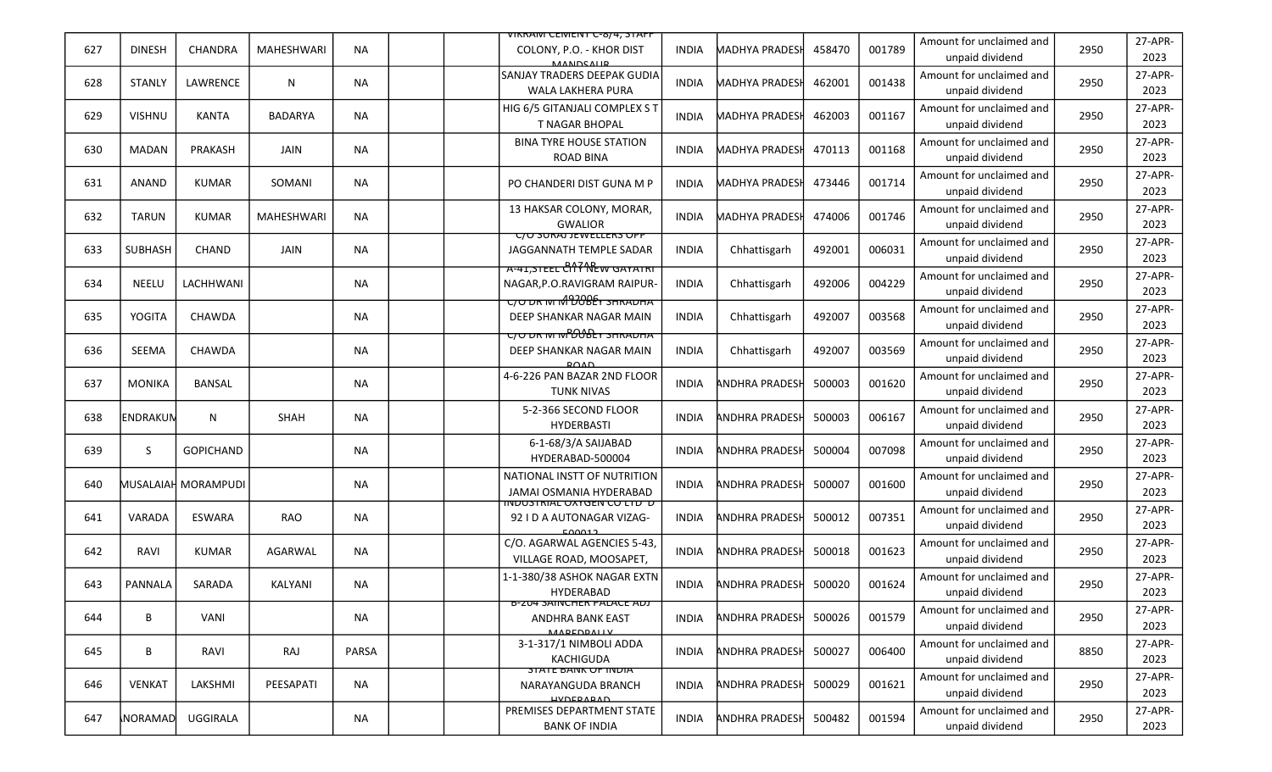|     |                |                     |                   |           | <u>VIKKAIVI CEIVIEIVI C-8/4, STAFF</u>                                                          |              |                       |        |        |                                             |      |                 |
|-----|----------------|---------------------|-------------------|-----------|-------------------------------------------------------------------------------------------------|--------------|-----------------------|--------|--------|---------------------------------------------|------|-----------------|
| 627 | <b>DINESH</b>  | CHANDRA             | <b>MAHESHWARI</b> | <b>NA</b> | COLONY, P.O. - KHOR DIST<br><b>MANIDCALID</b>                                                   | <b>INDIA</b> | MADHYA PRADESI        | 458470 | 001789 | Amount for unclaimed and<br>unpaid dividend | 2950 | 27-APR-<br>2023 |
| 628 | <b>STANLY</b>  | LAWRENCE            | N                 | <b>NA</b> | SANJAY TRADERS DEEPAK GUDIA<br>WALA LAKHERA PURA                                                | <b>INDIA</b> | MADHYA PRADESI        | 462001 | 001438 | Amount for unclaimed and<br>unpaid dividend | 2950 | 27-APR-<br>2023 |
| 629 | <b>VISHNU</b>  | <b>KANTA</b>        | <b>BADARYA</b>    | <b>NA</b> | HIG 6/5 GITANJALI COMPLEX S T<br><b>T NAGAR BHOPAL</b>                                          | <b>INDIA</b> | <b>MADHYA PRADESI</b> | 462003 | 001167 | Amount for unclaimed and<br>unpaid dividend | 2950 | 27-APR-<br>2023 |
| 630 | <b>MADAN</b>   | PRAKASH             | JAIN              | NA        | <b>BINA TYRE HOUSE STATION</b><br><b>ROAD BINA</b>                                              | <b>INDIA</b> | MADHYA PRADESI        | 470113 | 001168 | Amount for unclaimed and<br>unpaid dividend | 2950 | 27-APR-<br>2023 |
| 631 | ANAND          | <b>KUMAR</b>        | SOMANI            | <b>NA</b> | PO CHANDERI DIST GUNA M P                                                                       | <b>INDIA</b> | <b>MADHYA PRADESI</b> | 473446 | 001714 | Amount for unclaimed and<br>unpaid dividend | 2950 | 27-APR-<br>2023 |
| 632 | TARUN          | <b>KUMAR</b>        | <b>MAHESHWARI</b> | <b>NA</b> | 13 HAKSAR COLONY, MORAR,<br><b>GWALIOR</b>                                                      | <b>INDIA</b> | MADHYA PRADESI        | 474006 | 001746 | Amount for unclaimed and<br>unpaid dividend | 2950 | 27-APR-<br>2023 |
| 633 | <b>SUBHASH</b> | <b>CHAND</b>        | JAIN              | <b>NA</b> | <b>C/U SURAJ JEWELLERS UPP</b><br>JAGGANNATH TEMPLE SADAR<br><b>A-41,STEEL CITY NEW GATATRI</b> | <b>INDIA</b> | Chhattisgarh          | 492001 | 006031 | Amount for unclaimed and<br>unpaid dividend | 2950 | 27-APR-<br>2023 |
| 634 | <b>NEELU</b>   | LACHHWANI           |                   | <b>NA</b> | NAGAR, P.O.RAVIGRAM RAIPUR-                                                                     | <b>INDIA</b> | Chhattisgarh          | 492006 | 004229 | Amount for unclaimed and<br>unpaid dividend | 2950 | 27-APR-<br>2023 |
| 635 | <b>YOGITA</b>  | CHAWDA              |                   | NA        | <del>C/O DR M M DOBEY SHRADHA</del><br>DEEP SHANKAR NAGAR MAIN                                  | <b>INDIA</b> | Chhattisgarh          | 492007 | 003568 | Amount for unclaimed and<br>unpaid dividend | 2950 | 27-APR-<br>2023 |
| 636 | SEEMA          | CHAWDA              |                   | <b>NA</b> | <del>ריט טוא און איז פו C/O איז א</del><br>DEEP SHANKAR NAGAR MAIN                              | <b>INDIA</b> | Chhattisgarh          | 492007 | 003569 | Amount for unclaimed and<br>unpaid dividend | 2950 | 27-APR-<br>2023 |
| 637 | MONIKA         | BANSAL              |                   | ΝA        | 4-6-226 PAN BAZAR 2ND FLOOR<br><b>TUNK NIVAS</b>                                                | <b>INDIA</b> | <b>ANDHRA PRADESH</b> | 500003 | 001620 | Amount for unclaimed and<br>unpaid dividend | 2950 | 27-APR-<br>2023 |
| 638 | ENDRAKUN       | N                   | SHAH              | <b>NA</b> | 5-2-366 SECOND FLOOR<br><b>HYDERBASTI</b>                                                       | <b>INDIA</b> | <b>ANDHRA PRADESH</b> | 500003 | 006167 | Amount for unclaimed and<br>unpaid dividend | 2950 | 27-APR-<br>2023 |
| 639 | S              | <b>GOPICHAND</b>    |                   | <b>NA</b> | 6-1-68/3/A SAIJABAD<br>HYDERABAD-500004                                                         | <b>INDIA</b> | <b>ANDHRA PRADESH</b> | 500004 | 007098 | Amount for unclaimed and<br>unpaid dividend | 2950 | 27-APR-<br>2023 |
| 640 |                | MUSALAIAH MORAMPUDI |                   | NA        | NATIONAL INSTT OF NUTRITION<br>JAMAI OSMANIA HYDERABAD                                          | <b>INDIA</b> | ANDHRA PRADESH        | 500007 | 001600 | Amount for unclaimed and<br>unpaid dividend | 2950 | 27-APR-<br>2023 |
| 641 | VARADA         | <b>ESWARA</b>       | RAO               | <b>NA</b> | <u> ס כדו טעזיסטאזונטשטווו</u><br>92 I D A AUTONAGAR VIZAG-<br>500012                           | <b>INDIA</b> | ANDHRA PRADESH        | 500012 | 007351 | Amount for unclaimed and<br>unpaid dividend | 2950 | 27-APR-<br>2023 |
| 642 | RAVI           | <b>KUMAR</b>        | AGARWAL           | <b>NA</b> | C/O. AGARWAL AGENCIES 5-43,<br>VILLAGE ROAD, MOOSAPET,                                          | <b>INDIA</b> | <b>ANDHRA PRADESH</b> | 500018 | 001623 | Amount for unclaimed and<br>unpaid dividend | 2950 | 27-APR-<br>2023 |
| 643 | PANNALA        | SARADA              | KALYANI           | NA        | 1-1-380/38 ASHOK NAGAR EXTN<br>HYDERABAD                                                        | <b>INDIA</b> | <b>ANDHRA PRADESH</b> | 500020 | 001624 | Amount for unclaimed and<br>unpaid dividend | 2950 | 27-APR-<br>2023 |
| 644 | В              | VANI                |                   | <b>NA</b> | <b>B-ZU4 SAINCHER PALACE ADJ</b><br>ANDHRA BANK EAST<br><b>MADEDDALLY</b>                       | <b>INDIA</b> | <b>ANDHRA PRADESH</b> | 500026 | 001579 | Amount for unclaimed and<br>unpaid dividend | 2950 | 27-APR-<br>2023 |
| 645 | B              | RAVI                | RAJ               | PARSA     | 3-1-317/1 NIMBOLI ADDA<br><b>KACHIGUDA</b>                                                      | <b>INDIA</b> | <b>ANDHRA PRADESH</b> | 500027 | 006400 | Amount for unclaimed and<br>unpaid dividend | 8850 | 27-APR-<br>2023 |
| 646 | <b>VENKAT</b>  | LAKSHMI             | PEESAPATI         | <b>NA</b> | <b>STATE BAINK OF INDIA</b><br>NARAYANGUDA BRANCH<br><b>UVDEDARAD</b>                           | <b>INDIA</b> | <b>ANDHRA PRADESH</b> | 500029 | 001621 | Amount for unclaimed and<br>unpaid dividend | 2950 | 27-APR-<br>2023 |
| 647 | NORAMAD        | UGGIRALA            |                   | NA        | PREMISES DEPARTMENT STATE<br><b>BANK OF INDIA</b>                                               | INDIA        | <b>ANDHRA PRADESH</b> | 500482 | 001594 | Amount for unclaimed and<br>unpaid dividend | 2950 | 27-APR-<br>2023 |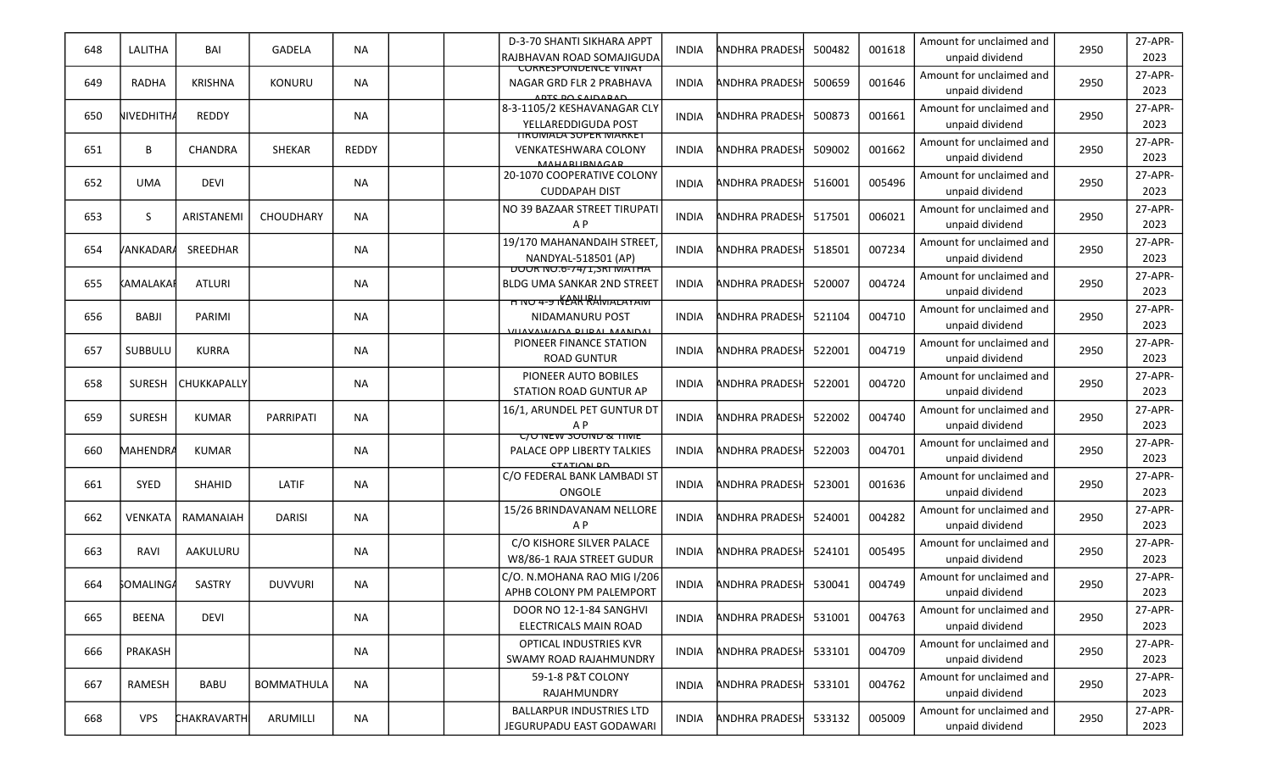| 648 | LALITHA           | BAI            | GADELA            | <b>NA</b>    | D-3-70 SHANTI SIKHARA APPT<br>RAJBHAVAN ROAD SOMAJIGUDA                                   | <b>INDIA</b> | ANDHRA PRADESI        | 500482 | 001618 | Amount for unclaimed and<br>unpaid dividend | 2950 | 27-APR-<br>2023 |
|-----|-------------------|----------------|-------------------|--------------|-------------------------------------------------------------------------------------------|--------------|-----------------------|--------|--------|---------------------------------------------|------|-----------------|
| 649 | RADHA             | <b>KRISHNA</b> | <b>KONURU</b>     | <b>NA</b>    | CURRESPUNDENCE VINAY<br>NAGAR GRD FLR 2 PRABHAVA<br><b>ADTC DO CAIDARAD</b>               | <b>INDIA</b> | <b>ANDHRA PRADESH</b> | 500659 | 001646 | Amount for unclaimed and<br>unpaid dividend | 2950 | 27-APR-<br>2023 |
| 650 | NIVEDHITH/        | <b>REDDY</b>   |                   | <b>NA</b>    | 8-3-1105/2 KESHAVANAGAR CLY<br>YELLAREDDIGUDA POST                                        | <b>INDIA</b> | ANDHRA PRADESF        | 500873 | 001661 | Amount for unclaimed and<br>unpaid dividend | 2950 | 27-APR-<br>2023 |
| 651 | B                 | <b>CHANDRA</b> | <b>SHEKAR</b>     | <b>REDDY</b> | <u> TIRUMALA SUPER MARKET</u><br><b>VENKATESHWARA COLONY</b><br><b>MAHARIIRNACAR</b>      | <b>INDIA</b> | <b>ANDHRA PRADESH</b> | 509002 | 001662 | Amount for unclaimed and<br>unpaid dividend | 2950 | 27-APR-<br>2023 |
| 652 | <b>UMA</b>        | <b>DEVI</b>    |                   | NA.          | 20-1070 COOPERATIVE COLONY<br><b>CUDDAPAH DIST</b>                                        | <b>INDIA</b> | <b>ANDHRA PRADESH</b> | 516001 | 005496 | Amount for unclaimed and<br>unpaid dividend | 2950 | 27-APR-<br>2023 |
| 653 | S.                | ARISTANEMI     | <b>CHOUDHARY</b>  | <b>NA</b>    | NO 39 BAZAAR STREET TIRUPATI<br>A <sub>P</sub>                                            | <b>INDIA</b> | <b>ANDHRA PRADESH</b> | 517501 | 006021 | Amount for unclaimed and<br>unpaid dividend | 2950 | 27-APR-<br>2023 |
| 654 | /ANKADAR <i>A</i> | SREEDHAR       |                   | NA.          | 19/170 MAHANANDAIH STREET,<br>NANDYAL-518501 (AP)<br><b>DUUR IVU.0-74/1, SRI IVIATHA</b>  | <b>INDIA</b> | ANDHRA PRADESH        | 518501 | 007234 | Amount for unclaimed and<br>unpaid dividend | 2950 | 27-APR-<br>2023 |
| 655 | kamalakai         | <b>ATLURI</b>  |                   | NA           | <b>BLDG UMA SANKAR 2ND STREET</b><br><b>H NO 4-9 NEAK RAMALAYAM</b>                       | <b>INDIA</b> | ANDHRA PRADESI        | 520007 | 004724 | Amount for unclaimed and<br>unpaid dividend | 2950 | 27-APR-<br>2023 |
| 656 | BABJI             | PARIMI         |                   | NA           | NIDAMANURU POST<br>VIIAVAMIADA DIIDAI MAANDAL                                             | <b>INDIA</b> | ANDHRA PRADESI        | 521104 | 004710 | Amount for unclaimed and<br>unpaid dividend | 2950 | 27-APR-<br>2023 |
| 657 | SUBBULU           | <b>KURRA</b>   |                   | NA.          | PIONEER FINANCE STATION<br><b>ROAD GUNTUR</b>                                             | <b>INDIA</b> | <b>ANDHRA PRADESH</b> | 522001 | 004719 | Amount for unclaimed and<br>unpaid dividend | 2950 | 27-APR-<br>2023 |
| 658 | <b>SURESH</b>     | CHUKKAPALLY    |                   | NA           | PIONEER AUTO BOBILES<br><b>STATION ROAD GUNTUR AP</b>                                     | <b>INDIA</b> | ANDHRA PRADESI        | 522001 | 004720 | Amount for unclaimed and<br>unpaid dividend | 2950 | 27-APR-<br>2023 |
| 659 | <b>SURESH</b>     | <b>KUMAR</b>   | PARRIPATI         | NA           | 16/1, ARUNDEL PET GUNTUR DT<br>A <sub>P</sub>                                             | <b>INDIA</b> | <b>ANDHRA PRADESH</b> | 522002 | 004740 | Amount for unclaimed and<br>unpaid dividend | 2950 | 27-APR-<br>2023 |
| 660 | MAHENDRA          | <b>KUMAR</b>   |                   | <b>NA</b>    | <b>C/O NEW SOUND &amp; TIME</b><br><b>PALACE OPP LIBERTY TALKIES</b><br><b>CTATION DD</b> | <b>INDIA</b> | ANDHRA PRADESI        | 522003 | 004701 | Amount for unclaimed and<br>unpaid dividend | 2950 | 27-APR-<br>2023 |
| 661 | SYED              | <b>SHAHID</b>  | LATIF             | NA           | C/O FEDERAL BANK LAMBADI ST<br>ONGOLE                                                     | <b>INDIA</b> | <b>ANDHRA PRADESH</b> | 523001 | 001636 | Amount for unclaimed and<br>unpaid dividend | 2950 | 27-APR-<br>2023 |
| 662 | <b>VENKATA</b>    | RAMANAIAH      | <b>DARISI</b>     | <b>NA</b>    | 15/26 BRINDAVANAM NELLORE<br>A <sub>P</sub>                                               | <b>INDIA</b> | ANDHRA PRADESI        | 524001 | 004282 | Amount for unclaimed and<br>unpaid dividend | 2950 | 27-APR-<br>2023 |
| 663 | RAVI              | AAKULURU       |                   | NA.          | C/O KISHORE SILVER PALACE<br>W8/86-1 RAJA STREET GUDUR                                    | <b>INDIA</b> | <b>ANDHRA PRADESH</b> | 524101 | 005495 | Amount for unclaimed and<br>unpaid dividend | 2950 | 27-APR-<br>2023 |
| 664 | <b>SOMALINGA</b>  | SASTRY         | <b>DUVVURI</b>    | ΝA           | C/O. N.MOHANA RAO MIG I/206<br>APHB COLONY PM PALEMPORT                                   | INDIA        | <b>ANDHRA PRADESH</b> | 530041 | 004749 | Amount for unclaimed and<br>unpaid dividend | 2950 | 27-APR-<br>2023 |
| 665 | <b>BEENA</b>      | <b>DEVI</b>    |                   | <b>NA</b>    | DOOR NO 12-1-84 SANGHVI<br>ELECTRICALS MAIN ROAD                                          | <b>INDIA</b> | <b>ANDHRA PRADESH</b> | 531001 | 004763 | Amount for unclaimed and<br>unpaid dividend | 2950 | 27-APR-<br>2023 |
| 666 | PRAKASH           |                |                   | NA           | OPTICAL INDUSTRIES KVR<br>SWAMY ROAD RAJAHMUNDRY                                          | INDIA        | <b>ANDHRA PRADESH</b> | 533101 | 004709 | Amount for unclaimed and<br>unpaid dividend | 2950 | 27-APR-<br>2023 |
| 667 | RAMESH            | <b>BABU</b>    | <b>BOMMATHULA</b> | <b>NA</b>    | 59-1-8 P&T COLONY<br>RAJAHMUNDRY                                                          | INDIA        | <b>ANDHRA PRADESH</b> | 533101 | 004762 | Amount for unclaimed and<br>unpaid dividend | 2950 | 27-APR-<br>2023 |
| 668 | <b>VPS</b>        | CHAKRAVARTH    | ARUMILLI          | NA           | <b>BALLARPUR INDUSTRIES LTD</b><br>JEGURUPADU EAST GODAWARI                               | <b>INDIA</b> | <b>ANDHRA PRADESH</b> | 533132 | 005009 | Amount for unclaimed and<br>unpaid dividend | 2950 | 27-APR-<br>2023 |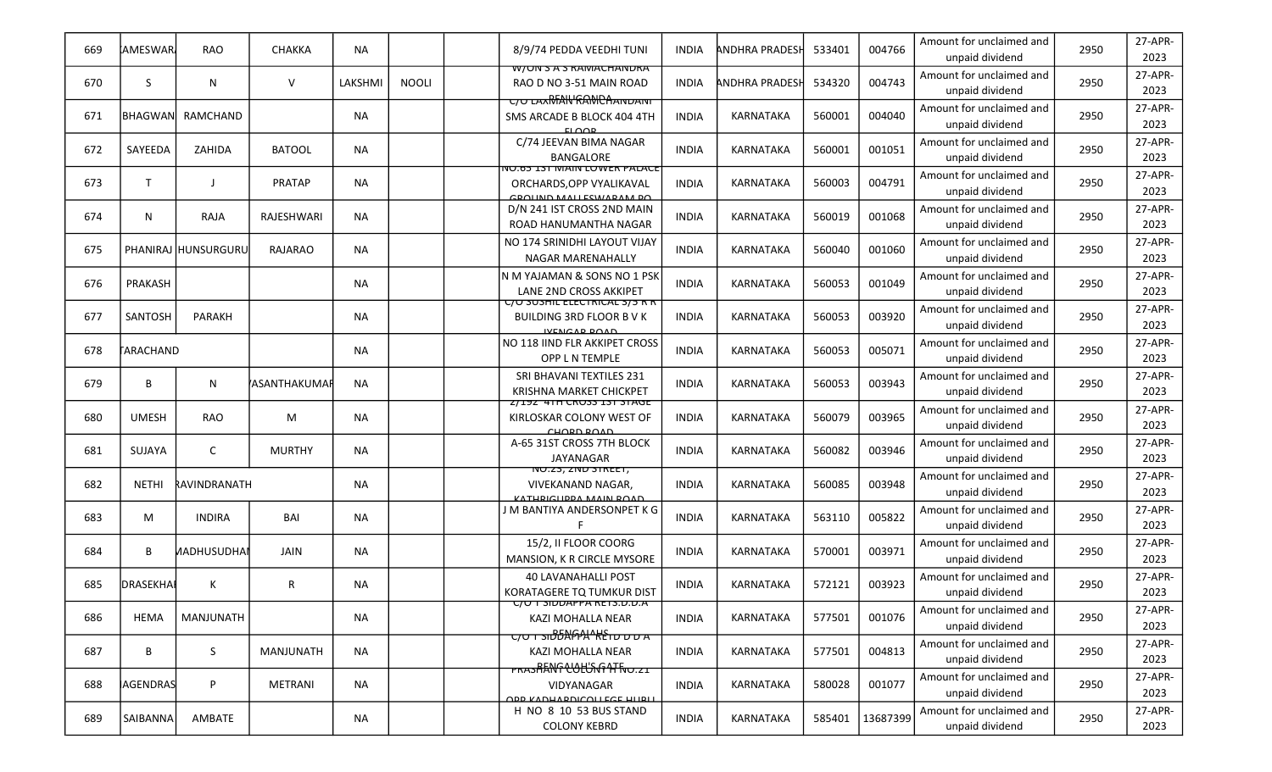| 669 | IAMESWAR.    | <b>RAO</b>          | CHAKKA              | NA        |              | 8/9/74 PEDDA VEEDHI TUNI                                                                     | <b>INDIA</b> | <b>ANDHRA PRADESH</b> | 533401 | 004766   | Amount for unclaimed and<br>unpaid dividend | 2950 | 27-APR-<br>2023 |
|-----|--------------|---------------------|---------------------|-----------|--------------|----------------------------------------------------------------------------------------------|--------------|-----------------------|--------|----------|---------------------------------------------|------|-----------------|
| 670 | S.           | N                   | $\vee$              | LAKSHMI   | <b>NOOLI</b> | W/UN S A S RAIVIACHAINDRA<br>RAO D NO 3-51 MAIN ROAD                                         | <b>INDIA</b> | ANDHRA PRADESI        | 534320 | 004743   | Amount for unclaimed and<br>unpaid dividend | 2950 | 27-APR-<br>2023 |
| 671 | lbhagwan     | RAMCHAND            |                     | <b>NA</b> |              | <b>C/O LAXMANGRAMCAANDANT</b><br>SMS ARCADE B BLOCK 404 4TH<br>EIMOD                         | <b>INDIA</b> | KARNATAKA             | 560001 | 004040   | Amount for unclaimed and<br>unpaid dividend | 2950 | 27-APR-<br>2023 |
| 672 | SAYEEDA      | ZAHIDA              | <b>BATOOL</b>       | <b>NA</b> |              | C/74 JEEVAN BIMA NAGAR<br><b>BANGALORE</b>                                                   | <b>INDIA</b> | <b>KARNATAKA</b>      | 560001 | 001051   | Amount for unclaimed and<br>unpaid dividend | 2950 | 27-APR-<br>2023 |
| 673 |              | $\perp$             | <b>PRATAP</b>       | NA.       |              | VU.05 IST MAIN LUWER PALACE<br>ORCHARDS, OPP VYALIKAVAL<br>CROUND MALLESWARAM RO             | <b>INDIA</b> | KARNATAKA             | 560003 | 004791   | Amount for unclaimed and<br>unpaid dividend | 2950 | 27-APR-<br>2023 |
| 674 | N            | RAJA                | RAJESHWARI          | <b>NA</b> |              | D/N 241 IST CROSS 2ND MAIN<br>ROAD HANUMANTHA NAGAR                                          | <b>INDIA</b> | <b>KARNATAKA</b>      | 560019 | 001068   | Amount for unclaimed and<br>unpaid dividend | 2950 | 27-APR-<br>2023 |
| 675 |              | PHANIRAJ HUNSURGURU | RAJARAO             | NA.       |              | NO 174 SRINIDHI LAYOUT VIJAY<br><b>NAGAR MARENAHALLY</b>                                     | <b>INDIA</b> | KARNATAKA             | 560040 | 001060   | Amount for unclaimed and<br>unpaid dividend | 2950 | 27-APR-<br>2023 |
| 676 | PRAKASH      |                     |                     | <b>NA</b> |              | IN M YAJAMAN & SONS NO 1 PSK<br><b>LANE 2ND CROSS AKKIPET</b>                                | <b>INDIA</b> | <b>KARNATAKA</b>      | 560053 | 001049   | Amount for unclaimed and<br>unpaid dividend | 2950 | 27-APR-<br>2023 |
| 677 | SANTOSH      | <b>PARAKH</b>       |                     | NA        |              | <u>U/U SUSHIL ELEUTRIUAL 3/5 R R</u><br><b>BUILDING 3RD FLOOR BVK</b><br><b>IVENCAD DOAD</b> | <b>INDIA</b> | KARNATAKA             | 560053 | 003920   | Amount for unclaimed and<br>unpaid dividend | 2950 | 27-APR-<br>2023 |
| 678 | TARACHAND    |                     |                     | NA.       |              | NO 118 IIND FLR AKKIPET CROSS<br>OPP L N TEMPLE                                              | <b>INDIA</b> | <b>KARNATAKA</b>      | 560053 | 005071   | Amount for unclaimed and<br>unpaid dividend | 2950 | 27-APR-<br>2023 |
| 679 | B            | N                   | <b>ASANTHAKUMAR</b> | <b>NA</b> |              | SRI BHAVANI TEXTILES 231<br>KRISHNA MARKET CHICKPET                                          | INDIA        | <b>KARNATAKA</b>      | 560053 | 003943   | Amount for unclaimed and<br>unpaid dividend | 2950 | 27-APR-<br>2023 |
| 680 | <b>UMESH</b> | <b>RAO</b>          | M                   | <b>NA</b> |              | <u>Z/IYZ 41H CRUSS IST STAGE</u><br>KIRLOSKAR COLONY WEST OF<br>CHOPD POAD                   | <b>INDIA</b> | KARNATAKA             | 560079 | 003965   | Amount for unclaimed and<br>unpaid dividend | 2950 | 27-APR-<br>2023 |
| 681 | SUJAYA       | C                   | <b>MURTHY</b>       | <b>NA</b> |              | A-65 31ST CROSS 7TH BLOCK<br><b>JAYANAGAR</b>                                                | <b>INDIA</b> | KARNATAKA             | 560082 | 003946   | Amount for unclaimed and<br>unpaid dividend | 2950 | 27-APR-<br>2023 |
| 682 | <b>NETHI</b> | RAVINDRANATH        |                     | NA.       |              | NU. 23, ZNU STREET,<br>VIVEKANAND NAGAR.<br>VATUDICLIDDA MAIN DOAD                           | <b>INDIA</b> | <b>KARNATAKA</b>      | 560085 | 003948   | Amount for unclaimed and<br>unpaid dividend | 2950 | 27-APR-<br>2023 |
| 683 | M            | <b>INDIRA</b>       | BAI                 | NA        |              | I M BANTIYA ANDERSONPET K G                                                                  | <b>INDIA</b> | <b>KARNATAKA</b>      | 563110 | 005822   | Amount for unclaimed and<br>unpaid dividend | 2950 | 27-APR-<br>2023 |
| 684 | B            | <b>MADHUSUDHAI</b>  | JAIN                | NA        |              | 15/2, II FLOOR COORG<br>MANSION, K R CIRCLE MYSORE                                           | <b>INDIA</b> | <b>KARNATAKA</b>      | 570001 | 003971   | Amount for unclaimed and<br>unpaid dividend | 2950 | 27-APR-<br>2023 |
| 685 | DRASEKHAI    | К                   | R                   | NA        |              | <b>40 LAVANAHALLI POST</b><br>KORATAGERE TQ TUMKUR DIST                                      | <b>INDIA</b> | KARNATAKA             | 572121 | 003923   | Amount for unclaimed and<br>unpaid dividend | 2950 | 27-APR-<br>2023 |
| 686 | HEMA         | MANJUNATH           |                     | NA        |              | <u> UU T SIDDAPPA RETS.D.D.A</u><br>KAZI MOHALLA NEAR                                        | <b>INDIA</b> | KARNATAKA             | 577501 | 001076   | Amount for unclaimed and<br>unpaid dividend | 2950 | 27-APR-<br>2023 |
| 687 | В            | S.                  | MANJUNATH           | <b>NA</b> |              | KAZI MOHALLA NEAR<br><b>PRASHANG</b> COLORGH FRO.21                                          | <b>INDIA</b> | KARNATAKA             | 577501 | 004813   | Amount for unclaimed and<br>unpaid dividend | 2950 | 27-APR-<br>2023 |
| 688 | AGENDRAS     | P                   | <b>METRANI</b>      | <b>NA</b> |              | VIDYANAGAR<br><b>ODD KADHAPDICOLLEGE HITBIT</b>                                              | <b>INDIA</b> | KARNATAKA             | 580028 | 001077   | Amount for unclaimed and<br>unpaid dividend | 2950 | 27-APR-<br>2023 |
| 689 | SAIBANNA     | AMBATE              |                     | NA        |              | H NO 8 10 53 BUS STAND<br><b>COLONY KEBRD</b>                                                | <b>INDIA</b> | KARNATAKA             | 585401 | 13687399 | Amount for unclaimed and<br>unpaid dividend | 2950 | 27-APR-<br>2023 |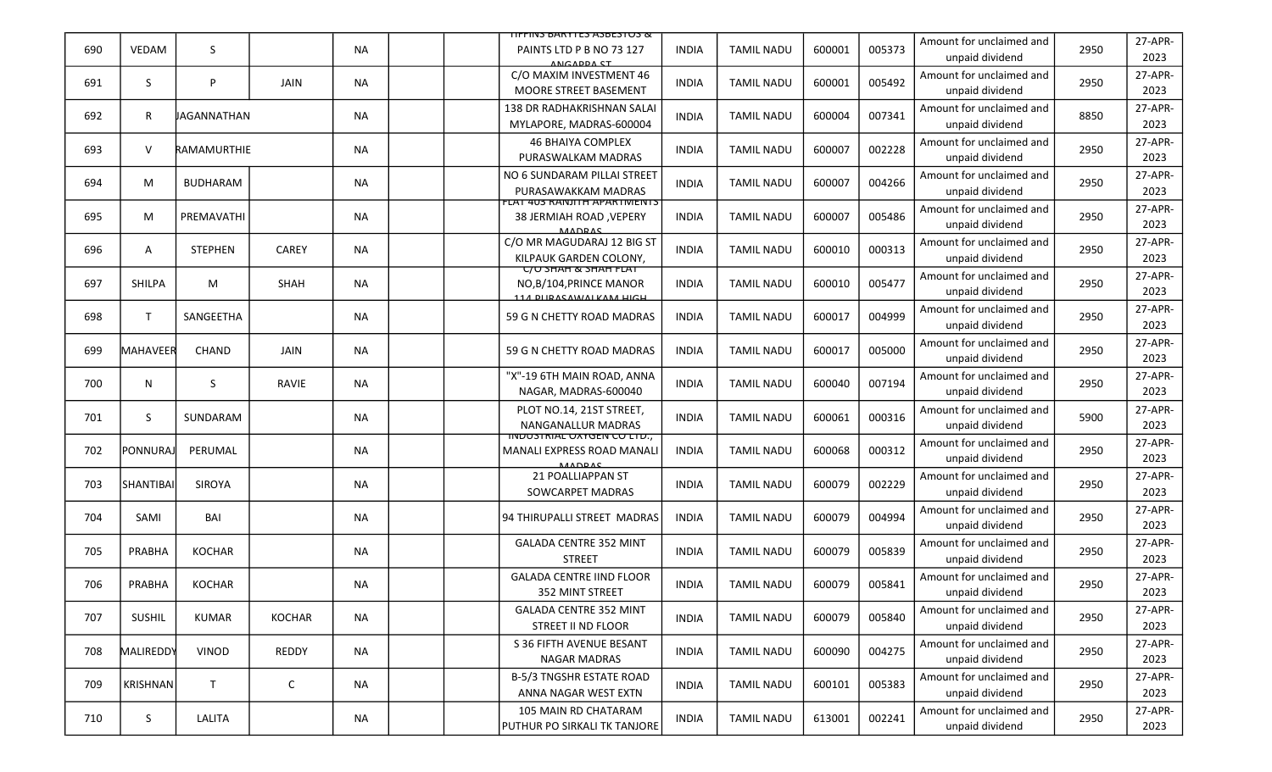|     |                  |                 |               |           | <u>TIFFIINS BARYTES ASBESTUS &amp;</u>                                            |              |                   |        |        |                                             |      |                 |
|-----|------------------|-----------------|---------------|-----------|-----------------------------------------------------------------------------------|--------------|-------------------|--------|--------|---------------------------------------------|------|-----------------|
| 690 | VEDAM            | S               |               | <b>NA</b> | PAINTS LTD P B NO 73 127<br>ANGADDA ST                                            | <b>INDIA</b> | <b>TAMIL NADU</b> | 600001 | 005373 | Amount for unclaimed and<br>unpaid dividend | 2950 | 27-APR-<br>2023 |
| 691 | S.               | P               | JAIN          | <b>NA</b> | C/O MAXIM INVESTMENT 46<br>MOORE STREET BASEMENT                                  | <b>INDIA</b> | <b>TAMIL NADU</b> | 600001 | 005492 | Amount for unclaimed and<br>unpaid dividend | 2950 | 27-APR-<br>2023 |
| 692 | R                | JAGANNATHAN     |               | <b>NA</b> | 138 DR RADHAKRISHNAN SALAI<br>MYLAPORE, MADRAS-600004                             | <b>INDIA</b> | <b>TAMIL NADU</b> | 600004 | 007341 | Amount for unclaimed and<br>unpaid dividend | 8850 | 27-APR-<br>2023 |
| 693 | $\vee$           | RAMAMURTHIE     |               | <b>NA</b> | <b>46 BHAIYA COMPLEX</b><br>PURASWALKAM MADRAS                                    | <b>INDIA</b> | <b>TAMIL NADU</b> | 600007 | 002228 | Amount for unclaimed and<br>unpaid dividend | 2950 | 27-APR-<br>2023 |
| 694 | М                | <b>BUDHARAM</b> |               | <b>NA</b> | NO 6 SUNDARAM PILLAI STREET<br>PURASAWAKKAM MADRAS                                | <b>INDIA</b> | <b>TAMIL NADU</b> | 600007 | 004266 | Amount for unclaimed and<br>unpaid dividend | 2950 | 27-APR-<br>2023 |
| 695 | М                | PREMAVATHI      |               | ΝA        | LAT 403 RANJITH APARTMENTS<br><b>38 JERMIAH ROAD, VEPERY</b><br><b>MADDAC</b>     | <b>INDIA</b> | <b>TAMIL NADU</b> | 600007 | 005486 | Amount for unclaimed and<br>unpaid dividend | 2950 | 27-APR-<br>2023 |
| 696 | A                | <b>STEPHEN</b>  | CAREY         | <b>NA</b> | C/O MR MAGUDARAJ 12 BIG ST<br>KILPAUK GARDEN COLONY,                              | <b>INDIA</b> | <b>TAMIL NADU</b> | 600010 | 000313 | Amount for unclaimed and<br>unpaid dividend | 2950 | 27-APR-<br>2023 |
| 697 | SHILPA           | М               | SHAH          | <b>NA</b> | <u> UO SHAH &amp; SHAH FLAT</u><br>NO.B/104.PRINCE MANOR<br>114 DUDACAWALKAM HIGH | <b>INDIA</b> | <b>TAMIL NADU</b> | 600010 | 005477 | Amount for unclaimed and<br>unpaid dividend | 2950 | 27-APR-<br>2023 |
| 698 | $\mathsf{T}$     | SANGEETHA       |               | ΝA        | 59 G N CHETTY ROAD MADRAS                                                         | <b>INDIA</b> | <b>TAMIL NADU</b> | 600017 | 004999 | Amount for unclaimed and<br>unpaid dividend | 2950 | 27-APR-<br>2023 |
| 699 | MAHAVEER         | CHAND           | JAIN          | <b>NA</b> | 59 G N CHETTY ROAD MADRAS                                                         | <b>INDIA</b> | <b>TAMIL NADU</b> | 600017 | 005000 | Amount for unclaimed and<br>unpaid dividend | 2950 | 27-APR-<br>2023 |
| 700 | N                | S.              | RAVIE         | <b>NA</b> | "X"-19 6TH MAIN ROAD, ANNA<br>NAGAR, MADRAS-600040                                | <b>INDIA</b> | <b>TAMIL NADU</b> | 600040 | 007194 | Amount for unclaimed and<br>unpaid dividend | 2950 | 27-APR-<br>2023 |
| 701 | S.               | SUNDARAM        |               | <b>NA</b> | PLOT NO.14, 21ST STREET,<br><b>NANGANALLUR MADRAS</b>                             | <b>INDIA</b> | <b>TAMIL NADU</b> | 600061 | 000316 | Amount for unclaimed and<br>unpaid dividend | 5900 | 27-APR-<br>2023 |
| 702 | PONNURAJ         | PERUMAL         |               | <b>NA</b> | <u>IINDUSTRIAL UXTGEN CU LTD.,</u><br>MANALI EXPRESS ROAD MANALI<br><b>MADRAS</b> | <b>INDIA</b> | <b>TAMIL NADU</b> | 600068 | 000312 | Amount for unclaimed and<br>unpaid dividend | 2950 | 27-APR-<br>2023 |
| 703 | <b>SHANTIBAI</b> | SIROYA          |               | <b>NA</b> | 21 POALLIAPPAN ST<br>SOWCARPET MADRAS                                             | <b>INDIA</b> | <b>TAMIL NADU</b> | 600079 | 002229 | Amount for unclaimed and<br>unpaid dividend | 2950 | 27-APR-<br>2023 |
| 704 | SAMI             | BAI             |               | ΝA        | 94 THIRUPALLI STREET MADRAS                                                       | <b>INDIA</b> | <b>TAMIL NADU</b> | 600079 | 004994 | Amount for unclaimed and<br>unpaid dividend | 2950 | 27-APR-<br>2023 |
| 705 | PRABHA           | <b>KOCHAR</b>   |               | <b>NA</b> | <b>GALADA CENTRE 352 MINT</b><br><b>STREET</b>                                    | <b>INDIA</b> | <b>TAMIL NADU</b> | 600079 | 005839 | Amount for unclaimed and<br>unpaid dividend | 2950 | 27-APR-<br>2023 |
| 706 | PRABHA           | <b>KOCHAR</b>   |               | ΝA        | <b>GALADA CENTRE IIND FLOOR</b><br>352 MINT STREET                                | <b>INDIA</b> | <b>TAMIL NADU</b> | 600079 | 005841 | Amount for unclaimed and<br>unpaid dividend | 2950 | 27-APR-<br>2023 |
| 707 | <b>SUSHIL</b>    | KUMAR           | <b>KOCHAR</b> | <b>NA</b> | <b>GALADA CENTRE 352 MINT</b><br>STREET II ND FLOOR                               | <b>INDIA</b> | <b>TAMIL NADU</b> | 600079 | 005840 | Amount for unclaimed and<br>unpaid dividend | 2950 | 27-APR-<br>2023 |
| 708 | MALIREDDY        | VINOD           | REDDY         | NA        | S 36 FIFTH AVENUE BESANT<br>NAGAR MADRAS                                          | <b>INDIA</b> | <b>TAMIL NADU</b> | 600090 | 004275 | Amount for unclaimed and<br>unpaid dividend | 2950 | 27-APR-<br>2023 |
| 709 | <b>KRISHNAN</b>  | T.              | C             | NA        | <b>B-5/3 TNGSHR ESTATE ROAD</b><br>ANNA NAGAR WEST EXTN                           | <b>INDIA</b> | <b>TAMIL NADU</b> | 600101 | 005383 | Amount for unclaimed and<br>unpaid dividend | 2950 | 27-APR-<br>2023 |
| 710 | S.               | LALITA          |               | NA        | 105 MAIN RD CHATARAM<br>PUTHUR PO SIRKALI TK TANJORE                              | <b>INDIA</b> | <b>TAMIL NADU</b> | 613001 | 002241 | Amount for unclaimed and<br>unpaid dividend | 2950 | 27-APR-<br>2023 |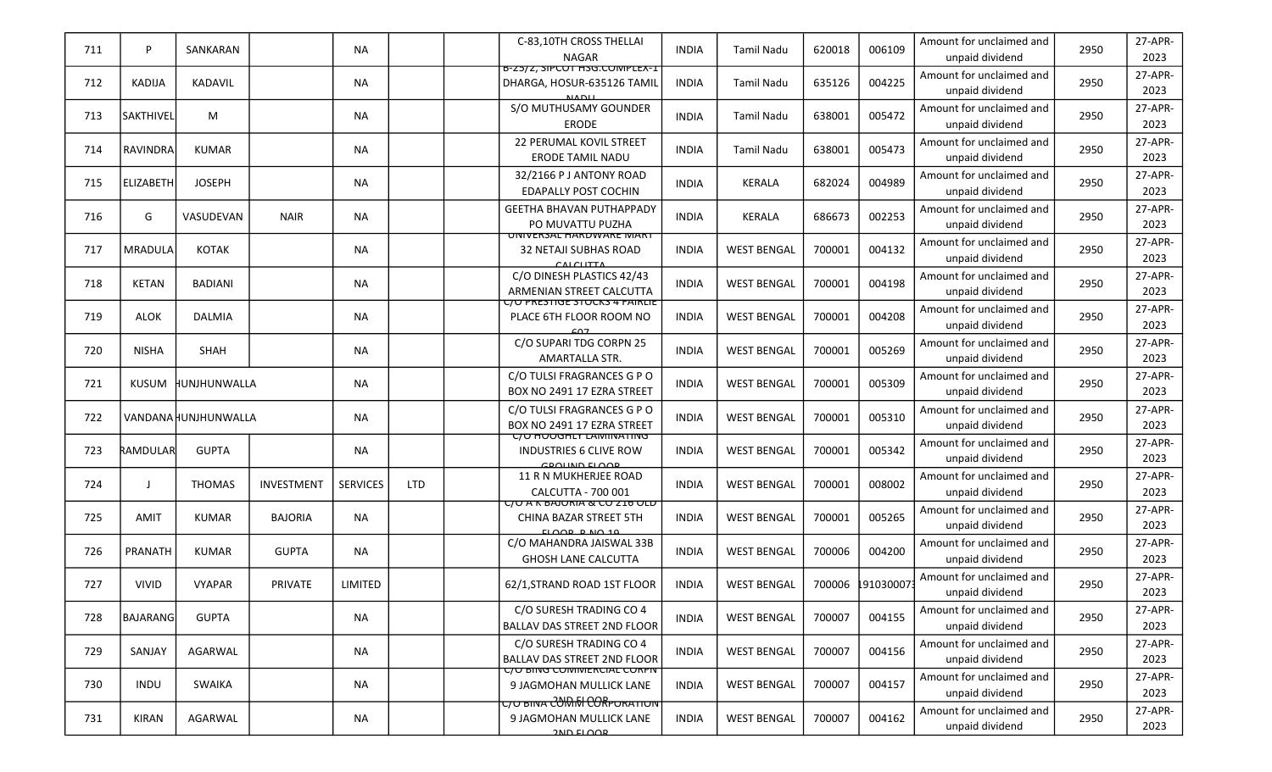| 711 | P                | SANKARAN             |                | <b>NA</b>       |            | C-83.10TH CROSS THELLAI<br><b>NAGAR</b>                                                    | <b>INDIA</b> | <b>Tamil Nadu</b>  | 620018 | 006109    | Amount for unclaimed and<br>unpaid dividend | 2950 | 27-APR-<br>2023 |
|-----|------------------|----------------------|----------------|-----------------|------------|--------------------------------------------------------------------------------------------|--------------|--------------------|--------|-----------|---------------------------------------------|------|-----------------|
| 712 | <b>KADIJA</b>    | KADAVIL              |                | ΝA              |            | <u>B-Z5/Z, SIPCUT HSG.CUIVIPLEX-I</u><br>DHARGA, HOSUR-635126 TAMIL<br><b>MADU</b>         | <b>INDIA</b> | <b>Tamil Nadu</b>  | 635126 | 004225    | Amount for unclaimed and<br>unpaid dividend | 2950 | 27-APR-<br>2023 |
| 713 | <b>SAKTHIVEL</b> | M                    |                | <b>NA</b>       |            | S/O MUTHUSAMY GOUNDER<br><b>ERODE</b>                                                      | <b>INDIA</b> | <b>Tamil Nadu</b>  | 638001 | 005472    | Amount for unclaimed and<br>unpaid dividend | 2950 | 27-APR-<br>2023 |
| 714 | <b>RAVINDRA</b>  | <b>KUMAR</b>         |                | <b>NA</b>       |            | <b>22 PERUMAL KOVIL STREET</b><br><b>ERODE TAMIL NADU</b>                                  | INDIA        | <b>Tamil Nadu</b>  | 638001 | 005473    | Amount for unclaimed and<br>unpaid dividend | 2950 | 27-APR-<br>2023 |
| 715 | ELIZABETH        | <b>JOSEPH</b>        |                | ΝA              |            | 32/2166 PJ ANTONY ROAD<br><b>EDAPALLY POST COCHIN</b>                                      | <b>INDIA</b> | <b>KERALA</b>      | 682024 | 004989    | Amount for unclaimed and<br>unpaid dividend | 2950 | 27-APR-<br>2023 |
| 716 | G                | VASUDEVAN            | <b>NAIR</b>    | <b>NA</b>       |            | <b>GEETHA BHAVAN PUTHAPPADY</b><br>PO MUVATTU PUZHA                                        | <b>INDIA</b> | <b>KERALA</b>      | 686673 | 002253    | Amount for unclaimed and<br>unpaid dividend | 2950 | 27-APR-<br>2023 |
| 717 | <b>MRADULA</b>   | KOTAK                |                | NA.             |            | <u>UNIVERSAL HARDWARE IVIART</u><br>32 NETAJI SUBHAS ROAD<br><b>CALCUTTA</b>               | <b>INDIA</b> | <b>WEST BENGAL</b> | 700001 | 004132    | Amount for unclaimed and<br>unpaid dividend | 2950 | 27-APR-<br>2023 |
| 718 | <b>KETAN</b>     | BADIANI              |                | ΝA              |            | C/O DINESH PLASTICS 42/43<br>ARMENIAN STREET CALCUTTA                                      | <b>INDIA</b> | <b>WEST BENGAL</b> | 700001 | 004198    | Amount for unclaimed and<br>unpaid dividend | 2950 | 27-APR-<br>2023 |
| 719 | ALOK             | DALMIA               |                | <b>NA</b>       |            | <u>C/O PRESTIGE STOCKS 4 FAIRLIE</u><br>PLACE 6TH FLOOR ROOM NO                            | <b>INDIA</b> | <b>WEST BENGAL</b> | 700001 | 004208    | Amount for unclaimed and<br>unpaid dividend | 2950 | 27-APR-<br>2023 |
| 720 | <b>NISHA</b>     | <b>SHAH</b>          |                | NA.             |            | C/O SUPARI TDG CORPN 25<br>AMARTALLA STR.                                                  | <b>INDIA</b> | <b>WEST BENGAL</b> | 700001 | 005269    | Amount for unclaimed and<br>unpaid dividend | 2950 | 27-APR-<br>2023 |
| 721 | <b>KUSUM</b>     | HUNJHUNWALLA         |                | ΝA              |            | C/O TULSI FRAGRANCES G P O<br>BOX NO 2491 17 EZRA STREET                                   | <b>INDIA</b> | <b>WEST BENGAL</b> | 700001 | 005309    | Amount for unclaimed and<br>unpaid dividend | 2950 | 27-APR-<br>2023 |
| 722 |                  | VANDANA HUNJHUNWALLA |                | <b>NA</b>       |            | C/O TULSI FRAGRANCES G P O<br>BOX NO 2491 17 EZRA STREET                                   | <b>INDIA</b> | <b>WEST BENGAL</b> | 700001 | 005310    | Amount for unclaimed and<br>unpaid dividend | 2950 | 27-APR-<br>2023 |
| 723 | RAMDULAR         | <b>GUPTA</b>         |                | <b>NA</b>       |            | <u>C/O HOOGHLY LAIVIINATING</u><br><b>INDUSTRIES 6 CLIVE ROW</b><br>CROUND ELOOR           | <b>INDIA</b> | <b>WEST BENGAL</b> | 700001 | 005342    | Amount for unclaimed and<br>unpaid dividend | 2950 | 27-APR-<br>2023 |
| 724 | $\mathbf{I}$     | <b>THOMAS</b>        | INVESTMENT     | <b>SERVICES</b> | <b>LTD</b> | 11 R N MUKHERJEE ROAD<br>CALCUTTA - 700 001                                                | <b>INDIA</b> | <b>WEST BENGAL</b> | 700001 | 008002    | Amount for unclaimed and<br>unpaid dividend | 2950 | 27-APR-<br>2023 |
| 725 | AMIT             | KUMAR                | <b>BAJORIA</b> | <b>NA</b>       |            | <u> UU A K BAJUKIA &amp; CU Z IO ULD</u><br>CHINA BAZAR STREET 5TH<br><b>ELOOP P NO 10</b> | <b>INDIA</b> | <b>WEST BENGAL</b> | 700001 | 005265    | Amount for unclaimed and<br>unpaid dividend | 2950 | 27-APR-<br>2023 |
| 726 | PRANATH          | KUMAR                | <b>GUPTA</b>   | <b>NA</b>       |            | C/O MAHANDRA JAISWAL 33B<br><b>GHOSH LANE CALCUTTA</b>                                     | <b>INDIA</b> | <b>WEST BENGAL</b> | 700006 | 004200    | Amount for unclaimed and<br>unpaid dividend | 2950 | 27-APR-<br>2023 |
| 727 | <b>VIVID</b>     | <b>VYAPAR</b>        | PRIVATE        | LIMITED         |            | 62/1, STRAND ROAD 1ST FLOOR                                                                | <b>INDIA</b> | <b>WEST BENGAL</b> | 700006 | 191030007 | Amount for unclaimed and<br>unpaid dividend | 2950 | 27-APR-<br>2023 |
| 728 | BAJARANG         | <b>GUPTA</b>         |                | <b>NA</b>       |            | C/O SURESH TRADING CO 4<br><b>BALLAV DAS STREET 2ND FLOOR</b>                              | <b>INDIA</b> | <b>WEST BENGAL</b> | 700007 | 004155    | Amount for unclaimed and<br>unpaid dividend | 2950 | 27-APR-<br>2023 |
| 729 | SANJAY           | AGARWAL              |                | NA              |            | C/O SURESH TRADING CO 4<br>BALLAV DAS STREET 2ND FLOOR                                     | <b>INDIA</b> | <b>WEST BENGAL</b> | 700007 | 004156    | Amount for unclaimed and<br>unpaid dividend | 2950 | 27-APR-<br>2023 |
| 730 | <b>INDU</b>      | SWAIKA               |                | ΝA              |            | <u>C/O BING COMMERCIAL CORPN</u><br>9 JAGMOHAN MULLICK LANE                                | <b>INDIA</b> | <b>WEST BENGAL</b> | 700007 | 004157    | Amount for unclaimed and<br>unpaid dividend | 2950 | 27-APR-<br>2023 |
| 731 | KIRAN            | AGARWAL              |                | ΝA              |            | <del>с/о віма с̀0\MM CORPORATION</del><br>9 JAGMOHAN MULLICK LANE<br>ADLLOOD               | <b>INDIA</b> | <b>WEST BENGAL</b> | 700007 | 004162    | Amount for unclaimed and<br>unpaid dividend | 2950 | 27-APR-<br>2023 |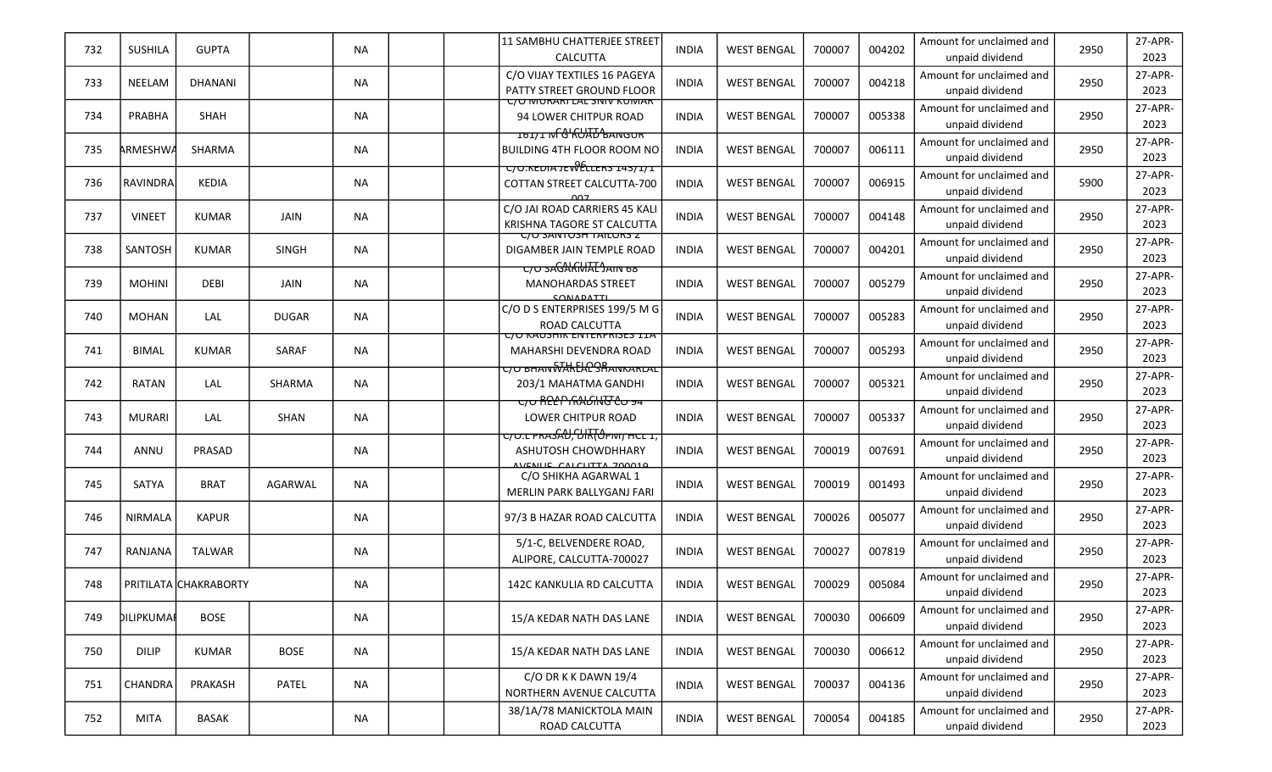| 732 | <b>SUSHILA</b> | <b>GUPTA</b>          |              | <b>NA</b> | 11 SAMBHU CHATTERJEE STREET<br><b>CALCUTTA</b>                                                      | <b>INDIA</b> | <b>WEST BENGAL</b> | 700007 | 004202 | Amount for unclaimed and<br>unpaid dividend | 2950 | 27-APR-<br>2023 |
|-----|----------------|-----------------------|--------------|-----------|-----------------------------------------------------------------------------------------------------|--------------|--------------------|--------|--------|---------------------------------------------|------|-----------------|
| 733 | NEELAM         | DHANANI               |              | <b>NA</b> | C/O VIJAY TEXTILES 16 PAGEYA<br>PATTY STREET GROUND FLOOR                                           | <b>INDIA</b> | <b>WEST BENGAL</b> | 700007 | 004218 | Amount for unclaimed and<br>unpaid dividend | 2950 | 27-APR-<br>2023 |
| 734 | PRABHA         | <b>SHAH</b>           |              | <b>NA</b> | <u>C/O MURARI LAL SINIV KUMART</u><br>94 LOWER CHITPUR ROAD                                         | <b>INDIA</b> | <b>WEST BENGAL</b> | 700007 | 005338 | Amount for unclaimed and<br>unpaid dividend | 2950 | 27-APR-<br>2023 |
| 735 | ARMESHWA       | SHARMA                |              | <b>NA</b> | ᠴᠣᠴ᠋᠋᠋᠇ᢧ᠋ᡏ᠋ <del>ᠿᡰᠺ</del> ᡉᡰᡯᠣᢣᡆᢐᡆᡡ<br><b>BUILDING 4TH FLOOR ROOM NO</b>                           | INDIA        | <b>WEST BENGAL</b> | 700007 | 006111 | Amount for unclaimed and<br>unpaid dividend | 2950 | 27-APR-<br>2023 |
| 736 | Iravindral     | <b>KEDIA</b>          |              | <b>NA</b> | $C/O$ . KEDIA JEV $\theta$ ELLERS 143/1/1<br>COTTAN STREET CALCUTTA-700<br>007                      | <b>INDIA</b> | <b>WEST BENGAL</b> | 700007 | 006915 | Amount for unclaimed and<br>unpaid dividend | 5900 | 27-APR-<br>2023 |
| 737 | <b>VINEET</b>  | <b>KUMAR</b>          | JAIN         | <b>NA</b> | C/O JAI ROAD CARRIERS 45 KALI<br>KRISHNA TAGORE ST CALCUTTA                                         | <b>INDIA</b> | <b>WEST BENGAL</b> | 700007 | 004148 | Amount for unclaimed and<br>unpaid dividend | 2950 | 27-APR-<br>2023 |
| 738 | SANTOSH        | KUMAR                 | <b>SINGH</b> | <b>NA</b> | <u> UO SANTUSH TAILUKS Z</u><br>DIGAMBER JAIN TEMPLE ROAD<br><del>C/O SAGAKMAL JAIN 68</del>        | <b>INDIA</b> | <b>WEST BENGAL</b> | 700007 | 004201 | Amount for unclaimed and<br>unpaid dividend | 2950 | 27-APR-<br>2023 |
| 739 | <b>MOHINI</b>  | DEBI                  | JAIN         | <b>NA</b> | <b>MANOHARDAS STREET</b><br>CONADATTL                                                               | <b>INDIA</b> | <b>WEST BENGAL</b> | 700007 | 005279 | Amount for unclaimed and<br>unpaid dividend | 2950 | 27-APR-<br>2023 |
| 740 | <b>MOHAN</b>   | LAL                   | <b>DUGAR</b> | <b>NA</b> | C/O D S ENTERPRISES 199/5 M G<br>ROAD CALCUTTA                                                      | <b>INDIA</b> | <b>WEST BENGAL</b> | 700007 | 005283 | Amount for unclaimed and<br>unpaid dividend | 2950 | 27-APR-<br>2023 |
| 741 | <b>BIMAL</b>   | <b>KUMAR</b>          | SARAF        | <b>NA</b> | <u>UU KAUSHIK EIVIERPRISES IIA</u><br>MAHARSHI DEVENDRA ROAD<br><del>с/о внамWAkEACSBамкаксас</del> | <b>INDIA</b> | <b>WEST BENGAL</b> | 700007 | 005293 | Amount for unclaimed and<br>unpaid dividend | 2950 | 27-APR-<br>2023 |
| 742 | RATAN          | LAL                   | SHARMA       | <b>NA</b> | 203/1 MAHATMA GANDHI<br><del>C/O RELP RALGING CO 94</del>                                           | <b>INDIA</b> | <b>WEST BENGAL</b> | 700007 | 005321 | Amount for unclaimed and<br>unpaid dividend | 2950 | 27-APR-<br>2023 |
| 743 | <b>MURARI</b>  | LAL                   | SHAN         | <b>NA</b> | LOWER CHITPUR ROAD                                                                                  | <b>INDIA</b> | <b>WEST BENGAL</b> | 700007 | 005337 | Amount for unclaimed and<br>unpaid dividend | 2950 | 27-APR-<br>2023 |
| 744 | ANNU           | PRASAD                |              | <b>NA</b> | <del>כןס.ב PRASAU, UIR("מרחים מכב ז</del><br><b>ASHUTOSH CHOWDHHARY</b><br>VIENUE CALCUTTA 700010   | <b>INDIA</b> | <b>WEST BENGAL</b> | 700019 | 007691 | Amount for unclaimed and<br>unpaid dividend | 2950 | 27-APR-<br>2023 |
| 745 | SATYA          | <b>BRAT</b>           | AGARWAL      | <b>NA</b> | C/O SHIKHA AGARWAL 1<br>MERLIN PARK BALLYGANJ FARI                                                  | <b>INDIA</b> | <b>WEST BENGAL</b> | 700019 | 001493 | Amount for unclaimed and<br>unpaid dividend | 2950 | 27-APR-<br>2023 |
| 746 | <b>NIRMALA</b> | <b>KAPUR</b>          |              | <b>NA</b> | 97/3 B HAZAR ROAD CALCUTTA                                                                          | <b>INDIA</b> | <b>WEST BENGAL</b> | 700026 | 005077 | Amount for unclaimed and<br>unpaid dividend | 2950 | 27-APR-<br>2023 |
| 747 | RANJANA        | TALWAR                |              | <b>NA</b> | 5/1-C, BELVENDERE ROAD,<br>ALIPORE, CALCUTTA-700027                                                 | INDIA        | <b>WEST BENGAL</b> | 700027 | 007819 | Amount for unclaimed and<br>unpaid dividend | 2950 | 27-APR-<br>2023 |
| 748 |                | PRITILATA CHAKRABORTY |              | <b>NA</b> | 142C KANKULIA RD CALCUTTA                                                                           | <b>INDIA</b> | <b>WEST BENGAL</b> | 700029 | 005084 | Amount for unclaimed and<br>unpaid dividend | 2950 | 27-APR-<br>2023 |
| 749 | DILIPKUMAI     | <b>BOSE</b>           |              | <b>NA</b> | 15/A KEDAR NATH DAS LANE                                                                            | <b>INDIA</b> | <b>WEST BENGAL</b> | 700030 | 006609 | Amount for unclaimed and<br>unpaid dividend | 2950 | 27-APR-<br>2023 |
| 750 | <b>DILIP</b>   | KUMAR                 | <b>BOSE</b>  | <b>NA</b> | 15/A KEDAR NATH DAS LANE                                                                            | <b>INDIA</b> | <b>WEST BENGAL</b> | 700030 | 006612 | Amount for unclaimed and<br>unpaid dividend | 2950 | 27-APR-<br>2023 |
| 751 | <b>CHANDRA</b> | PRAKASH               | PATEL        | <b>NA</b> | C/O DR K K DAWN 19/4<br>NORTHERN AVENUE CALCUTTA                                                    | <b>INDIA</b> | <b>WEST BENGAL</b> | 700037 | 004136 | Amount for unclaimed and<br>unpaid dividend | 2950 | 27-APR-<br>2023 |
| 752 | MITA           | BASAK                 |              | NA        | 38/1A/78 MANICKTOLA MAIN<br>ROAD CALCUTTA                                                           | <b>INDIA</b> | <b>WEST BENGAL</b> | 700054 | 004185 | Amount for unclaimed and<br>unpaid dividend | 2950 | 27-APR-<br>2023 |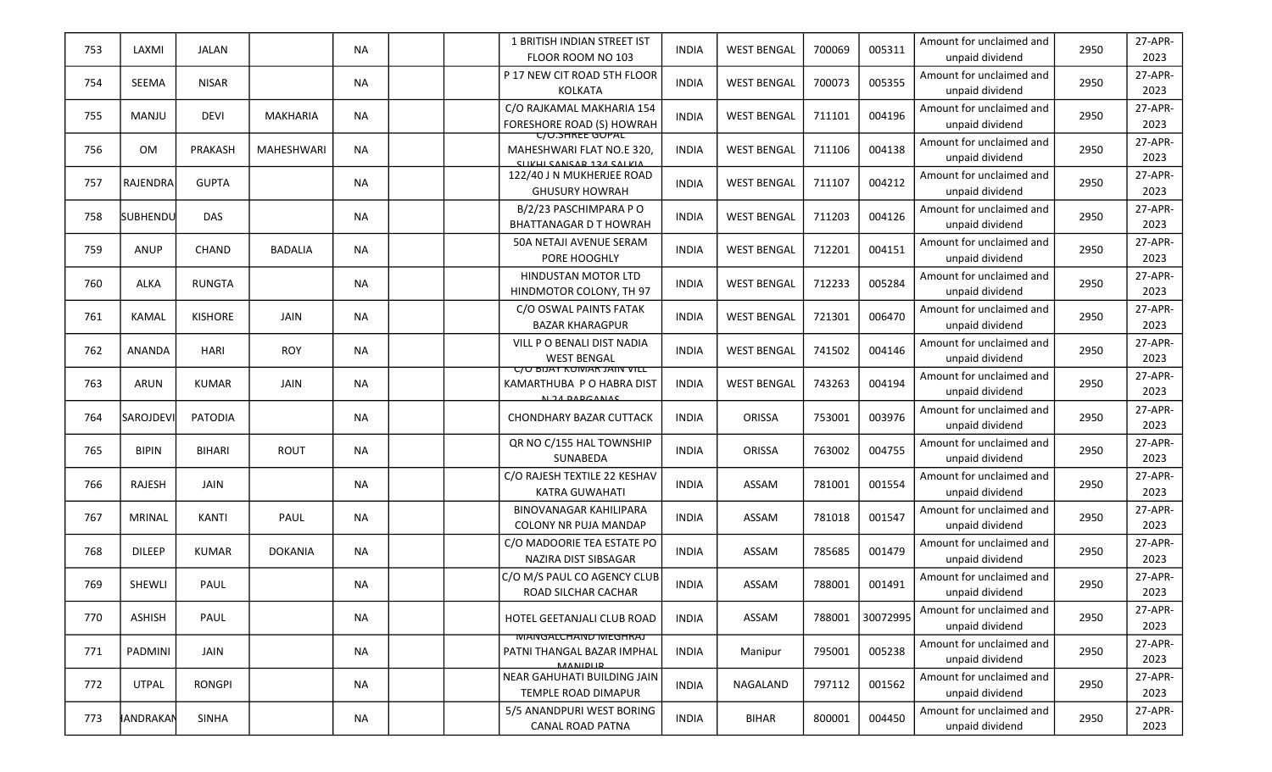| 753 | LAXMI            | JALAN          |                | <b>NA</b> |  | 1 BRITISH INDIAN STREET IST<br>FLOOR ROOM NO 103                               | <b>INDIA</b> | <b>WEST BENGAL</b> | 700069 | 005311   | Amount for unclaimed and<br>unpaid dividend | 2950 | 27-APR-<br>2023 |
|-----|------------------|----------------|----------------|-----------|--|--------------------------------------------------------------------------------|--------------|--------------------|--------|----------|---------------------------------------------|------|-----------------|
| 754 | SEEMA            | <b>NISAR</b>   |                | <b>NA</b> |  | P 17 NEW CIT ROAD 5TH FLOOR<br>KOLKATA                                         | <b>INDIA</b> | <b>WEST BENGAL</b> | 700073 | 005355   | Amount for unclaimed and<br>unpaid dividend | 2950 | 27-APR-<br>2023 |
| 755 | MANJU            | <b>DEVI</b>    | MAKHARIA       | <b>NA</b> |  | C/O RAJKAMAL MAKHARIA 154<br>FORESHORE ROAD (S) HOWRAH                         | <b>INDIA</b> | <b>WEST BENGAL</b> | 711101 | 004196   | Amount for unclaimed and<br>unpaid dividend | 2950 | 27-APR-<br>2023 |
| 756 | <b>OM</b>        | PRAKASH        | MAHESHWARI     | <b>NA</b> |  | <b>UU.SHREE GUPAL</b><br>MAHESHWARI FLAT NO.E 320,<br>CHIVEL CANCAD 124 CALVIA | <b>INDIA</b> | <b>WEST BENGAL</b> | 711106 | 004138   | Amount for unclaimed and<br>unpaid dividend | 2950 | 27-APR-<br>2023 |
| 757 | RAJENDRA         | <b>GUPTA</b>   |                | <b>NA</b> |  | 122/40 J N MUKHERJEE ROAD<br><b>GHUSURY HOWRAH</b>                             | <b>INDIA</b> | <b>WEST BENGAL</b> | 711107 | 004212   | Amount for unclaimed and<br>unpaid dividend | 2950 | 27-APR-<br>2023 |
| 758 | <b>SUBHENDU</b>  | <b>DAS</b>     |                | <b>NA</b> |  | B/2/23 PASCHIMPARA PO<br><b>BHATTANAGAR D T HOWRAH</b>                         | <b>INDIA</b> | <b>WEST BENGAL</b> | 711203 | 004126   | Amount for unclaimed and<br>unpaid dividend | 2950 | 27-APR-<br>2023 |
| 759 | ANUP             | <b>CHAND</b>   | <b>BADALIA</b> | <b>NA</b> |  | 50A NETAJI AVENUE SERAM<br>PORE HOOGHLY                                        | <b>INDIA</b> | <b>WEST BENGAL</b> | 712201 | 004151   | Amount for unclaimed and<br>unpaid dividend | 2950 | 27-APR-<br>2023 |
| 760 | ALKA             | <b>RUNGTA</b>  |                | <b>NA</b> |  | <b>HINDUSTAN MOTOR LTD</b><br>HINDMOTOR COLONY, TH 97                          | <b>INDIA</b> | <b>WEST BENGAL</b> | 712233 | 005284   | Amount for unclaimed and<br>unpaid dividend | 2950 | 27-APR-<br>2023 |
| 761 | KAMAL            | <b>KISHORE</b> | JAIN           | <b>NA</b> |  | C/O OSWAL PAINTS FATAK<br><b>BAZAR KHARAGPUR</b>                               | <b>INDIA</b> | <b>WEST BENGAL</b> | 721301 | 006470   | Amount for unclaimed and<br>unpaid dividend | 2950 | 27-APR-<br>2023 |
| 762 | ANANDA           | <b>HARI</b>    | <b>ROY</b>     | <b>NA</b> |  | VILL P O BENALI DIST NADIA<br><b>WEST BENGAL</b>                               | <b>INDIA</b> | <b>WEST BENGAL</b> | 741502 | 004146   | Amount for unclaimed and<br>unpaid dividend | 2950 | 27-APR-<br>2023 |
| 763 | ARUN             | <b>KUMAR</b>   | JAIN           | <b>NA</b> |  | <b>C/O BIJAY KUMAR JAIN VILL</b><br>KAMARTHUBA P O HABRA DIST<br>N 24 DAPGANAS | <b>INDIA</b> | <b>WEST BENGAL</b> | 743263 | 004194   | Amount for unclaimed and<br>unpaid dividend | 2950 | 27-APR-<br>2023 |
| 764 | SAROJDEVI        | PATODIA        |                | <b>NA</b> |  | <b>CHONDHARY BAZAR CUTTACK</b>                                                 | <b>INDIA</b> | ORISSA             | 753001 | 003976   | Amount for unclaimed and<br>unpaid dividend | 2950 | 27-APR-<br>2023 |
| 765 | <b>BIPIN</b>     | <b>BIHARI</b>  | ROUT           | <b>NA</b> |  | QR NO C/155 HAL TOWNSHIP<br>SUNABEDA                                           | <b>INDIA</b> | ORISSA             | 763002 | 004755   | Amount for unclaimed and<br>unpaid dividend | 2950 | 27-APR-<br>2023 |
| 766 | RAJESH           | JAIN           |                | ΝA        |  | C/O RAJESH TEXTILE 22 KESHAV<br><b>KATRA GUWAHATI</b>                          | <b>INDIA</b> | ASSAM              | 781001 | 001554   | Amount for unclaimed and<br>unpaid dividend | 2950 | 27-APR-<br>2023 |
| 767 | <b>MRINAL</b>    | KANTI          | PAUL           | <b>NA</b> |  | <b>BINOVANAGAR KAHILIPARA</b><br>COLONY NR PUJA MANDAP                         | <b>INDIA</b> | ASSAM              | 781018 | 001547   | Amount for unclaimed and<br>unpaid dividend | 2950 | 27-APR-<br>2023 |
| 768 | <b>DILEEP</b>    | <b>KUMAR</b>   | <b>DOKANIA</b> | <b>NA</b> |  | C/O MADOORIE TEA ESTATE PO<br>NAZIRA DIST SIBSAGAR                             | <b>INDIA</b> | ASSAM              | 785685 | 001479   | Amount for unclaimed and<br>unpaid dividend | 2950 | 27-APR-<br>2023 |
| 769 | SHEWLI           | PAUL           |                | <b>NA</b> |  | C/O M/S PAUL CO AGENCY CLUB<br>ROAD SILCHAR CACHAR                             | <b>INDIA</b> | ASSAM              | 788001 | 001491   | Amount for unclaimed and<br>unpaid dividend | 2950 | 27-APR-<br>2023 |
| 770 | <b>ASHISH</b>    | PAUL           |                | <b>NA</b> |  | HOTEL GEETANJALI CLUB ROAD                                                     | <b>INDIA</b> | ASSAM              | 788001 | 30072995 | Amount for unclaimed and<br>unpaid dividend | 2950 | 27-APR-<br>2023 |
| 771 | PADMINI          | JAIN           |                | NA        |  | <b>MANGALCHAND MEGHKAJ</b><br>PATNI THANGAL BAZAR IMPHAL<br><b>MANIDLID</b>    | INDIA        | Manipur            | 795001 | 005238   | Amount for unclaimed and<br>unpaid dividend | 2950 | 27-APR-<br>2023 |
| 772 | <b>UTPAL</b>     | <b>RONGPI</b>  |                | ΝA        |  | NEAR GAHUHATI BUILDING JAIN<br>TEMPLE ROAD DIMAPUR                             | <b>INDIA</b> | NAGALAND           | 797112 | 001562   | Amount for unclaimed and<br>unpaid dividend | 2950 | 27-APR-<br>2023 |
| 773 | <b>JANDRAKAN</b> | SINHA          |                | NA        |  | 5/5 ANANDPURI WEST BORING<br>CANAL ROAD PATNA                                  | <b>INDIA</b> | <b>BIHAR</b>       | 800001 | 004450   | Amount for unclaimed and<br>unpaid dividend | 2950 | 27-APR-<br>2023 |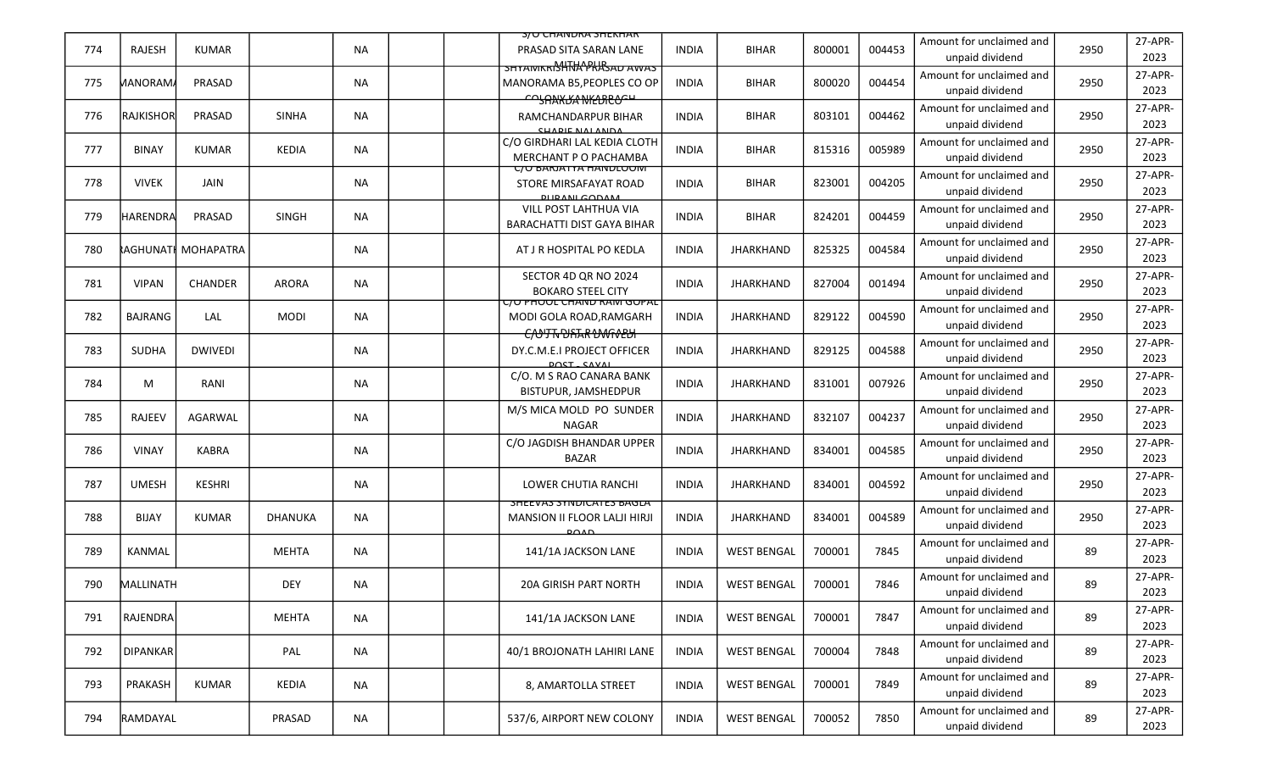|     |                 |                            |                |           | <b>S/U CHANDRA SHEKHAR</b>                                                              |              |                    |        |        |                                             |      |                 |
|-----|-----------------|----------------------------|----------------|-----------|-----------------------------------------------------------------------------------------|--------------|--------------------|--------|--------|---------------------------------------------|------|-----------------|
| 774 | RAJESH          | <b>KUMAR</b>               |                | <b>NA</b> | PRASAD SITA SARAN LANE                                                                  | <b>INDIA</b> | <b>BIHAR</b>       | 800001 | 004453 | Amount for unclaimed and<br>unpaid dividend | 2950 | 27-APR-<br>2023 |
| 775 | <b>MANORAM</b>  | PRASAD                     |                | <b>NA</b> | <b>SHYAIVIKKISHTHAPKASAD AWAS</b><br>MANORAMA B5, PEOPLES CO OP                         | <b>INDIA</b> | <b>BIHAR</b>       | 800020 | 004454 | Amount for unclaimed and<br>unpaid dividend | 2950 | 27-APR-<br>2023 |
| 776 | RAJKISHOR       | PRASAD                     | <b>SINHA</b>   | <b>NA</b> | <b>COSAAKKA NKLURLOCH</b><br>RAMCHANDARPUR BIHAR<br>CUADIE NALANDA                      | <b>INDIA</b> | <b>BIHAR</b>       | 803101 | 004462 | Amount for unclaimed and<br>unpaid dividend | 2950 | 27-APR-<br>2023 |
| 777 | <b>BINAY</b>    | <b>KUMAR</b>               | <b>KEDIA</b>   | <b>NA</b> | C/O GIRDHARI LAL KEDIA CLOTH<br>MERCHANT P O PACHAMBA                                   | <b>INDIA</b> | <b>BIHAR</b>       | 815316 | 005989 | Amount for unclaimed and<br>unpaid dividend | 2950 | 27-APR-<br>2023 |
| 778 | <b>VIVEK</b>    | JAIN                       |                | NA.       | <u>C/U BAKJATYA HANDLOOMI</u><br>STORE MIRSAFAYAT ROAD<br><b>DLIDANI GODAM</b>          | <b>INDIA</b> | <b>BIHAR</b>       | 823001 | 004205 | Amount for unclaimed and<br>unpaid dividend | 2950 | 27-APR-<br>2023 |
| 779 | <b>HARENDRA</b> | PRASAD                     | <b>SINGH</b>   | NA        | VILL POST LAHTHUA VIA<br><b>BARACHATTI DIST GAYA BIHAR</b>                              | <b>INDIA</b> | <b>BIHAR</b>       | 824201 | 004459 | Amount for unclaimed and<br>unpaid dividend | 2950 | 27-APR-<br>2023 |
| 780 |                 | <b>kAGHUNATI MOHAPATRA</b> |                | <b>NA</b> | AT J R HOSPITAL PO KEDLA                                                                | <b>INDIA</b> | <b>JHARKHAND</b>   | 825325 | 004584 | Amount for unclaimed and<br>unpaid dividend | 2950 | 27-APR-<br>2023 |
| 781 | <b>VIPAN</b>    | <b>CHANDER</b>             | <b>ARORA</b>   | <b>NA</b> | SECTOR 4D QR NO 2024<br><b>BOKARO STEEL CITY</b>                                        | <b>INDIA</b> | <b>JHARKHAND</b>   | 827004 | 001494 | Amount for unclaimed and<br>unpaid dividend | 2950 | 27-APR-<br>2023 |
| 782 | <b>BAJRANG</b>  | LAL                        | MODI           | NA        | <u>C/O PHOOL CHAND RAIVI GOPAL</u><br>MODI GOLA ROAD, RAMGARH<br>COUTTO DATAR DANGO PUT | <b>INDIA</b> | <b>JHARKHAND</b>   | 829122 | 004590 | Amount for unclaimed and<br>unpaid dividend | 2950 | 27-APR-<br>2023 |
| 783 | <b>SUDHA</b>    | <b>DWIVEDI</b>             |                | NA        | DY.C.M.E.I PROJECT OFFICER<br>DOCT CAVAL                                                | <b>INDIA</b> | <b>JHARKHAND</b>   | 829125 | 004588 | Amount for unclaimed and<br>unpaid dividend | 2950 | 27-APR-<br>2023 |
| 784 | M               | RANI                       |                | NA.       | C/O. M S RAO CANARA BANK<br>BISTUPUR, JAMSHEDPUR                                        | <b>INDIA</b> | <b>JHARKHAND</b>   | 831001 | 007926 | Amount for unclaimed and<br>unpaid dividend | 2950 | 27-APR-<br>2023 |
| 785 | RAJEEV          | AGARWAL                    |                | NA        | M/S MICA MOLD PO SUNDER<br><b>NAGAR</b>                                                 | <b>INDIA</b> | <b>JHARKHAND</b>   | 832107 | 004237 | Amount for unclaimed and<br>unpaid dividend | 2950 | 27-APR-<br>2023 |
| 786 | <b>VINAY</b>    | <b>KABRA</b>               |                | <b>NA</b> | C/O JAGDISH BHANDAR UPPER<br><b>BAZAR</b>                                               | <b>INDIA</b> | <b>JHARKHAND</b>   | 834001 | 004585 | Amount for unclaimed and<br>unpaid dividend | 2950 | 27-APR-<br>2023 |
| 787 | <b>UMESH</b>    | <b>KESHRI</b>              |                | NA        | LOWER CHUTIA RANCHI                                                                     | <b>INDIA</b> | <b>JHARKHAND</b>   | 834001 | 004592 | Amount for unclaimed and<br>unpaid dividend | 2950 | 27-APR-<br>2023 |
| 788 | BIJAY           | <b>KUMAR</b>               | <b>DHANUKA</b> | <b>NA</b> | <b>SHEEVAS STIVUICATES BAGLA</b><br>MANSION II FLOOR LALJI HIRJI<br>POMD                | <b>INDIA</b> | <b>JHARKHAND</b>   | 834001 | 004589 | Amount for unclaimed and<br>unpaid dividend | 2950 | 27-APR-<br>2023 |
| 789 | KANMAL          |                            | <b>MEHTA</b>   | <b>NA</b> | 141/1A JACKSON LANE                                                                     | <b>INDIA</b> | <b>WEST BENGAL</b> | 700001 | 7845   | Amount for unclaimed and<br>unpaid dividend | 89   | 27-APR-<br>2023 |
| 790 | MALLINATH       |                            | <b>DEY</b>     | <b>NA</b> | <b>20A GIRISH PART NORTH</b>                                                            | <b>INDIA</b> | <b>WEST BENGAL</b> | 700001 | 7846   | Amount for unclaimed and<br>unpaid dividend | 89   | 27-APR-<br>2023 |
| 791 | RAJENDRA        |                            | <b>MEHTA</b>   | <b>NA</b> | 141/1A JACKSON LANE                                                                     | <b>INDIA</b> | <b>WEST BENGAL</b> | 700001 | 7847   | Amount for unclaimed and<br>unpaid dividend | 89   | 27-APR-<br>2023 |
| 792 | <b>DIPANKAR</b> |                            | PAL            | <b>NA</b> | 40/1 BROJONATH LAHIRI LANE                                                              | <b>INDIA</b> | <b>WEST BENGAL</b> | 700004 | 7848   | Amount for unclaimed and<br>unpaid dividend | 89   | 27-APR-<br>2023 |
| 793 | PRAKASH         | <b>KUMAR</b>               | KEDIA          | NA        | 8, AMARTOLLA STREET                                                                     | <b>INDIA</b> | <b>WEST BENGAL</b> | 700001 | 7849   | Amount for unclaimed and<br>unpaid dividend | 89   | 27-APR-<br>2023 |
| 794 | RAMDAYAL        |                            | PRASAD         | NA        | 537/6, AIRPORT NEW COLONY                                                               | <b>INDIA</b> | <b>WEST BENGAL</b> | 700052 | 7850   | Amount for unclaimed and<br>unpaid dividend | 89   | 27-APR-<br>2023 |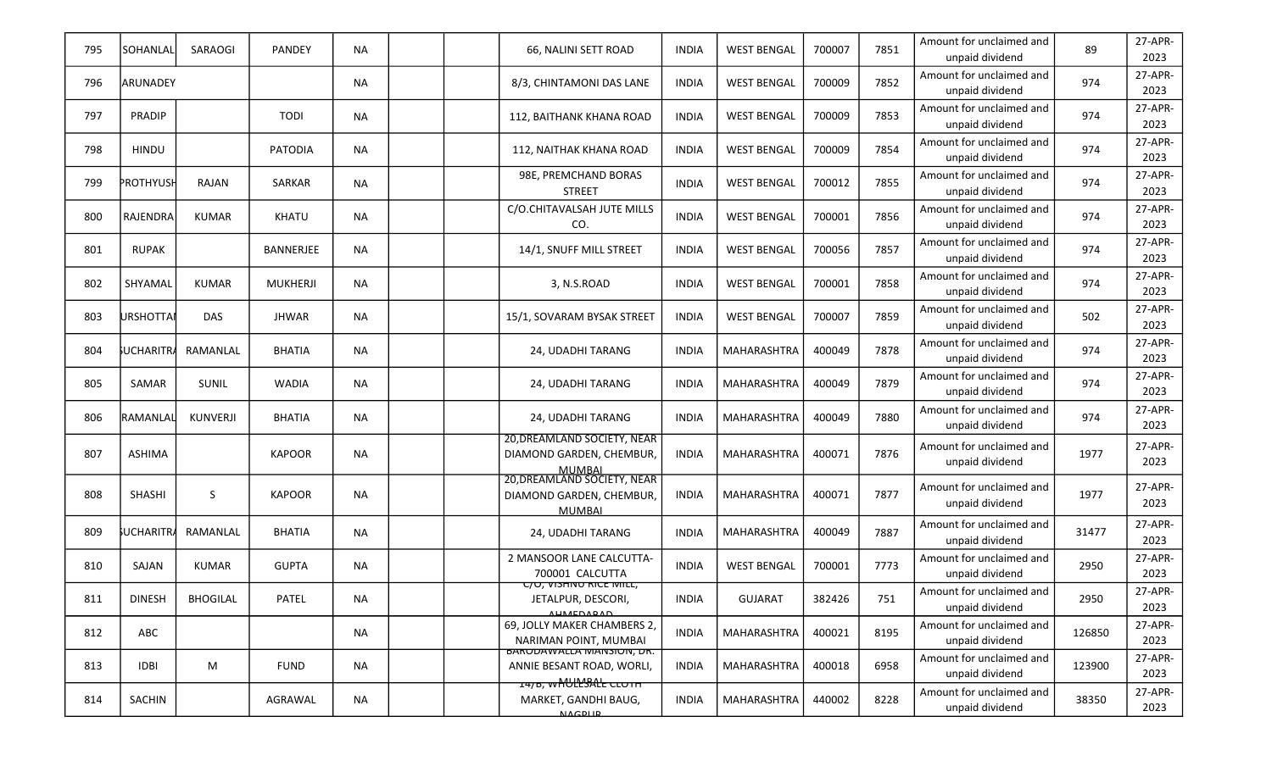| 795 | SOHANLAL      | SARAOGI         | PANDEY           | <b>NA</b> |  | 66, NALINI SETT ROAD                                                         | <b>INDIA</b> | <b>WEST BENGAL</b> | 700007 | 7851 | Amount for unclaimed and<br>unpaid dividend | 89     | 27-APR-<br>2023 |
|-----|---------------|-----------------|------------------|-----------|--|------------------------------------------------------------------------------|--------------|--------------------|--------|------|---------------------------------------------|--------|-----------------|
| 796 | ARUNADEY      |                 |                  | <b>NA</b> |  | 8/3, CHINTAMONI DAS LANE                                                     | <b>INDIA</b> | <b>WEST BENGAL</b> | 700009 | 7852 | Amount for unclaimed and<br>unpaid dividend | 974    | 27-APR-<br>2023 |
| 797 | PRADIP        |                 | <b>TODI</b>      | <b>NA</b> |  | 112, BAITHANK KHANA ROAD                                                     | <b>INDIA</b> | <b>WEST BENGAL</b> | 700009 | 7853 | Amount for unclaimed and<br>unpaid dividend | 974    | 27-APR-<br>2023 |
| 798 | <b>HINDU</b>  |                 | <b>PATODIA</b>   | <b>NA</b> |  | 112, NAITHAK KHANA ROAD                                                      | INDIA        | <b>WEST BENGAL</b> | 700009 | 7854 | Amount for unclaimed and<br>unpaid dividend | 974    | 27-APR-<br>2023 |
| 799 | PROTHYUSH     | RAJAN           | SARKAR           | <b>NA</b> |  | 98E, PREMCHAND BORAS<br><b>STREET</b>                                        | <b>INDIA</b> | <b>WEST BENGAL</b> | 700012 | 7855 | Amount for unclaimed and<br>unpaid dividend | 974    | 27-APR-<br>2023 |
| 800 | RAJENDRA      | <b>KUMAR</b>    | KHATU            | <b>NA</b> |  | C/O.CHITAVALSAH JUTE MILLS<br>CO.                                            | <b>INDIA</b> | <b>WEST BENGAL</b> | 700001 | 7856 | Amount for unclaimed and<br>unpaid dividend | 974    | 27-APR-<br>2023 |
| 801 | <b>RUPAK</b>  |                 | <b>BANNERJEE</b> | <b>NA</b> |  | 14/1, SNUFF MILL STREET                                                      | <b>INDIA</b> | <b>WEST BENGAL</b> | 700056 | 7857 | Amount for unclaimed and<br>unpaid dividend | 974    | 27-APR-<br>2023 |
| 802 | SHYAMAL       | KUMAR           | <b>MUKHERJI</b>  | <b>NA</b> |  | 3, N.S.ROAD                                                                  | <b>INDIA</b> | <b>WEST BENGAL</b> | 700001 | 7858 | Amount for unclaimed and<br>unpaid dividend | 974    | 27-APR-<br>2023 |
| 803 | URSHOTTAI     | <b>DAS</b>      | <b>JHWAR</b>     | <b>NA</b> |  | 15/1, SOVARAM BYSAK STREET                                                   | INDIA        | <b>WEST BENGAL</b> | 700007 | 7859 | Amount for unclaimed and<br>unpaid dividend | 502    | 27-APR-<br>2023 |
| 804 | UCHARITRA     | RAMANLAL        | <b>BHATIA</b>    | <b>NA</b> |  | 24, UDADHI TARANG                                                            | <b>INDIA</b> | <b>MAHARASHTRA</b> | 400049 | 7878 | Amount for unclaimed and<br>unpaid dividend | 974    | 27-APR-<br>2023 |
| 805 | SAMAR         | SUNIL           | <b>WADIA</b>     | <b>NA</b> |  | 24, UDADHI TARANG                                                            | <b>INDIA</b> | <b>MAHARASHTRA</b> | 400049 | 7879 | Amount for unclaimed and<br>unpaid dividend | 974    | 27-APR-<br>2023 |
| 806 | RAMANLAL      | <b>KUNVERJI</b> | <b>BHATIA</b>    | <b>NA</b> |  | 24, UDADHI TARANG                                                            | <b>INDIA</b> | MAHARASHTRA        | 400049 | 7880 | Amount for unclaimed and<br>unpaid dividend | 974    | 27-APR-<br>2023 |
| 807 | <b>ASHIMA</b> |                 | <b>KAPOOR</b>    | <b>NA</b> |  | 20, DREAMLAND SOCIETY, NEAR<br>DIAMOND GARDEN, CHEMBUR,<br><b>MUMBAI</b>     | <b>INDIA</b> | <b>MAHARASHTRA</b> | 400071 | 7876 | Amount for unclaimed and<br>unpaid dividend | 1977   | 27-APR-<br>2023 |
| 808 | SHASHI        | S               | <b>KAPOOR</b>    | <b>NA</b> |  | 20, DREAMLAND SOCIETY, NEAR<br>DIAMOND GARDEN, CHEMBUR,<br><b>MUMBAI</b>     | <b>INDIA</b> | MAHARASHTRA        | 400071 | 7877 | Amount for unclaimed and<br>unpaid dividend | 1977   | 27-APR-<br>2023 |
| 809 | UCHARITRA     | RAMANLAL        | <b>BHATIA</b>    | <b>NA</b> |  | 24, UDADHI TARANG                                                            | <b>INDIA</b> | <b>MAHARASHTRA</b> | 400049 | 7887 | Amount for unclaimed and<br>unpaid dividend | 31477  | 27-APR-<br>2023 |
| 810 | SAJAN         | <b>KUMAR</b>    | <b>GUPTA</b>     | <b>NA</b> |  | 2 MANSOOR LANE CALCUTTA-<br>700001 CALCUTTA                                  | <b>INDIA</b> | <b>WEST BENGAL</b> | 700001 | 7773 | Amount for unclaimed and<br>unpaid dividend | 2950   | 27-APR-<br>2023 |
| 811 | <b>DINESH</b> | <b>BHOGILAL</b> | PATEL            | <b>NA</b> |  | <del>UU, VISHNU KICE IVIILL,</del><br>JETALPUR, DESCORI,<br><b>AUMEDARAD</b> | <b>INDIA</b> | GUJARAT            | 382426 | 751  | Amount for unclaimed and<br>unpaid dividend | 2950   | 27-APR-<br>2023 |
| 812 | ABC           |                 |                  | NA        |  | 69, JOLLY MAKER CHAMBERS 2,<br>NARIMAN POINT, MUMBAI                         | <b>INDIA</b> | MAHARASHTRA        | 400021 | 8195 | Amount for unclaimed and<br>unpaid dividend | 126850 | 27-APR-<br>2023 |
| 813 | <b>IDBI</b>   | M               | <b>FUND</b>      | <b>NA</b> |  | <b>BARUDAWALLA MANSIUN, DR.</b><br>ANNIE BESANT ROAD, WORLI,                 | <b>INDIA</b> | MAHARASHTRA        | 400018 | 6958 | Amount for unclaimed and<br>unpaid dividend | 123900 | 27-APR-<br>2023 |
| 814 | SACHIN        |                 | AGRAWAL          | NA        |  | 1476, wholles the corn<br>MARKET, GANDHI BAUG,<br><b>NACDLID</b>             | <b>INDIA</b> | MAHARASHTRA        | 440002 | 8228 | Amount for unclaimed and<br>unpaid dividend | 38350  | 27-APR-<br>2023 |